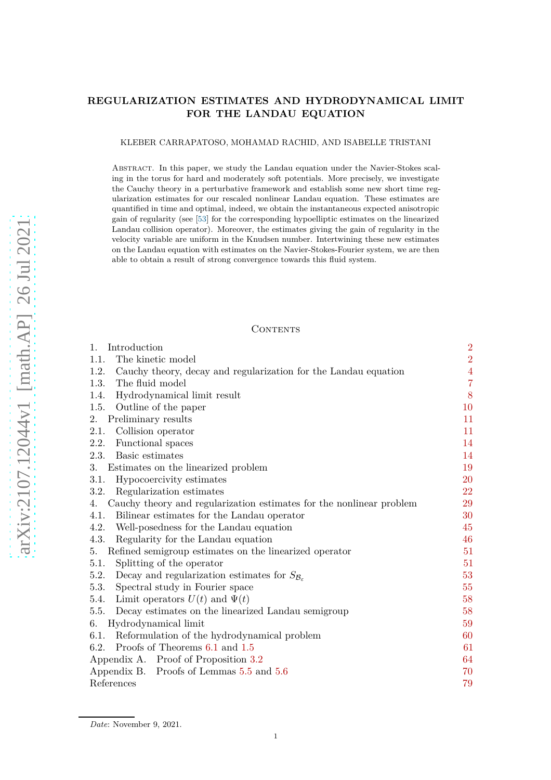# **REGULARIZATION ESTIMATES AND HYDRODYNAMICAL LIMIT FOR THE LANDAU EQUATION**

KLEBER CARRAPATOSO, MOHAMAD RACHID, AND ISABELLE TRISTANI

Abstract. In this paper, we study the Landau equation under the Navier-Stokes scaling in the torus for hard and moderately soft potentials. More precisely, we investigate the Cauchy theory in a perturbative framework and establish some new short time regularization estimates for our rescaled nonlinear Landau equation. These estimates are quantified in time and optimal, indeed, we obtain the instantaneous expected anisotropic gain of regularity (see [\[53\]](#page-79-0) for the corresponding hypoelliptic estimates on the linearized Landau collision operator). Moreover, the estimates giving the gain of regularity in the velocity variable are uniform in the Knudsen number. Intertwining these new estimates on the Landau equation with estimates on the Navier-Stokes-Fourier system, we are then able to obtain a result of strong convergence towards this fluid system.

# **CONTENTS**

| Introduction<br>1.                                                             | $\overline{2}$ |
|--------------------------------------------------------------------------------|----------------|
| The kinetic model<br>1.1.                                                      | $\overline{2}$ |
| 1.2.<br>Cauchy theory, decay and regularization for the Landau equation        | $\overline{4}$ |
| The fluid model<br>1.3.                                                        | $\overline{7}$ |
| Hydrodynamical limit result<br>1.4.                                            | 8              |
| 1.5.<br>Outline of the paper                                                   | 10             |
| Preliminary results<br>2.                                                      | 11             |
| Collision operator<br>2.1.                                                     | 11             |
| Functional spaces<br>2.2.                                                      | 14             |
| 2.3.<br>Basic estimates                                                        | 14             |
| Estimates on the linearized problem<br>3.                                      | 19             |
| 3.1.<br>Hypocoercivity estimates                                               | 20             |
| Regularization estimates<br>3.2.                                               | 22             |
| Cauchy theory and regularization estimates for the nonlinear problem<br>4.     | 29             |
| Bilinear estimates for the Landau operator<br>4.1.                             | 30             |
| 4.2.<br>Well-posedness for the Landau equation                                 | 45             |
| 4.3.<br>Regularity for the Landau equation                                     | 46             |
| Refined semigroup estimates on the linearized operator<br>5.                   | 51             |
| Splitting of the operator<br>5.1.                                              | 51             |
| Decay and regularization estimates for $S_{\mathcal{B}_{\varepsilon}}$<br>5.2. | 53             |
| Spectral study in Fourier space<br>5.3.                                        | 55             |
| Limit operators $U(t)$ and $\Psi(t)$<br>5.4.                                   | 58             |
| 5.5.<br>Decay estimates on the linearized Landau semigroup                     | 58             |
| Hydrodynamical limit<br>6.                                                     | 59             |
| Reformulation of the hydrodynamical problem<br>6.1.                            | 60             |
| Proofs of Theorems 6.1 and 1.5<br>6.2.                                         | 61             |
| Appendix A. Proof of Proposition 3.2                                           | 64             |
| Appendix B. Proofs of Lemmas 5.5 and 5.6                                       | 70             |
| References                                                                     | 79             |

*Date*: November 9, 2021.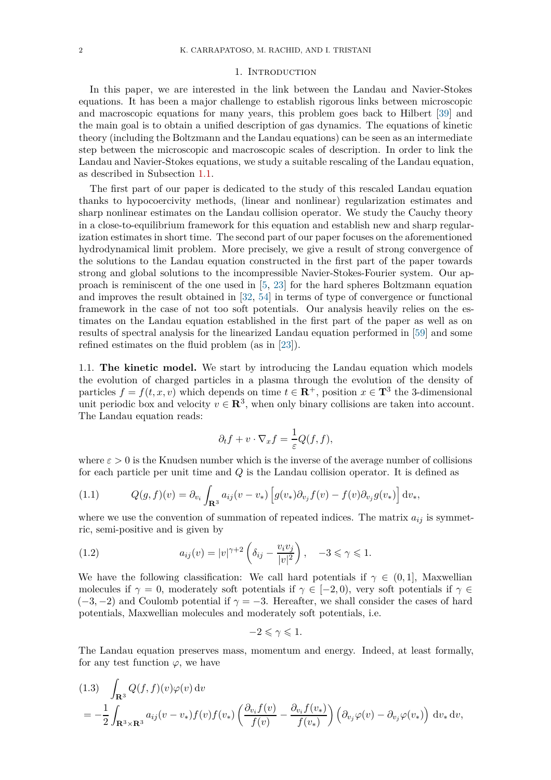#### 1. INTRODUCTION

<span id="page-1-0"></span>In this paper, we are interested in the link between the Landau and Navier-Stokes equations. It has been a major challenge to establish rigorous links between microscopic and macroscopic equations for many years, this problem goes back to Hilbert [\[39\]](#page-79-1) and the main goal is to obtain a unified description of gas dynamics. The equations of kinetic theory (including the Boltzmann and the Landau equations) can be seen as an intermediate step between the microscopic and macroscopic scales of description. In order to link the Landau and Navier-Stokes equations, we study a suitable rescaling of the Landau equation, as described in Subsection [1.1.](#page-1-1)

The first part of our paper is dedicated to the study of this rescaled Landau equation thanks to hypocoercivity methods, (linear and nonlinear) regularization estimates and sharp nonlinear estimates on the Landau collision operator. We study the Cauchy theory in a close-to-equilibrium framework for this equation and establish new and sharp regularization estimates in short time. The second part of our paper focuses on the aforementioned hydrodynamical limit problem. More precisely, we give a result of strong convergence of the solutions to the Landau equation constructed in the first part of the paper towards strong and global solutions to the incompressible Navier-Stokes-Fourier system. Our approach is reminiscent of the one used in [\[5,](#page-78-1) [23\]](#page-78-2) for the hard spheres Boltzmann equation and improves the result obtained in [\[32,](#page-79-2) [54\]](#page-79-3) in terms of type of convergence or functional framework in the case of not too soft potentials. Our analysis heavily relies on the estimates on the Landau equation established in the first part of the paper as well as on results of spectral analysis for the linearized Landau equation performed in [\[59\]](#page-80-0) and some refined estimates on the fluid problem (as in [\[23\]](#page-78-2)).

<span id="page-1-1"></span>1.1. **The kinetic model.** We start by introducing the Landau equation which models the evolution of charged particles in a plasma through the evolution of the density of particles  $f = f(t, x, v)$  which depends on time  $t \in \mathbb{R}^+$ , position  $x \in \mathbb{T}^3$  the 3-dimensional unit periodic box and velocity  $v \in \mathbb{R}^3$ , when only binary collisions are taken into account. The Landau equation reads:

$$
\partial_t f + v \cdot \nabla_x f = \frac{1}{\varepsilon} Q(f, f),
$$

where  $\varepsilon > 0$  is the Knudsen number which is the inverse of the average number of collisions for each particle per unit time and *Q* is the Landau collision operator. It is defined as

<span id="page-1-4"></span>(1.1) 
$$
Q(g,f)(v) = \partial_{v_i} \int_{\mathbf{R}^3} a_{ij}(v-v_*) \left[ g(v_*) \partial_{v_j} f(v) - f(v) \partial_{v_j} g(v_*) \right] dv_*,
$$

where we use the convention of summation of repeated indices. The matrix  $a_{ij}$  is symmetric, semi-positive and is given by

<span id="page-1-3"></span>(1.2) 
$$
a_{ij}(v) = |v|^{\gamma+2} \left( \delta_{ij} - \frac{v_i v_j}{|v|^2} \right), \quad -3 \le \gamma \le 1.
$$

We have the following classification: We call hard potentials if  $\gamma \in (0,1]$ , Maxwellian molecules if  $\gamma = 0$ , moderately soft potentials if  $\gamma \in [-2, 0)$ , very soft potentials if  $\gamma \in$  $(-3,-2)$  and Coulomb potential if  $\gamma = -3$ . Hereafter, we shall consider the cases of hard potentials, Maxwellian molecules and moderately soft potentials, i.e.

$$
-2 \leqslant \gamma \leqslant 1.
$$

The Landau equation preserves mass, momentum and energy. Indeed, at least formally, for any test function  $\varphi$ , we have

<span id="page-1-2"></span>
$$
(1.3) \int_{\mathbf{R}^3} Q(f, f)(v)\varphi(v) dv
$$
  
=  $-\frac{1}{2} \int_{\mathbf{R}^3 \times \mathbf{R}^3} a_{ij}(v - v_*) f(v) f(v_*) \left( \frac{\partial_{v_i} f(v)}{f(v)} - \frac{\partial_{v_i} f(v_*)}{f(v_*)} \right) \left( \partial_{v_j} \varphi(v) - \partial_{v_j} \varphi(v_*) \right) dv_* dv$ ,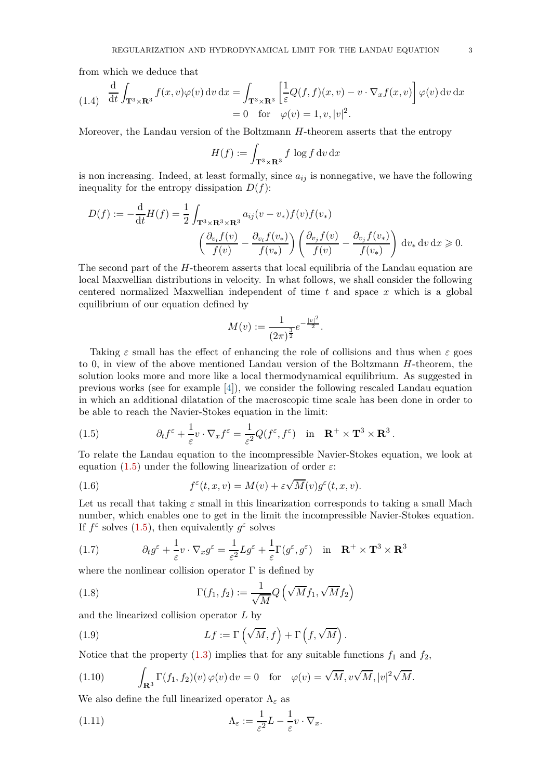from which we deduce that

(1.4) 
$$
\frac{d}{dt} \int_{\mathbf{T}^3 \times \mathbf{R}^3} f(x, v) \varphi(v) dv dx = \int_{\mathbf{T}^3 \times \mathbf{R}^3} \left[ \frac{1}{\varepsilon} Q(f, f)(x, v) - v \cdot \nabla_x f(x, v) \right] \varphi(v) dv dx
$$
  
= 0 for  $\varphi(v) = 1, v, |v|^2$ .

Moreover, the Landau version of the Boltzmann *H*-theorem asserts that the entropy

$$
H(f) := \int_{\mathbf{T}^3 \times \mathbf{R}^3} f \, \log f \, \mathrm{d}v \, \mathrm{d}x
$$

is non increasing. Indeed, at least formally, since  $a_{ij}$  is nonnegative, we have the following inequality for the entropy dissipation  $D(f)$ :

$$
D(f) := -\frac{\mathrm{d}}{\mathrm{d}t}H(f) = \frac{1}{2} \int_{\mathbf{T}^3 \times \mathbf{R}^3 \times \mathbf{R}^3} a_{ij}(v - v_*) f(v) f(v_*)
$$

$$
\left(\frac{\partial_{v_i} f(v)}{f(v)} - \frac{\partial_{v_i} f(v_*)}{f(v_*)}\right) \left(\frac{\partial_{v_j} f(v)}{f(v)} - \frac{\partial_{v_j} f(v_*)}{f(v_*)}\right) \mathrm{d}v_* \mathrm{d}v \mathrm{d}x \ge 0.
$$

The second part of the *H*-theorem asserts that local equilibria of the Landau equation are local Maxwellian distributions in velocity. In what follows, we shall consider the following centered normalized Maxwellian independent of time *t* and space *x* which is a global equilibrium of our equation defined by

$$
M(v) := \frac{1}{(2\pi)^{\frac{3}{2}}} e^{-\frac{|v|^2}{2}}.
$$

Taking  $\varepsilon$  small has the effect of enhancing the role of collisions and thus when  $\varepsilon$  goes to 0, in view of the above mentioned Landau version of the Boltzmann *H*-theorem, the solution looks more and more like a local thermodynamical equilibrium. As suggested in previous works (see for example [\[4\]](#page-78-3)), we consider the following rescaled Landau equation in which an additional dilatation of the macroscopic time scale has been done in order to be able to reach the Navier-Stokes equation in the limit:

<span id="page-2-0"></span>(1.5) 
$$
\partial_t f^{\varepsilon} + \frac{1}{\varepsilon} v \cdot \nabla_x f^{\varepsilon} = \frac{1}{\varepsilon^2} Q(f^{\varepsilon}, f^{\varepsilon}) \quad \text{in} \quad \mathbf{R}^+ \times \mathbf{T}^3 \times \mathbf{R}^3.
$$

To relate the Landau equation to the incompressible Navier-Stokes equation, we look at equation [\(1.5\)](#page-2-0) under the following linearization of order  $\varepsilon$ :

<span id="page-2-2"></span>(1.6) 
$$
f^{\varepsilon}(t,x,v) = M(v) + \varepsilon \sqrt{M}(v) g^{\varepsilon}(t,x,v).
$$

Let us recall that taking *ε* small in this linearization corresponds to taking a small Mach number, which enables one to get in the limit the incompressible Navier-Stokes equation. If  $f^{\varepsilon}$  solves  $(1.5)$ , then equivalently  $g^{\varepsilon}$  solves

<span id="page-2-5"></span>*.*

<span id="page-2-1"></span>(1.7) 
$$
\partial_t g^\varepsilon + \frac{1}{\varepsilon} v \cdot \nabla_x g^\varepsilon = \frac{1}{\varepsilon^2} L g^\varepsilon + \frac{1}{\varepsilon} \Gamma(g^\varepsilon, g^\varepsilon) \quad \text{in} \quad \mathbf{R}^+ \times \mathbf{T}^3 \times \mathbf{R}^3
$$

where the nonlinear collision operator  $\Gamma$  is defined by

<span id="page-2-3"></span>(1.8) 
$$
\Gamma(f_1, f_2) := \frac{1}{\sqrt{M}} Q\left(\sqrt{M} f_1, \sqrt{M} f_2\right)
$$

and the linearized collision operator *L* by

<span id="page-2-4"></span>(1.9) 
$$
Lf := \Gamma\left(\sqrt{M}, f\right) + \Gamma\left(f, \sqrt{M}\right)
$$

Notice that the property  $(1.3)$  implies that for any suitable functions  $f_1$  and  $f_2$ ,

(1.10) 
$$
\int_{\mathbf{R}^3} \Gamma(f_1, f_2)(v) \, \varphi(v) \, dv = 0 \quad \text{for} \quad \varphi(v) = \sqrt{M}, \, v \sqrt{M}, \, |v|^2 \sqrt{M}.
$$

We also define the full linearized operator  $\Lambda_{\varepsilon}$  as

(1.11) 
$$
\Lambda_{\varepsilon} := \frac{1}{\varepsilon^2} L - \frac{1}{\varepsilon} v \cdot \nabla_x.
$$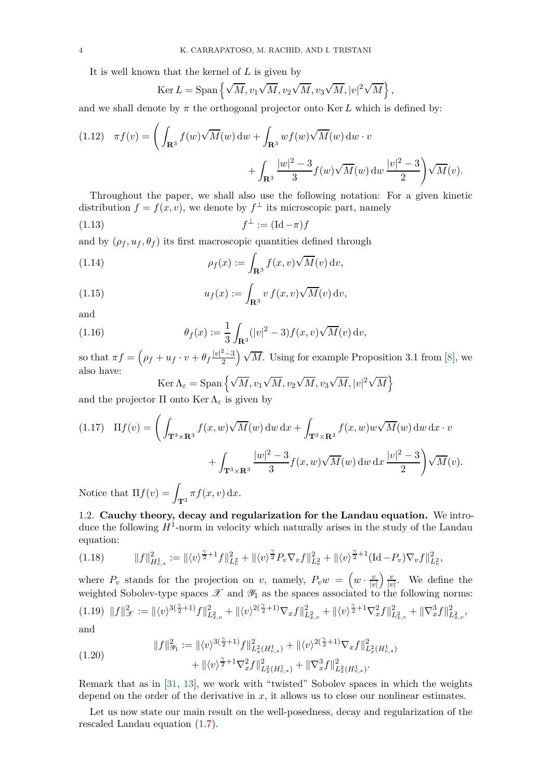It is well known that the kernel of *L* is given by

<span id="page-3-1"></span>
$$
\operatorname{Ker} L = \operatorname{Span} \left\{ \sqrt{M}, v_1 \sqrt{M}, v_2 \sqrt{M}, v_3 \sqrt{M}, |v|^2 \sqrt{M} \right\},\,
$$

and we shall denote by  $\pi$  the orthogonal projector onto Ker L which is defined by:

<span id="page-3-6"></span>(1.12) 
$$
\pi f(v) = \left( \int_{\mathbf{R}^3} f(w) \sqrt{M}(w) dw + \int_{\mathbf{R}^3} wf(w) \sqrt{M}(w) dw \cdot v + \int_{\mathbf{R}^3} \frac{|w|^2 - 3}{3} f(w) \sqrt{M}(w) dw \frac{|v|^2 - 3}{2} \right) \sqrt{M}(v).
$$

Throughout the paper, we shall also use the following notation: For a given kinetic distribution  $f = f(x, v)$ , we denote by  $f^{\perp}$  its microscopic part, namely

$$
f^{\perp} := (\mathrm{Id} - \pi)f
$$

and by  $(\rho_f, u_f, \theta_f)$  its first macroscopic quantities defined through

(1.14) 
$$
\rho_f(x) := \int_{\mathbf{R}^3} f(x, v) \sqrt{M}(v) dv,
$$

(1.15) 
$$
u_f(x) := \int_{\mathbf{R}^3} v f(x, v) \sqrt{M}(v) dv,
$$

and

(1.16) 
$$
\theta_f(x) := \frac{1}{3} \int_{\mathbf{R}^3} (|v|^2 - 3) f(x, v) \sqrt{M}(v) dv,
$$

so that  $\pi f = \left(\rho_f + u_f \cdot v + \theta_f \frac{|v|^2 - 3}{2}\right)$ 2  $\sqrt{M}$ . Using for example Proposition 3.1 from [\[8\]](#page-78-4), we also have:  $\cdot$  / √  $\cdot$  / √ o

<span id="page-3-5"></span><span id="page-3-4"></span><span id="page-3-3"></span>
$$
\text{Ker}\,\Lambda_{\varepsilon} = \text{Span}\left\{\sqrt{M}, v_1\sqrt{M}, v_2\sqrt{M}, v_3\sqrt{M}, |v|^2\sqrt{M}\right\}
$$
  
Under  $\Lambda$  is given by

and the projector  $\Pi$  onto Ker  $\Lambda_{\varepsilon}$  is given by

<span id="page-3-9"></span>(1.17) 
$$
\Pi f(v) = \left( \int_{\mathbf{T}^3 \times \mathbf{R}^3} f(x, w) \sqrt{M}(w) dw dx + \int_{\mathbf{T}^3 \times \mathbf{R}^3} f(x, w) w \sqrt{M}(w) dw dx \cdot v + \int_{\mathbf{T}^3 \times \mathbf{R}^3} \frac{|w|^2 - 3}{3} f(x, w) \sqrt{M}(w) dw dx \frac{|v|^2 - 3}{2} \right) \sqrt{M}(v).
$$
  
Notice that  $\Pi f(v) = \int_{\mathbf{T}^3} f(x, v) dx$ 

Notice that  $\Pi f(v) = \int_{\mathbf{T}^3} \pi f(x, v) \, dx$ .

<span id="page-3-0"></span>1.2. **Cauchy theory, decay and regularization for the Landau equation.** We introduce the following  $H^1$ -norm in velocity which naturally arises in the study of the Landau equation:

<span id="page-3-7"></span>
$$
(1.18) \t\t ||f||_{H_{v,*}^1}^2 := ||\langle v \rangle^{\frac{\gamma}{2}+1} f||_{L_v^2}^2 + ||\langle v \rangle^{\frac{\gamma}{2}} P_v \nabla_v f||_{L_v^2}^2 + ||\langle v \rangle^{\frac{\gamma}{2}+1} (\mathrm{Id}-P_v) \nabla_v f||_{L_v^2}^2,
$$

where  $P_v$  stands for the projection on *v*, namely,  $P_v w = \left(w \cdot \frac{v}{|v|}\right)$ |*v*|  $\frac{v}{2}$  $\frac{v}{|v|}$ . We define the weighted Sobolev-type spaces  $\mathscr X$  and  $\mathscr Y_1$  as the spaces associated to the following norms:  $(1.19)\ \ \|f\|_{\mathscr{X}}^2:=\|\langle v\rangle^{3(\frac{\gamma}{2}+1)}f\|_{L^2_{x,v}}^2+\|\langle v\rangle^{2(\frac{\gamma}{2}+1)}\nabla_xf\|_{L^2_{x,v}}^2+\|\langle v\rangle^{\frac{\gamma}{2}+1}\nabla_x^2f\|_{L^2_{x,v}}^2+\|\nabla_x^3f\|_{L^2_{x,v}}^2,$ and

(1.20)

<span id="page-3-8"></span><span id="page-3-2"></span>
$$
\begin{aligned} \|f\|_{\mathcal{Y}_1}^2 &:= \| \langle v \rangle^{3(\frac{\gamma}{2}+1)} f \|_{L^2_x(H_{v,*}^1)}^2 + \| \langle v \rangle^{2(\frac{\gamma}{2}+1)} \nabla_x f \|_{L^2_x(H_{v,*}^1)}^2 \\ &+ \| \langle v \rangle^{\frac{\gamma}{2}+1} \nabla_x^2 f \|_{L^2_x(H_{v,*}^1)}^2 + \| \nabla_x^3 f \|_{L^2_x(H_{v,*}^1)}^2. \end{aligned}
$$

Remark that as in [\[31,](#page-79-4) [13\]](#page-78-5), we work with "twisted" Sobolev spaces in which the weights depend on the order of the derivative in *x*, it allows us to close our nonlinear estimates.

Let us now state our main result on the well-posedness, decay and regularization of the rescaled Landau equation [\(1.7\)](#page-2-1).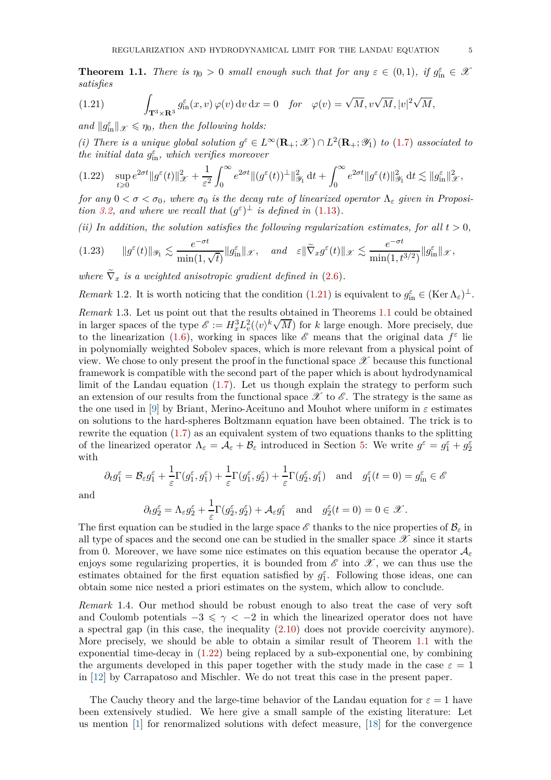<span id="page-4-1"></span>**Theorem 1.1.** *There is*  $\eta_0 > 0$  *small enough such that for any*  $\varepsilon \in (0,1)$ *, if*  $g_{\text{in}}^{\varepsilon} \in \mathcal{X}$ *satisfies*

<span id="page-4-0"></span>(1.21) 
$$
\int_{\mathbf{T}^3 \times \mathbf{R}^3} g_{\text{in}}^{\varepsilon}(x, v) \, \varphi(v) \, \mathrm{d}v \, \mathrm{d}x = 0 \quad \text{for} \quad \varphi(v) = \sqrt{M}, v\sqrt{M}, |v|^2 \sqrt{M},
$$

*and*  $||g_{\text{in}}^{\varepsilon}||_{\mathscr{X}} \leq \eta_0$ , then the following holds:

(*i*) There is a unique global solution  $g^{\varepsilon} \in L^{\infty}(\mathbf{R}_{+}; \mathcal{X}) \cap L^{2}(\mathbf{R}_{+}; \mathcal{Y}_{1})$  to [\(1.7\)](#page-2-1) associated to *the initial data*  $g_{\text{in}}^{\varepsilon}$ *, which verifies moreover* 

<span id="page-4-2"></span>
$$
(1.22)\quad \sup_{t\geqslant 0}e^{2\sigma t}\|g^\varepsilon(t)\|_{\mathscr X}^2+\frac{1}{\varepsilon^2}\int_0^\infty e^{2\sigma t}\|(g^\varepsilon(t))^{\perp}\|_{\mathscr Y_1}^2\,\mathrm{d} t+\int_0^\infty e^{2\sigma t}\|g^\varepsilon(t)\|_{\mathscr Y_1}^2\,\mathrm{d} t\lesssim \|g_{\mathrm{in}}^\varepsilon\|_{\mathscr X}^2,
$$

*for any*  $0 < \sigma < \sigma_0$ , where  $\sigma_0$  *is the decay rate of linearized operator*  $\Lambda_{\epsilon}$  *given in Proposition* [3.2,](#page-19-1) and where we recall that  $(g^{\varepsilon})^{\perp}$  *is defined in* [\(1.13\)](#page-3-1).

*(ii) In addition, the solution satisfies the following regularization estimates, for all*  $t > 0$ *,* 

<span id="page-4-4"></span>
$$
(1.23) \qquad \|g^{\varepsilon}(t)\|_{\mathscr Y_1} \lesssim \frac{e^{-\sigma t}}{\min(1,\sqrt t)} \|g_{\mathrm{in}}^{\varepsilon}\|_{\mathscr X}, \quad \text{and} \quad \varepsilon \|\widetilde{\nabla}_x g^{\varepsilon}(t)\|_{\mathscr X} \lesssim \frac{e^{-\sigma t}}{\min(1,t^{3/2})} \|g_{\mathrm{in}}^{\varepsilon}\|_{\mathscr X},
$$

where  $\nabla_x$  *is a weighted anisotropic gradient defined in*  $(2.6)$ *.* 

*Remark* 1.2. It is worth noticing that the condition [\(1.21\)](#page-4-0) is equivalent to  $g_{\text{in}}^{\varepsilon} \in (\text{Ker }\Lambda_{\varepsilon})^{\perp}$ .

<span id="page-4-3"></span>*Remark* 1.3*.* Let us point out that the results obtained in Theorems [1.1](#page-4-1) could be obtained in larger spaces of the type  $\mathscr{E} := H_x^3 L_v^2(\langle v \rangle^k \sqrt{M})$  for *k* large enough. More precisely, due to the linearization [\(1.6\)](#page-2-2), working in spaces like  $\mathscr E$  means that the original data  $f^{\varepsilon}$  lie in polynomially weighted Sobolev spaces, which is more relevant from a physical point of view. We chose to only present the proof in the functional space  $\mathscr X$  because this functional framework is compatible with the second part of the paper which is about hydrodynamical limit of the Landau equation [\(1.7\)](#page-2-1). Let us though explain the strategy to perform such an extension of our results from the functional space  $\mathscr X$  to  $\mathscr E$ . The strategy is the same as the one used in [\[9\]](#page-78-6) by Briant, Merino-Aceituno and Mouhot where uniform in  $\varepsilon$  estimates on solutions to the hard-spheres Boltzmann equation have been obtained. The trick is to rewrite the equation [\(1.7\)](#page-2-1) as an equivalent system of two equations thanks to the splitting of the linearized operator  $\Lambda_{\varepsilon} = \mathcal{A}_{\varepsilon} + \mathcal{B}_{\varepsilon}$  introduced in Section [5:](#page-50-0) We write  $g^{\varepsilon} = g_1^{\varepsilon} + g_2^{\varepsilon}$ with

$$
\partial_t g_1^{\varepsilon} = \mathcal{B}_{\varepsilon} g_1^{\varepsilon} + \frac{1}{\varepsilon} \Gamma(g_1^{\varepsilon}, g_1^{\varepsilon}) + \frac{1}{\varepsilon} \Gamma(g_1^{\varepsilon}, g_2^{\varepsilon}) + \frac{1}{\varepsilon} \Gamma(g_2^{\varepsilon}, g_1^{\varepsilon}) \quad \text{and} \quad g_1^{\varepsilon}(t=0) = g_{\text{in}}^{\varepsilon} \in \mathscr{E}
$$

and

$$
\partial_t g_2^{\varepsilon} = \Lambda_{\varepsilon} g_2^{\varepsilon} + \frac{1}{\varepsilon} \Gamma(g_2^{\varepsilon}, g_2^{\varepsilon}) + \mathcal{A}_{\varepsilon} g_1^{\varepsilon} \text{ and } g_2^{\varepsilon}(t=0) = 0 \in \mathcal{X}.
$$

The first equation can be studied in the large space  $\mathscr E$  thanks to the nice properties of  $\mathcal{B}_{\varepsilon}$  in all type of spaces and the second one can be studied in the smaller space  $\mathscr X$  since it starts from 0. Moreover, we have some nice estimates on this equation because the operator A*<sup>ε</sup>* enjoys some regularizing properties, it is bounded from  $\mathscr E$  into  $\mathscr X$ , we can thus use the estimates obtained for the first equation satisfied by  $g_1^{\varepsilon}$ . Following those ideas, one can obtain some nice nested a priori estimates on the system, which allow to conclude.

<span id="page-4-5"></span>*Remark* 1.4*.* Our method should be robust enough to also treat the case of very soft and Coulomb potentials  $-3 \leq \gamma < -2$  in which the linearized operator does not have a spectral gap (in this case, the inequality [\(2.10\)](#page-12-1) does not provide coercivity anymore). More precisely, we should be able to obtain a similar result of Theorem [1.1](#page-4-1) with the exponential time-decay in [\(1.22\)](#page-4-2) being replaced by a sub-exponential one, by combining the arguments developed in this paper together with the study made in the case  $\varepsilon = 1$ in [\[12\]](#page-78-7) by Carrapatoso and Mischler. We do not treat this case in the present paper.

The Cauchy theory and the large-time behavior of the Landau equation for  $\varepsilon = 1$  have been extensively studied. We here give a small sample of the existing literature: Let us mention [\[1\]](#page-78-8) for renormalized solutions with defect measure, [\[18\]](#page-78-9) for the convergence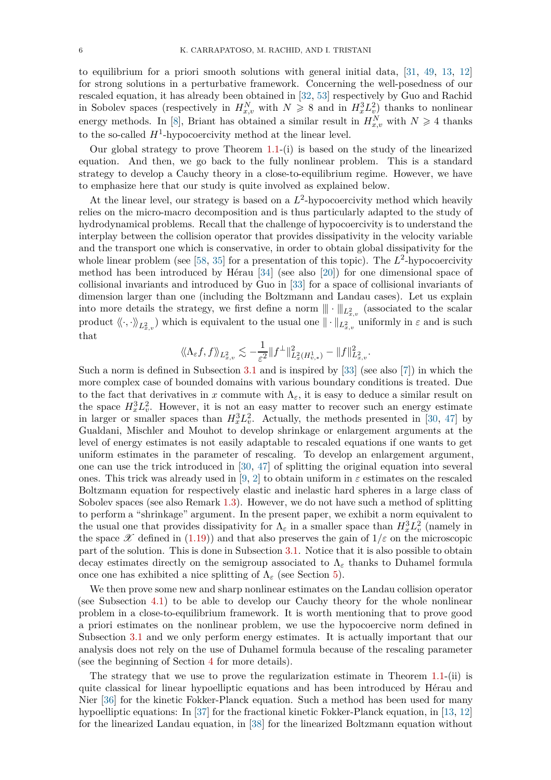to equilibrium for a priori smooth solutions with general initial data, [\[31,](#page-79-4) [49,](#page-79-5) [13,](#page-78-5) [12\]](#page-78-7) for strong solutions in a perturbative framework. Concerning the well-posedness of our rescaled equation, it has already been obtained in [\[32,](#page-79-2) [53\]](#page-79-0) respectively by Guo and Rachid in Sobolev spaces (respectively in  $H_{x,v}^N$  with  $N \geq 8$  and in  $H_x^3 L_v^2$ ) thanks to nonlinear energy methods. In [\[8\]](#page-78-4), Briant has obtained a similar result in  $H_{x,v}^N$  with  $N \geq 4$  thanks to the so-called  $H^1$ -hypocoercivity method at the linear level.

Our global strategy to prove Theorem [1.1-](#page-4-1)(i) is based on the study of the linearized equation. And then, we go back to the fully nonlinear problem. This is a standard strategy to develop a Cauchy theory in a close-to-equilibrium regime. However, we have to emphasize here that our study is quite involved as explained below.

At the linear level, our strategy is based on a  $L^2$ -hypocoercivity method which heavily relies on the micro-macro decomposition and is thus particularly adapted to the study of hydrodynamical problems. Recall that the challenge of hypocoercivity is to understand the interplay between the collision operator that provides dissipativity in the velocity variable and the transport one which is conservative, in order to obtain global dissipativity for the whole linear problem (see  $[58, 35]$  $[58, 35]$  for a presentation of this topic). The  $L^2$ -hypocoercivity method has been introduced by Hérau [\[34\]](#page-79-7) (see also [\[20\]](#page-78-10)) for one dimensional space of collisional invariants and introduced by Guo in [\[33\]](#page-79-8) for a space of collisional invariants of dimension larger than one (including the Boltzmann and Landau cases). Let us explain into more details the strategy, we first define a norm  $\|\cdot\|_{L^2_{x,v}}$  (associated to the scalar product  $\langle \langle \cdot, \cdot \rangle \rangle_{L^2_{x,v}}$  which is equivalent to the usual one  $\|\cdot\|_{L^2_{x,v}}$  uniformly in  $\varepsilon$  and is such that

$$
\langle \! \langle \Lambda_{\varepsilon} f, f \rangle \! \rangle_{L^2_{x,v}} \lesssim -\frac{1}{\varepsilon^2} \| f^\perp \|_{L^2_x(H^1_{v,*})}^2 - \| f \|^2_{L^2_{x,v}}.
$$

Such a norm is defined in Subsection [3.1](#page-19-0) and is inspired by [\[33\]](#page-79-8) (see also [\[7\]](#page-78-11)) in which the more complex case of bounded domains with various boundary conditions is treated. Due to the fact that derivatives in *x* commute with  $\Lambda_{\varepsilon}$ , it is easy to deduce a similar result on the space  $H_x^3 L_v^2$ . However, it is not an easy matter to recover such an energy estimate in larger or smaller spaces than  $H_x^3 L_v^2$ . Actually, the methods presented in [\[30,](#page-79-9) [47\]](#page-79-10) by Gualdani, Mischler and Mouhot to develop shrinkage or enlargement arguments at the level of energy estimates is not easily adaptable to rescaled equations if one wants to get uniform estimates in the parameter of rescaling. To develop an enlargement argument, one can use the trick introduced in [\[30,](#page-79-9) [47\]](#page-79-10) of splitting the original equation into several ones. This trick was already used in [\[9,](#page-78-6) [2\]](#page-78-12) to obtain uniform in  $\varepsilon$  estimates on the rescaled Boltzmann equation for respectively elastic and inelastic hard spheres in a large class of Sobolev spaces (see also Remark [1.3\)](#page-4-3). However, we do not have such a method of splitting to perform a "shrinkage" argument. In the present paper, we exhibit a norm equivalent to the usual one that provides dissipativity for  $\Lambda_{\varepsilon}$  in a smaller space than  $H_x^3 L_v^2$  (namely in the space  $\mathscr X$  defined in [\(1.19\)](#page-3-2)) and that also preserves the gain of  $1/\varepsilon$  on the microscopic part of the solution. This is done in Subsection [3.1.](#page-19-0) Notice that it is also possible to obtain decay estimates directly on the semigroup associated to  $\Lambda_{\varepsilon}$  thanks to Duhamel formula once one has exhibited a nice splitting of  $\Lambda_{\varepsilon}$  (see Section [5\)](#page-50-0).

We then prove some new and sharp nonlinear estimates on the Landau collision operator (see Subsection [4.1\)](#page-29-0) to be able to develop our Cauchy theory for the whole nonlinear problem in a close-to-equilibrium framework. It is worth mentioning that to prove good a priori estimates on the nonlinear problem, we use the hypocoercive norm defined in Subsection [3.1](#page-19-0) and we only perform energy estimates. It is actually important that our analysis does not rely on the use of Duhamel formula because of the rescaling parameter (see the beginning of Section [4](#page-28-0) for more details).

The strategy that we use to prove the regularization estimate in Theorem [1.1-](#page-4-1)(ii) is quite classical for linear hypoelliptic equations and has been introduced by Hérau and Nier [\[36\]](#page-79-11) for the kinetic Fokker-Planck equation. Such a method has been used for many hypoelliptic equations: In [\[37\]](#page-79-12) for the fractional kinetic Fokker-Planck equation, in [\[13,](#page-78-5) [12\]](#page-78-7) for the linearized Landau equation, in [\[38\]](#page-79-13) for the linearized Boltzmann equation without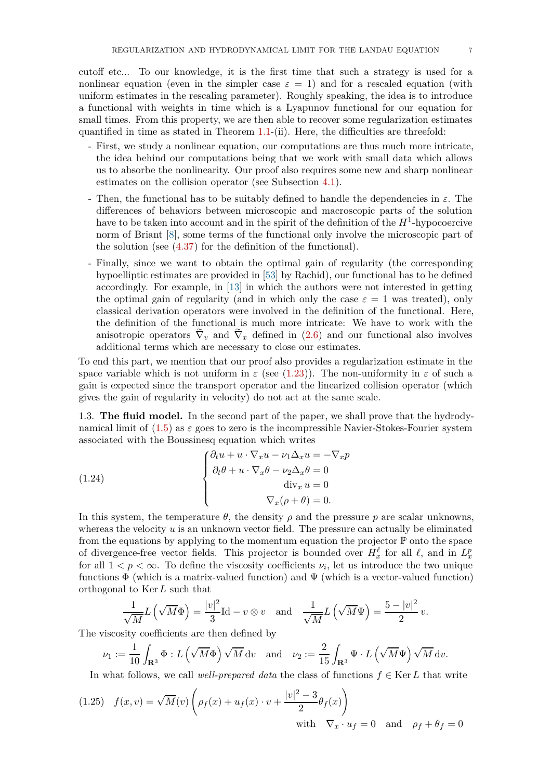cutoff etc... To our knowledge, it is the first time that such a strategy is used for a nonlinear equation (even in the simpler case  $\varepsilon = 1$ ) and for a rescaled equation (with uniform estimates in the rescaling parameter). Roughly speaking, the idea is to introduce a functional with weights in time which is a Lyapunov functional for our equation for small times. From this property, we are then able to recover some regularization estimates quantified in time as stated in Theorem  $1.1-(ii)$  $1.1-(ii)$ . Here, the difficulties are threefold:

- First, we study a nonlinear equation, our computations are thus much more intricate, the idea behind our computations being that we work with small data which allows us to absorbe the nonlinearity. Our proof also requires some new and sharp nonlinear estimates on the collision operator (see Subsection [4.1\)](#page-29-0).
- Then, the functional has to be suitably defined to handle the dependencies in *ε*. The differences of behaviors between microscopic and macroscopic parts of the solution have to be taken into account and in the spirit of the definition of the  $H^1$ -hypocoercive norm of Briant [\[8\]](#page-78-4), some terms of the functional only involve the microscopic part of the solution (see [\(4.37\)](#page-45-1) for the definition of the functional).
- Finally, since we want to obtain the optimal gain of regularity (the corresponding hypoelliptic estimates are provided in [\[53\]](#page-79-0) by Rachid), our functional has to be defined accordingly. For example, in [\[13\]](#page-78-5) in which the authors were not interested in getting the optimal gain of regularity (and in which only the case  $\varepsilon = 1$  was treated), only classical derivation operators were involved in the definition of the functional. Here, the definition of the functional is much more intricate: We have to work with the anisotropic operators  $\nabla_v$  and  $\nabla_x$  defined in [\(2.6\)](#page-12-0) and our functional also involves additional terms which are necessary to close our estimates.

To end this part, we mention that our proof also provides a regularization estimate in the space variable which is not uniform in  $\varepsilon$  (see [\(1.23\)](#page-4-4)). The non-uniformity in  $\varepsilon$  of such a gain is expected since the transport operator and the linearized collision operator (which gives the gain of regularity in velocity) do not act at the same scale.

<span id="page-6-0"></span>1.3. **The fluid model.** In the second part of the paper, we shall prove that the hydrodynamical limit of  $(1.5)$  as  $\varepsilon$  goes to zero is the incompressible Navier-Stokes-Fourier system associated with the Boussinesq equation which writes

<span id="page-6-1"></span>(1.24)  

$$
\begin{cases}\n\partial_t u + u \cdot \nabla_x u - \nu_1 \Delta_x u = -\nabla_x p \\
\partial_t \theta + u \cdot \nabla_x \theta - \nu_2 \Delta_x \theta = 0 \\
\text{div}_x u = 0 \\
\nabla_x (\rho + \theta) = 0.\n\end{cases}
$$

In this system, the temperature  $\theta$ , the density  $\rho$  and the pressure  $p$  are scalar unknowns, whereas the velocity *u* is an unknown vector field. The pressure can actually be eliminated from the equations by applying to the momentum equation the projector  $\mathbb P$  onto the space of divergence-free vector fields. This projector is bounded over  $H_x^{\ell}$  for all  $\ell$ , and in  $L_x^p$ for all  $1 < p < \infty$ . To define the viscosity coefficients  $\nu_i$ , let us introduce the two unique functions  $\Phi$  (which is a matrix-valued function) and  $\Psi$  (which is a vector-valued function) orthogonal to Ker*L* such that

$$
\frac{1}{\sqrt{M}}L(\sqrt{M}\Phi) = \frac{|v|^2}{3}\text{Id} - v \otimes v \quad \text{and} \quad \frac{1}{\sqrt{M}}L(\sqrt{M}\Psi) = \frac{5 - |v|^2}{2}v.
$$

The viscosity coefficients are then defined by

$$
\nu_1 := \frac{1}{10} \int_{\mathbf{R}^3} \Phi : L\left(\sqrt{M}\Phi\right) \sqrt{M} \, dv \quad \text{and} \quad \nu_2 := \frac{2}{15} \int_{\mathbf{R}^3} \Psi \cdot L\left(\sqrt{M}\Psi\right) \sqrt{M} \, dv.
$$

In what follows, we call *well-prepared data* the class of functions  $f \in \text{Ker } L$  that write

(1.25) 
$$
f(x,v) = \sqrt{M}(v) \left( \rho_f(x) + u_f(x) \cdot v + \frac{|v|^2 - 3}{2} \theta_f(x) \right)
$$
  
with  $\nabla_x \cdot u_f = 0$  and  $\rho_f + \theta_f = 0$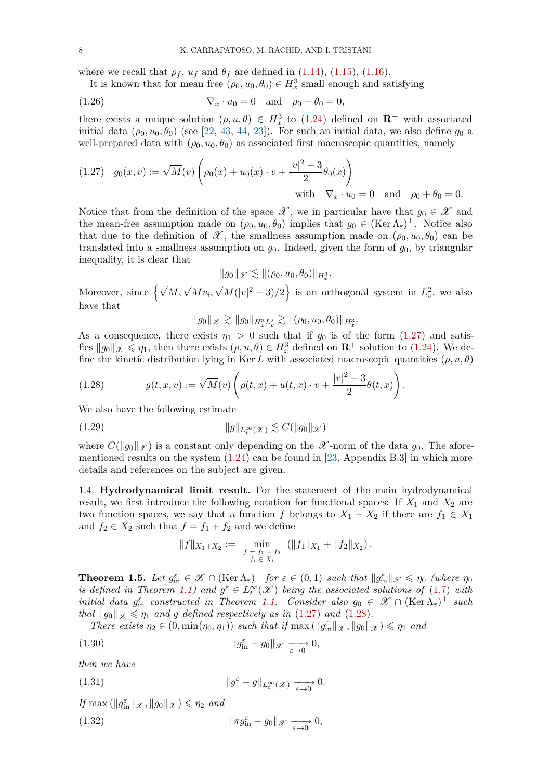where we recall that  $\rho_f$ ,  $u_f$  and  $\theta_f$  are defined in [\(1.14\)](#page-3-3), [\(1.15\)](#page-3-4), [\(1.16\)](#page-3-5).

<span id="page-7-5"></span>It is known that for mean free  $(\rho_0, u_0, \theta_0) \in H_x^3$  small enough and satisfying

(1.26) 
$$
\nabla_x \cdot u_0 = 0 \quad \text{and} \quad \rho_0 + \theta_0 = 0,
$$

there exists a unique solution  $(\rho, u, \theta) \in H_x^3$  to [\(1.24\)](#page-6-1) defined on **R**<sup>+</sup> with associated initial data  $(\rho_0, u_0, \theta_0)$  (see [\[22,](#page-78-13) [43,](#page-79-14) [44,](#page-79-15) [23\]](#page-78-2)). For such an initial data, we also define  $g_0$  a well-prepared data with  $(\rho_0, u_0, \theta_0)$  as associated first macroscopic quantities, namely

<span id="page-7-2"></span>(1.27) 
$$
g_0(x, v) := \sqrt{M}(v) \left( \rho_0(x) + u_0(x) \cdot v + \frac{|v|^2 - 3}{2} \theta_0(x) \right)
$$
  
with  $\nabla_x \cdot u_0 = 0$  and  $\rho_0 + \theta_0 = 0$ .

Notice that from the definition of the space  $\mathscr{X}$ , we in particular have that  $g_0 \in \mathscr{X}$  and the mean-free assumption made on  $(\rho_0, u_0, \theta_0)$  implies that  $g_0 \in (\text{Ker }\Lambda_{\varepsilon})^{\perp}$ . Notice also that due to the definition of  $\mathscr{X}$ , the smallness assumption made on  $(\rho_0, u_0, \theta_0)$  can be translated into a smallness assumption on  $g_0$ . Indeed, given the form of  $g_0$ , by triangular inequality, it is clear that

$$
||g_0||_{\mathscr{X}} \lesssim ||(\rho_0, u_0, \theta_0)||_{H_x^3}.
$$

Moreover, since  $\left\{\sqrt{M}, \sqrt{M}v_i, \sqrt{M}(|v|^2-3)/2\right\}$  is an orthogonal system in  $L^2_v$ , we also have that

 $||g_0||_{\mathscr{X}} \gtrsim ||g_0||_{H^3_x L^2_v} \gtrsim ||(\rho_0, u_0, \theta_0)||_{H^3_x}.$ 

As a consequence, there exists  $\eta_1 > 0$  such that if  $g_0$  is of the form [\(1.27\)](#page-7-2) and satisfies  $||g_0||_{\mathscr{X}} \leq \eta_1$ , then there exists  $(\rho, u, \theta) \in H^3_x$  defined on  $\mathbb{R}^+$  solution to [\(1.24\)](#page-6-1). We define the kinetic distribution lying in Ker L with associated macroscopic quantities  $(\rho, u, \theta)$ 

<span id="page-7-3"></span>(1.28) 
$$
g(t, x, v) := \sqrt{M}(v) \left( \rho(t, x) + u(t, x) \cdot v + \frac{|v|^2 - 3}{2} \theta(t, x) \right).
$$

We also have the following estimate

$$
(1.29) \t\t\t\t \|g\|_{L_t^{\infty}(\mathcal{X})} \lesssim C(\|g_0\|_{\mathcal{X}})
$$

where  $C(\|g_0\|_{\mathcal{X}})$  is a constant only depending on the  $\mathcal{X}$ -norm of the data  $g_0$ . The aforementioned results on the system  $(1.24)$  can be found in [\[23,](#page-78-2) Appendix B.3] in which more details and references on the subject are given.

<span id="page-7-0"></span>1.4. **Hydrodynamical limit result.** For the statement of the main hydrodynamical result, we first introduce the following notation for functional spaces: If  $X_1$  and  $X_2$  are two function spaces, we say that a function *f* belongs to  $X_1 + X_2$  if there are  $f_1 \in X_1$ and  $f_2 \in X_2$  such that  $f = f_1 + f_2$  and we define

<span id="page-7-4"></span>
$$
||f||_{X_1+X_2} := \min_{\substack{f = f_1 + f_2 \\ f_i \in X_i}} (||f_1||_{X_1} + ||f_2||_{X_2}).
$$

<span id="page-7-1"></span>**Theorem 1.5.** Let  $g_{\text{in}}^{\varepsilon} \in \mathscr{X} \cap (\text{Ker }\Lambda_{\varepsilon})^{\perp}$  for  $\varepsilon \in (0,1)$  such that  $||g_{\text{in}}^{\varepsilon}||_{\mathscr{X}} \leq \eta_0$  (where  $\eta_0$ *is defined in Theorem* [1.1\)](#page-4-1) and  $g^{\varepsilon} \in L^{\infty}_t(\mathscr{X})$  being the associated solutions of [\(1.7\)](#page-2-1) with *initial data*  $g_{\text{in}}^{\varepsilon}$  *constructed in Theorem [1.1.](#page-4-1) Consider also*  $g_0 \in \mathscr{X} \cap (\text{Ker }\Lambda_{\varepsilon})^{\perp}$  *such that*  $||g_0||_{\mathcal{X}} \leq \eta_1$  *and g defined respectively as in* [\(1.27\)](#page-7-2) *and* [\(1.28\)](#page-7-3)*.* 

*There exists*  $\eta_2 \in (0, \min(\eta_0, \eta_1))$  *such that if*  $\max (\|\mathcal{g}_{\text{in}}^{\varepsilon}\|_{\mathcal{X}}, \|\mathcal{g}_0\|_{\mathcal{X}}) \le \eta_2$  and

(1.30) 
$$
\|g_{\text{in}}^{\varepsilon} - g_0\|_{\mathscr{X}} \xrightarrow[\varepsilon \to 0]{} 0,
$$

*then we have*

(1.31) 
$$
\|g^{\varepsilon} - g\|_{L_t^{\infty}(\mathscr{X})} \xrightarrow[\varepsilon \to 0]{} 0.
$$

 $If$  max  $(\Vert g_{\text{in}}^{\varepsilon} \Vert_{\mathscr{X}}, \Vert g_0 \Vert_{\mathscr{X}}) \leq \eta_2$  *and* 

(1.32) 
$$
\|\pi g_{\text{in}}^{\varepsilon} - g_0\|_{\mathscr{X}} \xrightarrow[\varepsilon \to 0]{} 0,
$$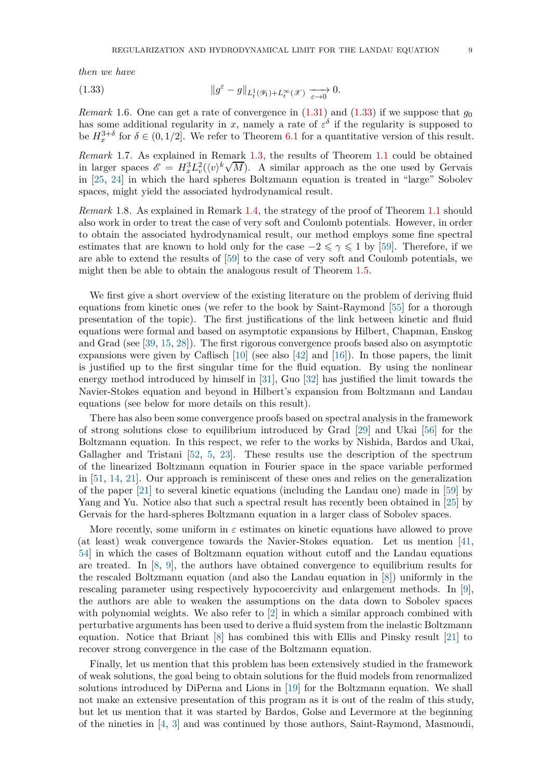*then we have*

<span id="page-8-0"></span>(1.33) 
$$
\|g^{\varepsilon} - g\|_{L_t^1(\mathscr{Y}_1) + L_t^{\infty}(\mathscr{X})} \xrightarrow[\varepsilon \to 0]{} 0.
$$

*Remark* 1.6. One can get a rate of convergence in  $(1.31)$  and  $(1.33)$  if we suppose that  $g_0$ has some additional regularity in *x*, namely a rate of  $\varepsilon^{\delta}$  if the regularity is supposed to be  $H_x^{3+\delta}$  for  $\delta \in (0,1/2]$ . We refer to Theorem [6.1](#page-59-1) for a quantitative version of this result.

*Remark* 1.7*.* As explained in Remark [1.3,](#page-4-3) the results of Theorem [1.1](#page-4-1) could be obtained in larger spaces  $\mathscr{E} = H_x^3 L_v^2(\langle v \rangle^k \sqrt{M})$ . A similar approach as the one used by Gervais in [\[25,](#page-79-16) [24\]](#page-78-14) in which the hard spheres Boltzmann equation is treated in "large" Sobolev spaces, might yield the associated hydrodynamical result.

*Remark* 1.8*.* As explained in Remark [1.4,](#page-4-5) the strategy of the proof of Theorem [1.1](#page-4-1) should also work in order to treat the case of very soft and Coulomb potentials. However, in order to obtain the associated hydrodynamical result, our method employs some fine spectral estimates that are known to hold only for the case  $-2 \leq \gamma \leq 1$  by [\[59\]](#page-80-0). Therefore, if we are able to extend the results of [\[59\]](#page-80-0) to the case of very soft and Coulomb potentials, we might then be able to obtain the analogous result of Theorem [1.5.](#page-7-1)

We first give a short overview of the existing literature on the problem of deriving fluid equations from kinetic ones (we refer to the book by Saint-Raymond [\[55\]](#page-80-2) for a thorough presentation of the topic). The first justifications of the link between kinetic and fluid equations were formal and based on asymptotic expansions by Hilbert, Chapman, Enskog and Grad (see [\[39,](#page-79-1) [15,](#page-78-15) [28\]](#page-79-17)). The first rigorous convergence proofs based also on asymptotic expansions were given by Caflisch [\[10\]](#page-78-16) (see also [\[42\]](#page-79-18) and [\[16\]](#page-78-17)). In those papers, the limit is justified up to the first singular time for the fluid equation. By using the nonlinear energy method introduced by himself in [\[31\]](#page-79-4), Guo [\[32\]](#page-79-2) has justified the limit towards the Navier-Stokes equation and beyond in Hilbert's expansion from Boltzmann and Landau equations (see below for more details on this result).

There has also been some convergence proofs based on spectral analysis in the framework of strong solutions close to equilibrium introduced by Grad [\[29\]](#page-79-19) and Ukai [\[56\]](#page-80-3) for the Boltzmann equation. In this respect, we refer to the works by Nishida, Bardos and Ukai, Gallagher and Tristani [\[52,](#page-79-20) [5,](#page-78-1) [23\]](#page-78-2). These results use the description of the spectrum of the linearized Boltzmann equation in Fourier space in the space variable performed in [\[51,](#page-79-21) [14,](#page-78-18) [21\]](#page-78-19). Our approach is reminiscent of these ones and relies on the generalization of the paper [\[21\]](#page-78-19) to several kinetic equations (including the Landau one) made in [\[59\]](#page-80-0) by Yang and Yu. Notice also that such a spectral result has recently been obtained in [\[25\]](#page-79-16) by Gervais for the hard-spheres Boltzmann equation in a larger class of Sobolev spaces.

More recently, some uniform in  $\varepsilon$  estimates on kinetic equations have allowed to prove (at least) weak convergence towards the Navier-Stokes equation. Let us mention [\[41,](#page-79-22) [54\]](#page-79-3) in which the cases of Boltzmann equation without cutoff and the Landau equations are treated. In [\[8,](#page-78-4) [9\]](#page-78-6), the authors have obtained convergence to equilibrium results for the rescaled Boltzmann equation (and also the Landau equation in [\[8\]](#page-78-4)) uniformly in the rescaling parameter using respectively hypocoercivity and enlargement methods. In [\[9\]](#page-78-6), the authors are able to weaken the assumptions on the data down to Sobolev spaces with polynomial weights. We also refer to [\[2\]](#page-78-12) in which a similar approach combined with perturbative arguments has been used to derive a fluid system from the inelastic Boltzmann equation. Notice that Briant [\[8\]](#page-78-4) has combined this with Ellis and Pinsky result [\[21\]](#page-78-19) to recover strong convergence in the case of the Boltzmann equation.

Finally, let us mention that this problem has been extensively studied in the framework of weak solutions, the goal being to obtain solutions for the fluid models from renormalized solutions introduced by DiPerna and Lions in [\[19\]](#page-78-20) for the Boltzmann equation. We shall not make an extensive presentation of this program as it is out of the realm of this study, but let us mention that it was started by Bardos, Golse and Levermore at the beginning of the nineties in [\[4,](#page-78-3) [3\]](#page-78-21) and was continued by those authors, Saint-Raymond, Masmoudi,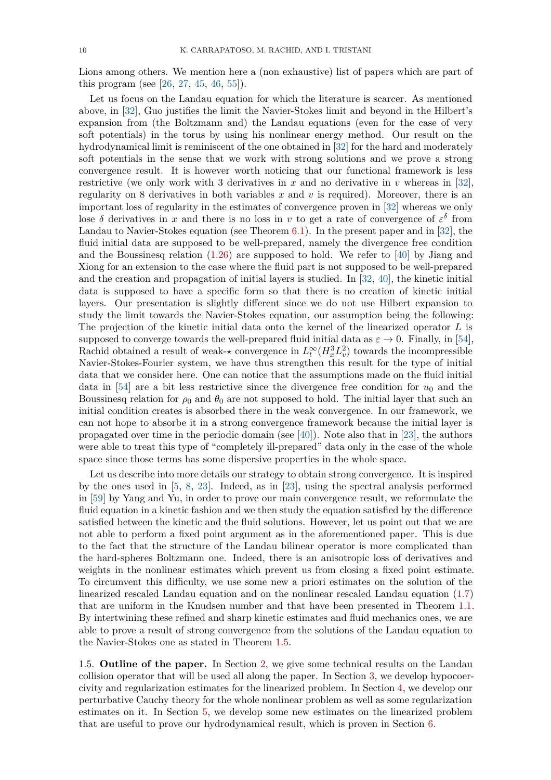Lions among others. We mention here a (non exhaustive) list of papers which are part of this program (see [\[26,](#page-79-23) [27,](#page-79-24) [45,](#page-79-25) [46,](#page-79-26) [55\]](#page-80-2)).

Let us focus on the Landau equation for which the literature is scarcer. As mentioned above, in [\[32\]](#page-79-2), Guo justifies the limit the Navier-Stokes limit and beyond in the Hilbert's expansion from (the Boltzmann and) the Landau equations (even for the case of very soft potentials) in the torus by using his nonlinear energy method. Our result on the hydrodynamical limit is reminiscent of the one obtained in [\[32\]](#page-79-2) for the hard and moderately soft potentials in the sense that we work with strong solutions and we prove a strong convergence result. It is however worth noticing that our functional framework is less restrictive (we only work with 3 derivatives in *x* and no derivative in *v* whereas in [\[32\]](#page-79-2), regularity on 8 derivatives in both variables  $x$  and  $v$  is required). Moreover, there is an important loss of regularity in the estimates of convergence proven in [\[32\]](#page-79-2) whereas we only lose  $\delta$  derivatives in *x* and there is no loss in *v* to get a rate of convergence of  $\varepsilon^{\delta}$  from Landau to Navier-Stokes equation (see Theorem [6.1\)](#page-59-1). In the present paper and in [\[32\]](#page-79-2), the fluid initial data are supposed to be well-prepared, namely the divergence free condition and the Boussinesq relation [\(1.26\)](#page-7-5) are supposed to hold. We refer to [\[40\]](#page-79-27) by Jiang and Xiong for an extension to the case where the fluid part is not supposed to be well-prepared and the creation and propagation of initial layers is studied. In [\[32,](#page-79-2) [40\]](#page-79-27), the kinetic initial data is supposed to have a specific form so that there is no creation of kinetic initial layers. Our presentation is slightly different since we do not use Hilbert expansion to study the limit towards the Navier-Stokes equation, our assumption being the following: The projection of the kinetic initial data onto the kernel of the linearized operator *L* is supposed to converge towards the well-prepared fluid initial data as  $\varepsilon \to 0$ . Finally, in [\[54\]](#page-79-3), Rachid obtained a result of weak- $\star$  convergence in  $L_t^{\infty}(H_x^3 L_v^2)$  towards the incompressible Navier-Stokes-Fourier system, we have thus strengthen this result for the type of initial data that we consider here. One can notice that the assumptions made on the fluid initial data in [\[54\]](#page-79-3) are a bit less restrictive since the divergence free condition for  $u_0$  and the Boussinesq relation for  $\rho_0$  and  $\theta_0$  are not supposed to hold. The initial layer that such an initial condition creates is absorbed there in the weak convergence. In our framework, we can not hope to absorbe it in a strong convergence framework because the initial layer is propagated over time in the periodic domain (see [\[40\]](#page-79-27)). Note also that in [\[23\]](#page-78-2), the authors were able to treat this type of "completely ill-prepared" data only in the case of the whole space since those terms has some dispersive properties in the whole space.

Let us describe into more details our strategy to obtain strong convergence. It is inspired by the ones used in [\[5,](#page-78-1) [8,](#page-78-4) [23\]](#page-78-2). Indeed, as in [\[23\]](#page-78-2), using the spectral analysis performed in [\[59\]](#page-80-0) by Yang and Yu, in order to prove our main convergence result, we reformulate the fluid equation in a kinetic fashion and we then study the equation satisfied by the difference satisfied between the kinetic and the fluid solutions. However, let us point out that we are not able to perform a fixed point argument as in the aforementioned paper. This is due to the fact that the structure of the Landau bilinear operator is more complicated than the hard-spheres Boltzmann one. Indeed, there is an anisotropic loss of derivatives and weights in the nonlinear estimates which prevent us from closing a fixed point estimate. To circumvent this difficulty, we use some new a priori estimates on the solution of the linearized rescaled Landau equation and on the nonlinear rescaled Landau equation [\(1.7\)](#page-2-1) that are uniform in the Knudsen number and that have been presented in Theorem [1.1.](#page-4-1) By intertwining these refined and sharp kinetic estimates and fluid mechanics ones, we are able to prove a result of strong convergence from the solutions of the Landau equation to the Navier-Stokes one as stated in Theorem [1.5.](#page-7-1)

<span id="page-9-0"></span>1.5. **Outline of the paper.** In Section [2,](#page-10-0) we give some technical results on the Landau collision operator that will be used all along the paper. In Section [3,](#page-18-0) we develop hypocoercivity and regularization estimates for the linearized problem. In Section [4,](#page-28-0) we develop our perturbative Cauchy theory for the whole nonlinear problem as well as some regularization estimates on it. In Section [5,](#page-50-0) we develop some new estimates on the linearized problem that are useful to prove our hydrodynamical result, which is proven in Section [6.](#page-58-0)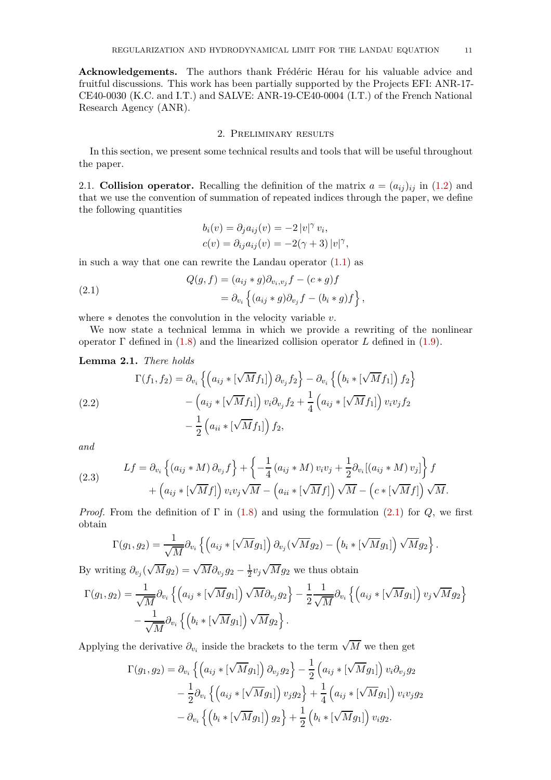**Acknowledgements.** The authors thank Frédéric Hérau for his valuable advice and fruitful discussions. This work has been partially supported by the Projects EFI: ANR-17- CE40-0030 (K.C. and I.T.) and SALVE: ANR-19-CE40-0004 (I.T.) of the French National Research Agency (ANR).

# 2. Preliminary results

<span id="page-10-0"></span>In this section, we present some technical results and tools that will be useful throughout the paper.

<span id="page-10-1"></span>2.1. **Collision operator.** Recalling the definition of the matrix  $a = (a_{ij})_{ij}$  in [\(1.2\)](#page-1-3) and that we use the convention of summation of repeated indices through the paper, we define the following quantities

<span id="page-10-2"></span>
$$
b_i(v) = \partial_j a_{ij}(v) = -2 |v|^\gamma v_i,
$$
  

$$
c(v) = \partial_{ij} a_{ij}(v) = -2(\gamma + 3) |v|^\gamma,
$$

in such a way that one can rewrite the Landau operator  $(1.1)$  as

(2.1) 
$$
Q(g, f) = (a_{ij} * g)\partial_{v_i, v_j} f - (c * g)f
$$

$$
= \partial_{v_i} \left\{ (a_{ij} * g)\partial_{v_j} f - (b_i * g)f \right\},
$$

where ∗ denotes the convolution in the velocity variable *v*.

We now state a technical lemma in which we provide a rewriting of the nonlinear operator Γ defined in [\(1.8\)](#page-2-3) and the linearized collision operator *L* defined in [\(1.9\)](#page-2-4).

**Lemma 2.1.** *There holds*

<span id="page-10-3"></span>(2.2)  
\n
$$
\Gamma(f_1, f_2) = \partial_{v_i} \left\{ \left( a_{ij} * [\sqrt{M} f_1] \right) \partial_{v_j} f_2 \right\} - \partial_{v_i} \left\{ \left( b_i * [\sqrt{M} f_1] \right) f_2 \right\} - \left( a_{ij} * [\sqrt{M} f_1] \right) v_i \partial_{v_j} f_2 + \frac{1}{4} \left( a_{ij} * [\sqrt{M} f_1] \right) v_i v_j f_2 - \frac{1}{2} \left( a_{ii} * [\sqrt{M} f_1] \right) f_2,
$$

*and*

<span id="page-10-4"></span>(2.3) 
$$
Lf = \partial_{v_i} \left\{ (a_{ij} * M) \partial_{v_j} f \right\} + \left\{ -\frac{1}{4} (a_{ij} * M) v_i v_j + \frac{1}{2} \partial_{v_i} [(a_{ij} * M) v_j] \right\} f + \left( a_{ij} * [\sqrt{M} f] \right) v_i v_j \sqrt{M} - \left( a_{ii} * [\sqrt{M} f] \right) \sqrt{M} - \left( c * [\sqrt{M} f] \right) \sqrt{M}.
$$

*Proof.* From the definition of  $\Gamma$  in [\(1.8\)](#page-2-3) and using the formulation [\(2.1\)](#page-10-2) for  $Q$ , we first obtain

$$
\Gamma(g_1,g_2)=\frac{1}{\sqrt{M}}\partial_{v_i}\left\{\left(a_{ij} * [\sqrt{M}g_1]\right)\partial_{v_j}(\sqrt{M}g_2)-\left(b_i * [\sqrt{M}g_1]\right)\sqrt{M}g_2\right\}.
$$

By writing  $\partial_{v_j}(\sqrt{M}g_2) = \sqrt{M}\partial_{v_j}g_2 - \frac{1}{2}v_j\sqrt{M}g_2$  we thus obtain

$$
\Gamma(g_1, g_2) = \frac{1}{\sqrt{M}} \partial_{v_i} \left\{ \left( a_{ij} * [\sqrt{M} g_1] \right) \sqrt{M} \partial_{v_j} g_2 \right\} - \frac{1}{2} \frac{1}{\sqrt{M}} \partial_{v_i} \left\{ \left( a_{ij} * [\sqrt{M} g_1] \right) v_j \sqrt{M} g_2 \right\} - \frac{1}{\sqrt{M}} \partial_{v_i} \left\{ \left( b_i * [\sqrt{M} g_1] \right) \sqrt{M} g_2 \right\}.
$$

Applying the derivative  $\partial_{v_i}$  inside the brackets to the term  $\sqrt{M}$  we then get

$$
\Gamma(g_1, g_2) = \partial_{v_i} \left\{ \left( a_{ij} * [\sqrt{M} g_1] \right) \partial_{v_j} g_2 \right\} - \frac{1}{2} \left( a_{ij} * [\sqrt{M} g_1] \right) v_i \partial_{v_j} g_2 \n- \frac{1}{2} \partial_{v_i} \left\{ \left( a_{ij} * [\sqrt{M} g_1] \right) v_j g_2 \right\} + \frac{1}{4} \left( a_{ij} * [\sqrt{M} g_1] \right) v_i v_j g_2 \n- \partial_{v_i} \left\{ \left( b_i * [\sqrt{M} g_1] \right) g_2 \right\} + \frac{1}{2} \left( b_i * [\sqrt{M} g_1] \right) v_i g_2.
$$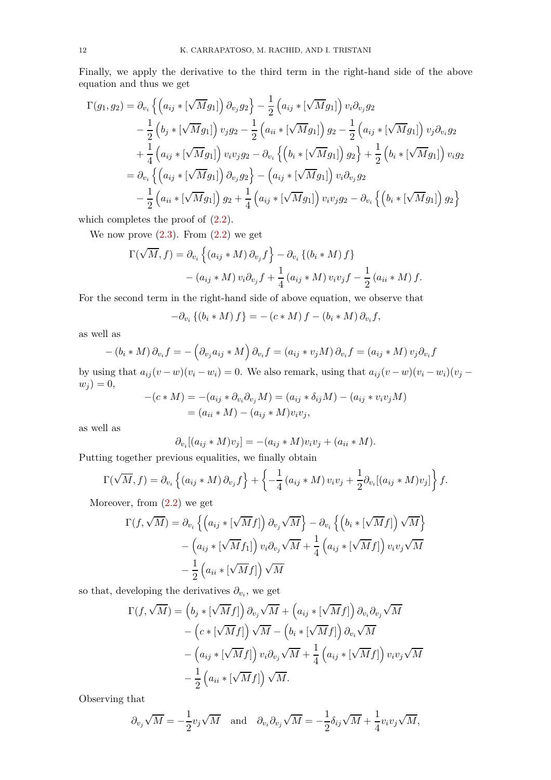Finally, we apply the derivative to the third term in the right-hand side of the above equation and thus we get

$$
\Gamma(g_1, g_2) = \partial_{v_i} \left\{ \left( a_{ij} * [\sqrt{M} g_1] \right) \partial_{v_j} g_2 \right\} - \frac{1}{2} \left( a_{ij} * [\sqrt{M} g_1] \right) v_i \partial_{v_j} g_2 \n- \frac{1}{2} \left( b_j * [\sqrt{M} g_1] \right) v_j g_2 - \frac{1}{2} \left( a_{ii} * [\sqrt{M} g_1] \right) g_2 - \frac{1}{2} \left( a_{ij} * [\sqrt{M} g_1] \right) v_j \partial_{v_i} g_2 \n+ \frac{1}{4} \left( a_{ij} * [\sqrt{M} g_1] \right) v_i v_j g_2 - \partial_{v_i} \left\{ \left( b_i * [\sqrt{M} g_1] \right) g_2 \right\} + \frac{1}{2} \left( b_i * [\sqrt{M} g_1] \right) v_i g_2 \n= \partial_{v_i} \left\{ \left( a_{ij} * [\sqrt{M} g_1] \right) \partial_{v_j} g_2 \right\} - \left( a_{ij} * [\sqrt{M} g_1] \right) v_i \partial_{v_j} g_2 \n- \frac{1}{2} \left( a_{ii} * [\sqrt{M} g_1] \right) g_2 + \frac{1}{4} \left( a_{ij} * [\sqrt{M} g_1] \right) v_i v_j g_2 - \partial_{v_i} \left\{ \left( b_i * [\sqrt{M} g_1] \right) g_2 \right\}
$$

which completes the proof of  $(2.2)$ .

We now prove  $(2.3)$ . From  $(2.2)$  we get

$$
\Gamma(\sqrt{M}, f) = \partial_{v_i} \left\{ (a_{ij} * M) \partial_{v_j} f \right\} - \partial_{v_i} \left\{ (b_i * M) f \right\}
$$

$$
- (a_{ij} * M) v_i \partial_{v_j} f + \frac{1}{4} (a_{ij} * M) v_i v_j f - \frac{1}{2} (a_{ii} * M) f.
$$

For the second term in the right-hand side of above equation, we observe that

$$
-\partial_{v_i}\left\{(b_i * M) f\right\} = -(c * M) f - (b_i * M) \partial_{v_i} f,
$$

as well as

$$
- (b_i * M) \partial_{v_i} f = - (\partial_{v_j} a_{ij} * M) \partial_{v_i} f = (a_{ij} * v_j M) \partial_{v_i} f = (a_{ij} * M) v_j \partial_{v_i} f
$$

by using that  $a_{ij}(v - w)(v_i - w_i) = 0$ . We also remark, using that  $a_{ij}(v - w)(v_i - w_i)(v_j - w_i)$  $w_j$ ) = 0,

$$
-(c*M) = -(a_{ij} * \partial_{v_i}\partial_{v_j}M) = (a_{ij} * \delta_{ij}M) - (a_{ij} * v_i v_jM)
$$
  
=  $(a_{ii} * M) - (a_{ij} * M)v_i v_j,$ 

as well as

$$
\partial_{v_i}[(a_{ij} * M)v_j] = -(a_{ij} * M)v_iv_j + (a_{ii} * M).
$$

Putting together previous equalities, we finally obtain

$$
\Gamma(\sqrt{M},f) = \partial_{v_i} \left\{ (a_{ij} * M) \partial_{v_j} f \right\} + \left\{ -\frac{1}{4} (a_{ij} * M) v_i v_j + \frac{1}{2} \partial_{v_i} [(a_{ij} * M) v_j] \right\} f.
$$

Moreover, from [\(2.2\)](#page-10-3) we get

$$
\Gamma(f, \sqrt{M}) = \partial_{v_i} \left\{ \left( a_{ij} * [\sqrt{M} f] \right) \partial_{v_j} \sqrt{M} \right\} - \partial_{v_i} \left\{ \left( b_i * [\sqrt{M} f] \right) \sqrt{M} \right\} - \left( a_{ij} * [\sqrt{M} f_1] \right) v_i \partial_{v_j} \sqrt{M} + \frac{1}{4} \left( a_{ij} * [\sqrt{M} f] \right) v_i v_j \sqrt{M} - \frac{1}{2} \left( a_{ii} * [\sqrt{M} f] \right) \sqrt{M}
$$

so that, developing the derivatives  $\partial_{v_i}$ , we get

$$
\Gamma(f, \sqrt{M}) = (b_j * [\sqrt{M}f]) \partial_{v_j} \sqrt{M} + (a_{ij} * [\sqrt{M}f]) \partial_{v_i} \partial_{v_j} \sqrt{M} \n- (c * [\sqrt{M}f]) \sqrt{M} - (b_i * [\sqrt{M}f]) \partial_{v_i} \sqrt{M} \n- (a_{ij} * [\sqrt{M}f]) v_i \partial_{v_j} \sqrt{M} + \frac{1}{4} (a_{ij} * [\sqrt{M}f]) v_i v_j \sqrt{M} \n- \frac{1}{2} (a_{ii} * [\sqrt{M}f]) \sqrt{M}.
$$

Observing that

$$
\partial_{v_j}\sqrt{M} = -\frac{1}{2}v_j\sqrt{M}
$$
 and  $\partial_{v_i}\partial_{v_j}\sqrt{M} = -\frac{1}{2}\delta_{ij}\sqrt{M} + \frac{1}{4}v_iv_j\sqrt{M}$ ,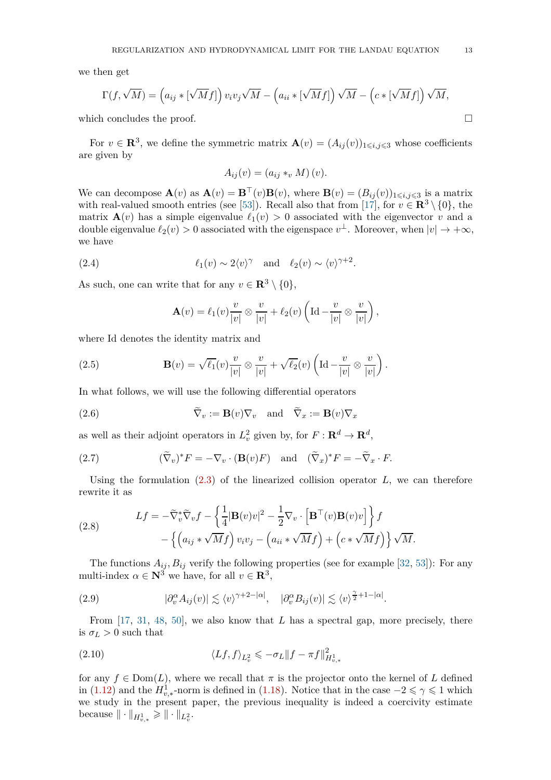we then get

$$
\Gamma(f, \sqrt{M}) = (a_{ij} * [\sqrt{M}f]) v_i v_j \sqrt{M} - (a_{ii} * [\sqrt{M}f]) \sqrt{M} - (c * [\sqrt{M}f]) \sqrt{M},
$$

which concludes the proof.

For  $v \in \mathbb{R}^3$ , we define the symmetric matrix  $\mathbf{A}(v) = (A_{ij}(v))_{1 \leq i,j \leq 3}$  whose coefficients are given by

$$
A_{ij}(v) = (a_{ij} *_{v} M)(v).
$$

We can decompose  $\mathbf{A}(v)$  as  $\mathbf{A}(v) = \mathbf{B}^\top(v)\mathbf{B}(v)$ , where  $\mathbf{B}(v) = (B_{ij}(v))_{1 \leqslant i,j \leqslant 3}$  is a matrix with real-valued smooth entries (see [\[53\]](#page-79-0)). Recall also that from [\[17\]](#page-78-22), for  $v \in \mathbb{R}^3 \setminus \{0\}$ , the matrix  $\mathbf{A}(v)$  has a simple eigenvalue  $\ell_1(v) > 0$  associated with the eigenvector *v* and a double eigenvalue  $\ell_2(v) > 0$  associated with the eigenspace  $v^{\perp}$ . Moreover, when  $|v| \to +\infty$ , we have

(2.4) 
$$
\ell_1(v) \sim 2\langle v \rangle^{\gamma}
$$
 and  $\ell_2(v) \sim \langle v \rangle^{\gamma+2}$ .

As such, one can write that for any  $v \in \mathbb{R}^3 \setminus \{0\}$ ,

<span id="page-12-3"></span><span id="page-12-0"></span>
$$
\mathbf{A}(v) = \ell_1(v) \frac{v}{|v|} \otimes \frac{v}{|v|} + \ell_2(v) \left( \mathrm{Id} - \frac{v}{|v|} \otimes \frac{v}{|v|} \right),\,
$$

where Id denotes the identity matrix and

(2.5) 
$$
\mathbf{B}(v) = \sqrt{\ell_1}(v) \frac{v}{|v|} \otimes \frac{v}{|v|} + \sqrt{\ell_2}(v) \left( \mathrm{Id} - \frac{v}{|v|} \otimes \frac{v}{|v|} \right).
$$

In what follows, we will use the following differential operators

(2.6) 
$$
\widetilde{\nabla}_v := \mathbf{B}(v) \nabla_v \text{ and } \widetilde{\nabla}_x := \mathbf{B}(v) \nabla_x
$$

as well as their adjoint operators in  $L_v^2$  given by, for  $F: \mathbf{R}^d \to \mathbf{R}^d$ ,

(2.7) 
$$
(\widetilde{\nabla}_v)^* F = -\nabla_v \cdot (\mathbf{B}(v)F) \text{ and } (\widetilde{\nabla}_x)^* F = -\widetilde{\nabla}_x \cdot F.
$$

Using the formulation [\(2.3\)](#page-10-4) of the linearized collision operator *L*, we can therefore rewrite it as

<span id="page-12-2"></span>(2.8) 
$$
Lf = -\tilde{\nabla}_v^* \tilde{\nabla}_v f - \left\{ \frac{1}{4} |\mathbf{B}(v)v|^2 - \frac{1}{2} \nabla_v \cdot \left[ \mathbf{B}^\top(v) \mathbf{B}(v)v \right] \right\} f - \left\{ \left( a_{ij} * \sqrt{M} f \right) v_i v_j - \left( a_{ii} * \sqrt{M} f \right) + \left( c * \sqrt{M} f \right) \right\} \sqrt{M}.
$$

The functions  $A_{ij}$ ,  $B_{ij}$  verify the following properties (see for example [\[32,](#page-79-2) [53\]](#page-79-0)): For any multi-index  $\alpha \in \mathbb{N}^3$  we have, for all  $v \in \mathbb{R}^3$ ,

<span id="page-12-4"></span>(2.9) 
$$
|\partial_v^{\alpha} A_{ij}(v)| \lesssim \langle v \rangle^{\gamma+2-|\alpha|}, \quad |\partial_v^{\alpha} B_{ij}(v)| \lesssim \langle v \rangle^{\frac{\gamma}{2}+1-|\alpha|}.
$$

From [\[17,](#page-78-22) [31,](#page-79-4) [48,](#page-79-28) [50\]](#page-79-29), we also know that *L* has a spectral gap, more precisely, there is  $\sigma_L > 0$  such that

<span id="page-12-1"></span>(2.10) 
$$
\langle Lf, f \rangle_{L^2_v} \leqslant -\sigma_L \|f - \pi f\|_{H^1_{v,*}}^2
$$

for any  $f \in \text{Dom}(L)$ , where we recall that  $\pi$  is the projector onto the kernel of *L* defined in [\(1.12\)](#page-3-6) and the  $H_{v,*}^1$ -norm is defined in [\(1.18\)](#page-3-7). Notice that in the case  $-2 \le \gamma \le 1$  which we study in the present paper, the previous inequality is indeed a coercivity estimate  $\text{because } \| \cdot \|_{H^1_{v,*}} \geqslant \| \cdot \|_{L^2_v}.$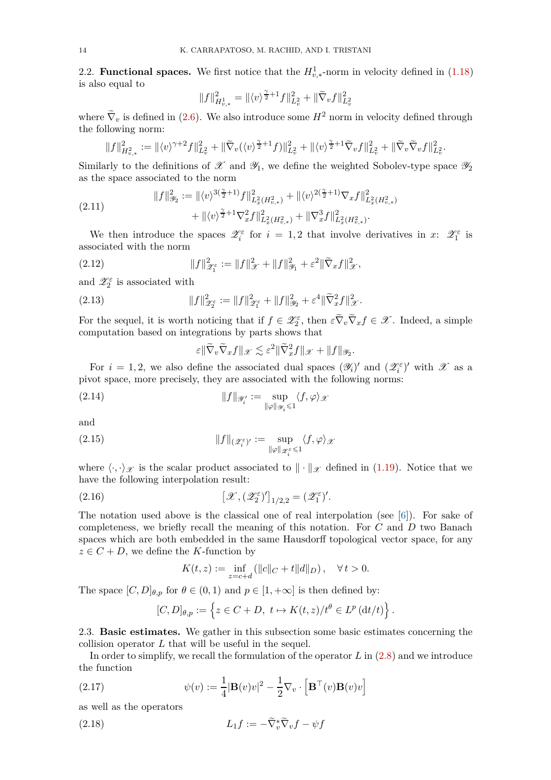<span id="page-13-0"></span>2.2. **Functional spaces.** We first notice that the  $H^1_{v,*}$ -norm in velocity defined in [\(1.18\)](#page-3-7) is also equal to

$$
||f||^2_{H^1_{v,*}}=||\langle v \rangle^{\frac{\gamma}{2}+1}f||^2_{L^2_v}+||\widetilde{\nabla}_v f||^2_{L^2_v}
$$

where  $\tilde{\nabla}_v$  is defined in [\(2.6\)](#page-12-0). We also introduce some  $H^2$  norm in velocity defined through the following norm:

$$
||f||_{H^2_{v,*}}^2 := ||\langle v \rangle^{\gamma+2} f||_{L^2_v}^2 + ||\widetilde{\nabla}_v (\langle v \rangle^{\frac{\gamma}{2}+1} f)||_{L^2_v}^2 + ||\langle v \rangle^{\frac{\gamma}{2}+1} \widetilde{\nabla}_v f||_{L^2_v}^2 + ||\widetilde{\nabla}_v \widetilde{\nabla}_v f||_{L^2_v}^2.
$$

Similarly to the definitions of  $\mathscr X$  and  $\mathscr Y_1$ , we define the weighted Sobolev-type space  $\mathscr Y_2$ as the space associated to the norm

<span id="page-13-4"></span>(2.11) 
$$
||f||_{\mathcal{Y}_2}^2 := ||\langle v \rangle^{3(\frac{\gamma}{2}+1)} f||_{L_x^2(H_{v,*}^2)}^2 + ||\langle v \rangle^{2(\frac{\gamma}{2}+1)} \nabla_x f||_{L_x^2(H_{v,*}^2)}^2 + ||\langle v \rangle^{\frac{\gamma}{2}+1} \nabla_x^2 f||_{L_x^2(H_{v,*}^2)}^2 + ||\nabla_x^3 f||_{L_x^2(H_{v,*}^2)}^2.
$$

We then introduce the spaces  $\mathscr{Z}_i^{\varepsilon}$  for  $i = 1, 2$  that involve derivatives in  $x: \mathscr{Z}_1^{\varepsilon}$  is associated with the norm

(2.12) 
$$
||f||_{\mathscr{Z}_{1}^{\varepsilon}}^{2} := ||f||_{\mathscr{X}}^{2} + ||f||_{\mathscr{Y}_{1}}^{2} + \varepsilon^{2} ||\widetilde{\nabla}_{x} f||_{\mathscr{X}}^{2},
$$

and  $\mathscr{Z}_2^{\varepsilon}$  is associated with

(2.13) 
$$
||f||_{\mathscr{Z}_2^{\varepsilon}}^2 := ||f||_{\mathscr{Z}_1^{\varepsilon}}^2 + ||f||_{\mathscr{Y}_2}^2 + \varepsilon^4 ||\widetilde{\nabla}_x^2 f||_{\mathscr{X}}^2.
$$

For the sequel, it is worth noticing that if  $f \in \mathscr{Z}_2^{\varepsilon}$ , then  $\varepsilon \widetilde{\nabla}_v \widetilde{\nabla}_x f \in \mathscr{X}$ . Indeed, a simple computation based on integrations by parts shows that

<span id="page-13-5"></span><span id="page-13-3"></span>
$$
\varepsilon \|\widetilde{\nabla}_v \widetilde{\nabla}_x f\|_{\mathscr{X}} \lesssim \varepsilon^2 \|\widetilde{\nabla}_x^2 f\|_{\mathscr{X}} + \|f\|_{\mathscr{Y}_2}.
$$

For  $i = 1, 2$ , we also define the associated dual spaces  $(\mathscr{Y}_i)'$  and  $(\mathscr{Z}_i^{\varepsilon})'$  with  $\mathscr{X}$  as a pivot space, more precisely, they are associated with the following norms:

(2.14) 
$$
||f||_{\mathscr{Y}'_i} := \sup_{||\varphi||_{\mathscr{Y}_i} \leq 1} \langle f, \varphi \rangle_{\mathscr{X}}
$$

and

(2.15) 
$$
||f||_{(\mathscr{Z}_i^{\varepsilon})'} := \sup_{||\varphi||_{\mathscr{Z}_i^{\varepsilon}} \leq 1} \langle f, \varphi \rangle_{\mathscr{X}}
$$

where  $\langle \cdot, \cdot \rangle_{\mathscr{X}}$  is the scalar product associated to  $\|\cdot\|_{\mathscr{X}}$  defined in [\(1.19\)](#page-3-2). Notice that we have the following interpolation result:

(2.16) 
$$
\left[\mathscr{X}, (\mathscr{Z}_2^{\varepsilon})'\right]_{1/2,2} = (\mathscr{Z}_1^{\varepsilon})'.
$$

The notation used above is the classical one of real interpolation (see [\[6\]](#page-78-23)). For sake of completeness, we briefly recall the meaning of this notation. For *C* and *D* two Banach spaces which are both embedded in the same Hausdorff topological vector space, for any  $z \in C + D$ , we define the *K*-function by

$$
K(t,z) := \inf_{z=c+d} (||c||_C + t||d||_D), \quad \forall \, t > 0.
$$

The space  $[C, D]_{\theta, p}$  for  $\theta \in (0, 1)$  and  $p \in [1, +\infty]$  is then defined by:

<span id="page-13-2"></span>
$$
[C, D]_{\theta, p} := \left\{ z \in C + D, \ t \mapsto K(t, z) / t^{\theta} \in L^p(\mathrm{d}t / t) \right\}.
$$

<span id="page-13-1"></span>2.3. **Basic estimates.** We gather in this subsection some basic estimates concerning the collision operator *L* that will be useful in the sequel.

In order to simplify, we recall the formulation of the operator *L* in [\(2.8\)](#page-12-2) and we introduce the function

(2.17) 
$$
\psi(v) := \frac{1}{4} |\mathbf{B}(v)v|^2 - \frac{1}{2} \nabla_v \cdot [\mathbf{B}^\top(v)\mathbf{B}(v)v]
$$

as well as the operators

(2.18) 
$$
L_1 f := -\widetilde{\nabla}_v^* \widetilde{\nabla}_v f - \psi f
$$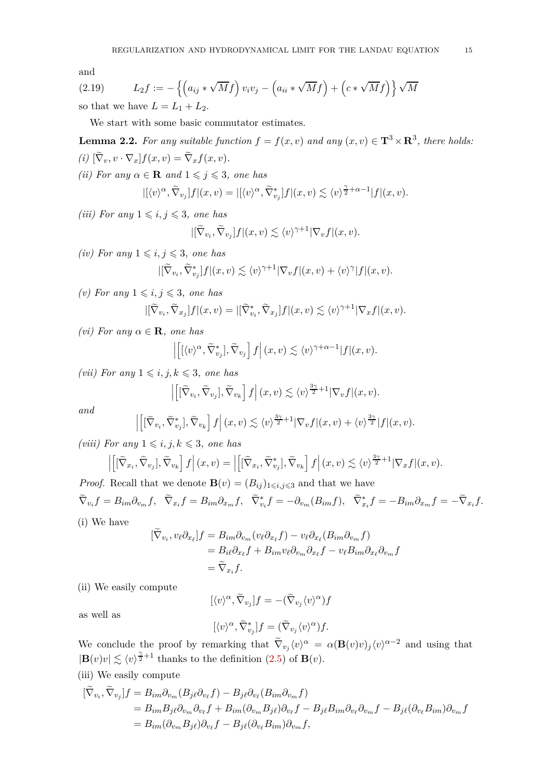and

<span id="page-14-0"></span>(2.19) 
$$
L_2 f := -\left\{ \left( a_{ij} * \sqrt{M} f \right) v_i v_j - \left( a_{ii} * \sqrt{M} f \right) + \left( c * \sqrt{M} f \right) \right\} \sqrt{M}
$$

so that we have  $L = L_1 + L_2$ .

We start with some basic commutator estimates.

<span id="page-14-1"></span>**Lemma 2.2.** For any suitable function  $f = f(x, v)$  and any  $(x, v) \in \mathbf{T}^3 \times \mathbf{R}^3$ , there holds:  $(i) [\nabla_v, v \cdot \nabla_x] f(x, v) = \nabla_x f(x, v).$ *(ii)* For any  $\alpha \in \mathbf{R}$  and  $1 \leq j \leq 3$ , one has

$$
|[\langle v \rangle^{\alpha}, \widetilde{\nabla}_{v_j}] f | (x, v) = | [\langle v \rangle^{\alpha}, \widetilde{\nabla}_{v_j}^*] f | (x, v) \lesssim \langle v \rangle^{\frac{\gamma}{2} + \alpha - 1} |f | (x, v).
$$

*(iii)* For any  $1 \leq i, j \leq 3$ , one has

$$
|[\widetilde{\nabla}_{v_i}, \widetilde{\nabla}_{v_j}]f|(x, v) \lesssim \langle v \rangle^{\gamma+1} |\nabla_v f|(x, v).
$$

*(iv)* For any  $1 \leq i, j \leq 3$ , one has

$$
|[\widetilde{\nabla}_{v_i}, \widetilde{\nabla}_{v_j}^*]f|(x, v) \lesssim \langle v \rangle^{\gamma+1} |\nabla_v f|(x, v) + \langle v \rangle^{\gamma} |f|(x, v).
$$

*(v)* For any  $1 \leq i, j \leq 3$ , one has

$$
|[\widetilde{\nabla}_{v_i}, \widetilde{\nabla}_{x_j}]f|(x, v) = |[\widetilde{\nabla}_{v_i}^*, \widetilde{\nabla}_{x_j}]f|(x, v) \lesssim \langle v \rangle^{\gamma+1} |\nabla_x f|(x, v).
$$

*(vi)* For any  $α ∈ **R**$ *, one has* 

$$
\left| \left[ \left[ \langle v \rangle^{\alpha}, \widetilde{\nabla}_{v_j}^* \right], \widetilde{\nabla}_{v_j} \right] f \right| (x, v) \lesssim \langle v \rangle^{\gamma + \alpha - 1} |f|(x, v).
$$

*(vii)* For any  $1 \leq i, j, k \leq 3$ , one has

$$
\left| \left[ [\widetilde{\nabla}_{v_i}, \widetilde{\nabla}_{v_j}], \widetilde{\nabla}_{v_k} \right] f \right| (x, v) \lesssim \langle v \rangle^{\frac{3\gamma}{2} + 1} |\nabla_v f| (x, v).
$$

*and*

$$
\left| \left[ [\widetilde{\nabla}_{v_i}, \widetilde{\nabla}_{v_j}^*], \widetilde{\nabla}_{v_k} \right] f \right| (x, v) \lesssim \langle v \rangle^{\frac{3\gamma}{2} + 1} |\nabla_v f| (x, v) + \langle v \rangle^{\frac{3\gamma}{2}} |f| (x, v).
$$

*(viii)* For any  $1 \leq i, j, k \leq 3$ , one has

$$
\left| \left[ [\widetilde{\nabla}_{x_i}, \widetilde{\nabla}_{v_j}], \widetilde{\nabla}_{v_k} \right] f \right| (x, v) = \left| \left[ [\widetilde{\nabla}_{x_i}, \widetilde{\nabla}_{v_j}^*], \widetilde{\nabla}_{v_k} \right] f \right| (x, v) \lesssim \langle v \rangle^{\frac{3\gamma}{2} + 1} |\nabla_x f| (x, v).
$$

*Proof.* Recall that we denote  $\mathbf{B}(v) = (B_{ij})_{1 \leq i,j \leq 3}$  and that we have  $\widetilde{\nabla}_{v_i} f = B_{im} \partial_{v_m} f, \quad \widetilde{\nabla}_{x_i} f = B_{im} \partial_{x_m} f, \quad \widetilde{\nabla}_{v_i}^* f = -\partial_{v_m} (B_{im} f), \quad \widetilde{\nabla}_{x_i}^* f = -B_{im} \partial_{x_m} f = -\widetilde{\nabla}_{x_i} f.$ (i) We have

$$
\begin{aligned} [\nabla_{v_i}, v_\ell \partial_{x_\ell}] f &= B_{im} \partial_{v_m} (v_\ell \partial_{x_\ell} f) - v_\ell \partial_{x_\ell} (B_{im} \partial_{v_m} f) \\ &= B_{i\ell} \partial_{x_\ell} f + B_{im} v_\ell \partial_{v_m} \partial_{x_\ell} f - v_\ell B_{im} \partial_{x_\ell} \partial_{v_m} f \\ &= \widetilde{\nabla}_{x_i} f. \end{aligned}
$$

(ii) We easily compute

$$
[\langle v \rangle^{\alpha}, \tilde{\nabla}_{v_j}]f = -(\tilde{\nabla}_{v_j} \langle v \rangle^{\alpha})f
$$

as well as

$$
[\langle v \rangle^{\alpha}, \tilde{\nabla}^*_{v_j}]f = (\tilde{\nabla}_{v_j} \langle v \rangle^{\alpha})f.
$$

We conclude the proof by remarking that  $\tilde{\nabla}_{v_j} \langle v \rangle^\alpha = \alpha (\mathbf{B}(v)v)_j \langle v \rangle^{\alpha-2}$  and using that  $|\mathbf{B}(v)v| \lesssim \langle v \rangle^{\frac{\gamma}{2}+1}$  thanks to the definition [\(2.5\)](#page-12-3) of **B**(*v*).

(iii) We easily compute

$$
\begin{aligned} [\tilde{\nabla}_{v_i}, \tilde{\nabla}_{v_j}]f &= B_{im}\partial_{v_m}(B_{j\ell}\partial_{v_\ell}f) - B_{j\ell}\partial_{v_\ell}(B_{im}\partial_{v_m}f) \\ &= B_{im}B_{j\ell}\partial_{v_m}\partial_{v_\ell}f + B_{im}(\partial_{v_m}B_{j\ell})\partial_{v_\ell}f - B_{j\ell}B_{im}\partial_{v_\ell}\partial_{v_m}f - B_{j\ell}(\partial_{v_\ell}B_{im})\partial_{v_m}f \\ &= B_{im}(\partial_{v_m}B_{j\ell})\partial_{v_\ell}f - B_{j\ell}(\partial_{v_\ell}B_{im})\partial_{v_m}f, \end{aligned}
$$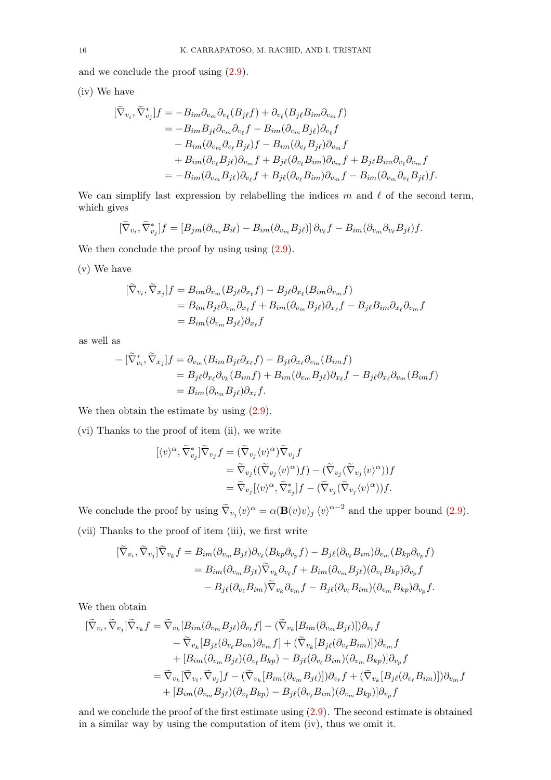and we conclude the proof using [\(2.9\)](#page-12-4).

(iv) We have

$$
\begin{split} [\tilde{\nabla}_{v_i}, \tilde{\nabla}_{v_j}^*]f &= -B_{im}\partial_{v_m}\partial_{v_\ell}(B_{j\ell}f) + \partial_{v_\ell}(B_{j\ell}B_{im}\partial_{v_m}f) \\ &= -B_{im}B_{j\ell}\partial_{v_m}\partial_{v_\ell}f - B_{im}(\partial_{v_m}B_{j\ell})\partial_{v_\ell}f \\ &- B_{im}(\partial_{v_m}\partial_{v_\ell}B_{j\ell})f - B_{im}(\partial_{v_\ell}B_{j\ell})\partial_{v_m}f \\ &+ B_{im}(\partial_{v_\ell}B_{j\ell})\partial_{v_m}f + B_{j\ell}(\partial_{v_\ell}B_{im})\partial_{v_m}f + B_{j\ell}B_{im}\partial_{v_\ell}\partial_{v_m}f \\ &= -B_{im}(\partial_{v_m}B_{j\ell})\partial_{v_\ell}f + B_{j\ell}(\partial_{v_\ell}B_{im})\partial_{v_m}f - B_{im}(\partial_{v_m}\partial_{v_\ell}B_{j\ell})f. \end{split}
$$

We can simplify last expression by relabelling the indices *m* and *ℓ* of the second term, which gives

$$
[\widetilde{\nabla}_{v_i}, \widetilde{\nabla}_{v_j}^*]f = [B_{jm}(\partial_{v_m} B_{i\ell}) - B_{im}(\partial_{v_m} B_{j\ell})] \partial_{v_\ell} f - B_{im}(\partial_{v_m} \partial_{v_\ell} B_{j\ell})f.
$$

We then conclude the proof by using using  $(2.9)$ .

(v) We have

$$
\begin{aligned} [\tilde{\nabla}_{v_i}, \tilde{\nabla}_{x_j}]f &= B_{im}\partial_{v_m}(B_{j\ell}\partial_{x_\ell}f) - B_{j\ell}\partial_{x_\ell}(B_{im}\partial_{v_m}f) \\ &= B_{im}B_{j\ell}\partial_{v_m}\partial_{x_\ell}f + B_{im}(\partial_{v_m}B_{j\ell})\partial_{x_\ell}f - B_{j\ell}B_{im}\partial_{x_\ell}\partial_{v_m}f \\ &= B_{im}(\partial_{v_m}B_{j\ell})\partial_{x_\ell}f \end{aligned}
$$

as well as

$$
- [\widetilde{\nabla}_{v_i}^*, \widetilde{\nabla}_{x_j}] f = \partial_{v_m} (B_{im} B_j \ell \partial_{x_\ell} f) - B_j \ell \partial_{x_\ell} \partial_{v_m} (B_{im} f)
$$
  
=  $B_j \ell \partial_{x_\ell} \partial_{v_k} (B_{im} f) + B_{im} (\partial_{v_m} B_j \ell) \partial_{x_\ell} f - B_j \ell \partial_{x_\ell} \partial_{v_m} (B_{im} f)$   
=  $B_{im} (\partial_{v_m} B_j \ell) \partial_{x_\ell} f$ .

We then obtain the estimate by using  $(2.9)$ .

(vi) Thanks to the proof of item (ii), we write

$$
\begin{aligned} [\langle v \rangle^{\alpha}, \widetilde{\nabla}^*_{v_j}] \widetilde{\nabla}_{v_j} f &= (\widetilde{\nabla}_{v_j} \langle v \rangle^{\alpha}) \widetilde{\nabla}_{v_j} f \\ &= \widetilde{\nabla}_{v_j} ((\widetilde{\nabla}_{v_j} \langle v \rangle^{\alpha}) f) - (\widetilde{\nabla}_{v_j} (\widetilde{\nabla}_{v_j} \langle v \rangle^{\alpha})) f \\ &= \widetilde{\nabla}_{v_j} [\langle v \rangle^{\alpha}, \widetilde{\nabla}^*_{v_j}] f - (\widetilde{\nabla}_{v_j} (\widetilde{\nabla}_{v_j} \langle v \rangle^{\alpha})) f. \end{aligned}
$$

We conclude the proof by using  $\tilde{\nabla}_{v_j} \langle v \rangle^{\alpha} = \alpha(\mathbf{B}(v)v)_j \langle v \rangle^{\alpha-2}$  and the upper bound [\(2.9\)](#page-12-4). (vii) Thanks to the proof of item (iii), we first write

$$
\begin{split} [\widetilde{\nabla}_{v_i},\widetilde{\nabla}_{v_j}]\widetilde{\nabla}_{v_k}f &= B_{im}(\partial_{v_m}B_{j\ell})\partial_{v_\ell}(B_{kp}\partial_{v_p}f) - B_{j\ell}(\partial_{v_\ell}B_{im})\partial_{v_m}(B_{kp}\partial_{v_p}f) \\ &= B_{im}(\partial_{v_m}B_{j\ell})\widetilde{\nabla}_{v_k}\partial_{v_\ell}f + B_{im}(\partial_{v_m}B_{j\ell})(\partial_{v_\ell}B_{kp})\partial_{v_p}f \\ &- B_{j\ell}(\partial_{v_\ell}B_{im})\widetilde{\nabla}_{v_k}\partial_{v_m}f - B_{j\ell}(\partial_{v_\ell}B_{im})(\partial_{v_m}B_{kp})\partial_{v_p}f. \end{split}
$$

We then obtain

 $\mathcal{L}_{\mathcal{L}}$ 

$$
\begin{split}\n[\widetilde{\nabla}_{v_i}, \widetilde{\nabla}_{v_j}] \widetilde{\nabla}_{v_k} f &= \widetilde{\nabla}_{v_k} [B_{im} (\partial_{v_m} B_{j\ell}) \partial_{v_\ell} f] - (\widetilde{\nabla}_{v_k} [B_{im} (\partial_{v_m} B_{j\ell})]) \partial_{v_\ell} f \\
&\quad - \widetilde{\nabla}_{v_k} [B_{j\ell} (\partial_{v_\ell} B_{im}) \partial_{v_m} f] + (\widetilde{\nabla}_{v_k} [B_{j\ell} (\partial_{v_\ell} B_{im})]) \partial_{v_m} f \\
&\quad + [B_{im} (\partial_{v_m} B_{j\ell}) (\partial_{v_\ell} B_{kp}) - B_{j\ell} (\partial_{v_\ell} B_{im}) (\partial_{v_m} B_{kp})] \partial_{v_p} f \\
&= \widetilde{\nabla}_{v_k} [\widetilde{\nabla}_{v_i}, \widetilde{\nabla}_{v_j}] f - (\widetilde{\nabla}_{v_k} [B_{im} (\partial_{v_m} B_{j\ell})]) \partial_{v_\ell} f + (\widetilde{\nabla}_{v_k} [B_{j\ell} (\partial_{v_\ell} B_{im})]) \partial_{v_m} f \\
&\quad + [B_{im} (\partial_{v_m} B_{j\ell}) (\partial_{v_\ell} B_{kp}) - B_{j\ell} (\partial_{v_\ell} B_{im}) (\partial_{v_m} B_{kp})] \partial_{v_p} f\n\end{split}
$$

and we conclude the proof of the first estimate using [\(2.9\)](#page-12-4). The second estimate is obtained in a similar way by using the computation of item (iv), thus we omit it.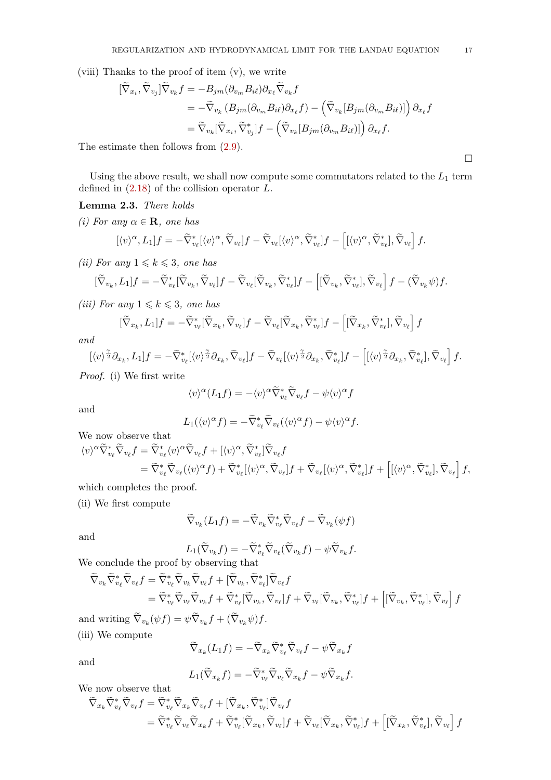(viii) Thanks to the proof of item (v), we write

$$
\begin{split} [\widetilde{\nabla}_{x_i}, \widetilde{\nabla}_{v_j}] \widetilde{\nabla}_{v_k} f &= -B_{jm}(\partial_{v_m} B_{i\ell}) \partial_{x_\ell} \widetilde{\nabla}_{v_k} f \\ &= -\widetilde{\nabla}_{v_k} \left( B_{jm}(\partial_{v_m} B_{i\ell}) \partial_{x_\ell} f \right) - \left( \widetilde{\nabla}_{v_k} [B_{jm}(\partial_{v_m} B_{i\ell})] \right) \partial_{x_\ell} f \\ &= \widetilde{\nabla}_{v_k} [\widetilde{\nabla}_{x_i}, \widetilde{\nabla}_{v_j}^*] f - \left( \widetilde{\nabla}_{v_k} [B_{jm}(\partial_{v_m} B_{i\ell})] \right) \partial_{x_\ell} f. \end{split}
$$

The estimate then follows from [\(2.9\)](#page-12-4).

Using the above result, we shall now compute some commutators related to the  $L_1$  term defined in [\(2.18\)](#page-13-2) of the collision operator *L*.

#### <span id="page-16-0"></span>**Lemma 2.3.** *There holds*

*(i)* For any  $\alpha \in \mathbf{R}$ *, one has* 

$$
[\langle v \rangle^{\alpha}, L_1]f = -\widetilde{\nabla}_{v_{\ell}}^*[\langle v \rangle^{\alpha}, \widetilde{\nabla}_{v_{\ell}}]f - \widetilde{\nabla}_{v_{\ell}}[\langle v \rangle^{\alpha}, \widetilde{\nabla}_{v_{\ell}}^*]f - [[\langle v \rangle^{\alpha}, \widetilde{\nabla}_{v_{\ell}}^*], \widetilde{\nabla}_{v_{\ell}}]f.
$$

*(ii)* For any  $1 \leq k \leq 3$ , one has

$$
[\widetilde{\nabla}_{v_k}, L_1]f = -\widetilde{\nabla}_{v_\ell}^* [\widetilde{\nabla}_{v_k}, \widetilde{\nabla}_{v_\ell}]f - \widetilde{\nabla}_{v_\ell} [\widetilde{\nabla}_{v_k}, \widetilde{\nabla}_{v_\ell}^*]f - \left[ [\widetilde{\nabla}_{v_k}, \widetilde{\nabla}_{v_\ell}^*], \widetilde{\nabla}_{v_\ell} \right]f - (\widetilde{\nabla}_{v_k}\psi)f.
$$

*(iii)* For any  $1 \leq k \leq 3$ , one has

$$
[\widetilde{\nabla}_{x_k}, L_1]f = -\widetilde{\nabla}_{v_\ell}^* [\widetilde{\nabla}_{x_k}, \widetilde{\nabla}_{v_\ell}]f - \widetilde{\nabla}_{v_\ell} [\widetilde{\nabla}_{x_k}, \widetilde{\nabla}_{v_\ell}^*]f - \left[ [\widetilde{\nabla}_{x_k}, \widetilde{\nabla}_{v_\ell}^*], \widetilde{\nabla}_{v_\ell} \right]f
$$

*and*

$$
[\langle v \rangle^{\frac{\gamma}{2}} \partial_{x_k}, L_1]f = -\widetilde{\nabla}^*_{v_\ell} [\langle v \rangle^{\frac{\gamma}{2}} \partial_{x_k}, \widetilde{\nabla}_{v_\ell}]f - \widetilde{\nabla}_{v_\ell} [\langle v \rangle^{\frac{\gamma}{2}} \partial_{x_k}, \widetilde{\nabla}^*_{v_\ell}]f - \left[ [\langle v \rangle^{\frac{\gamma}{2}} \partial_{x_k}, \widetilde{\nabla}^*_{v_\ell}], \widetilde{\nabla}_{v_\ell} \right]f.
$$

*Proof.* (i) We first write

$$
\langle v \rangle^{\alpha} (L_1 f) = -\langle v \rangle^{\alpha} \widetilde{\nabla}_{v_{\ell}}^* \widetilde{\nabla}_{v_{\ell}} f - \psi \langle v \rangle^{\alpha} f
$$

and

$$
L_1(\langle v \rangle^{\alpha} f) = -\widetilde{\nabla}^*_{v_{\ell}} \widetilde{\nabla}_{v_{\ell}}(\langle v \rangle^{\alpha} f) - \psi \langle v \rangle^{\alpha} f.
$$

We now observe that

$$
\langle v \rangle^{\alpha} \widetilde{\nabla}_{v_{\ell}}^{*} \widetilde{\nabla}_{v_{\ell}} f = \widetilde{\nabla}_{v_{\ell}}^{*} \langle v \rangle^{\alpha} \widetilde{\nabla}_{v_{\ell}} f + [\langle v \rangle^{\alpha}, \widetilde{\nabla}_{v_{\ell}}^{*}] \widetilde{\nabla}_{v_{\ell}} f = \widetilde{\nabla}_{v_{\ell}}^{*} \widetilde{\nabla}_{v_{\ell}} (\langle v \rangle^{\alpha} f) + \widetilde{\nabla}_{v_{\ell}}^{*} [\langle v \rangle^{\alpha}, \widetilde{\nabla}_{v_{\ell}}] f + \widetilde{\nabla}_{v_{\ell}} [\langle v \rangle^{\alpha}, \widetilde{\nabla}_{v_{\ell}}^{*}] f + [[\langle v \rangle^{\alpha}, \widetilde{\nabla}_{v_{\ell}}^{*}], \widetilde{\nabla}_{v_{\ell}}] f, = \widetilde{\nabla}_{v_{\ell}}^{*} \widetilde{\nabla}_{v_{\ell}} (\langle v \rangle^{\alpha} f) + \widetilde{\nabla}_{v_{\ell}} [\langle v \rangle^{\alpha}, \widetilde{\nabla}_{v_{\ell}}^{*}] f + [[\langle v \rangle^{\alpha}, \widetilde{\nabla}_{v_{\ell}}^{*}], \widetilde{\nabla}_{v_{\ell}}] f,
$$

which completes the proof.

(ii) We first compute

$$
\widetilde{\nabla}_{v_k}(L_1 f) = -\widetilde{\nabla}_{v_k} \widetilde{\nabla}_{v_\ell}^* \widetilde{\nabla}_{v_\ell} f - \widetilde{\nabla}_{v_k} (\psi f)
$$

and

$$
L_1(\widetilde{\nabla}_{v_k} f) = -\widetilde{\nabla}_{v_\ell}^* \widetilde{\nabla}_{v_\ell} (\widetilde{\nabla}_{v_k} f) - \psi \widetilde{\nabla}_{v_k} f.
$$

We conclude the proof by observing that

$$
\begin{split} \widetilde{\nabla}_{v_k} \widetilde{\nabla}_{v_\ell}^* \widetilde{\nabla}_{v_\ell} f &= \widetilde{\nabla}_{v_\ell}^* \widetilde{\nabla}_{v_k} \widetilde{\nabla}_{v_\ell} f + [\widetilde{\nabla}_{v_k}, \widetilde{\nabla}_{v_\ell}^*] \widetilde{\nabla}_{v_\ell} f \\ &= \widetilde{\nabla}_{v_\ell}^* \widetilde{\nabla}_{v_\ell} \widetilde{\nabla}_{v_k} f + \widetilde{\nabla}_{v_\ell}^* [\widetilde{\nabla}_{v_k}, \widetilde{\nabla}_{v_\ell}] f + \widetilde{\nabla}_{v_\ell} [\widetilde{\nabla}_{v_k}, \widetilde{\nabla}_{v_\ell}^*] f + \left[ [\widetilde{\nabla}_{v_k}, \widetilde{\nabla}_{v_\ell}^*], \widetilde{\nabla}_{v_\ell} \right] f \end{split}
$$

and writing  $\nabla_{v_k}(\psi f) = \psi \nabla_{v_k} f + (\nabla_{v_k} \psi) f$ . (iii) We compute

$$
\widetilde{\nabla}_{x_k}(L_1 f) = -\widetilde{\nabla}_{x_k}\widetilde{\nabla}_{v_\ell}^* \widetilde{\nabla}_{v_\ell} f - \psi \widetilde{\nabla}_{x_k} f
$$

and

$$
L_1(\widetilde{\nabla}_{x_k}f)=-\widetilde{\nabla}_{v_\ell}^*\widetilde{\nabla}_{v_\ell}\widetilde{\nabla}_{x_k}f-\psi\widetilde{\nabla}_{x_k}f.
$$

We now observe that

$$
\begin{split} \widetilde{\nabla}_{x_k} \widetilde{\nabla}_{v_\ell}^* \widetilde{\nabla}_{v_\ell} f &= \widetilde{\nabla}_{v_\ell}^* \widetilde{\nabla}_{x_k} \widetilde{\nabla}_{v_\ell} f + [\widetilde{\nabla}_{x_k}, \widetilde{\nabla}_{v_\ell}^*] \widetilde{\nabla}_{v_\ell} f \\ &= \widetilde{\nabla}_{v_\ell}^* \widetilde{\nabla}_{v_\ell} \widetilde{\nabla}_{x_k} f + \widetilde{\nabla}_{v_\ell}^* [\widetilde{\nabla}_{x_k}, \widetilde{\nabla}_{v_\ell}] f + \widetilde{\nabla}_{v_\ell} [\widetilde{\nabla}_{x_k}, \widetilde{\nabla}_{v_\ell}^*] f + \left[ [\widetilde{\nabla}_{x_k}, \widetilde{\nabla}_{v_\ell}^*] , \widetilde{\nabla}_{v_\ell} \right] f \end{split}
$$

 $\Box$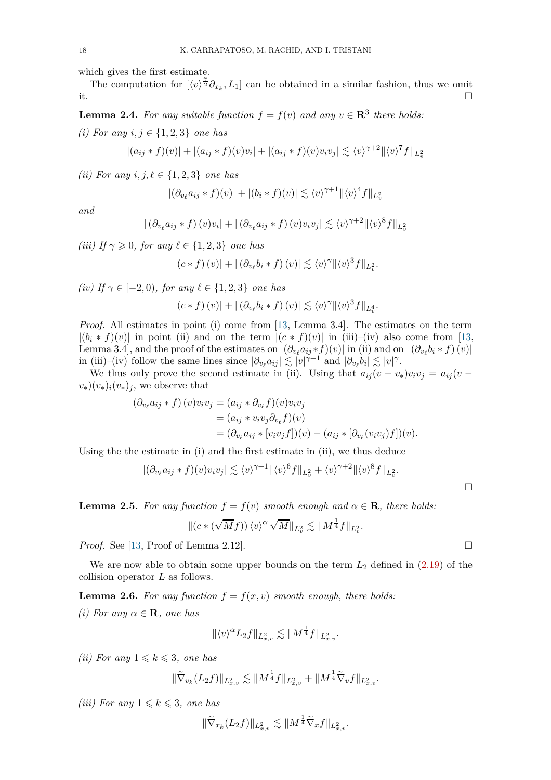which gives the first estimate.

The computation for  $[\langle v \rangle^{\frac{\gamma}{2}} \partial_{x_k}, L_1]$  can be obtained in a similar fashion, thus we omit it.

<span id="page-17-0"></span>**Lemma 2.4.** For any suitable function  $f = f(v)$  and any  $v \in \mathbb{R}^3$  there holds:

*(i)* For any *i*, *j* ∈ {1, 2, 3} one has

$$
|(a_{ij} * f)(v)| + |(a_{ij} * f)(v)v_i| + |(a_{ij} * f)(v)v_i v_j| \lesssim \langle v \rangle^{\gamma+2} ||\langle v \rangle^{\gamma} f||_{L^2_v}
$$

*(ii)* For any *i*,  $j, l \in \{1, 2, 3\}$  *one has* 

$$
|(\partial_{v_{\ell}} a_{ij} * f)(v)| + |(b_i * f)(v)| \lesssim \langle v \rangle^{\gamma+1} ||\langle v \rangle^4 f||_{L^2_v}
$$

*and*

$$
| \left( \partial_{v_\ell} a_{ij} * f \right) (v) v_i | + | \left( \partial_{v_\ell} a_{ij} * f \right) (v) v_i v_j | \lesssim \langle v \rangle^{\gamma+2} || \langle v \rangle^8 f ||_{L^2_v}
$$

*(iii)* If  $\gamma \geqslant 0$ *, for any*  $\ell \in \{1, 2, 3\}$  *one has* 

$$
|(c * f)(v)| + |(\partial_{v_{\ell}}b_i * f)(v)| \lesssim \langle v \rangle^{\gamma} ||\langle v \rangle^3 f||_{L^2_v}.
$$

*(iv) If*  $\gamma$  ∈ [−2*,* 0*), for any*  $\ell$  ∈ {1*,* 2*,* 3*} one has* 

$$
|(c * f) (v)| + |(\partial_{v_{\ell}} b_i * f) (v)| \lesssim \langle v \rangle^{\gamma} ||\langle v \rangle^3 f||_{L^4_v}.
$$

*Proof.* All estimates in point (i) come from [\[13,](#page-78-5) Lemma 3.4]. The estimates on the term  $|(b_i * f)(v)|$  in point (ii) and on the term  $|(c * f)(v)|$  in (iii)–(iv) also come from [\[13,](#page-78-5) Lemma 3.4], and the proof of the estimates on  $|(\partial_{v_\ell} a_{ij} * f)(v)|$  in (ii) and on  $|(\partial_{v_\ell} b_i * f)(v)|$ in (iii)–(iv) follow the same lines since  $|\partial_{v_\ell} a_{ij}| \lesssim |v|^{\gamma+1}$  and  $|\partial_{v_\ell} b_i| \lesssim |v|^\gamma$ .

We thus only prove the second estimate in (ii). Using that  $a_{ij}(v - v_*)v_iv_j = a_{ij}(v - v_*)v_j$  $(v_*)(v_*)_i(v_*)_j$ , we observe that

$$
(\partial_{v_{\ell}} a_{ij} * f) (v) v_i v_j = (a_{ij} * \partial_{v_{\ell}} f) (v) v_i v_j
$$
  
= 
$$
(a_{ij} * v_i v_j \partial_{v_{\ell}} f) (v)
$$
  
= 
$$
(\partial_{v_{\ell}} a_{ij} * [v_i v_j f]) (v) - (a_{ij} * [\partial_{v_{\ell}} (v_i v_j) f])(v).
$$

Using the the estimate in (i) and the first estimate in (ii), we thus deduce

$$
|(\partial_{v_{\ell}} a_{ij} * f)(v)v_i v_j| \lesssim \langle v \rangle^{\gamma+1} \|\langle v \rangle^6 f\|_{L^2_v} + \langle v \rangle^{\gamma+2} \|\langle v \rangle^8 f\|_{L^2_v}.
$$

<span id="page-17-1"></span>**Lemma 2.5.** *For any function*  $f = f(v)$  *smooth enough and*  $\alpha \in \mathbb{R}$ *, there holds:* 

$$
\|(c*(\sqrt{M}f))\,\langle v\rangle^{\alpha}\,\sqrt{M}\|_{L^2_v}\lesssim \|M^{\frac14}f\|_{L^2_v}.
$$

*Proof.* See [\[13,](#page-78-5) Proof of Lemma 2.12].

We are now able to obtain some upper bounds on the term  $L_2$  defined in  $(2.19)$  of the collision operator *L* as follows.

<span id="page-17-2"></span>**Lemma 2.6.** For any function  $f = f(x, v)$  smooth enough, there holds: *(i)* For any  $\alpha \in \mathbf{R}$ *, one has* 

$$
\|\langle v \rangle^{\alpha} L_2 f\|_{L^2_{x,v}} \lesssim \|M^{\frac{1}{4}} f\|_{L^2_{x,v}}.
$$

*(ii)* For any  $1 \leq k \leq 3$ , one has

$$
\|\widetilde{\nabla}_{v_k}(L_2f)\|_{L^2_{x,v}} \lesssim \|M^{\frac{1}{4}}f\|_{L^2_{x,v}} + \|M^{\frac{1}{4}}\widetilde{\nabla}_v f\|_{L^2_{x,v}}.
$$

*(iii)* For any  $1 \leq k \leq 3$ , one has

$$
\|\widetilde{\nabla}_{x_k}(L_2f)\|_{L^2_{x,v}} \lesssim \|M^{\frac{1}{4}}\widetilde{\nabla}_x f\|_{L^2_{x,v}}.
$$

 $\Box$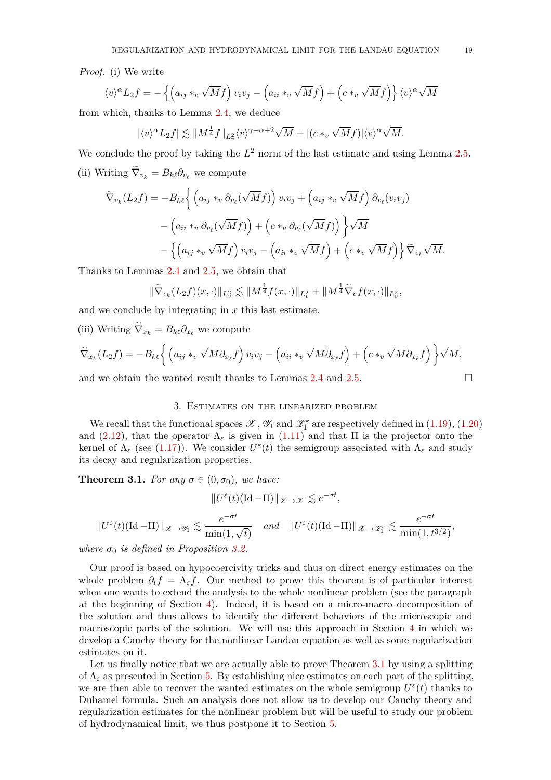*Proof.* (i) We write

$$
\langle v \rangle^{\alpha} L_2 f = -\left\{ \left( a_{ij} *_{v} \sqrt{M} f \right) v_i v_j - \left( a_{ii} *_{v} \sqrt{M} f \right) + \left( c *_{v} \sqrt{M} f \right) \right\} \langle v \rangle^{\alpha} \sqrt{M}
$$

from which, thanks to Lemma [2.4,](#page-17-0) we deduce

$$
|\langle v \rangle^{\alpha} L_2 f| \lesssim ||M^{\frac{1}{4}} f||_{L^2_v} \langle v \rangle^{\gamma + \alpha + 2} \sqrt{M} + |(c *_{v} \sqrt{M} f)| \langle v \rangle^{\alpha} \sqrt{M}.
$$

We conclude the proof by taking the  $L^2$  norm of the last estimate and using Lemma [2.5.](#page-17-1) (ii) Writing  $\nabla_{v_k} = B_{k\ell} \partial_{v_\ell}$  we compute

$$
\widetilde{\nabla}_{v_k}(L_2 f) = -B_{k\ell} \Biggl\{ \left( a_{ij} *_{v} \partial_{v_{\ell}}(\sqrt{M} f) \right) v_i v_j + \left( a_{ij} *_{v} \sqrt{M} f \right) \partial_{v_{\ell}}(v_i v_j)
$$

$$
- \left( a_{ii} *_{v} \partial_{v_{\ell}}(\sqrt{M} f) \right) + \left( c *_{v} \partial_{v_{\ell}}(\sqrt{M} f) \right) \Biggr\} \sqrt{M}
$$

$$
- \Biggl\{ \left( a_{ij} *_{v} \sqrt{M} f \right) v_i v_j - \left( a_{ii} *_{v} \sqrt{M} f \right) + \left( c *_{v} \sqrt{M} f \right) \Biggr\} \widetilde{\nabla}_{v_k} \sqrt{M}.
$$

Thanks to Lemmas [2.4](#page-17-0) and [2.5,](#page-17-1) we obtain that

$$
\|\widetilde{\nabla}_{v_k}(L_2f)(x,\cdot)\|_{L^2_v} \lesssim \|M^{\frac{1}{4}}f(x,\cdot)\|_{L^2_v} + \|M^{\frac{1}{4}}\widetilde{\nabla}_v f(x,\cdot)\|_{L^2_v},
$$

and we conclude by integrating in *x* this last estimate.

(iii) Writing  $\nabla_{x_k} = B_{k\ell} \partial_{x_\ell}$  we compute

$$
\widetilde{\nabla}_{x_k}(L_2f) = -B_{k\ell} \left\{ \left( a_{ij} *_{v} \sqrt{M} \partial_{x_{\ell}} f \right) v_i v_j - \left( a_{ii} *_{v} \sqrt{M} \partial_{x_{\ell}} f \right) + \left( c *_{v} \sqrt{M} \partial_{x_{\ell}} f \right) \right\} \sqrt{M},
$$

<span id="page-18-0"></span>and we obtain the wanted result thanks to Lemmas [2.4](#page-17-0) and [2.5.](#page-17-1)  $\Box$ 

## 3. Estimates on the linearized problem

We recall that the functional spaces  $\mathscr{X}, \mathscr{Y}_1$  and  $\mathscr{Z}_1^{\varepsilon}$  are respectively defined in  $(1.19)$ ,  $(1.20)$ and [\(2.12\)](#page-13-3), that the operator  $\Lambda_{\varepsilon}$  is given in [\(1.11\)](#page-2-5) and that  $\Pi$  is the projector onto the kernel of  $\Lambda_{\varepsilon}$  (see [\(1.17\)](#page-3-9)). We consider  $U^{\varepsilon}(t)$  the semigroup associated with  $\Lambda_{\varepsilon}$  and study its decay and regularization properties.

<span id="page-18-1"></span>**Theorem 3.1.** *For any*  $\sigma \in (0, \sigma_0)$ *, we have:* 

$$
||U^{\varepsilon}(t)(\mathrm{Id}-\Pi)||_{\mathscr{X}\to\mathscr{X}} \lesssim e^{-\sigma t},
$$
  

$$
||U^{\varepsilon}(t)(\mathrm{Id}-\Pi)||_{\mathscr{X}\to\mathscr{Y}_{1}} \lesssim \frac{e^{-\sigma t}}{\min(1,\sqrt{t})} \quad and \quad ||U^{\varepsilon}(t)(\mathrm{Id}-\Pi)||_{\mathscr{X}\to\mathscr{Z}_{1}^{\varepsilon}} \lesssim \frac{e^{-\sigma t}}{\min(1,t^{3/2})},
$$

*where*  $\sigma_0$  *is defined in Proposition [3.2.](#page-19-1)* 

Our proof is based on hypocoercivity tricks and thus on direct energy estimates on the whole problem  $\partial_t f = \Lambda_{\varepsilon} f$ . Our method to prove this theorem is of particular interest when one wants to extend the analysis to the whole nonlinear problem (see the paragraph at the beginning of Section [4\)](#page-28-0). Indeed, it is based on a micro-macro decomposition of the solution and thus allows to identify the different behaviors of the microscopic and macroscopic parts of the solution. We will use this approach in Section [4](#page-28-0) in which we develop a Cauchy theory for the nonlinear Landau equation as well as some regularization estimates on it.

Let us finally notice that we are actually able to prove Theorem [3.1](#page-18-1) by using a splitting of  $\Lambda_{\varepsilon}$  as presented in Section [5.](#page-50-0) By establishing nice estimates on each part of the splitting, we are then able to recover the wanted estimates on the whole semigroup  $U^{\varepsilon}(t)$  thanks to Duhamel formula. Such an analysis does not allow us to develop our Cauchy theory and regularization estimates for the nonlinear problem but will be useful to study our problem of hydrodynamical limit, we thus postpone it to Section [5.](#page-50-0)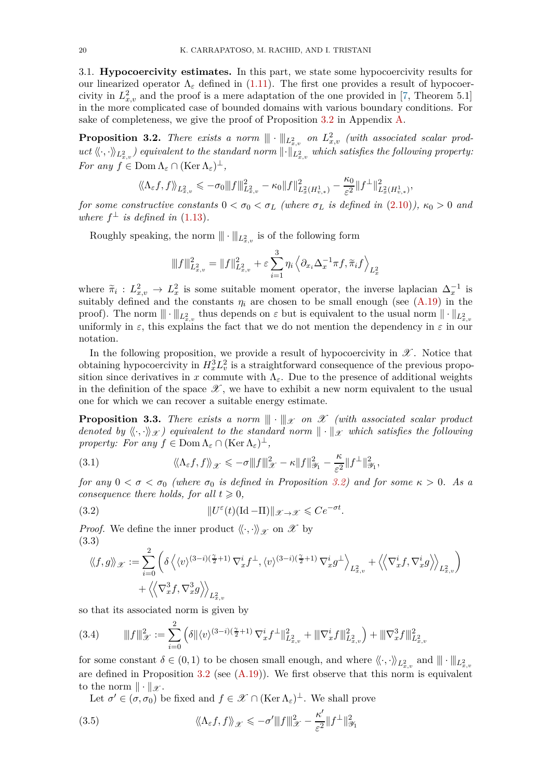<span id="page-19-0"></span>3.1. **Hypocoercivity estimates.** In this part, we state some hypocoercivity results for our linearized operator  $\Lambda_{\varepsilon}$  defined in [\(1.11\)](#page-2-5). The first one provides a result of hypocoercivity in  $L_{x,v}^2$  and the proof is a mere adaptation of the one provided in [\[7,](#page-78-11) Theorem 5.1] in the more complicated case of bounded domains with various boundary conditions. For sake of completeness, we give the proof of Proposition [3.2](#page-19-1) in Appendix [A.](#page-63-0)

<span id="page-19-1"></span>**Proposition 3.2.** *There exists a norm*  $\|\|\cdot\|_{L^2_{x,v}}$  *on*  $L^2_{x,v}$  *(with associated scalar prod* $uct\ \langle\!\langle\cdot,\cdot\rangle\!\rangle_{L^2_{x,v}}\)$  equivalent to the standard norm  $\|\cdot\|_{L^2_{x,v}}$  which satisfies the following property: *For any*  $f \in \text{Dom } \Lambda_{\varepsilon} \cap (\text{Ker } \Lambda_{\varepsilon})^{\perp}$ ,

$$
\langle\!\langle \Lambda_\varepsilon f,f \rangle\!\rangle_{L^2_{x,v}} \leqslant - \sigma_0 \| |f\|^2_{L^2_{x,v}} - \kappa_0 \|f\|^2_{L^2_x(H^1_{v,*})} - \frac{\kappa_0}{\varepsilon^2} \|f^\perp\|^2_{L^2_x(H^1_{v,*})},
$$

*for some constructive constants*  $0 < \sigma_0 < \sigma_L$  *(where*  $\sigma_L$  *is defined in* [\(2.10\)](#page-12-1)*)*,  $\kappa_0 > 0$  *and where*  $f^{\perp}$  *is defined in* [\(1.13\)](#page-3-1)*.* 

Roughly speaking, the norm  $\|\cdot\|_{L^2_{x,v}}$  is of the following form

$$
\|f\|_{L^2_{x,v}}^2 = \|f\|_{L^2_{x,v}}^2 + \varepsilon \sum_{i=1}^3 \eta_i \left\langle \partial_{x_i} \Delta_x^{-1} \pi f, \tilde{\pi}_i f \right\rangle_{L^2_x}
$$

where  $\tilde{\pi}_i: L^2_{x,v} \to L^2_x$  is some suitable moment operator, the inverse laplacian  $\Delta^{-1}_x$  is suitably defined and the constants  $\eta_i$  are chosen to be small enough (see  $(A.19)$ ) in the proof). The norm  $\|\cdot\|_{L^2_{x,v}}$  thus depends on  $\varepsilon$  but is equivalent to the usual norm  $\|\cdot\|_{L^2_{x,v}}$ uniformly in  $\varepsilon$ , this explains the fact that we do not mention the dependency in  $\varepsilon$  in our notation.

In the following proposition, we provide a result of hypocoercivity in  $\mathscr X$ . Notice that obtaining hypocoercivity in  $H_x^3 L_v^2$  is a straightforward consequence of the previous proposition since derivatives in *x* commute with  $\Lambda_{\varepsilon}$ . Due to the presence of additional weights in the definition of the space  $\mathscr X$ , we have to exhibit a new norm equivalent to the usual one for which we can recover a suitable energy estimate.

<span id="page-19-5"></span>**Proposition 3.3.** *There exists a norm*  $\|\cdot\|_{\mathcal{X}}$  *on*  $\mathcal{X}$  *(with associated scalar product denoted by*  $\langle \langle \cdot, \cdot \rangle \rangle_{\mathcal{X}}$  *i* equivalent to the standard norm  $\|\cdot\|_{\mathcal{X}}$  which satisfies the following *property: For any*  $f \in \text{Dom } \Lambda_{\varepsilon} \cap (\text{Ker } \Lambda_{\varepsilon})^{\perp}$ ,

<span id="page-19-2"></span>(3.1) 
$$
\langle \langle \Lambda_{\varepsilon} f, f \rangle \rangle_{\mathscr{X}} \leqslant -\sigma \|f\|_{\mathscr{X}}^2 - \kappa \|f\|_{\mathscr{Y}_1}^2 - \frac{\kappa}{\varepsilon^2} \|f^{\perp}\|_{\mathscr{Y}_1}^2,
$$

*for any*  $0 < \sigma < \sigma_0$  *(where*  $\sigma_0$  *is defined in Proposition [3.2\)](#page-19-1)* and *for some*  $\kappa > 0$ *. As a consequence there holds, for all*  $t \geq 0$ *,* 

(3.2) 
$$
||U^{\varepsilon}(t)(\mathrm{Id}-\Pi)||_{\mathscr{X}\to\mathscr{X}} \leqslant Ce^{-\sigma t}.
$$

*Proof.* We define the inner product  $\langle \langle \cdot, \cdot \rangle \rangle_{\mathscr{X}}$  on  $\mathscr{X}$  by (3.3)

<span id="page-19-3"></span>
$$
\label{eq:psi} \begin{split} \langle\!\langle f,g\rangle\!\rangle_{\mathscr{X}} := & \sum_{i=0}^2 \left( \delta \left\langle \langle v \rangle^{(3-i)(\frac{\gamma}{2}+1)} \, \nabla_x^i f^\perp , \langle v \rangle^{(3-i)(\frac{\gamma}{2}+1)} \, \nabla_x^i g^\perp \right\rangle_{L^2_{x,v}} + \left\langle \! \left\langle \nabla_x^i f , \nabla_x^i g \right\rangle \! \right\rangle_{L^2_{x,v}} \right) \\ & + \left\langle \! \left\langle \nabla_x^3 f , \nabla_x^3 g \right\rangle \! \right\rangle_{L^2_{x,v}} \end{split}
$$

so that its associated norm is given by

<span id="page-19-6"></span>(3.4) |||*f*|||<sup>2</sup> <sup>X</sup> := <sup>X</sup> 2 *i*=0 *δ*kh*v*i (3−*i*)( *<sup>γ</sup>* <sup>2</sup> +1) <sup>∇</sup>*<sup>i</sup> x f* ⊥k 2 *L*<sup>2</sup> *x,v* <sup>+</sup> |||∇*<sup>i</sup> x <sup>f</sup>*|||<sup>2</sup> *L*<sup>2</sup> *x,v* <sup>+</sup> |||∇<sup>3</sup> *x <sup>f</sup>*|||<sup>2</sup> *L*<sup>2</sup> *x,v*

for some constant  $\delta \in (0,1)$  to be chosen small enough, and where  $\langle\!\langle \cdot, \cdot \rangle\!\rangle_{L^2_{x,v}}$  and  $\|\cdot\|_{L^2_{x,v}}$ are defined in Proposition  $3.2$  (see  $(A.19)$ ). We first observe that this norm is equivalent to the norm  $\|\cdot\|_{\mathscr{X}}$ .

<span id="page-19-4"></span>Let  $\sigma' \in (\sigma, \sigma_0)$  be fixed and  $f \in \mathscr{X} \cap (\text{Ker }\Lambda_{\varepsilon})^{\perp}$ . We shall prove

(3.5) 
$$
\langle \langle \Lambda_{\varepsilon} f, f \rangle \rangle_{\mathscr{X}} \leqslant -\sigma' \|f\|_{\mathscr{X}}^2 - \frac{\kappa'}{\varepsilon^2} \|f^{\perp}\|_{\mathscr{Y}_1}^2
$$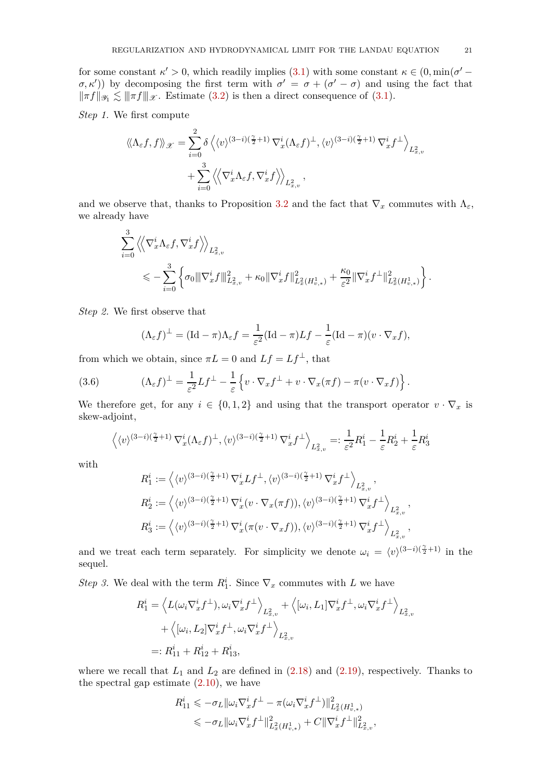for some constant  $\kappa' > 0$ , which readily implies [\(3.1\)](#page-19-2) with some constant  $\kappa \in (0, \min(\sigma' (\sigma, \kappa')$  by decomposing the first term with  $\sigma' = \sigma + (\sigma' - \sigma)$  and using the fact that  $\|\pi f\|_{\mathscr{Y}_1} \lesssim \|\pi f\|_{\mathscr{X}}$ . Estimate [\(3.2\)](#page-19-3) is then a direct consequence of [\(3.1\)](#page-19-2).

*Step 1.* We first compute

$$
\langle \langle \Lambda_{\varepsilon} f, f \rangle \rangle_{\mathcal{X}} = \sum_{i=0}^{2} \delta \langle \langle v \rangle^{(3-i)(\frac{\gamma}{2}+1)} \nabla_{x}^{i} (\Lambda_{\varepsilon} f)^{\perp}, \langle v \rangle^{(3-i)(\frac{\gamma}{2}+1)} \nabla_{x}^{i} f^{\perp} \rangle_{L_{x,v}^{2}} + \sum_{i=0}^{3} \langle \langle \nabla_{x}^{i} \Lambda_{\varepsilon} f, \nabla_{x}^{i} f \rangle \rangle_{L_{x,v}^{2}},
$$

and we observe that, thanks to Proposition [3.2](#page-19-1) and the fact that  $\nabla_x$  commutes with  $\Lambda_{\varepsilon}$ , we already have

$$
\sum_{i=0}^{3} \left\langle \left\langle \nabla_x^i \Lambda_{\varepsilon} f, \nabla_x^i f \right\rangle \right\rangle_{L^2_{x,v}} \n\leq \sum_{i=0}^{3} \left\{ \sigma_0 \|\nabla_x^i f\|_{L^2_{x,v}}^2 + \kappa_0 \|\nabla_x^i f\|_{L^2_{x}(H^1_{v,*})}^2 + \frac{\kappa_0}{\varepsilon^2} \|\nabla_x^i f^\perp\|_{L^2_{x}(H^1_{v,*})}^2 \right\}.
$$

*Step 2.* We first observe that

<span id="page-20-0"></span>
$$
(\Lambda_{\varepsilon} f)^{\perp} = (\mathrm{Id} - \pi) \Lambda_{\varepsilon} f = \frac{1}{\varepsilon^2} (\mathrm{Id} - \pi) L f - \frac{1}{\varepsilon} (\mathrm{Id} - \pi) (v \cdot \nabla_x f),
$$

from which we obtain, since  $\pi L = 0$  and  $Lf = Lf^{\perp}$ , that

(3.6) 
$$
(\Lambda_{\varepsilon} f)^{\perp} = \frac{1}{\varepsilon^2} L f^{\perp} - \frac{1}{\varepsilon} \left\{ v \cdot \nabla_x f^{\perp} + v \cdot \nabla_x (\pi f) - \pi (v \cdot \nabla_x f) \right\}.
$$

We therefore get, for any  $i \in \{0,1,2\}$  and using that the transport operator  $v \cdot \nabla_x$  is skew-adjoint,

$$
\left\langle \langle v \rangle^{(3-i)(\frac{\gamma}{2}+1)} \nabla_x^i (\Lambda_{\varepsilon} f)^\perp , \langle v \rangle^{(3-i)(\frac{\gamma}{2}+1)} \nabla_x^i f^\perp \right\rangle_{L^2_{x,v}} =: \frac{1}{\varepsilon^2} R_1^i - \frac{1}{\varepsilon} R_2^i + \frac{1}{\varepsilon} R_3^i
$$

with

$$
\begin{split} R_1^i&:=\left\langle \langle v \rangle^{(3-i)(\frac{\gamma}{2}+1)}\, \nabla_x^i L f^\perp , \langle v \rangle^{(3-i)(\frac{\gamma}{2}+1)}\, \nabla_x^i f^\perp \right\rangle_{L^2_{x,v}},\\ R_2^i&:=\left\langle \langle v \rangle^{(3-i)(\frac{\gamma}{2}+1)}\, \nabla_x^i (v\cdot \nabla_x(\pi f)), \langle v \rangle^{(3-i)(\frac{\gamma}{2}+1)}\, \nabla_x^i f^\perp \right\rangle_{L^2_{x,v}},\\ R_3^i&:=\left\langle \langle v \rangle^{(3-i)(\frac{\gamma}{2}+1)}\, \nabla_x^i (\pi (v\cdot \nabla_x f)), \langle v \rangle^{(3-i)(\frac{\gamma}{2}+1)}\, \nabla_x^i f^\perp \right\rangle_{L^2_{x,v}}, \end{split}
$$

and we treat each term separately. For simplicity we denote  $\omega_i = \langle v \rangle^{(3-i)(\frac{\gamma}{2}+1)}$  in the sequel.

*Step 3*. We deal with the term  $R_1^i$ . Since  $\nabla_x$  commutes with *L* we have

$$
R_1^i = \left\langle L(\omega_i \nabla_x^i f^\perp), \omega_i \nabla_x^i f^\perp \right\rangle_{L_{x,v}^2} + \left\langle [\omega_i, L_1] \nabla_x^i f^\perp, \omega_i \nabla_x^i f^\perp \right\rangle_{L_{x,v}^2}
$$
  
+  $\left\langle [\omega_i, L_2] \nabla_x^i f^\perp, \omega_i \nabla_x^i f^\perp \right\rangle_{L_{x,v}^2}$   
=:  $R_{11}^i + R_{12}^i + R_{13}^i$ ,

where we recall that  $L_1$  and  $L_2$  are defined in  $(2.18)$  and  $(2.19)$ , respectively. Thanks to the spectral gap estimate  $(2.10)$ , we have

$$
\begin{aligned} R_{11}^i &\leqslant -\sigma_L\|\omega_i \nabla_x^i f^\perp - \pi(\omega_i \nabla_x^i f^\perp)\|_{L_x^2(H_{v,*}^1)}^2 \\ &\leqslant -\sigma_L\|\omega_i \nabla_x^i f^\perp\|_{L_x^2(H_{v,*}^1)}^2 + C\|\nabla_x^i f^\perp\|_{L_{x,v}^2}^2, \end{aligned}
$$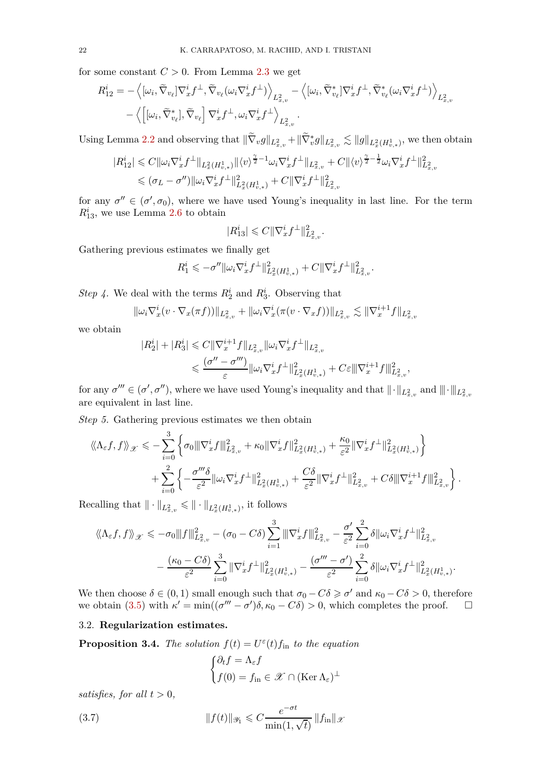for some constant  $C > 0$ . From Lemma [2.3](#page-16-0) we get

$$
R_{12}^{i} = -\left\langle [\omega_{i}, \tilde{\nabla}_{v_{\ell}}] \nabla_{x}^{i} f^{\perp}, \tilde{\nabla}_{v_{\ell}} (\omega_{i} \nabla_{x}^{i} f^{\perp}) \right\rangle_{L_{x,v}^{2}} - \left\langle [\omega_{i}, \tilde{\nabla}_{v_{\ell}}^{*}] \nabla_{x}^{i} f^{\perp}, \tilde{\nabla}_{v_{\ell}}^{*} (\omega_{i} \nabla_{x}^{i} f^{\perp}) \right\rangle_{L_{x,v}^{2}}
$$

$$
- \left\langle [\omega_{i}, \tilde{\nabla}_{v_{\ell}}^{*}], \tilde{\nabla}_{v_{\ell}}] \nabla_{x}^{i} f^{\perp}, \omega_{i} \nabla_{x}^{i} f^{\perp} \right\rangle_{L_{x,v}^{2}}.
$$

Using Lemma [2.2](#page-14-1) and observing that  $\|\nabla_v g\|_{L^2_{x,v}} + \|\nabla_v^* g\|_{L^2_{x,v}} \lesssim \|g\|_{L^2_x(H^1_{v,*})}$ , we then obtain

$$
|R_{12}^{i}| \leq C \|\omega_{i} \nabla_{x}^{i} f^{\perp} \|_{L_{x}^{2}(H_{v,*}^{1})} \| \langle v \rangle^{\frac{\gamma}{2}-1} \omega_{i} \nabla_{x}^{i} f^{\perp} \|_{L_{x,v}^{2}} + C \| \langle v \rangle^{\frac{\gamma}{2}-\frac{1}{2}} \omega_{i} \nabla_{x}^{i} f^{\perp} \|_{L_{x,v}^{2}}^{2}
$$
  

$$
\leq (\sigma_{L} - \sigma'') \| \omega_{i} \nabla_{x}^{i} f^{\perp} \|_{L_{x}^{2}(H_{v,*}^{1})}^{2} + C \| \nabla_{x}^{i} f^{\perp} \|_{L_{x,v}^{2}}^{2}
$$

for any  $\sigma'' \in (\sigma', \sigma_0)$ , where we have used Young's inequality in last line. For the term  $R_{13}^i$ , we use Lemma [2.6](#page-17-2) to obtain

$$
|R_{13}^i| \leqslant C \|\nabla_x^i f^\perp\|_{L^2_{x,v}}^2.
$$

Gathering previous estimates we finally get

$$
R_1^i \leqslant -\sigma'' \|\omega_i \nabla_x^i f^\perp\|_{L^2_x(H^1_{v,*})}^2 + C \|\nabla_x^i f^\perp\|_{L^2_{x,v}}^2.
$$

*Step 4*. We deal with the terms  $R_2^i$  and  $R_3^i$ . Observing that

$$
\|\omega_i \nabla_x^i (v \cdot \nabla_x (\pi f))\|_{L^2_{x,v}} + \|\omega_i \nabla_x^i (\pi (v \cdot \nabla_x f))\|_{L^2_{x,v}} \lesssim \|\nabla_x^{i+1} f\|_{L^2_{x,v}}
$$

we obtain

$$
|R_2^i| + |R_3^i| \leq C \|\nabla_x^{i+1} f\|_{L_{x,v}^2} \|\omega_i \nabla_x^i f^\perp\|_{L_{x,v}^2}
$$
  

$$
\leq \frac{(\sigma'' - \sigma''')}{\varepsilon} \|\omega_i \nabla_x^i f^\perp\|_{L_x^2(H_{v,*}^1)}^2 + C\varepsilon \|\nabla_x^{i+1} f\|_{L_{x,v}^2}^2,
$$

for any  $\sigma''' \in (\sigma', \sigma'')$ , where we have used Young's inequality and that  $\|\cdot\|_{L^2_{x,v}}$  and  $\|\cdot\|_{L^2_{x,v}}$ are equivalent in last line.

*Step 5.* Gathering previous estimates we then obtain

$$
\langle \! \langle \Lambda_{\varepsilon} f, f \rangle \! \rangle_{\mathscr{X}} \leqslant - \sum_{i=0}^3 \left\{ \sigma_0 \| |\nabla_x^i f| \|_{L^2_{x,v}}^2 + \kappa_0 \| \nabla_x^i f \|_{L^2_{x}(H^1_{v,*})}^2 + \frac{\kappa_0}{\varepsilon^2} \| \nabla_x^i f^\perp \|_{L^2_{x}(H^1_{v,*})}^2 \right\} + \sum_{i=0}^2 \left\{ - \frac{\sigma'''\delta}{\varepsilon^2} \| \omega_i \nabla_x^i f^\perp \|_{L^2_{x}(H^1_{v,*})}^2 + \frac{C\delta}{\varepsilon^2} \| \nabla_x^i f^\perp \|_{L^2_{x,v}}^2 + C\delta \| \nabla_x^{i+1} f \|_{L^2_{x,v}}^2 \right\}.
$$

Recalling that  $\|\cdot\|_{L^2_{x,v}} \leqslant \|\cdot\|_{L^2_x(H^1_{v,*})}$ , it follows

$$
\langle \! \langle \Lambda_{\varepsilon} f, f \rangle \! \rangle_{\mathcal{X}} \leqslant -\sigma_{0} \| |f\|^{2}_{L^{2}_{x,v}} - (\sigma_{0} - C\delta) \sum_{i=1}^{3} \| \nabla_{x}^{i} f \|^{2}_{L^{2}_{x,v}} - \frac{\sigma'}{\varepsilon^{2}} \sum_{i=0}^{2} \delta \| \omega_{i} \nabla_{x}^{i} f^{\perp} \|^{2}_{L^{2}_{x,v}} - \frac{(\kappa_{0} - C\delta)}{\varepsilon^{2}} \sum_{i=0}^{3} \| \nabla_{x}^{i} f^{\perp} \|^{2}_{L^{2}_{x}(H^{1}_{v,*})} - \frac{(\sigma''' - \sigma')}{\varepsilon^{2}} \sum_{i=0}^{2} \delta \| \omega_{i} \nabla_{x}^{i} f^{\perp} \|^{2}_{L^{2}_{x}(H^{1}_{v,*})}.
$$

We then choose  $\delta \in (0,1)$  small enough such that  $\sigma_0 - C\delta \geq \sigma'$  and  $\kappa_0 - C\delta > 0$ , therefore we obtain [\(3.5\)](#page-19-4) with  $κ' = min((σ''' – σ')δ, κ₀ – Cδ) > 0$ , which completes the proof.  $□$ 

# <span id="page-21-0"></span>3.2. **Regularization estimates.**

<span id="page-21-1"></span>**Proposition 3.4.** *The solution*  $f(t) = U^{\epsilon}(t) f_{\text{in}}$  *to the equation* 

<span id="page-21-2"></span>
$$
\begin{cases} \partial_t f = \Lambda_{\varepsilon} f \\ f(0) = f_{\text{in}} \in \mathcal{X} \cap (\text{Ker }\Lambda_{\varepsilon})^{\perp} \end{cases}
$$

*satisfies, for all*  $t > 0$ *,* 

(3.7) 
$$
||f(t)||_{\mathscr{Y}_1} \leqslant C \frac{e^{-\sigma t}}{\min(1, \sqrt{t})} ||f_{\text{in}}||_{\mathscr{X}}
$$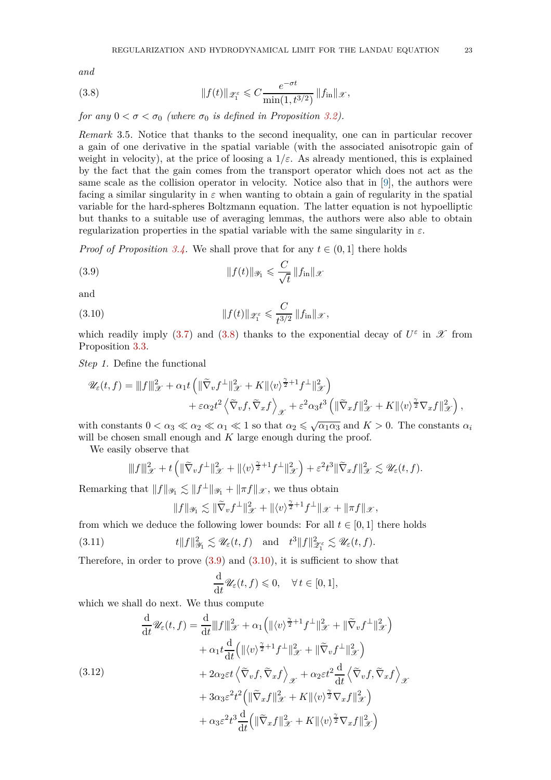*and*

<span id="page-22-0"></span>(3.8) 
$$
||f(t)||_{\mathscr{Z}_1^{\varepsilon}} \leqslant C \frac{e^{-\sigma t}}{\min(1, t^{3/2})} ||f_{\text{in}}||_{\mathscr{X}},
$$

*for any*  $0 < \sigma < \sigma_0$  *(where*  $\sigma_0$  *is defined in Proposition [3.2\)](#page-19-1).* 

*Remark* 3.5*.* Notice that thanks to the second inequality, one can in particular recover a gain of one derivative in the spatial variable (with the associated anisotropic gain of weight in velocity), at the price of loosing a  $1/\varepsilon$ . As already mentioned, this is explained by the fact that the gain comes from the transport operator which does not act as the same scale as the collision operator in velocity. Notice also that in [\[9\]](#page-78-6), the authors were facing a similar singularity in  $\varepsilon$  when wanting to obtain a gain of regularity in the spatial variable for the hard-spheres Boltzmann equation. The latter equation is not hypoelliptic but thanks to a suitable use of averaging lemmas, the authors were also able to obtain regularization properties in the spatial variable with the same singularity in *ε*.

*Proof of Proposition* [3.4.](#page-21-1) We shall prove that for any  $t \in (0, 1]$  there holds

<span id="page-22-1"></span>(3.9) 
$$
||f(t)||_{\mathscr{Y}_1} \leqslant \frac{C}{\sqrt{t}} ||f_{\text{in}}||_{\mathscr{X}}
$$

and

<span id="page-22-2"></span>(3.10) 
$$
\|f(t)\|_{\mathscr{Z}_1^{\varepsilon}} \leqslant \frac{C}{t^{3/2}} \|f_{\text{in}}\|_{\mathscr{X}},
$$

which readily imply [\(3.7\)](#page-21-2) and [\(3.8\)](#page-22-0) thanks to the exponential decay of  $U^{\varepsilon}$  in  $\mathscr X$  from Proposition [3.3.](#page-19-5)

*Step 1.* Define the functional

$$
\mathscr{U}_{\varepsilon}(t,f) = |||f||_{\mathscr{X}}^{2} + \alpha_{1} t \left( ||\widetilde{\nabla}_{v} f^{\perp}||_{\mathscr{X}}^{2} + K||\langle v \rangle^{\frac{\gamma}{2}+1} f^{\perp}||_{\mathscr{X}}^{2} \right) + \varepsilon \alpha_{2} t^{2} \left\langle \widetilde{\nabla}_{v} f, \widetilde{\nabla}_{x} f \right\rangle_{\mathscr{X}} + \varepsilon^{2} \alpha_{3} t^{3} \left( ||\widetilde{\nabla}_{x} f||_{\mathscr{X}}^{2} + K||\langle v \rangle^{\frac{\gamma}{2}} \nabla_{x} f||_{\mathscr{X}}^{2} \right),
$$

with constants  $0 < \alpha_3 \ll \alpha_2 \ll \alpha_1 \ll 1$  so that  $\alpha_2 \leq \sqrt{\alpha_1 \alpha_3}$  and  $K > 0$ . The constants  $\alpha_i$ will be chosen small enough and *K* large enough during the proof.

We easily observe that

$$
||f||_{\mathscr{X}}^2 + t \left( ||\widetilde{\nabla}_v f^\perp||_{\mathscr{X}}^2 + ||\langle v \rangle^{\frac{\gamma}{2}+1} f^\perp||_{\mathscr{X}}^2 \right) + \varepsilon^2 t^3 ||\widetilde{\nabla}_x f||_{\mathscr{X}}^2 \lesssim \mathscr{U}_{\varepsilon}(t, f).
$$

Remarking that  $||f||_{\mathscr{Y}_1} \lesssim ||f^{\perp}||_{\mathscr{Y}_1} + ||\pi f||_{\mathscr{X}}$ , we thus obtain

$$
||f||_{\mathscr{Y}_1} \lesssim ||\widetilde{\nabla}_v f^\perp||_{\mathscr{X}}^2 + ||\langle v \rangle^{\frac{\gamma}{2}+1} f^\perp||_{\mathscr{X}} + ||\pi f||_{\mathscr{X}},
$$

from which we deduce the following lower bounds: For all  $t \in [0, 1]$  there holds

(3.11) 
$$
t\|f\|_{\mathscr{Y}_1}^2 \lesssim \mathscr{U}_{\varepsilon}(t,f) \quad \text{and} \quad t^3\|f\|_{\mathscr{Z}_1^{\varepsilon}}^2 \lesssim \mathscr{U}_{\varepsilon}(t,f).
$$

Therefore, in order to prove  $(3.9)$  and  $(3.10)$ , it is sufficient to show that

$$
\frac{\mathrm{d}}{\mathrm{d}t}\mathscr{U}_{\varepsilon}(t,f)\leqslant 0,\quad\forall\,t\in[0,1],
$$

which we shall do next. We thus compute

(3.12)  
\n
$$
\frac{d}{dt} \mathscr{U}_{\varepsilon}(t,f) = \frac{d}{dt} ||f||_{\mathscr{X}}^2 + \alpha_1 (||\langle v \rangle^{\frac{\gamma}{2}+1} f^{\perp}||_{\mathscr{X}}^2 + ||\widetilde{\nabla}_v f^{\perp}||_{\mathscr{X}}^2) \n+ \alpha_1 t \frac{d}{dt} (||\langle v \rangle^{\frac{\gamma}{2}+1} f^{\perp}||_{\mathscr{X}}^2 + ||\widetilde{\nabla}_v f^{\perp}||_{\mathscr{X}}^2) \n+ 2\alpha_2 \varepsilon t \langle \widetilde{\nabla}_v f, \widetilde{\nabla}_x f \rangle_{\mathscr{X}} + \alpha_2 \varepsilon t^2 \frac{d}{dt} \langle \widetilde{\nabla}_v f, \widetilde{\nabla}_x f \rangle_{\mathscr{X}} \n+ 3\alpha_3 \varepsilon^2 t^2 (||\widetilde{\nabla}_x f||_{\mathscr{X}}^2 + K ||\langle v \rangle^{\frac{\gamma}{2}} \nabla_x f||_{\mathscr{X}}^2) \n+ \alpha_3 \varepsilon^2 t^3 \frac{d}{dt} (||\widetilde{\nabla}_x f||_{\mathscr{X}}^2 + K ||\langle v \rangle^{\frac{\gamma}{2}} \nabla_x f||_{\mathscr{X}}^2)
$$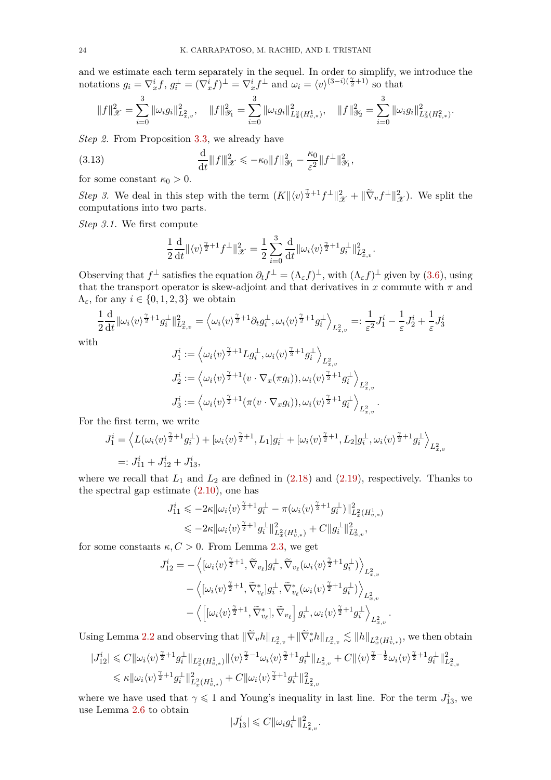and we estimate each term separately in the sequel. In order to simplify, we introduce the notations  $g_i = \nabla_x^i f$ ,  $g_i^{\perp} = (\nabla_x^i f)^{\perp} = \nabla_x^i f^{\perp}$  and  $\omega_i = \langle v \rangle^{(3-i)(\frac{\gamma}{2}+1)}$  so that

$$
||f||_{\mathcal{X}}^2 = \sum_{i=0}^3 ||\omega_i g_i||_{L^2_{x,v}}^2, \quad ||f||_{\mathcal{Y}_1}^2 = \sum_{i=0}^3 ||\omega_i g_i||_{L^2_x(H^1_{v,*})}^2, \quad ||f||_{\mathcal{Y}_2}^2 = \sum_{i=0}^3 ||\omega_i g_i||_{L^2_x(H^2_{v,*})}^2.
$$

*Step 2.* From Proposition [3.3,](#page-19-5) we already have

<span id="page-23-0"></span>(3.13) 
$$
\frac{d}{dt} ||f||_{\mathcal{X}}^2 \leq -\kappa_0 ||f||_{\mathcal{Y}_1}^2 - \frac{\kappa_0}{\varepsilon^2} ||f^\perp||_{\mathcal{Y}_1}^2,
$$

for some constant  $\kappa_0 > 0$ .

*Step 3.* We deal in this step with the term  $(K \|\langle v \rangle^{\frac{\gamma}{2}+1} f^{\perp} \|_{\mathcal{X}}^2 + \| \widetilde{\nabla}_v f^{\perp} \|_{\mathcal{X}}^2)$ . We split the computations into two parts.

*Step 3.1.* We first compute

$$
\frac{1}{2}\frac{\mathrm{d}}{\mathrm{d}t}\|\langle v \rangle^{\frac{\gamma}{2}+1}f^{\perp}\|_{\mathscr{X}}^2 = \frac{1}{2}\sum_{i=0}^3\frac{\mathrm{d}}{\mathrm{d}t}\|\omega_i\langle v \rangle^{\frac{\gamma}{2}+1}g_i^{\perp}\|_{L^2_{x,v}}^2.
$$

Observing that  $f^{\perp}$  satisfies the equation  $\partial_t f^{\perp} = (\Lambda_{\varepsilon} f)^{\perp}$ , with  $(\Lambda_{\varepsilon} f)^{\perp}$  given by [\(3.6\)](#page-20-0), using that the transport operator is skew-adjoint and that derivatives in  $x$  commute with  $\pi$  and  $Λ<sub>ε</sub>$ , for any *i* ∈ {0, 1, 2, 3} we obtain

$$
\frac{1}{2}\frac{\mathrm{d}}{\mathrm{d}t} \|\omega_i \langle v \rangle^{\frac{\gamma}{2}+1} g_i^{\perp} \|_{L^2_{x,v}}^2 = \left\langle \omega_i \langle v \rangle^{\frac{\gamma}{2}+1} \partial_t g_i^{\perp}, \omega_i \langle v \rangle^{\frac{\gamma}{2}+1} g_i^{\perp} \right\rangle_{L^2_{x,v}} =: \frac{1}{\varepsilon^2} J_1^i - \frac{1}{\varepsilon} J_2^i + \frac{1}{\varepsilon} J_3^i
$$

with

$$
J_1^i := \left\langle \omega_i \langle v \rangle^{\frac{\gamma}{2}+1} L g_i^{\perp}, \omega_i \langle v \rangle^{\frac{\gamma}{2}+1} g_i^{\perp} \right\rangle_{L^2_{x,v}}
$$
  

$$
J_2^i := \left\langle \omega_i \langle v \rangle^{\frac{\gamma}{2}+1} (v \cdot \nabla_x(\pi g_i)), \omega_i \langle v \rangle^{\frac{\gamma}{2}+1} g_i^{\perp} \right\rangle_{L^2_{x,v}}
$$
  

$$
J_3^i := \left\langle \omega_i \langle v \rangle^{\frac{\gamma}{2}+1} (\pi (v \cdot \nabla_x g_i)), \omega_i \langle v \rangle^{\frac{\gamma}{2}+1} g_i^{\perp} \right\rangle_{L^2_{x,v}}.
$$

For the first term, we write

$$
J_1^i = \left\langle L(\omega_i \langle v \rangle^{\frac{\gamma}{2}+1} g_i^{\perp}) + [\omega_i \langle v \rangle^{\frac{\gamma}{2}+1}, L_1] g_i^{\perp} + [\omega_i \langle v \rangle^{\frac{\gamma}{2}+1}, L_2] g_i^{\perp}, \omega_i \langle v \rangle^{\frac{\gamma}{2}+1} g_i^{\perp} \right\rangle_{L^2_{x,v}}
$$
  
=:  $J_{11}^i + J_{12}^i + J_{13}^i$ ,

where we recall that  $L_1$  and  $L_2$  are defined in  $(2.18)$  and  $(2.19)$ , respectively. Thanks to the spectral gap estimate  $(2.10)$ , one has

$$
\begin{aligned} J_{11}^i &\leqslant -2\kappa\|\omega_i\langle v \rangle^{\frac{\gamma}{2}+1}g_i^\perp -\pi(\omega_i\langle v \rangle^{\frac{\gamma}{2}+1}g_i^\perp)\|_{L^2_x(H_{v,*}^1)}^2 \\ &\leqslant -2\kappa\|\omega_i\langle v \rangle^{\frac{\gamma}{2}+1}g_i^\perp\|_{L^2_x(H_{v,*}^1)}^2+C\|g_i^\perp\|_{L^2_{x,v}}^2, \end{aligned}
$$

for some constants  $\kappa, C > 0$ . From Lemma [2.3,](#page-16-0) we get

$$
\begin{split} J_{12}^i = & - \left\langle [\omega_i \langle v \rangle^{\frac{\gamma}{2}+1}, \widetilde{\nabla}_{v_\ell}] g_i^\perp, \widetilde{\nabla}_{v_\ell} (\omega_i \langle v \rangle^{\frac{\gamma}{2}+1} g_i^\perp) \right\rangle_{L^2_{x,v}} \\ & - \left\langle [\omega_i \langle v \rangle^{\frac{\gamma}{2}+1}, \widetilde{\nabla}_{v_\ell}^*] g_i^\perp, \widetilde{\nabla}_{v_\ell}^* (\omega_i \langle v \rangle^{\frac{\gamma}{2}+1} g_i^\perp) \right\rangle_{L^2_{x,v}} \\ & - \left\langle \left[ [\omega_i \langle v \rangle^{\frac{\gamma}{2}+1}, \widetilde{\nabla}_{v_\ell}^*], \widetilde{\nabla}_{v_\ell} \right] g_i^\perp, \omega_i \langle v \rangle^{\frac{\gamma}{2}+1} g_i^\perp \right\rangle_{L^2_{x,v}} \end{split}
$$

Using Lemma [2.2](#page-14-1) and observing that  $\|\nabla_v h\|_{L^2_{x,v}} + \|\nabla_v^* h\|_{L^2_{x,v}} \lesssim \|h\|_{L^2_x(H^1_{v,*})}$ , we then obtain

*.*

$$
\begin{aligned} |J^i_{12}| \leqslant C\|\omega_i\langle v \rangle^{\frac{\gamma}{2}+1}g_i^\perp\|_{L^2_x(H^1_{v,*})}\|\langle v \rangle^{\frac{\gamma}{2}-1}\omega_i\langle v \rangle^{\frac{\gamma}{2}+1}g_i^\perp\|_{L^2_{x,v}} + C\|\langle v \rangle^{\frac{\gamma}{2}-\frac{1}{2}}\omega_i\langle v \rangle^{\frac{\gamma}{2}+1}g_i^\perp\|_{L^2_{x,v}}^2\\ \leqslant \kappa\|\omega_i\langle v \rangle^{\frac{\gamma}{2}+1}g_i^\perp\|_{L^2_x(H^1_{v,*})}^2 + C\|\omega_i\langle v \rangle^{\frac{\gamma}{2}+1}g_i^\perp\|_{L^2_{x,v}}^2 \end{aligned}
$$

where we have used that  $\gamma \leq 1$  and Young's inequality in last line. For the term  $J_{13}^i$ , we use Lemma [2.6](#page-17-2) to obtain

$$
|J_{13}^i| \leqslant C \|\omega_i g_i^{\perp}\|_{L^2_{x,v}}^2.
$$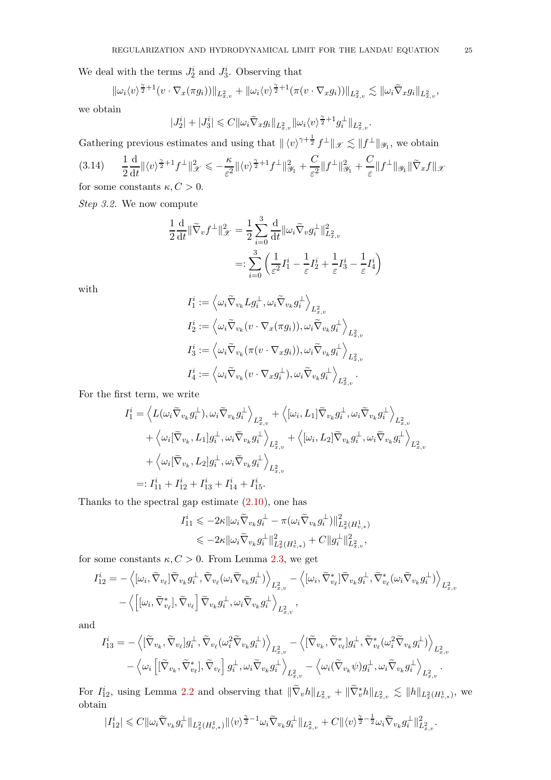We deal with the terms  $J_2^i$  and  $J_3^i$ . Observing that

$$
\|\omega_i \langle v \rangle^{\frac{\gamma}{2}+1} (v \cdot \nabla_x(\pi g_i))\|_{L^2_{x,v}} + \|\omega_i \langle v \rangle^{\frac{\gamma}{2}+1} (\pi(v \cdot \nabla_x g_i))\|_{L^2_{x,v}} \lesssim \|\omega_i \widetilde{\nabla}_x g_i\|_{L^2_{x,v}},
$$

we obtain

$$
|J_2^i|+|J_3^i| \leqslant C \|\omega_i \widetilde{\nabla}_x g_i\|_{L^2_{x,v}} \|\omega_i \langle v \rangle^{\frac{\gamma}{2}+1} g_i^{\perp}\|_{L^2_{x,v}}.
$$

Gathering previous estimates and using that  $\| \langle v \rangle^{\gamma + \frac{1}{2}} f^{\perp} \|_{\mathscr{X}} \lesssim \| f^{\perp} \|_{\mathscr{Y}_1}$ , we obtain  $(3.14)$ 2 d  $\frac{d}{dt}$ || $\langle v \rangle^{\frac{\gamma}{2}+1} f^{\perp} ||_{\mathscr{X}}^2 \leqslant -\frac{\kappa}{\varepsilon^2}$  $\frac{\kappa}{\varepsilon^2}$ || $\langle v \rangle^{\frac{\gamma}{2}+1} f^{\perp}$ || $\frac{2}{\mathscr{Y}_1}$  +  $\frac{C}{\varepsilon^2}$  $\frac{C}{\varepsilon^2} \|f^{\perp}\|_{\mathcal{Y}_1}^2 + \frac{C}{\varepsilon}$  $\frac{\partial}{\partial \varepsilon}$ ||*f*<sup> $\perp$ </sup>||<sub>3</sub><sub>*{|| 3}*</sub>

<span id="page-24-0"></span>for some constants  $\kappa, C > 0$ .

*Step 3.2.* We now compute

$$
\frac{1}{2}\frac{\mathrm{d}}{\mathrm{d}t} \|\widetilde{\nabla}_v f^\perp\|_{\mathcal{X}}^2 = \frac{1}{2} \sum_{i=0}^3 \frac{\mathrm{d}}{\mathrm{d}t} \|\omega_i \widetilde{\nabla}_v g_i^\perp\|_{L^2_{x,v}}^2
$$

$$
=:\sum_{i=0}^3 \left(\frac{1}{\varepsilon^2} I_1^i - \frac{1}{\varepsilon} I_2^i + \frac{1}{\varepsilon} I_3^i - \frac{1}{\varepsilon} I_4^i\right)
$$

with

$$
\begin{aligned} I_1^i &:= \left\langle \omega_i \widetilde \nabla_{v_k} L g_i^\perp , \omega_i \widetilde \nabla_{v_k} g_i^\perp \right\rangle_{L^2_{x,v}} \\ I_2^i &:= \left\langle \omega_i \widetilde \nabla_{v_k} (v \cdot \nabla_x (\pi g_i)), \omega_i \widetilde \nabla_{v_k} g_i^\perp \right\rangle_{L^2_{x,v}} \\ I_3^i &:= \left\langle \omega_i \widetilde \nabla_{v_k} (\pi (v \cdot \nabla_x g_i)), \omega_i \widetilde \nabla_{v_k} g_i^\perp \right\rangle_{L^2_{x,v}} \\ I_4^i &:= \left\langle \omega_i \widetilde \nabla_{v_k} (v \cdot \nabla_x g_i^\perp), \omega_i \widetilde \nabla_{v_k} g_i^\perp \right\rangle_{L^2_{x,v}}. \end{aligned}
$$

For the first term, we write

$$
\begin{split} I_1^i &= \left\langle L(\omega_i \widetilde{\nabla}_{v_k} g_i^\perp), \omega_i \widetilde{\nabla}_{v_k} g_i^\perp \right\rangle_{L^2_{x,v}} + \left\langle [\omega_i, L_1] \widetilde{\nabla}_{v_k} g_i^\perp, \omega_i \widetilde{\nabla}_{v_k} g_i^\perp \right\rangle_{L^2_{x,v}} \\ &+ \left\langle \omega_i [\widetilde{\nabla}_{v_k}, L_1] g_i^\perp, \omega_i \widetilde{\nabla}_{v_k} g_i^\perp \right\rangle_{L^2_{x,v}} + \left\langle [\omega_i, L_2] \widetilde{\nabla}_{v_k} g_i^\perp, \omega_i \widetilde{\nabla}_{v_k} g_i^\perp \right\rangle_{L^2_{x,v}} \\ &+ \left\langle \omega_i [\widetilde{\nabla}_{v_k}, L_2] g_i^\perp, \omega_i \widetilde{\nabla}_{v_k} g_i^\perp \right\rangle_{L^2_{x,v}} \\ &=: I_{11}^i + I_{12}^i + I_{13}^i + I_{14}^i + I_{15}^i. \end{split}
$$

Thanks to the spectral gap estimate [\(2.10\)](#page-12-1), one has

$$
\begin{aligned} I_{11}^i \leqslant & -2\kappa\|\omega_i\tilde{\nabla}_{v_k}g_i^\perp - \pi(\omega_i\tilde{\nabla}_{v_k}g_i^\perp)\|^2_{L^2_x(H^1_{v,*})}\\ \leqslant & -2\kappa\|\omega_i\tilde{\nabla}_{v_k}g_i^\perp\|^2_{L^2_x(H^1_{v,*})}+C\|g_i^\perp\|^2_{L^2_{x,v}}, \end{aligned}
$$

for some constants  $\kappa, C > 0$ . From Lemma [2.3,](#page-16-0) we get

$$
I_{12}^{i} = -\left\langle [\omega_{i}, \widetilde{\nabla}_{v_{\ell}}] \widetilde{\nabla}_{v_{k}} g_{i}^{\perp}, \widetilde{\nabla}_{v_{\ell}} (\omega_{i} \widetilde{\nabla}_{v_{k}} g_{i}^{\perp}) \right\rangle_{L_{x,v}^{2}} - \left\langle [\omega_{i}, \widetilde{\nabla}_{v_{\ell}}^{*}] \widetilde{\nabla}_{v_{k}} g_{i}^{\perp}, \widetilde{\nabla}_{v_{\ell}}^{*} (\omega_{i} \widetilde{\nabla}_{v_{k}} g_{i}^{\perp}) \right\rangle_{L_{x,v}^{2}}
$$

$$
- \left\langle \left[ [\omega_{i}, \widetilde{\nabla}_{v_{\ell}}^{*}] , \widetilde{\nabla}_{v_{\ell}} \right] \widetilde{\nabla}_{v_{k}} g_{i}^{\perp}, \omega_{i} \widetilde{\nabla}_{v_{k}} g_{i}^{\perp} \right\rangle_{L_{x,v}^{2}},
$$

and

$$
I_{13}^{i} = -\left\langle [\widetilde{\nabla}_{v_{k}}, \widetilde{\nabla}_{v_{\ell}}] g_{i}^{\perp}, \widetilde{\nabla}_{v_{\ell}} (\omega_{i}^{2} \widetilde{\nabla}_{v_{k}} g_{i}^{\perp}) \right\rangle_{L_{x,v}^{2}} - \left\langle [\widetilde{\nabla}_{v_{k}}, \widetilde{\nabla}_{v_{\ell}}^{*}] g_{i}^{\perp}, \widetilde{\nabla}_{v_{\ell}}^{*} (\omega_{i}^{2} \widetilde{\nabla}_{v_{k}} g_{i}^{\perp}) \right\rangle_{L_{x,v}^{2}} - \left\langle \omega_{i} \left[ [\widetilde{\nabla}_{v_{k}}, \widetilde{\nabla}_{v_{\ell}}^{*}] , \widetilde{\nabla}_{v_{\ell}} g_{i}^{\perp}, \omega_{i} \widetilde{\nabla}_{v_{k}} g_{i}^{\perp} \right\rangle_{L_{x,v}^{2}} - \left\langle \omega_{i} (\widetilde{\nabla}_{v_{k}} \psi) g_{i}^{\perp}, \omega_{i} \widetilde{\nabla}_{v_{k}} g_{i}^{\perp} \right\rangle_{L_{x,v}^{2}}.
$$

For  $I_{12}^i$ , using Lemma [2.2](#page-14-1) and observing that  $\|\nabla_v h\|_{L^2_{x,v}} + \|\nabla_v^* h\|_{L^2_{x,v}} \lesssim \|h\|_{L^2_x(H^1_{v,*})}$ , we obtain

$$
|I_{12}^i|\leqslant C\|\omega_i\tilde{\nabla}_{v_k}g_i^\perp\|_{L^2_x(H_{v,*}^1)}\|\langle v\rangle^{\frac{\gamma}{2}-1}\omega_i\tilde{\nabla}_{v_k}g_i^\perp\|_{L^2_{x,v}}+C\|\langle v\rangle^{\frac{\gamma}{2}-\frac{1}{2}}\omega_i\tilde{\nabla}_{v_k}g_i^\perp\|_{L^2_{x,v}}^2.
$$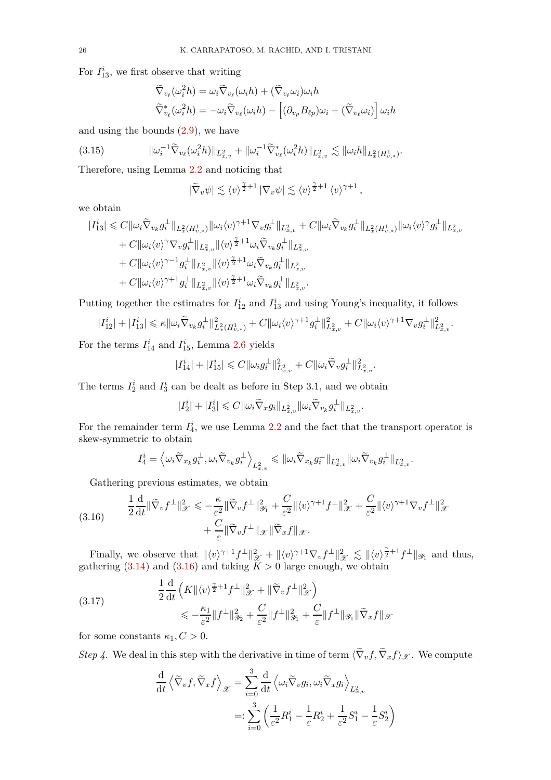For  $I_{13}^i$ , we first observe that writing

$$
\widetilde{\nabla}_{v_{\ell}}(\omega_{i}^{2}h) = \omega_{i} \widetilde{\nabla}_{v_{\ell}}(\omega_{i}h) + (\widetilde{\nabla}_{v_{\ell}}\omega_{i})\omega_{i}h
$$
\n
$$
\widetilde{\nabla}_{v_{\ell}}^{*}(\omega_{i}^{2}h) = -\omega_{i} \widetilde{\nabla}_{v_{\ell}}(\omega_{i}h) - [(\partial_{v_{p}}B_{\ell p})\omega_{i} + (\widetilde{\nabla}_{v_{\ell}}\omega_{i})] \omega_{i}h
$$

and using the bounds [\(2.9\)](#page-12-4), we have

$$
(3.15) \t\t ||\omega_i^{-1} \widetilde{\nabla}_{v_\ell} (\omega_i^2 h) ||_{L^2_{x,v}} + ||\omega_i^{-1} \widetilde{\nabla}_{v_\ell}^* (\omega_i^2 h) ||_{L^2_{x,v}} \lesssim ||\omega_i h||_{L^2_x(H^1_{v,*})}.
$$

Therefore, using Lemma [2.2](#page-14-1) and noticing that

<span id="page-25-1"></span>
$$
|\widetilde{\nabla}_v \psi| \lesssim \langle v \rangle^{\frac{\gamma}{2}+1} |\nabla_v \psi| \lesssim \langle v \rangle^{\frac{\gamma}{2}+1} \langle v \rangle^{\gamma+1},
$$

we obtain

$$
\begin{aligned} |I^i_{13}| \leqslant C\|\omega_i\widetilde{\nabla}_{v_k}g_i^{\perp}\|_{L^2_x(H^1_{v,*})}\|\omega_i\langle v\rangle^{\gamma+1}\nabla_v g_i^{\perp}\|_{L^2_{x,v}} + C\|\omega_i\widetilde{\nabla}_{v_k}g_i^{\perp}\|_{L^2_x(H^1_{v,*})}\|\omega_i\langle v\rangle^{\gamma}g_i^{\perp}\|_{L^2_{x,v}} \\ &+ C\|\omega_i\langle v\rangle^{\gamma}\nabla_v g_i^{\perp}\|_{L^2_{x,v}}\|\langle v\rangle^{\frac{\gamma}{2}+1}\omega_i\widetilde{\nabla}_{v_k}g_i^{\perp}\|_{L^2_{x,v}} \\ &+ C\|\omega_i\langle v\rangle^{\gamma-1}g_i^{\perp}\|_{L^2_{x,v}}\|\langle v\rangle^{\frac{\gamma}{2}+1}\omega_i\widetilde{\nabla}_{v_k}g_i^{\perp}\|_{L^2_{x,v}} \\ &+ C\|\omega_i\langle v\rangle^{\gamma+1}g_i^{\perp}\|_{L^2_{x,v}}\|\langle v\rangle^{\frac{\gamma}{2}+1}\omega_i\widetilde{\nabla}_{v_k}g_i^{\perp}\|_{L^2_{x,v}}. \end{aligned}
$$

Putting together the estimates for  $I_{12}^i$  and  $I_{13}^i$  and using Young's inequality, it follows

$$
|I_{12}^i| + |I_{13}^i| \leqslant \kappa ||\omega_i \widetilde{\nabla}_{v_k} g_i^{\perp}||_{L_x^2(H_{v,*}^1)}^2 + C ||\omega_i \langle v \rangle^{\gamma+1} g_i^{\perp}||_{L_{x,v}}^2 + C ||\omega_i \langle v \rangle^{\gamma+1} \nabla_v g_i^{\perp}||_{L_{x,v}}^2
$$

*.*

For the terms  $I_{14}^i$  and  $I_{15}^i$ , Lemma [2.6](#page-17-2) yields

$$
|I^i_{14}|+|I^i_{15}|\leqslant C\|\omega_i g_i^{\perp}\|^2_{L^2_{x,v}}+C\|\omega_i \widetilde \nabla_v g_i^{\perp}\|^2_{L^2_{x,v}}.
$$

The terms  $I_2^i$  and  $I_3^i$  can be dealt as before in Step 3.1, and we obtain

$$
|I_2^i|+|I_3^i|\leqslant C\|\omega_i\widetilde{\nabla}_x g_i\|_{L^2_{x,v}}\|\omega_i\widetilde{\nabla}_{v_k} g_i^{\perp}\|_{L^2_{x,v}}.
$$

For the remainder term  $I_4^i$ , we use Lemma [2.2](#page-14-1) and the fact that the transport operator is skew-symmetric to obtain

$$
I_4^i = \left\langle \omega_i \widetilde \nabla_{x_k} g_i^\perp , \omega_i \widetilde \nabla_{v_k} g_i^\perp \right\rangle_{L^2_{x,v}} \leqslant \| \omega_i \widetilde \nabla_{x_k} g_i^\perp \|_{L^2_{x,v}} \| \omega_i \widetilde \nabla_{v_k} g_i^\perp \|_{L^2_{x,v}}.
$$

<span id="page-25-0"></span>Gathering previous estimates, we obtain

(3.16) 
$$
\frac{1}{2}\frac{\mathrm{d}}{\mathrm{d}t}\|\widetilde{\nabla}_v f^\perp\|_{\mathscr{X}}^2 \leqslant -\frac{\kappa}{\varepsilon^2}\|\widetilde{\nabla}_v f^\perp\|_{\mathscr{Y}_1}^2 + \frac{C}{\varepsilon^2}\|\langle v\rangle^{\gamma+1} f^\perp\|_{\mathscr{X}}^2 + \frac{C}{\varepsilon^2}\|\langle v\rangle^{\gamma+1}\nabla_v f^\perp\|_{\mathscr{X}}^2 + \frac{C}{\varepsilon}\|\widetilde{\nabla}_v f^\perp\|_{\mathscr{X}}\|\widetilde{\nabla}_x f\|_{\mathscr{X}}.
$$

Finally, we observe that  $\|\langle v \rangle^{\gamma+1} f^{\perp} \|_{\mathcal{X}}^2 + \|\langle v \rangle^{\gamma+1} \nabla_v f^{\perp} \|_{\mathcal{X}}^2 \lesssim \|\langle v \rangle^{\frac{\gamma}{2}+1} f^{\perp} \|_{\mathcal{Y}_1}$  and thus, gathering  $(3.14)$  and  $(3.16)$  and taking  $K > 0$  large enough, we obtain

(3.17) 
$$
\frac{1}{2}\frac{\mathrm{d}}{\mathrm{d}t}\left(K\|\langle v\rangle^{\frac{\gamma}{2}+1}f^{\perp}\|_{\mathscr{X}}^{2}+\|\widetilde{\nabla}_{v}f^{\perp}\|_{\mathscr{X}}^{2}\right) \le -\frac{\kappa_{1}}{\varepsilon^{2}}\|f^{\perp}\|_{\mathscr{Y}_{2}}^{2}+\frac{C}{\varepsilon^{2}}\|f^{\perp}\|_{\mathscr{Y}_{1}}^{2}+\frac{C}{\varepsilon}\|f^{\perp}\|_{\mathscr{Y}_{1}}\|\widetilde{\nabla}_{x}f\|_{\mathscr{X}}
$$

for some constants  $\kappa_1, C > 0$ .

*Step 4*. We deal in this step with the derivative in time of term  $\langle \nabla_v f, \nabla_x f \rangle_{\mathscr{X}}$ . We compute

<span id="page-25-2"></span>
$$
\frac{\mathrm{d}}{\mathrm{d}t}\left\langle \tilde{\nabla}_v f, \tilde{\nabla}_x f \right\rangle_{\mathscr{X}} = \sum_{i=0}^3 \frac{\mathrm{d}}{\mathrm{d}t} \left\langle \omega_i \tilde{\nabla}_v g_i, \omega_i \tilde{\nabla}_x g_i \right\rangle_{L^2_{x,v}} \n=:\sum_{i=0}^3 \left( \frac{1}{\varepsilon^2} R_1^i - \frac{1}{\varepsilon} R_2^i + \frac{1}{\varepsilon^2} S_1^i - \frac{1}{\varepsilon} S_2^i \right)
$$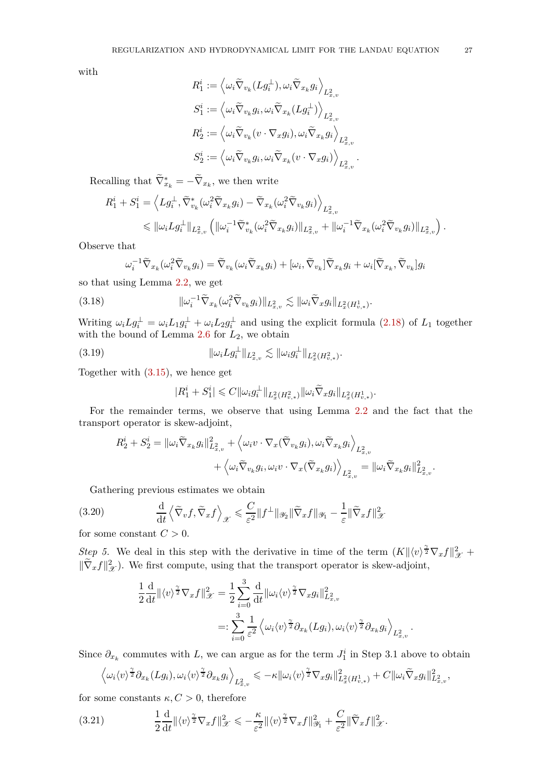with

$$
\begin{aligned} R_1^i&:=\left\langle \omega_i\widetilde{\nabla}_{v_k}(Lg_i^{\perp}),\omega_i\widetilde{\nabla}_{x_k}g_i\right\rangle_{L^2_{x,v}}\\ S_1^i&:=\left\langle \omega_i\widetilde{\nabla}_{v_k}g_i,\omega_i\widetilde{\nabla}_{x_k}(Lg_i^{\perp})\right\rangle_{L^2_{x,v}}\\ R_2^i&:=\left\langle \omega_i\widetilde{\nabla}_{v_k}(v\cdot\nabla_xg_i),\omega_i\widetilde{\nabla}_{x_k}g_i\right\rangle_{L^2_{x,v}}\\ S_2^i&:=\left\langle \omega_i\widetilde{\nabla}_{v_k}g_i,\omega_i\widetilde{\nabla}_{x_k}(v\cdot\nabla_xg_i)\right\rangle_{L^2_{x,v}}\end{aligned}
$$

*.*

Recalling that  $\widetilde{\nabla}^*_{x_k} = -\widetilde{\nabla}_{x_k}$ , we then write

$$
R_1^i + S_1^i = \left\langle Lg_i^{\perp}, \tilde{\nabla}_{v_k}^*(\omega_i^2 \tilde{\nabla}_{x_k} g_i) - \tilde{\nabla}_{x_k}(\omega_i^2 \tilde{\nabla}_{v_k} g_i) \right\rangle_{L^2_{x,v}} \leq \|\omega_i Lg_i^{\perp}\|_{L^2_{x,v}} \left( \|\omega_i^{-1} \tilde{\nabla}_{v_k}^*(\omega_i^2 \tilde{\nabla}_{x_k} g_i) \|_{L^2_{x,v}} + \|\omega_i^{-1} \tilde{\nabla}_{x_k}(\omega_i^2 \tilde{\nabla}_{v_k} g_i) \|_{L^2_{x,v}} \right).
$$

Observe that

$$
\omega_i^{-1} \widetilde{\nabla}_{x_k} (\omega_i^2 \widetilde{\nabla}_{v_k} g_i) = \widetilde{\nabla}_{v_k} (\omega_i \widetilde{\nabla}_{x_k} g_i) + [\omega_i, \widetilde{\nabla}_{v_k}] \widetilde{\nabla}_{x_k} g_i + \omega_i [\widetilde{\nabla}_{x_k}, \widetilde{\nabla}_{v_k}] g_i
$$

so that using Lemma [2.2,](#page-14-1) we get

(3.18) 
$$
\|\omega_i^{-1}\widetilde{\nabla}_{x_k}(\omega_i^2\widetilde{\nabla}_{v_k}g_i)\|_{L^2_{x,v}} \lesssim \|\omega_i\widetilde{\nabla}_x g_i\|_{L^2_x(H^1_{v,*})}.
$$

Writing  $\omega_i L g_i^{\perp} = \omega_i L_1 g_i^{\perp} + \omega_i L_2 g_i^{\perp}$  and using the explicit formula [\(2.18\)](#page-13-2) of  $L_1$  together with the bound of Lemma [2.6](#page-17-2) for *L*2, we obtain

(3.19) 
$$
\|\omega_i L g_i^{\perp}\|_{L^2_{x,v}} \lesssim \|\omega_i g_i^{\perp}\|_{L^2_x(H^2_{v,*})}.
$$

Together with [\(3.15\)](#page-25-1), we hence get

$$
|R_1^i + S_1^i| \leq C \|\omega_i g_i^{\perp}\|_{L^2_x(H^2_{v,*})}\|\omega_i \widetilde{\nabla}_x g_i\|_{L^2_x(H^1_{v,*})}.
$$

For the remainder terms, we observe that using Lemma [2.2](#page-14-1) and the fact that the transport operator is skew-adjoint,

$$
\begin{aligned} R_2^i + S_2^i &= \Vert \omega_i \widetilde \nabla_{x_k} g_i \Vert_{L^2_{x,v}}^2 + \left\langle \omega_i v \cdot \nabla_x (\widetilde \nabla_{v_k} g_i) , \omega_i \widetilde \nabla_{x_k} g_i \right\rangle_{L^2_{x,v}} \\ &\quad + \left\langle \omega_i \widetilde \nabla_{v_k} g_i , \omega_i v \cdot \nabla_x (\widetilde \nabla_{x_k} g_i) \right\rangle_{L^2_{x,v}} = \Vert \omega_i \widetilde \nabla_{x_k} g_i \Vert_{L^2_{x,v}}^2. \end{aligned}
$$

<span id="page-26-1"></span>Gathering previous estimates we obtain

(3.20) 
$$
\frac{\mathrm{d}}{\mathrm{d}t}\left\langle \tilde{\nabla}_{v}f,\tilde{\nabla}_{x}f\right\rangle _{\mathscr{X}}\leqslant\frac{C}{\varepsilon^{2}}\|f^{\perp}\|_{\mathscr{Y}_{2}}\|\tilde{\nabla}_{x}f\|_{\mathscr{Y}_{1}}-\frac{1}{\varepsilon}\|\tilde{\nabla}_{x}f\|_{\mathscr{X}}^{2}
$$

for some constant  $C > 0$ .

*Step 5.* We deal in this step with the derivative in time of the term  $(K \|\langle v \rangle^{\frac{\gamma}{2}} \nabla_x f\|_{\mathcal{X}}^2 +$  $\|\widetilde{\nabla}_x f\|_{\mathcal{X}}^2$ . We first compute, using that the transport operator is skew-adjoint,

$$
\frac{1}{2} \frac{\mathrm{d}}{\mathrm{d}t} \| \langle v \rangle^{\frac{\gamma}{2}} \nabla_x f \|_{\mathcal{X}}^2 = \frac{1}{2} \sum_{i=0}^3 \frac{\mathrm{d}}{\mathrm{d}t} \| \omega_i \langle v \rangle^{\frac{\gamma}{2}} \nabla_x g_i \|_{L^2_{x,v}}^2
$$

$$
=: \sum_{i=0}^3 \frac{1}{\varepsilon^2} \left\langle \omega_i \langle v \rangle^{\frac{\gamma}{2}} \partial_{x_k} (Lg_i), \omega_i \langle v \rangle^{\frac{\gamma}{2}} \partial_{x_k} g_i \right\rangle_{L^2_{x,v}}
$$

*.*

Since  $\partial_{x_k}$  commutes with *L*, we can argue as for the term  $J_1^i$  in Step 3.1 above to obtain

<span id="page-26-0"></span>
$$
\left\langle \omega_i \langle v \rangle^{\frac{\gamma}{2}} \partial_{x_k}(Lg_i), \omega_i \langle v \rangle^{\frac{\gamma}{2}} \partial_{x_k} g_i \right\rangle_{L^2_{x,v}} \leqslant -\kappa \| \omega_i \langle v \rangle^{\frac{\gamma}{2}} \nabla_x g_i \|_{L^2_x(H^1_{v,*})}^2 + C \| \omega_i \widetilde{\nabla}_x g_i \|_{L^2_{x,v}}^2,
$$

for some constants  $\kappa, C > 0$ , therefore

(3.21) 
$$
\frac{1}{2}\frac{\mathrm{d}}{\mathrm{d}t}\|\langle v\rangle^{\frac{\gamma}{2}}\nabla_x f\|_{\mathscr{X}}^2 \leqslant -\frac{\kappa}{\varepsilon^2}\|\langle v\rangle^{\frac{\gamma}{2}}\nabla_x f\|_{\mathscr{Y}_1}^2 + \frac{C}{\varepsilon^2}\|\widetilde{\nabla}_x f\|_{\mathscr{X}}^2.
$$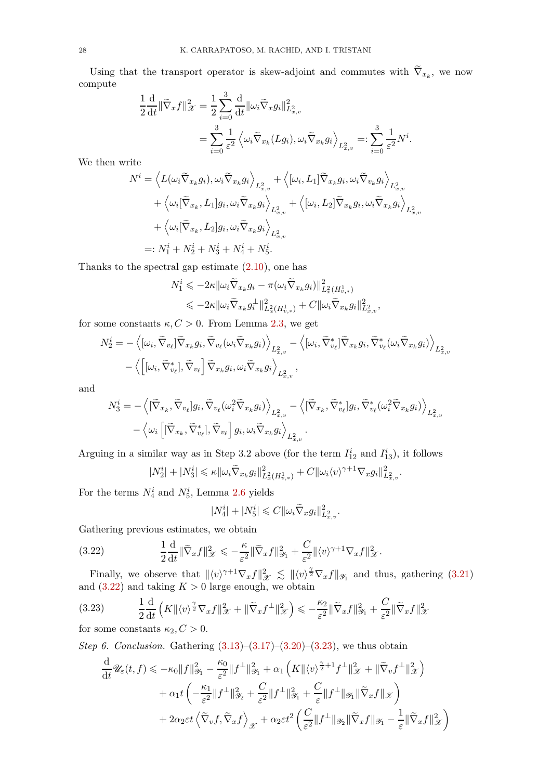Using that the transport operator is skew-adjoint and commutes with  $\nabla_{x_k}$ , we now compute

$$
\frac{1}{2}\frac{\mathrm{d}}{\mathrm{d}t} \|\widetilde{\nabla}_x f\|_{\mathcal{X}}^2 = \frac{1}{2} \sum_{i=0}^3 \frac{\mathrm{d}}{\mathrm{d}t} \|\omega_i \widetilde{\nabla}_x g_i\|_{L^2_{x,v}}^2
$$

$$
= \sum_{i=0}^3 \frac{1}{\varepsilon^2} \left\langle \omega_i \widetilde{\nabla}_{x_k} (Lg_i), \omega_i \widetilde{\nabla}_{x_k} g_i \right\rangle_{L^2_{x,v}} =: \sum_{i=0}^3 \frac{1}{\varepsilon^2} N^i.
$$

We then write

$$
N^{i} = \left\langle L(\omega_{i}\widetilde{\nabla}_{x_{k}}g_{i}), \omega_{i}\widetilde{\nabla}_{x_{k}}g_{i}\right\rangle_{L_{x,v}^{2}} + \left\langle [\omega_{i}, L_{1}]\widetilde{\nabla}_{x_{k}}g_{i}, \omega_{i}\widetilde{\nabla}_{v_{k}}g_{i}\right\rangle_{L_{x,v}^{2}} + \left\langle \omega_{i}[\widetilde{\nabla}_{x_{k}}, L_{1}]g_{i}, \omega_{i}\widetilde{\nabla}_{x_{k}}g_{i}\right\rangle_{L_{x,v}^{2}} + \left\langle [\omega_{i}, L_{2}]\widetilde{\nabla}_{x_{k}}g_{i}, \omega_{i}\widetilde{\nabla}_{x_{k}}g_{i}\right\rangle_{L_{x,v}^{2}} + \left\langle \omega_{i}[\widetilde{\nabla}_{x_{k}}, L_{2}]g_{i}, \omega_{i}\widetilde{\nabla}_{x_{k}}g_{i}\right\rangle_{L_{x,v}^{2}} =: N_{1}^{i} + N_{2}^{i} + N_{3}^{i} + N_{4}^{i} + N_{5}^{i}.
$$

Thanks to the spectral gap estimate  $(2.10)$ , one has

$$
N_1^i \leqslant -2\kappa \|\omega_i \widetilde{\nabla}_{x_k} g_i - \pi(\omega_i \widetilde{\nabla}_{x_k} g_i)\|_{L_x^2(H_{v,*}^1)}^2
$$
  

$$
\leqslant -2\kappa \|\omega_i \widetilde{\nabla}_{x_k} g_i^{\perp}\|_{L_x^2(H_{v,*}^1)}^2 + C \|\omega_i \widetilde{\nabla}_{x_k} g_i\|_{L_{x,v}}^2
$$

*,*

*.*

for some constants  $\kappa, C > 0$ . From Lemma [2.3,](#page-16-0) we get

$$
N_2^i = -\left\langle [\omega_i, \widetilde{\nabla}_{v_\ell}] \widetilde{\nabla}_{x_k} g_i, \widetilde{\nabla}_{v_\ell} (\omega_i \widetilde{\nabla}_{x_k} g_i) \right\rangle_{L^2_{x,v}} - \left\langle [\omega_i, \widetilde{\nabla}_{v_\ell}^*] \widetilde{\nabla}_{x_k} g_i, \widetilde{\nabla}_{v_\ell}^* (\omega_i \widetilde{\nabla}_{x_k} g_i) \right\rangle_{L^2_{x,v}} - \left\langle [\omega_i, \widetilde{\nabla}_{v_\ell}^*], \widetilde{\nabla}_{v_\ell} \right] \widetilde{\nabla}_{x_k} g_i, \omega_i \widetilde{\nabla}_{x_k} g_i \right\rangle_{L^2_{x,v}},
$$

and

$$
N_3^i = -\left\langle [\widetilde{\nabla}_{x_k}, \widetilde{\nabla}_{v_\ell}] g_i, \widetilde{\nabla}_{v_\ell} (\omega_i^2 \widetilde{\nabla}_{x_k} g_i) \right\rangle_{L^2_{x,v}} - \left\langle [\widetilde{\nabla}_{x_k}, \widetilde{\nabla}_{v_\ell}^*] g_i, \widetilde{\nabla}_{v_\ell}^* (\omega_i^2 \widetilde{\nabla}_{x_k} g_i) \right\rangle_{L^2_{x,v}} - \left\langle \omega_i \left[ [\widetilde{\nabla}_{x_k}, \widetilde{\nabla}_{v_\ell}^*], \widetilde{\nabla}_{v_\ell} \right] g_i, \omega_i \widetilde{\nabla}_{x_k} g_i \right\rangle_{L^2_{x,v}}.
$$

Arguing in a similar way as in Step 3.2 above (for the term  $I_{12}^i$  and  $I_{13}^i$ ), it follows

$$
|N_2^i| + |N_3^i| \le \kappa \|\omega_i \widetilde{\nabla}_{x_k} g_i\|_{L_x^2(H_{v,*}^1)}^2 + C \|\omega_i \langle v \rangle^{\gamma+1} \nabla_x g_i\|_{L_{x,v}}^2
$$

For the terms  $N_4^i$  and  $N_5^i$ , Lemma [2.6](#page-17-2) yields

<span id="page-27-0"></span>
$$
|N_4^i| + |N_5^i| \leqslant C \|\omega_i \widetilde{\nabla}_x g_i\|_{L^2_{x,v}}^2.
$$

Gathering previous estimates, we obtain

(3.22) 
$$
\frac{1}{2}\frac{\mathrm{d}}{\mathrm{d}t}\|\widetilde{\nabla}_x f\|_{\mathscr{X}}^2 \leqslant -\frac{\kappa}{\varepsilon^2}\|\widetilde{\nabla}_x f\|_{\mathscr{Y}_1}^2 + \frac{C}{\varepsilon^2}\|\langle v\rangle^{\gamma+1}\nabla_x f\|_{\mathscr{X}}^2.
$$

Finally, we observe that  $\|\langle v \rangle^{\gamma+1} \nabla_x f\|_{\mathcal{X}}^2 \lesssim \|\langle v \rangle^{\frac{\gamma}{2}} \nabla_x f\|_{\mathcal{Y}_1}$  and thus, gathering [\(3.21\)](#page-26-0) and  $(3.22)$  and taking  $K > 0$  large enough, we obtain

<span id="page-27-1"></span>
$$
(3.23) \qquad \frac{1}{2}\frac{\mathrm{d}}{\mathrm{d}t}\left(K\|\langle v\rangle^{\frac{\gamma}{2}}\nabla_{x}f\|_{\mathscr{X}}^{2}+\|\widetilde{\nabla}_{x}f^{\perp}\|_{\mathscr{X}}^{2}\right) \leq -\frac{\kappa_{2}}{\varepsilon^{2}}\|\widetilde{\nabla}_{x}f\|_{\mathscr{Y}_{1}}^{2}+\frac{C}{\varepsilon^{2}}\|\widetilde{\nabla}_{x}f\|_{\mathscr{X}}^{2}
$$

for some constants  $\kappa_2, C > 0$ .

*Step 6. Conclusion.* Gathering  $(3.13)$ – $(3.17)$ – $(3.20)$ – $(3.23)$ , we thus obtain

$$
\frac{\mathrm{d}}{\mathrm{d}t} \mathscr{U}_{\varepsilon}(t,f) \leqslant -\kappa_0 \|f\|_{\mathscr{Y}_1}^2 - \frac{\kappa_0}{\varepsilon^2} \|f^{\perp}\|_{\mathscr{Y}_1}^2 + \alpha_1 \left( K \| \langle v \rangle^{\frac{\gamma}{2}+1} f^{\perp} \|_{\mathscr{X}}^2 + \| \widetilde{\nabla}_v f^{\perp} \|_{\mathscr{X}}^2 \right) \n+ \alpha_1 t \left( -\frac{\kappa_1}{\varepsilon^2} \|f^{\perp}\|_{\mathscr{Y}_2}^2 + \frac{C}{\varepsilon^2} \|f^{\perp}\|_{\mathscr{Y}_1}^2 + \frac{C}{\varepsilon} \|f^{\perp}\|_{\mathscr{Y}_1} \|\widetilde{\nabla}_x f \|_{\mathscr{X}} \right) \n+ 2\alpha_2 \varepsilon t \left\langle \widetilde{\nabla}_v f, \widetilde{\nabla}_x f \right\rangle_{\mathscr{X}} + \alpha_2 \varepsilon t^2 \left( \frac{C}{\varepsilon^2} \|f^{\perp}\|_{\mathscr{Y}_2} \|\widetilde{\nabla}_x f \|_{\mathscr{Y}_1} - \frac{1}{\varepsilon} \|\widetilde{\nabla}_x f \|_{\mathscr{X}}^2 \right)
$$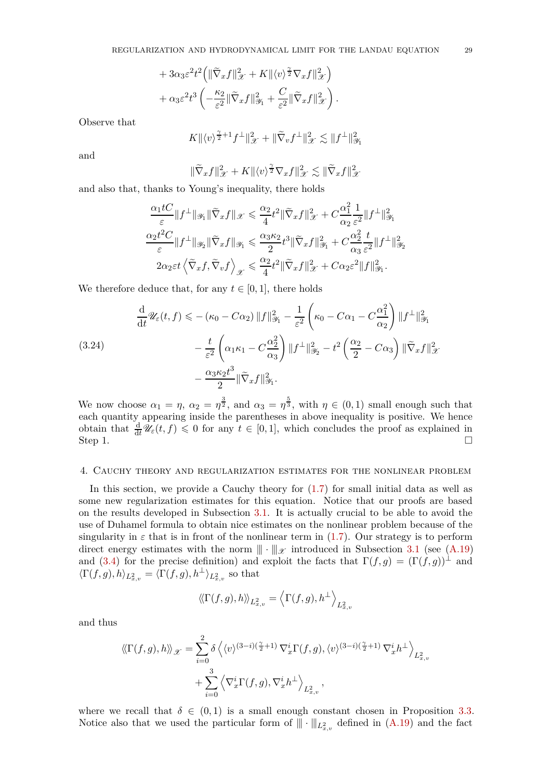+ 
$$
3\alpha_3 \varepsilon^2 t^2 \left( \|\widetilde{\nabla}_x f\|_{\mathcal{X}}^2 + K \|\langle v \rangle^{\frac{\gamma}{2}} \nabla_x f\|_{\mathcal{X}}^2 \right)
$$
  
+  $\alpha_3 \varepsilon^2 t^3 \left( -\frac{\kappa_2}{\varepsilon^2} \|\widetilde{\nabla}_x f\|_{\mathcal{Y}_1}^2 + \frac{C}{\varepsilon^2} \|\widetilde{\nabla}_x f\|_{\mathcal{X}}^2 \right).$ 

Observe that

$$
K \| \langle v \rangle^{\frac{\gamma}{2}+1} f^\perp \|_{\mathscr{X}}^2 + \| \widetilde{\nabla}_v f^\perp \|_{\mathscr{X}}^2 \lesssim \| f^\perp \|_{\mathscr{Y}_1}^2
$$

and

$$
\|\widetilde{\nabla}_x f\|_{\mathcal{X}}^2 + K \|\langle v \rangle^{\frac{\gamma}{2}} \nabla_x f\|_{\mathcal{X}}^2 \lesssim \|\widetilde{\nabla}_x f\|_{\mathcal{X}}^2
$$

and also that, thanks to Young's inequality, there holds

$$
\frac{\alpha_1 tC}{\varepsilon} \|f^\perp\|_{\mathscr Y_1} \|\widetilde{\nabla}_x f\|_{\mathscr X} \leqslant \frac{\alpha_2}{4} t^2 \|\widetilde{\nabla}_x f\|_{\mathscr X}^2 + C \frac{\alpha_1^2}{\alpha_2} \frac{1}{\varepsilon^2} \|f^\perp\|_{\mathscr Y_1}^2
$$
  

$$
\frac{\alpha_2 t^2 C}{\varepsilon} \|f^\perp\|_{\mathscr Y_2} \|\widetilde{\nabla}_x f\|_{\mathscr Y_1} \leqslant \frac{\alpha_3 \kappa_2}{2} t^3 \|\widetilde{\nabla}_x f\|_{\mathscr Y_1}^2 + C \frac{\alpha_2^2}{\alpha_3} \frac{t}{\varepsilon^2} \|f^\perp\|_{\mathscr Y_2}^2
$$
  

$$
2\alpha_2 \varepsilon t \left\langle \widetilde{\nabla}_x f, \widetilde{\nabla}_v f \right\rangle_{\mathscr X} \leqslant \frac{\alpha_2}{4} t^2 \|\widetilde{\nabla}_x f\|_{\mathscr X}^2 + C\alpha_2 \varepsilon^2 \|f\|_{\mathscr Y_1}^2.
$$

We therefore deduce that, for any  $t \in [0, 1]$ , there holds

(3.24)  
\n
$$
\frac{\mathrm{d}}{\mathrm{d}t} \mathscr{U}_{\varepsilon}(t,f) \leqslant -(\kappa_0 - C\alpha_2) \|f\|_{\mathscr{Y}_1}^2 - \frac{1}{\varepsilon^2} \left(\kappa_0 - C\alpha_1 - C\frac{\alpha_1^2}{\alpha_2}\right) \|f^{\perp}\|_{\mathscr{Y}_1}^2
$$
\n
$$
- \frac{t}{\varepsilon^2} \left(\alpha_1 \kappa_1 - C\frac{\alpha_2^2}{\alpha_3}\right) \|f^{\perp}\|_{\mathscr{Y}_2}^2 - t^2 \left(\frac{\alpha_2}{2} - C\alpha_3\right) \|\widetilde{\nabla}_x f\|_{\mathscr{X}}^2
$$
\n
$$
- \frac{\alpha_3 \kappa_2 t^3}{2} \|\widetilde{\nabla}_x f\|_{\mathscr{Y}_1}^2.
$$

We now choose  $\alpha_1 = \eta$ ,  $\alpha_2 = \eta^{\frac{3}{2}}$ , and  $\alpha_3 = \eta^{\frac{5}{3}}$ , with  $\eta \in (0,1)$  small enough such that each quantity appearing inside the parentheses in above inequality is positive. We hence obtain that  $\frac{d}{dt}W_{\varepsilon}(t, f) \leq 0$  for any  $t \in [0, 1]$ , which concludes the proof as explained in Step 1.  $\Box$ 

### <span id="page-28-0"></span>4. Cauchy theory and regularization estimates for the nonlinear problem

In this section, we provide a Cauchy theory for  $(1.7)$  for small initial data as well as some new regularization estimates for this equation. Notice that our proofs are based on the results developed in Subsection [3.1.](#page-19-0) It is actually crucial to be able to avoid the use of Duhamel formula to obtain nice estimates on the nonlinear problem because of the singularity in  $\varepsilon$  that is in front of the nonlinear term in  $(1.7)$ . Our strategy is to perform direct energy estimates with the norm  $\|\cdot\|_{\mathscr{X}}$  introduced in Subsection [3.1](#page-19-0) (see [\(A.19\)](#page-69-1) and [\(3.4\)](#page-19-6) for the precise definition) and exploit the facts that  $\Gamma(f,g) = (\Gamma(f,g))^{\perp}$  and  $\langle \Gamma(f,g), h \rangle_{L^2_{x,v}} = \langle \Gamma(f,g), h^{\perp} \rangle_{L^2_{x,v}}$  so that

$$
\left\langle \! \left\langle \Gamma(f,g),h\right\rangle \! \right\rangle_{L^2_{x,v}}=\left\langle \Gamma(f,g),h^\perp \right\rangle_{L^2_{x,v}}
$$

and thus

$$
\langle \langle \Gamma(f,g),h \rangle \rangle_{\mathscr{X}} = \sum_{i=0}^{2} \delta \langle \langle v \rangle^{(3-i)(\frac{\gamma}{2}+1)} \nabla_x^{i} \Gamma(f,g), \langle v \rangle^{(3-i)(\frac{\gamma}{2}+1)} \nabla_x^{i} h^{\perp} \rangle_{L^2_{x,v}} + \sum_{i=0}^{3} \langle \nabla_x^{i} \Gamma(f,g), \nabla_x^{i} h^{\perp} \rangle_{L^2_{x,v}},
$$

where we recall that  $\delta \in (0,1)$  is a small enough constant chosen in Proposition [3.3.](#page-19-5) Notice also that we used the particular form of  $\|\cdot\|_{L^2_{x,v}}$  defined in  $(A.19)$  and the fact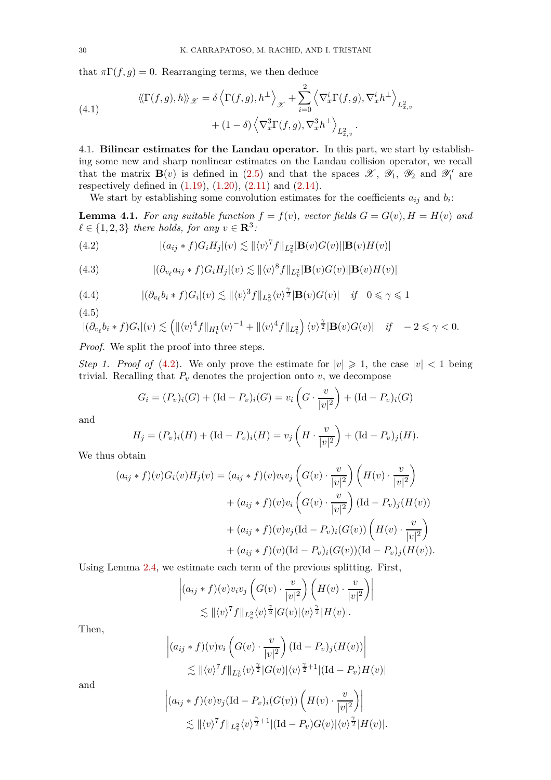that  $\pi\Gamma(f,g) = 0$ . Rearranging terms, we then deduce

(4.1) 
$$
\langle \langle \Gamma(f,g), h \rangle \rangle_{\mathscr{X}} = \delta \langle \Gamma(f,g), h^{\perp} \rangle_{\mathscr{X}} + \sum_{i=0}^{2} \langle \nabla_x^i \Gamma(f,g), \nabla_x^i h^{\perp} \rangle_{L^2_{x,v}} + (1 - \delta) \langle \nabla_x^3 \Gamma(f,g), \nabla_x^3 h^{\perp} \rangle_{L^2_{x,v}}.
$$

<span id="page-29-0"></span>4.1. **Bilinear estimates for the Landau operator.** In this part, we start by establishing some new and sharp nonlinear estimates on the Landau collision operator, we recall that the matrix  $\mathbf{B}(v)$  is defined in [\(2.5\)](#page-12-3) and that the spaces  $\mathscr{X}$ ,  $\mathscr{Y}_1$ ,  $\mathscr{Y}_2$  and  $\mathscr{Y}'_1$  are respectively defined in  $(1.19)$ ,  $(1.20)$ ,  $(2.11)$  and  $(2.14)$ .

We start by establishing some convolution estimates for the coefficients  $a_{ij}$  and  $b_i$ :

<span id="page-29-5"></span>**Lemma 4.1.** For any suitable function  $f = f(v)$ , vector fields  $G = G(v)$ ,  $H = H(v)$  and  $\ell \in \{1, 2, 3\}$  *there holds, for any*  $v \in \mathbb{R}^3$ *:* 

<span id="page-29-1"></span>(4.2) 
$$
|(a_{ij} * f)G_iH_j|(v) \lesssim ||\langle v \rangle^7 f||_{L_v^2} |\mathbf{B}(v)G(v)||\mathbf{B}(v)H(v)|
$$

<span id="page-29-2"></span>(4.3) 
$$
|(\partial_{v_\ell} a_{ij} * f)G_i H_j|(v) \lesssim ||\langle v \rangle^8 f||_{L^2_v} |\mathbf{B}(v)G(v)||\mathbf{B}(v)H(v)|
$$

<span id="page-29-3"></span>(4.4) 
$$
|(\partial_{v_\ell} b_i * f)G_i|(v) \lesssim ||\langle v \rangle^3 f||_{L^2_v} \langle v \rangle^{\frac{\gamma}{2}} |\mathbf{B}(v)G(v)| \quad \text{if} \quad 0 \le \gamma \le 1
$$

(4.5)

<span id="page-29-4"></span>
$$
\left| (\partial_{v_{\ell}} b_i * f) G_i | (v) \lesssim \left( \| \langle v \rangle^4 f \|_{H^1_v} \langle v \rangle^{-1} + \| \langle v \rangle^4 f \|_{L^2_v} \right) \langle v \rangle^{\frac{\gamma}{2}} |\mathbf{B}(v) G(v)| \quad \text{if} \quad -2 \leq \gamma < 0.
$$

*Proof.* We split the proof into three steps.

 $\begin{array}{c} \hline \end{array}$  $\overline{\phantom{a}}$  $\overline{\phantom{a}}$ 

*Step 1. Proof of* [\(4.2\)](#page-29-1). We only prove the estimate for  $|v| \geq 1$ , the case  $|v| < 1$  being trivial. Recalling that  $P_v$  denotes the projection onto  $v$ , we decompose

$$
G_i = (P_v)_i(G) + (\text{Id} - P_v)_i(G) = v_i\left(G \cdot \frac{v}{|v|^2}\right) + (\text{Id} - P_v)_i(G)
$$

and

$$
H_j = (P_v)_i(H) + (\text{Id} - P_v)_i(H) = v_j\left(H \cdot \frac{v}{|v|^2}\right) + (\text{Id} - P_v)_j(H).
$$

We thus obtain

$$
(a_{ij} * f)(v)G_i(v)H_j(v) = (a_{ij} * f)(v)v_iv_j \left(G(v) \cdot \frac{v}{|v|^2}\right) \left(H(v) \cdot \frac{v}{|v|^2}\right) + (a_{ij} * f)(v)v_i \left(G(v) \cdot \frac{v}{|v|^2}\right) (\text{Id} - P_v)_j(H(v)) + (a_{ij} * f)(v)v_j (\text{Id} - P_v)_i(G(v)) \left(H(v) \cdot \frac{v}{|v|^2}\right) + (a_{ij} * f)(v)(\text{Id} - P_v)_i(G(v)) (\text{Id} - P_v)_j(H(v)).
$$

Using Lemma [2.4,](#page-17-0) we estimate each term of the previous splitting. First,

$$
\left| (a_{ij} * f)(v)v_i v_j \left( G(v) \cdot \frac{v}{|v|^2} \right) \left( H(v) \cdot \frac{v}{|v|^2} \right) \right|
$$
  
\$\lesssim ||\langle v \rangle^7 f||\_{L^2\_v} \langle v \rangle^{\frac{\gamma}{2}} |G(v)| \langle v \rangle^{\frac{\gamma}{2}} |H(v)|\$.

Then,

$$
\left| (a_{ij} * f)(v)v_i \left( G(v) \cdot \frac{v}{|v|^2} \right) (\mathrm{Id} - P_v)_j (H(v)) \right|
$$
  
 
$$
\lesssim ||\langle v \rangle^7 f||_{L_v^2} \langle v \rangle^{\frac{\gamma}{2}} |G(v)| \langle v \rangle^{\frac{\gamma}{2}+1} |(\mathrm{Id} - P_v) H(v)|
$$

and

$$
(a_{ij} * f)(v)v_j(\text{Id} - P_v)_i(G(v))\left(H(v) \cdot \frac{v}{|v|^2}\right) \Big|
$$
  
\$\lesssim ||\langle v \rangle^7 f||\_{L\_v^2} \langle v \rangle^{\frac{\gamma}{2}+1} |(\text{Id} - P\_v)G(v)| \langle v \rangle^{\frac{\gamma}{2}} |H(v)|\$.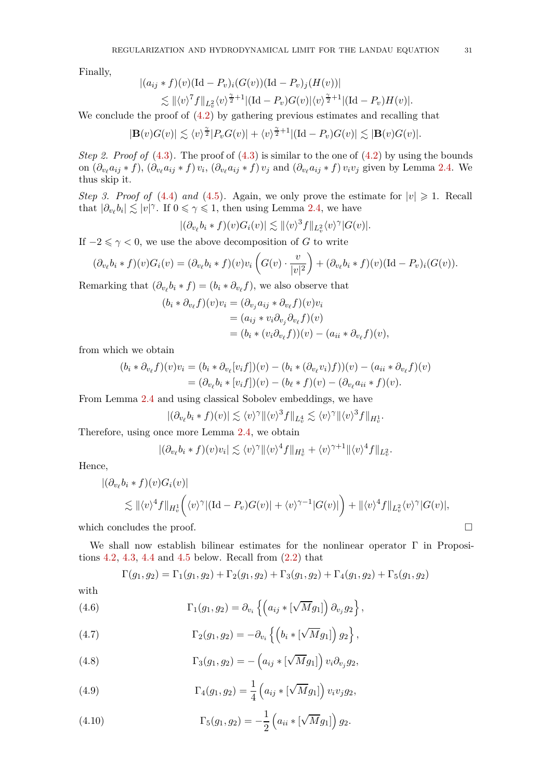Finally,

$$
\begin{aligned} |(a_{ij} * f)(v)(\mathrm{Id} - P_v)_i (G(v))(\mathrm{Id} - P_v)_j (H(v))| \\ &\lesssim \| \langle v \rangle^7 f \|_{L^2_v} \langle v \rangle^{\frac{\gamma}{2}+1} |(\mathrm{Id} - P_v) G(v)| \langle v \rangle^{\frac{\gamma}{2}+1} |(\mathrm{Id} - P_v) H(v)|. \end{aligned}
$$

We conclude the proof of  $(4.2)$  by gathering previous estimates and recalling that

$$
|\mathbf{B}(v)G(v)| \lesssim \langle v \rangle^{\frac{\gamma}{2}} |P_v G(v)| + \langle v \rangle^{\frac{\gamma}{2}+1} |(\mathrm{Id}-P_v)G(v)| \lesssim |\mathbf{B}(v)G(v)|.
$$

*Step 2. Proof of*  $(4.3)$ . The proof of  $(4.3)$  is similar to the one of  $(4.2)$  by using the bounds on  $(\partial_{v_\ell} a_{ij} * f), (\partial_{v_\ell} a_{ij} * f) v_i, (\partial_{v_\ell} a_{ij} * f) v_j$  and  $(\partial_{v_\ell} a_{ij} * f) v_i v_j$  given by Lemma [2.4.](#page-17-0) We thus skip it.

*Step 3. Proof of* [\(4.4\)](#page-29-3) *and* [\(4.5\)](#page-29-4). Again, we only prove the estimate for  $|v| \ge 1$ . Recall that  $|\partial_{v_\ell} b_i| \lesssim |v|^\gamma$ . If  $0 \leq \gamma \leq 1$ , then using Lemma [2.4,](#page-17-0) we have

$$
|(\partial_{v_{\ell}}b_i*f)(v)G_i(v)| \lesssim ||\langle v \rangle^3 f||_{L^2_v} \langle v \rangle^{\gamma}|G(v)|.
$$

If  $-2 \le \gamma < 0$ , we use the above decomposition of *G* to write

$$
(\partial_{v_{\ell}}b_i * f)(v)G_i(v) = (\partial_{v_{\ell}}b_i * f)(v)v_i\left(G(v)\cdot \frac{v}{|v|^2}\right) + (\partial_{v_{\ell}}b_i * f)(v)(\mathrm{Id}-P_v)_i(G(v)).
$$

Remarking that  $(\partial_{v_{\ell}}b_i * f) = (b_i * \partial_{v_{\ell}}f)$ , we also observe that

$$
(b_i * \partial_{v_\ell} f)(v)v_i = (\partial_{v_j} a_{ij} * \partial_{v_\ell} f)(v)v_i
$$
  
=  $(a_{ij} * v_i \partial_{v_j} \partial_{v_\ell} f)(v)$   
=  $(b_i * (v_i \partial_{v_\ell} f))(v) - (a_{ii} * \partial_{v_\ell} f)(v),$ 

from which we obtain

$$
(b_i * \partial_{v_\ell} f)(v)v_i = (b_i * \partial_{v_\ell}[v_i f])(v) - (b_i * (\partial_{v_\ell} v_i)f))(v) - (a_{ii} * \partial_{v_\ell} f)(v)
$$
  
= 
$$
(\partial_{v_\ell} b_i * [v_i f])(v) - (b_\ell * f)(v) - (\partial_{v_\ell} a_{ii} * f)(v).
$$

From Lemma [2.4](#page-17-0) and using classical Sobolev embeddings, we have

$$
|(\partial_{v_{\ell}}b_i * f)(v)| \lesssim \langle v \rangle^{\gamma} ||\langle v \rangle^3 f||_{L_v^4} \lesssim \langle v \rangle^{\gamma} ||\langle v \rangle^3 f||_{H_v^1}.
$$

Therefore, using once more Lemma [2.4,](#page-17-0) we obtain

$$
|(\partial_{v_{\ell}}b_i * f)(v)v_i| \lesssim \langle v \rangle^{\gamma} ||\langle v \rangle^4 f||_{H_v^1} + \langle v \rangle^{\gamma+1} ||\langle v \rangle^4 f||_{L_v^2}.
$$

Hence,

$$
\begin{aligned} |(\partial_{v_{\ell}}b_i * f)(v)G_i(v)| \\ &\lesssim \|\langle v \rangle^4 f\|_{H^1_v} \Big(\langle v \rangle^{\gamma} |(\mathrm{Id}-P_v)G(v)| + \langle v \rangle^{\gamma-1}|G(v)| \Big) + \|\langle v \rangle^4 f\|_{L^2_v} \langle v \rangle^{\gamma} |G(v)|, \end{aligned}
$$

which concludes the proof.

We shall now establish bilinear estimates for the nonlinear operator Γ in Propositions  $4.2$ ,  $4.3$ ,  $4.4$  and  $4.5$  below. Recall from  $(2.2)$  that

<span id="page-30-2"></span><span id="page-30-0"></span>
$$
\Gamma(g_1, g_2) = \Gamma_1(g_1, g_2) + \Gamma_2(g_1, g_2) + \Gamma_3(g_1, g_2) + \Gamma_4(g_1, g_2) + \Gamma_5(g_1, g_2)
$$

with

(4.6) 
$$
\Gamma_1(g_1,g_2) = \partial_{v_i} \left\{ \left( a_{ij} * [\sqrt{M} g_1] \right) \partial_{v_j} g_2 \right\},
$$

(4.7) 
$$
\Gamma_2(g_1, g_2) = -\partial_{v_i} \left\{ \left( b_i * [\sqrt{M} g_1] \right) g_2 \right\},
$$

(4.8) 
$$
\Gamma_3(g_1, g_2) = -\left(a_{ij} * [\sqrt{M} g_1]\right) v_i \partial_{v_j} g_2,
$$

(4.9) 
$$
\Gamma_4(g_1, g_2) = \frac{1}{4} \left( a_{ij} * [\sqrt{M} g_1] \right) v_i v_j g_2,
$$

<span id="page-30-1"></span>(4.10) 
$$
\Gamma_5(g_1, g_2) = -\frac{1}{2} \left( a_{ii} * [\sqrt{M} g_1] \right) g_2.
$$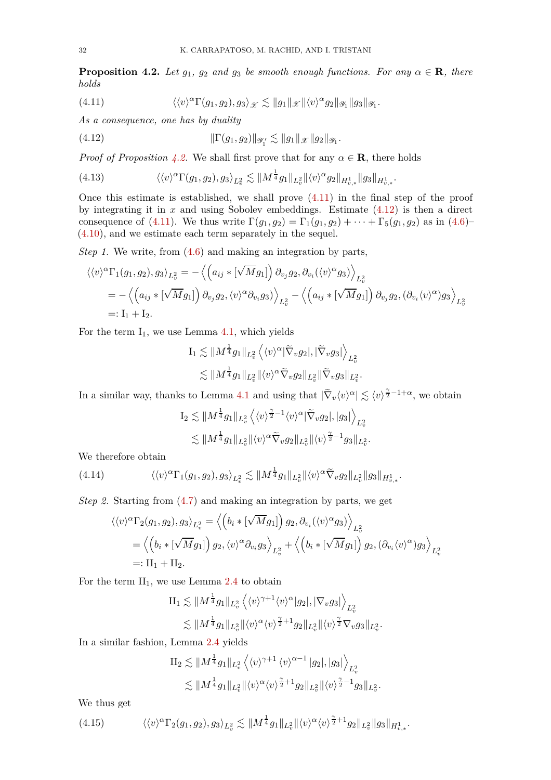<span id="page-31-0"></span>**Proposition 4.2.** *Let*  $g_1$ *,*  $g_2$  *and*  $g_3$  *be smooth enough functions. For any*  $\alpha \in \mathbb{R}$ *, there holds*

<span id="page-31-2"></span>*.*

<span id="page-31-1"></span>(4.11) 
$$
\langle \langle v \rangle^{\alpha} \Gamma(g_1, g_2), g_3 \rangle_{\mathscr{X}} \lesssim ||g_1||_{\mathscr{X}} ||\langle v \rangle^{\alpha} g_2 ||_{\mathscr{Y}_1} ||g_3||_{\mathscr{Y}_1}.
$$

*As a consequence, one has by duality*

(4.12) 
$$
\|\Gamma(g_1, g_2)\|_{\mathscr{Y}'_1} \lesssim \|g_1\|_{\mathscr{X}} \|g_2\|_{\mathscr{Y}_1}
$$

*Proof of Proposition [4.2.](#page-31-0)* We shall first prove that for any  $\alpha \in \mathbb{R}$ , there holds

<span id="page-31-3"></span>
$$
(4.13) \qquad \langle \langle v \rangle^{\alpha} \Gamma(g_1, g_2), g_3 \rangle_{L^2_v} \lesssim \| M^{\frac{1}{4}} g_1 \|_{L^2_v} \| \langle v \rangle^{\alpha} g_2 \|_{H^1_{v,*}} \| g_3 \|_{H^1_{v,*}}.
$$

Once this estimate is established, we shall prove [\(4.11\)](#page-31-1) in the final step of the proof by integrating it in *x* and using Sobolev embeddings. Estimate [\(4.12\)](#page-31-2) is then a direct consequence of [\(4.11\)](#page-31-1). We thus write  $\Gamma(g_1, g_2) = \Gamma_1(g_1, g_2) + \cdots + \Gamma_5(g_1, g_2)$  as in [\(4.6\)](#page-30-0)– [\(4.10\)](#page-30-1), and we estimate each term separately in the sequel.

*Step 1.* We write, from [\(4.6\)](#page-30-0) and making an integration by parts,

$$
\langle \langle v \rangle^{\alpha} \Gamma_1(g_1, g_2), g_3 \rangle_{L^2_v} = - \langle \left( a_{ij} * [\sqrt{M} g_1] \right) \partial_{v_j} g_2, \partial_{v_i} (\langle v \rangle^{\alpha} g_3) \rangle_{L^2_v} = - \langle \left( a_{ij} * [\sqrt{M} g_1] \right) \partial_{v_j} g_2, \langle v \rangle^{\alpha} \partial_{v_i} g_3 \rangle \rangle_{L^2_v} - \langle \left( a_{ij} * [\sqrt{M} g_1] \right) \partial_{v_j} g_2, (\partial_{v_i} \langle v \rangle^{\alpha}) g_3 \rangle_{L^2_v} =: I_1 + I_2.
$$

For the term  $I_1$ , we use Lemma [4.1,](#page-29-5) which yields

$$
\begin{aligned} \mathrm{I}_1 \lesssim & \Vert M^{\frac{1}{4}} g_1 \Vert_{L^2_v} \left\langle \langle v \rangle^{\alpha} |\widetilde \nabla_v g_2|, |\widetilde \nabla_v g_3| \right\rangle_{L^2_v} \\ \lesssim & \Vert M^{\frac{1}{4}} g_1 \Vert_{L^2_v} \Vert \langle v \rangle^{\alpha} \widetilde \nabla_v g_2 \Vert_{L^2_v} \Vert \widetilde \nabla_v g_3 \Vert_{L^2_v}. \end{aligned}
$$

In a similar way, thanks to Lemma [4.1](#page-29-5) and using that  $|\tilde{\nabla}_v \langle v \rangle^{\alpha}| \lesssim \langle v \rangle^{\frac{\gamma}{2}-1+\alpha}$ , we obtain

$$
\begin{split} \mathcal{I}_2 \lesssim & \| M^{\frac{1}{4}} g_1 \|_{L^2_v} \left\langle \langle v \rangle^{\frac{\gamma}{2}-1} \langle v \rangle^{\alpha} |\widetilde{\nabla}_v g_2|, |g_3| \right\rangle_{L^2_v} \\ \lesssim & \| M^{\frac{1}{4}} g_1 \|_{L^2_v} \| \langle v \rangle^{\alpha} \widetilde{\nabla}_v g_2 \|_{L^2_v} \| \langle v \rangle^{\frac{\gamma}{2}-1} g_3 \|_{L^2_v} . \end{split}
$$

We therefore obtain

(4.14) 
$$
\langle \langle v \rangle^{\alpha} \Gamma_1(g_1, g_2), g_3 \rangle_{L^2_v} \lesssim \| M^{\frac{1}{4}} g_1 \|_{L^2_v} \| \langle v \rangle^{\alpha} \widetilde{\nabla}_v g_2 \|_{L^2_v} \| g_3 \|_{H^1_{v,*}}.
$$

*Step 2.* Starting from [\(4.7\)](#page-30-2) and making an integration by parts, we get

<span id="page-31-4"></span>
$$
\langle \langle v \rangle^{\alpha} \Gamma_2(g_1, g_2), g_3 \rangle_{L^2_v} = \left\langle \left( b_i * [\sqrt{M} g_1] \right) g_2, \partial_{v_i} (\langle v \rangle^{\alpha} g_3) \right\rangle_{L^2_v} \n= \left\langle \left( b_i * [\sqrt{M} g_1] \right) g_2, \langle v \rangle^{\alpha} \partial_{v_i} g_3 \right\rangle_{L^2_v} + \left\langle \left( b_i * [\sqrt{M} g_1] \right) g_2, (\partial_{v_i} \langle v \rangle^{\alpha}) g_3 \right\rangle_{L^2_v} \n=: \Pi_1 + \Pi_2.
$$

For the term  $II_1$ , we use Lemma [2.4](#page-17-0) to obtain

$$
\Pi_1 \lesssim \|M^{\frac{1}{4}}g_1\|_{L^2_v} \left\langle \langle v \rangle^{\gamma+1} \langle v \rangle^{\alpha} |g_2|, |\nabla_v g_3| \right\rangle_{L^2_v} \lesssim \|M^{\frac{1}{4}}g_1\|_{L^2_v} \|\langle v \rangle^{\alpha} \langle v \rangle^{\frac{\gamma}{2}+1} g_2\|_{L^2_v} \|\langle v \rangle^{\frac{\gamma}{2}} \nabla_v g_3\|_{L^2_v}.
$$

In a similar fashion, Lemma [2.4](#page-17-0) yields

$$
\begin{split} \mathrm{II}_2 \lesssim & \Vert M^{\frac{1}{4}} g_1 \Vert_{L^2_v} \left\langle \langle v \rangle^{\gamma+1} \langle v \rangle^{\alpha-1} \, |g_2|, |g_3| \right\rangle_{L^2_v} \\ \lesssim & \Vert M^{\frac{1}{4}} g_1 \Vert_{L^2_v} \Vert \langle v \rangle^{\alpha} \langle v \rangle^{\frac{\gamma}{2}+1} g_2 \Vert_{L^2_v} \Vert \langle v \rangle^{\frac{\gamma}{2}-1} g_3 \Vert_{L^2_v}. \end{split}
$$

We thus get

<span id="page-31-5"></span>
$$
(4.15) \qquad \langle \langle v \rangle^{\alpha} \Gamma_2(g_1, g_2), g_3 \rangle_{L^2_v} \lesssim \| M^{\frac{1}{4}} g_1 \|_{L^2_v} \| \langle v \rangle^{\alpha} \langle v \rangle^{\frac{\gamma}{2}+1} g_2 \|_{L^2_v} \| g_3 \|_{H^1_{v,*}}.
$$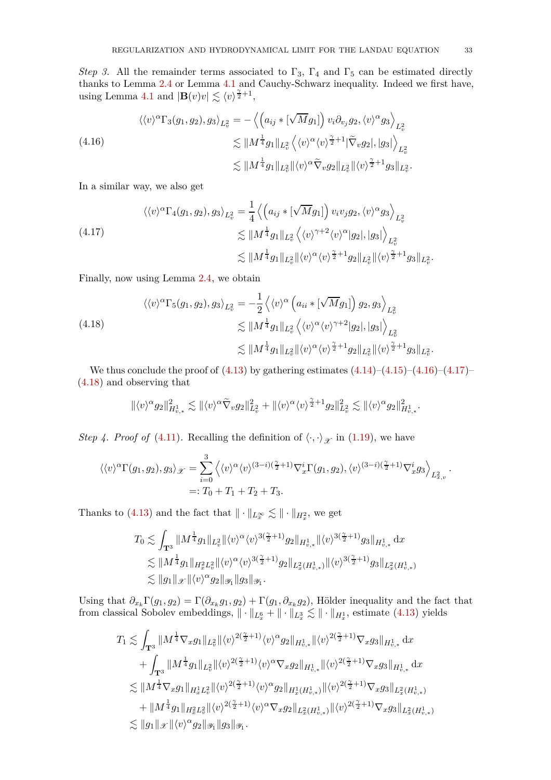*Step 3.* All the remainder terms associated to  $\Gamma_3$ ,  $\Gamma_4$  and  $\Gamma_5$  can be estimated directly thanks to Lemma [2.4](#page-17-0) or Lemma [4.1](#page-29-5) and Cauchy-Schwarz inequality. Indeed we first have, using Lemma [4.1](#page-29-5) and  $|\mathbf{B}(v)v| \lesssim \langle v \rangle^{\frac{\gamma}{2}+1}$ ,

<span id="page-32-0"></span>(4.16)  
\n
$$
\langle \langle v \rangle^{\alpha} \Gamma_3(g_1, g_2), g_3 \rangle_{L^2_v} = -\left\langle \left( a_{ij} * [\sqrt{M} g_1] \right) v_i \partial_{v_j} g_2, \langle v \rangle^{\alpha} g_3 \right\rangle_{L^2_v} \\
\lesssim \| M^{\frac{1}{4}} g_1 \|_{L^2_v} \left\langle \langle v \rangle^{\alpha} \langle v \rangle^{\frac{\gamma}{2}+1} |\tilde{\nabla}_v g_2|, |g_3| \right\rangle_{L^2_v} \\
\lesssim \| M^{\frac{1}{4}} g_1 \|_{L^2_v} \|\langle v \rangle^{\alpha} \tilde{\nabla}_v g_2 \|_{L^2_v} \|\langle v \rangle^{\frac{\gamma}{2}+1} g_3 \|_{L^2_v}.
$$

In a similar way, we also get

<span id="page-32-1"></span>
$$
\langle \langle v \rangle^{\alpha} \Gamma_4(g_1, g_2), g_3 \rangle_{L^2_v} = \frac{1}{4} \left\langle \left( a_{ij} * [\sqrt{M} g_1] \right) v_i v_j g_2, \langle v \rangle^{\alpha} g_3 \right\rangle_{L^2_v} \n\lesssim \| M^{\frac{1}{4}} g_1 \|_{L^2_v} \left\langle \langle v \rangle^{\gamma+2} \langle v \rangle^{\alpha} |g_2|, |g_3| \right\rangle_{L^2_v} \n\lesssim \| M^{\frac{1}{4}} g_1 \|_{L^2_v} \| \langle v \rangle^{\alpha} \langle v \rangle^{\frac{\gamma}{2}+1} g_2 \|_{L^2_v} \| \langle v \rangle^{\frac{\gamma}{2}+1} g_3 \|_{L^2_v}.
$$

Finally, now using Lemma [2.4,](#page-17-0) we obtain

<span id="page-32-2"></span>
$$
\langle \langle v \rangle^{\alpha} \Gamma_5(g_1, g_2), g_3 \rangle_{L^2_v} = -\frac{1}{2} \left\langle \langle v \rangle^{\alpha} \left( a_{ii} * [\sqrt{M} g_1] \right) g_2, g_3 \right\rangle_{L^2_v} \n\lesssim \| M^{\frac{1}{4}} g_1 \|_{L^2_v} \left\langle \langle v \rangle^{\alpha} \langle v \rangle^{\gamma+2} |g_2|, |g_3| \right\rangle_{L^2_v} \n\lesssim \| M^{\frac{1}{4}} g_1 \|_{L^2_v} \| \langle v \rangle^{\alpha} \langle v \rangle^{\frac{\gamma}{2}+1} g_2 \|_{L^2_v} \| \langle v \rangle^{\frac{\gamma}{2}+1} g_3 \|_{L^2_v}.
$$

We thus conclude the proof of  $(4.13)$  by gathering estimates  $(4.14)$ – $(4.15)$ – $(4.16)$ – $(4.17)$ – [\(4.18\)](#page-32-2) and observing that

$$
\|\langle v \rangle^{\alpha} g_2\|_{H^1_{v,*}}^2 \lesssim \|\langle v \rangle^{\alpha} \widetilde{\nabla}_v g_2\|_{L^2_v}^2 + \|\langle v \rangle^{\alpha} \langle v \rangle^{\frac{\gamma}{2}+1} g_2\|_{L^2_v}^2 \lesssim \|\langle v \rangle^{\alpha} g_2\|_{H^1_{v,*}}^2.
$$

*Step 4. Proof of* [\(4.11\)](#page-31-1). Recalling the definition of  $\langle \cdot, \cdot \rangle_{\mathcal{X}}$  in [\(1.19\)](#page-3-2), we have

$$
\langle \langle v \rangle^{\alpha} \Gamma(g_1, g_2), g_3 \rangle_{\mathcal{X}} = \sum_{i=0}^{3} \langle \langle v \rangle^{\alpha} \langle v \rangle^{(3-i)(\frac{\gamma}{2}+1)} \nabla_x^i \Gamma(g_1, g_2), \langle v \rangle^{(3-i)(\frac{\gamma}{2}+1)} \nabla_x^i g_3 \rangle_{L^2_{x,v}}.
$$
  
=:  $T_0 + T_1 + T_2 + T_3.$ 

Thanks to [\(4.13\)](#page-31-3) and the fact that  $\|\cdot\|_{L_x^{\infty}} \lesssim \|\cdot\|_{H_x^2}$ , we get

$$
T_0 \lesssim \int_{\mathbf{T}^3} \|M^{\frac{1}{4}} g_1\|_{L^2_v} \|\langle v \rangle^{\alpha} \langle v \rangle^{3(\frac{\gamma}{2}+1)} g_2\|_{H^1_{v,*}} \|\langle v \rangle^{3(\frac{\gamma}{2}+1)} g_3\|_{H^1_{v,*}} \, \mathrm{d}x
$$
  

$$
\lesssim \|M^{\frac{1}{4}} g_1\|_{H^2_x L^2_v} \|\langle v \rangle^{\alpha} \langle v \rangle^{3(\frac{\gamma}{2}+1)} g_2\|_{L^2_x(H^1_{v,*})} \|\langle v \rangle^{3(\frac{\gamma}{2}+1)} g_3\|_{L^2_x(H^1_{v,*})}
$$
  

$$
\lesssim \|g_1\|_{\mathscr{X}} \|\langle v \rangle^{\alpha} g_2\|_{\mathscr{Y}_1} \|g_3\|_{\mathscr{Y}_1}.
$$

Using that  $\partial_{x_k} \Gamma(g_1, g_2) = \Gamma(\partial_{x_k} g_1, g_2) + \Gamma(g_1, \partial_{x_k} g_2)$ , Hölder inequality and the fact that from classical Sobolev embeddings,  $\|\cdot\|_{L_x^6} + \|\cdot\|_{L_x^3} \lesssim \|\cdot\|_{H_x^1}$ , estimate [\(4.13\)](#page-31-3) yields

$$
\begin{aligned} T_1 &\lesssim \int_{\mathbf{T}^3} \| M^{\frac{1}{4}} \nabla_x g_1 \|_{L^2_v} \| \langle v \rangle^{2(\frac{\gamma}{2}+1)} \langle v \rangle^{\alpha} g_2 \|_{H^1_{v,*}} \| \langle v \rangle^{2(\frac{\gamma}{2}+1)} \nabla_x g_3 \|_{H^1_{v,*}} \, \mathrm{d}x \\&+ \int_{\mathbf{T}^3} \| M^{\frac{1}{4}} g_1 \|_{L^2_v} \| \langle v \rangle^{2(\frac{\gamma}{2}+1)} \langle v \rangle^{\alpha} \nabla_x g_2 \|_{H^1_{v,*}} \| \langle v \rangle^{2(\frac{\gamma}{2}+1)} \nabla_x g_3 \|_{H^1_{v,*}} \, \mathrm{d}x \\&\lesssim \| M^{\frac{1}{4}} \nabla_x g_1 \|_{H^1_x L^2_v} \| \langle v \rangle^{2(\frac{\gamma}{2}+1)} \langle v \rangle^{\alpha} g_2 \|_{H^1_x (H^1_{v,*})} \| \langle v \rangle^{2(\frac{\gamma}{2}+1)} \nabla_x g_3 \|_{L^2_x (H^1_{v,*})} \\&+ \| M^{\frac{1}{4}} g_1 \|_{H^2_x L^2_v} \| \langle v \rangle^{2(\frac{\gamma}{2}+1)} \langle v \rangle^{\alpha} \nabla_x g_2 \|_{L^2_x (H^1_{v,*})} \| \langle v \rangle^{2(\frac{\gamma}{2}+1)} \nabla_x g_3 \|_{L^2_x (H^1_{v,*})} \\&\lesssim \| g_1 \|_{\mathscr X} \| \langle v \rangle^{\alpha} g_2 \|_{\mathscr Y_1} \| g_3 \|_{\mathscr Y_1}. \end{aligned}
$$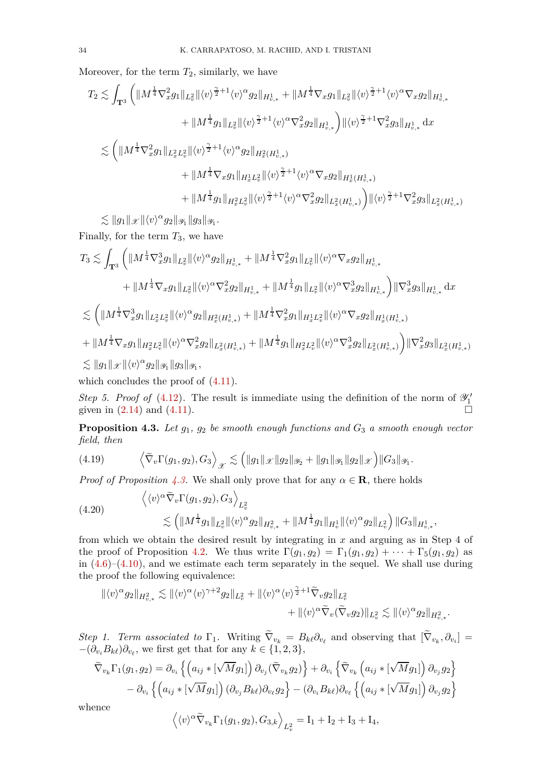Moreover, for the term  $T_2$ , similarly, we have

$$
\begin{aligned} T_2 &\lesssim \int_{\mathbf{T}^3}\bigg(\|M^{\frac{1}{4}}\nabla_x^2g_1\|_{L^2_v}\|\langle v\rangle^{\frac{\gamma}{2}+1}\langle v\rangle^{\alpha}g_2\|_{H^1_{v,*}}+\|M^{\frac{1}{4}}\nabla_xg_1\|_{L^2_v}\|\langle v\rangle^{\frac{\gamma}{2}+1}\langle v\rangle^{\alpha}\nabla_xg_2\|_{H^1_{v,*}} \\&+\|M^{\frac{1}{4}}g_1\|_{L^2_v}\|\langle v\rangle^{\frac{\gamma}{2}+1}\langle v\rangle^{\alpha}\nabla_x^2g_2\|_{H^1_{v,*}}\bigg)\|\langle v\rangle^{\frac{\gamma}{2}+1}\nabla_x^2g_3\|_{H^1_{v,*}}\,\mathrm{d}x \\&\lesssim \bigg(\|M^{\frac{1}{4}}\nabla_x^2g_1\|_{L^2_xL^2_v}\|\langle v\rangle^{\frac{\gamma}{2}+1}\langle v\rangle^{\alpha}g_2\|_{H^2_x(H^1_{v,*})} \\&+\|M^{\frac{1}{4}}\nabla_xg_1\|_{H^1_xL^2_v}\|\langle v\rangle^{\frac{\gamma}{2}+1}\langle v\rangle^{\alpha}\nabla_xg_2\|_{H^1_x(H^1_{v,*})} \\&+\|M^{\frac{1}{4}}g_1\|_{H^2_xL^2_v}\|\langle v\rangle^{\frac{\gamma}{2}+1}\langle v\rangle^{\alpha}\nabla_x^2g_2\|_{L^2_x(H^1_{v,*})}\bigg)\|\langle v\rangle^{\frac{\gamma}{2}+1}\nabla_x^2g_3\|_{L^2_x(H^1_{v,*})} \end{aligned}
$$

 $\lesssim \|g_1\|_{\mathscr{X}} \|\langle v \rangle^{\alpha} g_2\|_{\mathscr{Y}_1} \|g_3\|_{\mathscr{Y}_1}.$ 

Finally, for the term *T*3, we have

$$
\begin{aligned} T_3 &\lesssim \int_{\mathbf{T}^3}\bigg(\|M^{\frac{1}{4}}\nabla^3_xg_1\|_{L^2_v}\|\langle v\rangle^{\alpha}g_2\|_{H^1_{v,*}}+\|M^{\frac{1}{4}}\nabla^2_xg_1\|_{L^2_v}\|\langle v\rangle^{\alpha}\nabla_xg_2\|_{H^1_{v,*}}\\&+\|M^{\frac{1}{4}}\nabla_xg_1\|_{L^2_v}\|\langle v\rangle^{\alpha}\nabla^2_xg_2\|_{H^1_{v,*}}+\|M^{\frac{1}{4}}g_1\|_{L^2_v}\|\langle v\rangle^{\alpha}\nabla^3_xg_2\|_{H^1_{v,*}}\bigg)\|\nabla^3_xg_3\|_{H^1_{v,*}}\,\mathrm{d}x\\ &\lesssim \bigg(\|M^{\frac{1}{4}}\nabla^3_xg_1\|_{L^2_xL^2_v}\|\langle v\rangle^{\alpha}g_2\|_{H^2_x(H^1_{v,*})}+\|M^{\frac{1}{4}}\nabla^2_xg_1\|_{H^1_xL^2_v}\|\langle v\rangle^{\alpha}\nabla_xg_2\|_{H^1_x(H^1_{v,*})}\\&+\|M^{\frac{1}{4}}\nabla_xg_1\|_{H^2_xL^2_v}\|\langle v\rangle^{\alpha}\nabla^2_xg_2\|_{L^2_x(H^1_{v,*})}+\|M^{\frac{1}{4}}g_1\|_{H^2_xL^2_v}\|\langle v\rangle^{\alpha}\nabla^3_xg_2\|_{L^2_x(H^1_{v,*})}\bigg)\|\nabla^2_xg_3\|_{L^2_x(H^1_{v,*})}\\ &\lesssim \|g_1\|_{\mathcal{X}}\|\langle v\rangle^{\alpha}g_2\|_{\mathcal{Y}_1}\|g_3\|_{\mathcal{Y}_1}, \end{aligned}
$$

which concludes the proof of  $(4.11)$ .

*Step 5. Proof of* [\(4.12\)](#page-31-2). The result is immediate using the definition of the norm of  $\mathscr{Y}'_1$ given in  $(2.14)$  and  $(4.11)$ .

<span id="page-33-0"></span>**Proposition 4.3.** *Let g*1*, g*<sup>2</sup> *be smooth enough functions and G*<sup>3</sup> *a smooth enough vector field, then*

(4.19) 
$$
\left\langle \tilde{\nabla}_{v} \Gamma(g_1, g_2), G_3 \right\rangle_{\mathscr{X}} \lesssim \left( \|g_1\|_{\mathscr{X}} \|g_2\|_{\mathscr{Y}_2} + \|g_1\|_{\mathscr{Y}_1} \|g_2\|_{\mathscr{X}} \right) \|G_3\|_{\mathscr{Y}_1}.
$$

*Proof of Proposition* [4.3.](#page-33-0) We shall only prove that for any  $\alpha \in \mathbf{R}$ , there holds

$$
\langle \langle v \rangle^{\alpha} \tilde{\nabla}_{v} \Gamma(g_1, g_2), G_3 \rangle_{L^2_v} \n\lesssim \left( \| M^{\frac{1}{4}} g_1 \|_{L^2_v} \| \langle v \rangle^{\alpha} g_2 \|_{H^2_{v,*}} + \| M^{\frac{1}{4}} g_1 \|_{H^1_v} \| \langle v \rangle^{\alpha} g_2 \|_{L^2_v} \right) \| G_3 \|_{H^1_{v,*}},
$$

from which we obtain the desired result by integrating in *x* and arguing as in Step 4 of the proof of Proposition [4.2.](#page-31-0) We thus write  $\Gamma(g_1, g_2) = \Gamma_1(g_1, g_2) + \cdots + \Gamma_5(g_1, g_2)$  as in  $(4.6)$ – $(4.10)$ , and we estimate each term separately in the sequel. We shall use during the proof the following equivalence:

$$
\begin{aligned} \|\langle v\rangle^{\alpha} g_2\|_{H^2_{v,*}} \lesssim &~{} \|\langle v\rangle^{\alpha} \langle v\rangle^{\gamma+2} g_2\|_{L^2_v} + \|\langle v\rangle^{\alpha} \langle v\rangle^{\frac{\gamma}{2}+1} \tilde{\nabla}_v g_2\|_{L^2_v} \\ &~{} + \|\langle v\rangle^{\alpha} \tilde{\nabla}_v (\tilde{\nabla}_v g_2)\|_{L^2_v} \lesssim \|\langle v\rangle^{\alpha} g_2\|_{H^2_{v,*}}. \end{aligned}
$$

*Step 1. Term associated to*  $\Gamma_1$ . Writing  $\nabla_{v_k} = B_{k\ell} \partial_{v_\ell}$  and observing that  $[\nabla_{v_k}, \partial_{v_i}] =$  $-(\partial_{v_i} B_{k\ell})\partial_{v_\ell}$ , we first get that for any  $k \in \{1, 2, 3\}$ ,

$$
\widetilde{\nabla}_{v_k} \Gamma_1(g_1, g_2) = \partial_{v_i} \left\{ \left( a_{ij} * [\sqrt{M} g_1] \right) \partial_{v_j} (\widetilde{\nabla}_{v_k} g_2) \right\} + \partial_{v_i} \left\{ \widetilde{\nabla}_{v_k} \left( a_{ij} * [\sqrt{M} g_1] \right) \partial_{v_j} g_2 \right\} - \partial_{v_i} \left\{ \left( a_{ij} * [\sqrt{M} g_1] \right) (\partial_{v_j} B_{k\ell}) \partial_{v_\ell} g_2 \right\} - (\partial_{v_i} B_{k\ell}) \partial_{v_\ell} \left\{ \left( a_{ij} * [\sqrt{M} g_1] \right) \partial_{v_j} g_2 \right\}
$$

whence

$$
\left\langle \langle v \rangle^{\alpha} \widetilde{\nabla}_{v_k} \Gamma_1(g_1, g_2), G_{3,k} \right\rangle_{L^2_v} = \mathbf{I}_1 + \mathbf{I}_2 + \mathbf{I}_3 + \mathbf{I}_4,
$$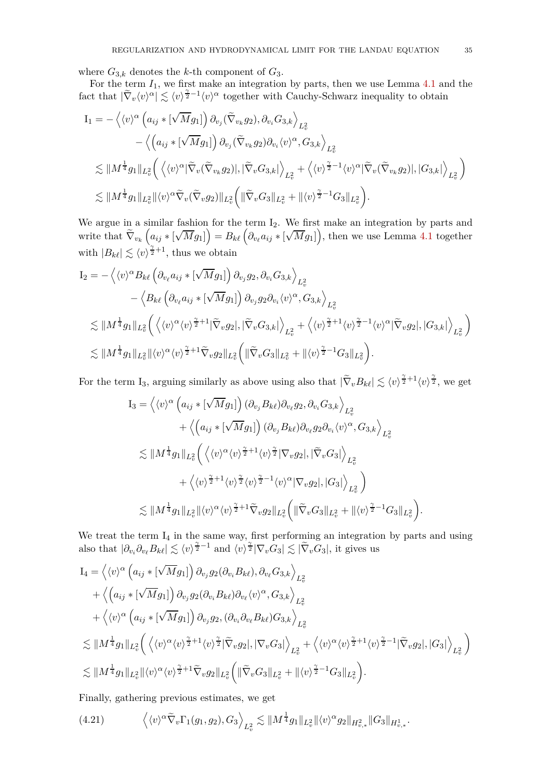where  $G_{3,k}$  denotes the *k*-th component of  $G_3$ .

For the term  $I_1$ , we first make an integration by parts, then we use Lemma [4.1](#page-29-5) and the fact that  $|\tilde{\nabla}_v \langle v \rangle^{\alpha} \leq \langle v \rangle^{\frac{\gamma}{2}-1} \langle v \rangle^{\alpha}$  together with Cauchy-Schwarz inequality to obtain

$$
I_{1} = -\left\langle \langle v \rangle^{\alpha} \left( a_{ij} * [\sqrt{M} g_{1}] \right) \partial_{v_{j}} (\widetilde{\nabla}_{v_{k}} g_{2}), \partial_{v_{i}} G_{3,k} \right\rangle_{L_{v}^{2}} - \left\langle \left( a_{ij} * [\sqrt{M} g_{1}] \right) \partial_{v_{j}} (\widetilde{\nabla}_{v_{k}} g_{2}) \partial_{v_{i}} \langle v \rangle^{\alpha}, G_{3,k} \right\rangle_{L_{v}^{2}} \n\lesssim \| M^{\frac{1}{4}} g_{1} \|_{L_{v}^{2}} \left( \left\langle \langle v \rangle^{\alpha} |\widetilde{\nabla}_{v} (\widetilde{\nabla}_{v_{k}} g_{2})|, |\widetilde{\nabla}_{v} G_{3,k}| \right\rangle_{L_{v}^{2}} + \left\langle \langle v \rangle^{\frac{\gamma}{2}-1} \langle v \rangle^{\alpha} |\widetilde{\nabla}_{v} (\widetilde{\nabla}_{v_{k}} g_{2})|, |G_{3,k}| \right\rangle_{L_{v}^{2}} \right) \n\lesssim \| M^{\frac{1}{4}} g_{1} \|_{L_{v}^{2}} \| \langle v \rangle^{\alpha} \widetilde{\nabla}_{v} (\widetilde{\nabla}_{v} g_{2}) \|_{L_{v}^{2}} \left( \| \widetilde{\nabla}_{v} G_{3} \|_{L_{v}^{2}} + \| \langle v \rangle^{\frac{\gamma}{2}-1} G_{3} \|_{L_{v}^{2}} \right).
$$

We argue in a similar fashion for the term  $I_2$ . We first make an integration by parts and write that  $\widetilde{\nabla}_{v_k}\left(a_{ij} * [\sqrt{M}g_1]\right) = B_{k\ell}\left(\partial_{v_\ell} a_{ij} * [\sqrt{M}g_1]\right)$ , then we use Lemma [4.1](#page-29-5) together with  $|B_{k\ell}| \lesssim \langle v \rangle^{\frac{\gamma}{2}+1}$ , thus we obtain

$$
I_2 = -\left\langle \langle v \rangle^{\alpha} B_{k\ell} \left( \partial_{v_{\ell}} a_{ij} * [\sqrt{M} g_1] \right) \partial_{v_j} g_2, \partial_{v_i} G_{3,k} \right\rangle_{L^2_v} - \left\langle B_{k\ell} \left( \partial_{v_{\ell}} a_{ij} * [\sqrt{M} g_1] \right) \partial_{v_j} g_2 \partial_{v_i} \langle v \rangle^{\alpha}, G_{3,k} \right\rangle_{L^2_v} \n\lesssim \| M^{\frac{1}{4}} g_1 \|_{L^2_v} \left( \left\langle \langle v \rangle^{\alpha} \langle v \rangle^{\frac{\gamma}{2}+1} |\tilde{\nabla}_v g_2|, |\tilde{\nabla}_v G_{3,k}| \right\rangle_{L^2_v} + \left\langle \langle v \rangle^{\frac{\gamma}{2}+1} \langle v \rangle^{\frac{\gamma}{2}-1} \langle v \rangle^{\alpha} |\tilde{\nabla}_v g_2|, |G_{3,k}| \right\rangle_{L^2_v} \right) \n\lesssim \| M^{\frac{1}{4}} g_1 \|_{L^2_v} \| \langle v \rangle^{\alpha} \langle v \rangle^{\frac{\gamma}{2}+1} \tilde{\nabla}_v g_2 \|_{L^2_v} \left( \| \tilde{\nabla}_v G_3 \|_{L^2_v} + \| \langle v \rangle^{\frac{\gamma}{2}-1} G_3 \|_{L^2_v} \right).
$$

For the term I<sub>3</sub>, arguing similarly as above using also that  $|\tilde{\nabla}_{v}B_{k\ell}| \lesssim \langle v \rangle^{\frac{\gamma}{2}+1} \langle v \rangle^{\frac{\gamma}{2}}$ , we get

$$
I_3 = \left\langle \langle v \rangle^{\alpha} \left( a_{ij} * [\sqrt{M} g_1] \right) (\partial_{v_j} B_{k\ell}) \partial_{v_\ell} g_2, \partial_{v_i} G_{3,k} \right\rangle_{L^2_v} + \left\langle \left( a_{ij} * [\sqrt{M} g_1] \right) (\partial_{v_j} B_{k\ell}) \partial_{v_\ell} g_2 \partial_{v_i} \langle v \rangle^{\alpha}, G_{3,k} \right\rangle_{L^2_v} \n\lesssim \| M^{\frac{1}{4}} g_1 \|_{L^2_v} \left( \left\langle \langle v \rangle^{\alpha} \langle v \rangle^{\frac{\gamma}{2}+1} \langle v \rangle^{\frac{\gamma}{2}} |\nabla_v g_2|, |\tilde{\nabla}_v G_3| \right\rangle_{L^2_v} + \left\langle \langle v \rangle^{\frac{\gamma}{2}+1} \langle v \rangle^{\frac{\gamma}{2}} \langle v \rangle^{\frac{\gamma}{2}-1} \langle v \rangle^{\alpha} |\nabla_v g_2|, |G_3| \right\rangle_{L^2_v} \right) \n\lesssim \| M^{\frac{1}{4}} g_1 \|_{L^2_v} \| \langle v \rangle^{\alpha} \langle v \rangle^{\frac{\gamma}{2}+1} \tilde{\nabla}_v g_2 \|_{L^2_v} \left( \| \tilde{\nabla}_v G_3 \|_{L^2_v} + \| \langle v \rangle^{\frac{\gamma}{2}-1} G_3 \|_{L^2_v} \right)
$$

We treat the term  $I_4$  in the same way, first performing an integration by parts and using also that  $|\partial_{v_i}\partial_{v_\ell}B_{k\ell}| \lesssim \langle v \rangle^{\frac{\gamma}{2}-1}$  and  $\langle v \rangle^{\frac{\gamma}{2}} |\nabla_v G_3| \lesssim |\tilde{\nabla}_v G_3|$ , it gives us

$$
I_4 = \left\langle \langle v \rangle^{\alpha} \left( a_{ij} * [\sqrt{M} g_1] \right) \partial_{v_j} g_2 (\partial_{v_i} B_{k\ell}), \partial_{v_\ell} G_{3,k} \right\rangle_{L^2_v} + \left\langle \left( a_{ij} * [\sqrt{M} g_1] \right) \partial_{v_j} g_2 (\partial_{v_i} B_{k\ell}) \partial_{v_\ell} \langle v \rangle^{\alpha}, G_{3,k} \right\rangle_{L^2_v} + \left\langle \langle v \rangle^{\alpha} \left( a_{ij} * [\sqrt{M} g_1] \right) \partial_{v_j} g_2, (\partial_{v_i} \partial_{v_\ell} B_{k\ell}) G_{3,k} \right\rangle_{L^2_v} \n\lesssim \| M^{\frac{1}{4}} g_1 \|_{L^2_v} \left( \left\langle \langle v \rangle^{\alpha} \langle v \rangle^{\frac{\gamma}{2}+1} \langle v \rangle^{\frac{\gamma}{2}} |\tilde{\nabla}_v g_2|, |\nabla_v G_3| \right\rangle_{L^2_v} + \left\langle \langle v \rangle^{\alpha} \langle v \rangle^{\frac{\gamma}{2}+1} \langle v \rangle^{\frac{\gamma}{2}-1} |\tilde{\nabla}_v g_2|, |G_3| \right\rangle_{L^2_v} \right) \n\lesssim \| M^{\frac{1}{4}} g_1 \|_{L^2_v} \|\langle v \rangle^{\alpha} \langle v \rangle^{\frac{\gamma}{2}+1} \tilde{\nabla}_v g_2 \|_{L^2_v} \left( \|\tilde{\nabla}_v G_3\|_{L^2_v} + \|\langle v \rangle^{\frac{\gamma}{2}-1} G_3 \|_{L^2_v} \right).
$$

Finally, gathering previous estimates, we get

$$
(4.21) \qquad \left\langle \langle v \rangle^{\alpha} \tilde{\nabla}_v \Gamma_1(g_1, g_2), G_3 \right\rangle_{L^2_v} \lesssim \| M^{\frac{1}{4}} g_1 \|_{L^2_v} \| \langle v \rangle^{\alpha} g_2 \|_{H^2_{v,*}} \| G_3 \|_{H^1_{v,*}}.
$$

*.*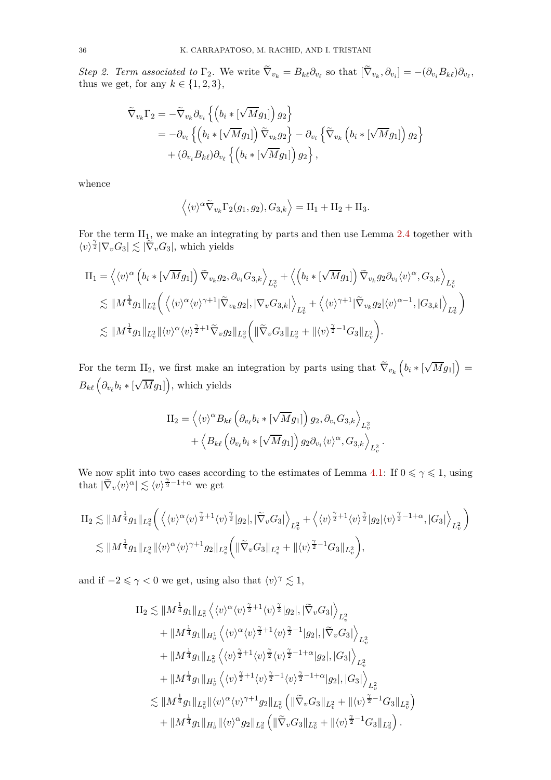Step 2. Term associated to  $\Gamma_2$ . We write  $\nabla_{v_k} = B_{k\ell} \partial_{v_\ell}$  so that  $[\nabla_{v_k}, \partial_{v_i}] = -(\partial_{v_i} B_{k\ell}) \partial_{v_\ell}$ , thus we get, for any  $k \in \{1, 2, 3\}$ ,

$$
\widetilde{\nabla}_{v_k} \Gamma_2 = -\widetilde{\nabla}_{v_k} \partial_{v_i} \left\{ \left( b_i * [\sqrt{M} g_1] \right) g_2 \right\} \n= -\partial_{v_i} \left\{ \left( b_i * [\sqrt{M} g_1] \right) \widetilde{\nabla}_{v_k} g_2 \right\} - \partial_{v_i} \left\{ \widetilde{\nabla}_{v_k} \left( b_i * [\sqrt{M} g_1] \right) g_2 \right\} \n+ (\partial_{v_i} B_{k\ell}) \partial_{v_\ell} \left\{ \left( b_i * [\sqrt{M} g_1] \right) g_2 \right\},
$$

whence

$$
\langle \langle v \rangle^{\alpha} \widetilde{\nabla}_{v_k} \Gamma_2(g_1, g_2), G_{3,k} \rangle = \Pi_1 + \Pi_2 + \Pi_3.
$$

For the term  $II_1$ , we make an integrating by parts and then use Lemma [2.4](#page-17-0) together with  $\langle v \rangle^{\frac{\gamma}{2}} |\nabla_v G_3| \lesssim |\tilde{\nabla}_v G_3|$ , which yields

$$
\begin{split} \text{II}_1 &= \left\langle \langle v \rangle^{\alpha} \left( b_i \ast [\sqrt{M} g_1] \right) \widetilde{\nabla}_{v_k} g_2, \partial_{v_i} G_{3,k} \right\rangle_{L^2_v} + \left\langle \left( b_i \ast [\sqrt{M} g_1] \right) \widetilde{\nabla}_{v_k} g_2 \partial_{v_i} \langle v \rangle^{\alpha}, G_{3,k} \right\rangle_{L^2_v} \\ &\lesssim \| M^{\frac{1}{4}} g_1 \|_{L^2_v} \left( \left\langle \langle v \rangle^{\alpha} \langle v \rangle^{\gamma+1} | \widetilde{\nabla}_{v_k} g_2 |, |\nabla_v G_{3,k}| \right\rangle_{L^2_v} + \left\langle \langle v \rangle^{\gamma+1} | \widetilde{\nabla}_{v_k} g_2 | \langle v \rangle^{\alpha-1}, |G_{3,k}| \right\rangle_{L^2_v} \right) \\ &\lesssim \| M^{\frac{1}{4}} g_1 \|_{L^2_v} \| \langle v \rangle^{\alpha} \langle v \rangle^{\frac{\gamma}{2}+1} \widetilde{\nabla}_v g_2 \|_{L^2_v} \left( \| \widetilde{\nabla}_v G_{3} \|_{L^2_v} + \| \langle v \rangle^{\frac{\gamma}{2}-1} G_{3} \|_{L^2_v} \right). \end{split}
$$

For the term II<sub>2</sub>, we first make an integration by parts using that  $\tilde{\nabla}_{v_k} \left( b_i * [\sqrt{M} g_1] \right) =$  $B_{k\ell} \left( \partial_{v_{\ell}} b_i * [\sqrt{M} g_1] \right)$ , which yields

$$
II_2 = \left\langle \langle v \rangle^{\alpha} B_{k\ell} \left( \partial_{v_{\ell}} b_i * [\sqrt{M} g_1] \right) g_2, \partial_{v_i} G_{3,k} \right\rangle_{L^2_v} + \left\langle B_{k\ell} \left( \partial_{v_{\ell}} b_i * [\sqrt{M} g_1] \right) g_2 \partial_{v_i} \langle v \rangle^{\alpha}, G_{3,k} \right\rangle_{L^2_v}.
$$

We now split into two cases according to the estimates of Lemma [4.1:](#page-29-5) If  $0 \leq \gamma \leq 1$ , using that  $|\tilde{\nabla}_v \langle v \rangle^{\alpha}| \lesssim \langle v \rangle^{\frac{\gamma}{2}-1+\alpha}$  we get

$$
\Pi_2 \lesssim \|M^{\frac{1}{4}} g_1\|_{L^2_v} \left( \left\langle \langle v \rangle^{\alpha} \langle v \rangle^{\frac{\gamma}{2}+1} \langle v \rangle^{\frac{\gamma}{2}} |g_2|, |\widetilde{\nabla}_v G_3| \right\rangle_{L^2_v} + \left\langle \langle v \rangle^{\frac{\gamma}{2}+1} \langle v \rangle^{\frac{\gamma}{2}} |g_2| \langle v \rangle^{\frac{\gamma}{2}-1+\alpha}, |G_3| \right\rangle_{L^2_v} \right)
$$
  

$$
\lesssim \|M^{\frac{1}{4}} g_1\|_{L^2_v} \|\langle v \rangle^{\alpha} \langle v \rangle^{\gamma+1} g_2\|_{L^2_v} \left( \|\widetilde{\nabla}_v G_3\|_{L^2_v} + \|\langle v \rangle^{\frac{\gamma}{2}-1} G_3\|_{L^2_v} \right),
$$

and if  $-2 \le \gamma < 0$  we get, using also that  $\langle v \rangle^{\gamma} \lesssim 1$ ,

$$
\begin{split} \mathrm{II}_2 \lesssim & \Vert M^{\frac{1}{4}} g_1 \Vert_{L^2_v} \left\langle \langle v \rangle^{\alpha} \langle v \rangle^{\frac{\gamma}{2}+1} \langle v \rangle^{\frac{\gamma}{2}} |g_2|, |\tilde{\nabla}_v G_3| \right\rangle_{L^2_v} \\ & + \Vert M^{\frac{1}{4}} g_1 \Vert_{H^1_v} \left\langle \langle v \rangle^{\alpha} \langle v \rangle^{\frac{\gamma}{2}+1} \langle v \rangle^{\frac{\gamma}{2}-1} |g_2|, |\tilde{\nabla}_v G_3| \right\rangle_{L^2_v} \\ & + \Vert M^{\frac{1}{4}} g_1 \Vert_{L^2_v} \left\langle \langle v \rangle^{\frac{\gamma}{2}+1} \langle v \rangle^{\frac{\gamma}{2}} \langle v \rangle^{\frac{\gamma}{2}-1+\alpha} |g_2|, |G_3| \right\rangle_{L^2_v} \\ & + \Vert M^{\frac{1}{4}} g_1 \Vert_{H^1_v} \left\langle \langle v \rangle^{\frac{\gamma}{2}+1} \langle v \rangle^{\frac{\gamma}{2}-1} \langle v \rangle^{\frac{\gamma}{2}-1+\alpha} |g_2|, |G_3| \right\rangle_{L^2_v} \\ \lesssim & \Vert M^{\frac{1}{4}} g_1 \Vert_{L^2_v} \Vert \langle v \rangle^{\alpha} \langle v \rangle^{\gamma+1} g_2 \Vert_{L^2_v} \left( \Vert \tilde{\nabla}_v G_3 \Vert_{L^2_v} + \Vert \langle v \rangle^{\frac{\gamma}{2}-1} G_3 \Vert_{L^2_v} \right) \\ & + \Vert M^{\frac{1}{4}} g_1 \Vert_{H^1_v} \Vert \langle v \rangle^{\alpha} g_2 \Vert_{L^2_v} \left( \Vert \tilde{\nabla}_v G_3 \Vert_{L^2_v} + \Vert \langle v \rangle^{\frac{\gamma}{2}-1} G_3 \Vert_{L^2_v} \right). \end{split}
$$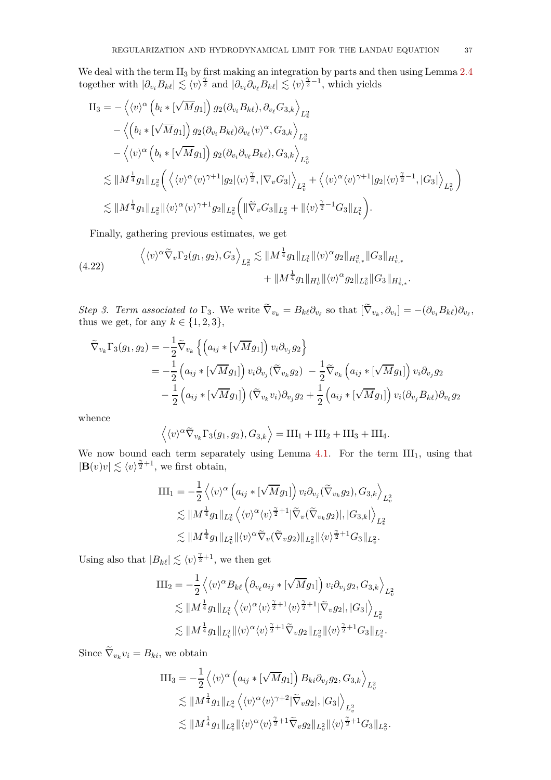We deal with the term  $II_3$  by first making an integration by parts and then using Lemma [2.4](#page-17-0) together with  $|\partial_{v_i} B_{k\ell}| \lesssim \langle v \rangle^{\frac{\gamma}{2}}$  and  $|\partial_{v_i} \partial_{v_\ell} B_{k\ell}| \lesssim \langle v \rangle^{\frac{\gamma}{2}-1}$ , which yields

$$
\Pi_{3} = -\left\langle \langle v \rangle^{\alpha} \left( b_{i} * [\sqrt{M} g_{1}] \right) g_{2} (\partial_{v_{i}} B_{k\ell}), \partial_{v_{\ell}} G_{3,k} \right\rangle_{L_{v}^{2}} \n- \left\langle \left( b_{i} * [\sqrt{M} g_{1}] \right) g_{2} (\partial_{v_{i}} B_{k\ell}) \partial_{v_{\ell}} \langle v \rangle^{\alpha}, G_{3,k} \right\rangle_{L_{v}^{2}} \n- \left\langle \langle v \rangle^{\alpha} \left( b_{i} * [\sqrt{M} g_{1}] \right) g_{2} (\partial_{v_{i}} \partial_{v_{\ell}} B_{k\ell}), G_{3,k} \right\rangle_{L_{v}^{2}} \n\lesssim \| M^{\frac{1}{4}} g_{1} \|_{L_{v}^{2}} \left( \left\langle \langle v \rangle^{\alpha} \langle v \rangle^{\gamma+1} |g_{2}| \langle v \rangle^{\frac{\gamma}{2}}, |\nabla_{v} G_{3}| \right\rangle_{L_{v}^{2}} + \left\langle \langle v \rangle^{\alpha} \langle v \rangle^{\gamma+1} |g_{2}| \langle v \rangle^{\frac{\gamma}{2}-1}, |G_{3}| \right\rangle_{L_{v}^{2}} \right) \n\lesssim \| M^{\frac{1}{4}} g_{1} \|_{L_{v}^{2}} \| \langle v \rangle^{\alpha} \langle v \rangle^{\gamma+1} g_{2} \|_{L_{v}^{2}} \left( \| \widetilde{\nabla}_{v} G_{3} \|_{L_{v}^{2}} + \| \langle v \rangle^{\frac{\gamma}{2}-1} G_{3} \|_{L_{v}^{2}} \right).
$$

<span id="page-36-0"></span>Finally, gathering previous estimates, we get

$$
\langle \langle v \rangle^{\alpha} \widetilde{\nabla}_v \Gamma_2(g_1, g_2), G_3 \rangle_{L^2_v} \lesssim \| M^{\frac{1}{4}} g_1 \|_{L^2_v} \| \langle v \rangle^{\alpha} g_2 \|_{H^2_{v,*}} \| G_3 \|_{H^1_{v,*}} + \| M^{\frac{1}{4}} g_1 \|_{H^1_v} \| \langle v \rangle^{\alpha} g_2 \|_{L^2_v} \| G_3 \|_{H^1_{v,*}}.
$$

Step 3. Term associated to  $\Gamma_3$ . We write  $\nabla_{v_k} = B_{k\ell} \partial_{v_\ell}$  so that  $[\nabla_{v_k}, \partial_{v_i}] = -(\partial_{v_i} B_{k\ell}) \partial_{v_\ell}$ , thus we get, for any  $k \in \{1, 2, 3\}$ ,

$$
\widetilde{\nabla}_{v_k} \Gamma_3(g_1, g_2) = -\frac{1}{2} \widetilde{\nabla}_{v_k} \left\{ \left( a_{ij} * [\sqrt{M} g_1] \right) v_i \partial_{v_j} g_2 \right\} \n= -\frac{1}{2} \left( a_{ij} * [\sqrt{M} g_1] \right) v_i \partial_{v_j} (\widetilde{\nabla}_{v_k} g_2) - \frac{1}{2} \widetilde{\nabla}_{v_k} \left( a_{ij} * [\sqrt{M} g_1] \right) v_i \partial_{v_j} g_2 \n- \frac{1}{2} \left( a_{ij} * [\sqrt{M} g_1] \right) (\widetilde{\nabla}_{v_k} v_i) \partial_{v_j} g_2 + \frac{1}{2} \left( a_{ij} * [\sqrt{M} g_1] \right) v_i (\partial_{v_j} B_{k\ell}) \partial_{v_\ell} g_2
$$

whence

$$
\langle \langle v \rangle^{\alpha} \widetilde{\nabla}_{v_k} \Gamma_3(g_1, g_2), G_{3,k} \rangle = \text{III}_1 + \text{III}_2 + \text{III}_3 + \text{III}_4.
$$

We now bound each term separately using Lemma [4.1.](#page-29-0) For the term  $III_1$ , using that  $|\mathbf{B}(v)v| \lesssim \langle v \rangle^{\frac{\gamma}{2}+1}$ , we first obtain,

$$
\begin{split} \text{III}_1 &= -\frac{1}{2} \left\langle \langle v \rangle^{\alpha} \left( a_{ij} * [\sqrt{M} g_1] \right) v_i \partial_{v_j} (\widetilde{\nabla}_{v_k} g_2), G_{3,k} \right\rangle_{L^2_v} \\ &\lesssim \| M^{\frac{1}{4}} g_1 \|_{L^2_v} \left\langle \langle v \rangle^{\alpha} \langle v \rangle^{\frac{\gamma}{2}+1} |\widetilde{\nabla}_v (\widetilde{\nabla}_{v_k} g_2)|, |G_{3,k}| \right\rangle_{L^2_v} \\ &\lesssim \| M^{\frac{1}{4}} g_1 \|_{L^2_v} \|\langle v \rangle^{\alpha} \widetilde{\nabla}_v (\widetilde{\nabla}_v g_2) \|_{L^2_v} \|\langle v \rangle^{\frac{\gamma}{2}+1} G_3 \|_{L^2_v} .\end{split}
$$

Using also that  $|B_{k\ell}| \lesssim \langle v \rangle^{\frac{\gamma}{2}+1}$ , we then get

$$
\begin{split} \text{III}_2 &= -\frac{1}{2} \left\langle \langle v \rangle^{\alpha} B_{k\ell} \left( \partial_{v_{\ell}} a_{ij} * [\sqrt{M} g_1] \right) v_i \partial_{v_j} g_2, G_{3,k} \right\rangle_{L^2_v} \\ &\lesssim \| M^{\frac{1}{4}} g_1 \|_{L^2_v} \left\langle \langle v \rangle^{\alpha} \langle v \rangle^{\frac{\gamma}{2}+1} \langle v \rangle^{\frac{\gamma}{2}+1} |\widetilde{\nabla}_v g_2|, |G_3| \right\rangle_{L^2_v} \\ &\lesssim \| M^{\frac{1}{4}} g_1 \|_{L^2_v} \| \langle v \rangle^{\alpha} \langle v \rangle^{\frac{\gamma}{2}+1} \widetilde{\nabla}_v g_2 \|_{L^2_v} \| \langle v \rangle^{\frac{\gamma}{2}+1} G_3 \|_{L^2_v} .\end{split}
$$

Since  $\nabla_{v_k} v_i = B_{ki}$ , we obtain

$$
\begin{split} \text{III}_3 &= -\frac{1}{2} \left\langle \langle v \rangle^{\alpha} \left( a_{ij} * [\sqrt{M} g_1] \right) B_{ki} \partial_{v_j} g_2, G_{3,k} \right\rangle_{L^2_v} \\ &\lesssim \| M^{\frac{1}{4}} g_1 \|_{L^2_v} \left\langle \langle v \rangle^{\alpha} \langle v \rangle^{\gamma+2} |\widetilde{\nabla}_v g_2|, |G_3| \right\rangle_{L^2_v} \\ &\lesssim \| M^{\frac{1}{4}} g_1 \|_{L^2_v} \| \langle v \rangle^{\alpha} \langle v \rangle^{\frac{\gamma}{2}+1} \widetilde{\nabla}_v g_2 \|_{L^2_v} \| \langle v \rangle^{\frac{\gamma}{2}+1} G_3 \|_{L^2_v} . \end{split}
$$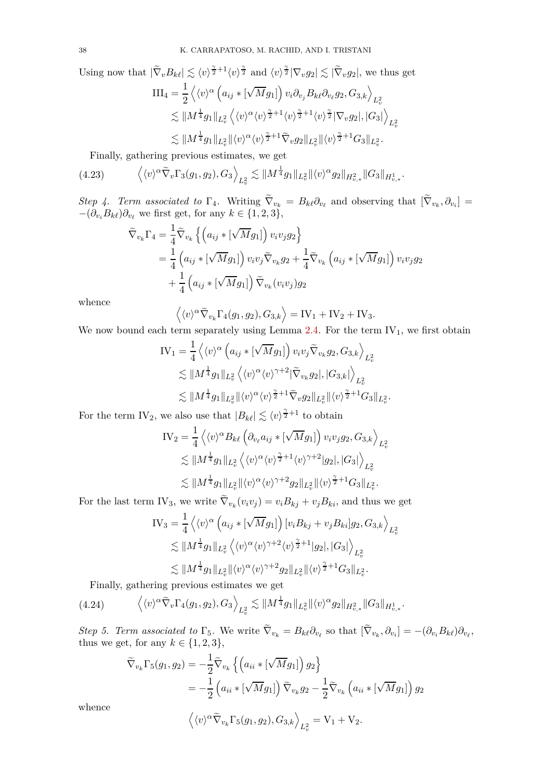Using now that  $|\tilde{\nabla}_{v}B_{k\ell}| \lesssim \langle v \rangle^{\frac{\gamma}{2}+1} \langle v \rangle^{\frac{\gamma}{2}}$  and  $\langle v \rangle^{\frac{\gamma}{2}} |\nabla_{v}g_2| \lesssim |\tilde{\nabla}_{v}g_2|$ , we thus get

$$
\begin{split} \text{III}_4 &= \frac{1}{2} \left\langle \langle v \rangle^{\alpha} \left( a_{ij} * [\sqrt{M} g_1] \right) v_i \partial_{v_j} B_{k\ell} \partial_{v_\ell} g_2, G_{3,k} \right\rangle_{L^2_v} \\ &\lesssim \| M^{\frac{1}{4}} g_1 \|_{L^2_v} \left\langle \langle v \rangle^{\alpha} \langle v \rangle^{\frac{\gamma}{2}+1} \langle v \rangle^{\frac{\gamma}{2}+1} \langle v \rangle^{\frac{\gamma}{2}} |\nabla_v g_2|, |G_3| \right\rangle_{L^2_v} \\ &\lesssim \| M^{\frac{1}{4}} g_1 \|_{L^2_v} \| \langle v \rangle^{\alpha} \langle v \rangle^{\frac{\gamma}{2}+1} \widetilde{\nabla}_v g_2 \|_{L^2_v} \| \langle v \rangle^{\frac{\gamma}{2}+1} G_3 \|_{L^2_v}. \end{split}
$$

<span id="page-37-0"></span>Finally, gathering previous estimates, we get

$$
(4.23) \qquad \left\langle \langle v \rangle^{\alpha} \widetilde{\nabla}_v \Gamma_3(g_1, g_2), G_3 \right\rangle_{L^2_v} \lesssim \| M^{\frac{1}{4}} g_1 \|_{L^2_v} \| \langle v \rangle^{\alpha} g_2 \|_{H^2_{v,*}} \| G_3 \|_{H^1_{v,*}}.
$$

*Step 4. Term associated to*  $\Gamma_4$ . Writing  $\nabla_{v_k} = B_{k\ell} \partial_{v_\ell}$  and observing that  $[\nabla_{v_k}, \partial_{v_i}] =$  $-(\partial_{v_i} B_{k\ell})\partial_{v_\ell}$  we first get, for any  $k \in \{1, 2, 3\},\$ 

$$
\widetilde{\nabla}_{v_k} \Gamma_4 = \frac{1}{4} \widetilde{\nabla}_{v_k} \left\{ \left( a_{ij} * [\sqrt{M} g_1] \right) v_i v_j g_2 \right\}
$$
\n
$$
= \frac{1}{4} \left( a_{ij} * [\sqrt{M} g_1] \right) v_i v_j \widetilde{\nabla}_{v_k} g_2 + \frac{1}{4} \widetilde{\nabla}_{v_k} \left( a_{ij} * [\sqrt{M} g_1] \right) v_i v_j g_2
$$
\n
$$
+ \frac{1}{4} \left( a_{ij} * [\sqrt{M} g_1] \right) \widetilde{\nabla}_{v_k} (v_i v_j) g_2
$$

whence

$$
\langle \langle v \rangle^{\alpha} \widetilde{\nabla}_{v_k} \Gamma_4(g_1, g_2), G_{3,k} \rangle = IV_1 + IV_2 + IV_3.
$$

We now bound each term separately using Lemma  $2.4$ . For the term  $IV_1$ , we first obtain

$$
\begin{split} \text{IV}_1 &= \frac{1}{4} \left\langle \langle v \rangle^{\alpha} \left( a_{ij} * [\sqrt{M} g_1] \right) v_i v_j \widetilde{\nabla}_{v_k} g_2, G_{3,k} \right\rangle_{L^2_v} \\ &\lesssim \| M^{\frac{1}{4}} g_1 \|_{L^2_v} \left\langle \langle v \rangle^{\alpha} \langle v \rangle^{\gamma+2} |\widetilde{\nabla}_{v_k} g_2|, |G_{3,k}| \right\rangle_{L^2_v} \\ &\lesssim \| M^{\frac{1}{4}} g_1 \|_{L^2_v} \| \langle v \rangle^{\alpha} \langle v \rangle^{\frac{\gamma}{2}+1} \widetilde{\nabla}_v g_2 \|_{L^2_v} \| \langle v \rangle^{\frac{\gamma}{2}+1} G_3 \|_{L^2_v} \end{split}
$$

*.*

For the term IV<sub>2</sub>, we also use that  $|B_{k\ell}| \lesssim \langle v \rangle^{\frac{\gamma}{2}+1}$  to obtain

$$
\begin{split} \text{IV}_2 &= \frac{1}{4} \left\langle \langle v \rangle^{\alpha} B_{k\ell} \left( \partial_{v_{\ell}} a_{ij} * [\sqrt{M} g_1] \right) v_i v_j g_2, G_{3,k} \right\rangle_{L^2_v} \\ &\lesssim \| M^{\frac{1}{4}} g_1 \|_{L^2_v} \left\langle \langle v \rangle^{\alpha} \langle v \rangle^{\frac{\gamma}{2}+1} \langle v \rangle^{\gamma+2} |g_2|, |G_3| \right\rangle_{L^2_v} \\ &\lesssim \| M^{\frac{1}{4}} g_1 \|_{L^2_v} \| \langle v \rangle^{\alpha} \langle v \rangle^{\gamma+2} g_2 \|_{L^2_v} \| \langle v \rangle^{\frac{\gamma}{2}+1} G_3 \|_{L^2_v}. \end{split}
$$

For the last term IV<sub>3</sub>, we write  $\nabla_{v_k}(v_i v_j) = v_i B_{kj} + v_j B_{ki}$ , and thus we get

$$
IV_3 = \frac{1}{4} \left\langle \langle v \rangle^{\alpha} \left( a_{ij} * [\sqrt{M} g_1] \right) [v_i B_{kj} + v_j B_{ki}] g_2, G_{3,k} \right\rangle_{L^2_v}
$$
  
\n
$$
\lesssim ||M^{\frac{1}{4}} g_1 ||_{L^2_v} \left\langle \langle v \rangle^{\alpha} \langle v \rangle^{\gamma+2} \langle v \rangle^{\frac{\gamma}{2}+1} |g_2|, |G_3| \right\rangle_{L^2_v}
$$
  
\n
$$
\lesssim ||M^{\frac{1}{4}} g_1 ||_{L^2_v} ||\langle v \rangle^{\alpha} \langle v \rangle^{\gamma+2} g_2 ||_{L^2_v} ||\langle v \rangle^{\frac{\gamma}{2}+1} G_3 ||_{L^2_v}.
$$

<span id="page-37-1"></span>Finally, gathering previous estimates we get

$$
(4.24) \qquad \left\langle \langle v \rangle^{\alpha} \widetilde{\nabla}_v \Gamma_4(g_1, g_2), G_3 \right\rangle_{L^2_v} \lesssim \| M^{\frac{1}{4}} g_1 \|_{L^2_v} \| \langle v \rangle^{\alpha} g_2 \|_{H^2_{v,*}} \| G_3 \|_{H^1_{v,*}}.
$$

Step 5. Term associated to  $\Gamma_5$ . We write  $\nabla_{v_k} = B_{k\ell} \partial_{v_\ell}$  so that  $[\nabla_{v_k}, \partial_{v_i}] = -(\partial_{v_i} B_{k\ell}) \partial_{v_\ell}$ , thus we get, for any  $k \in \{1, 2, 3\}$ ,

$$
\widetilde{\nabla}_{v_k} \Gamma_5(g_1, g_2) = -\frac{1}{2} \widetilde{\nabla}_{v_k} \left\{ \left( a_{ii} * [\sqrt{M} g_1] \right) g_2 \right\}
$$
\n
$$
= -\frac{1}{2} \left( a_{ii} * [\sqrt{M} g_1] \right) \widetilde{\nabla}_{v_k} g_2 - \frac{1}{2} \widetilde{\nabla}_{v_k} \left( a_{ii} * [\sqrt{M} g_1] \right) g_2
$$

whence

$$
\left\langle \langle v \rangle^{\alpha} \widetilde{\nabla}_{v_k} \Gamma_5(g_1, g_2), G_{3,k} \right\rangle_{L^2_v} = V_1 + V_2.
$$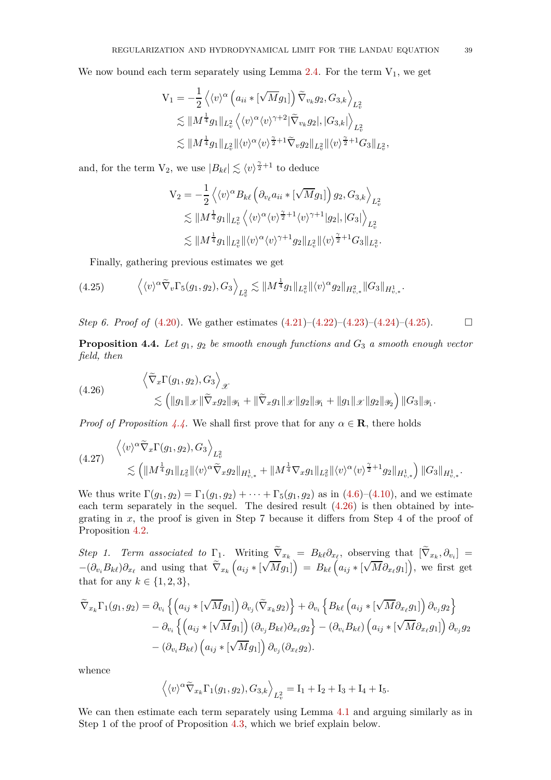We now bound each term separately using Lemma  $2.4$ . For the term  $V_1$ , we get

$$
V_1 = -\frac{1}{2} \left\langle \langle v \rangle^{\alpha} \left( a_{ii} * [\sqrt{M} g_1] \right) \tilde{\nabla}_{v_k} g_2, G_{3,k} \right\rangle_{L^2_v} \n\lesssim \| M^{\frac{1}{4}} g_1 \|_{L^2_v} \left\langle \langle v \rangle^{\alpha} \langle v \rangle^{\gamma+2} |\tilde{\nabla}_{v_k} g_2|, |G_{3,k}| \right\rangle_{L^2_v} \n\lesssim \| M^{\frac{1}{4}} g_1 \|_{L^2_v} \| \langle v \rangle^{\alpha} \langle v \rangle^{\frac{\gamma}{2}+1} \tilde{\nabla}_v g_2 \|_{L^2_v} \| \langle v \rangle^{\frac{\gamma}{2}+1} G_{3} \|_{L^2_v},
$$

and, for the term  $V_2$ , we use  $|B_{k\ell}| \lesssim \langle v \rangle^{\frac{\gamma}{2}+1}$  to deduce

$$
V_2 = -\frac{1}{2} \left\langle \langle v \rangle^{\alpha} B_{k\ell} \left( \partial_{v_{\ell}} a_{ii} * [\sqrt{M} g_1] \right) g_2, G_{3,k} \right\rangle_{L^2_v} \n\lesssim \|M^{\frac{1}{4}} g_1\|_{L^2_v} \left\langle \langle v \rangle^{\alpha} \langle v \rangle^{\frac{\gamma}{2}+1} \langle v \rangle^{\gamma+1} |g_2|, |G_3| \right\rangle_{L^2_v} \n\lesssim \|M^{\frac{1}{4}} g_1\|_{L^2_v} \|\langle v \rangle^{\alpha} \langle v \rangle^{\gamma+1} g_2\|_{L^2_v} \|\langle v \rangle^{\frac{\gamma}{2}+1} G_3\|_{L^2_v}.
$$

<span id="page-38-0"></span>Finally, gathering previous estimates we get

$$
(4.25) \qquad \left\langle \langle v \rangle^{\alpha} \widetilde{\nabla}_v \Gamma_5(g_1, g_2), G_3 \right\rangle_{L^2_v} \lesssim \| M^{\frac{1}{4}} g_1 \|_{L^2_v} \| \langle v \rangle^{\alpha} g_2 \|_{H^2_{v,*}} \| G_3 \|_{H^1_{v,*}}.
$$

*Step 6. Proof of*  $(4.20)$ . We gather estimates  $(4.21)-(4.22)-(4.23)-(4.24)-(4.25)$  $(4.21)-(4.22)-(4.23)-(4.24)-(4.25)$  $(4.21)-(4.22)-(4.23)-(4.24)-(4.25)$  $(4.21)-(4.22)-(4.23)-(4.24)-(4.25)$  $(4.21)-(4.22)-(4.23)-(4.24)-(4.25)$  $(4.21)-(4.22)-(4.23)-(4.24)-(4.25)$  $(4.21)-(4.22)-(4.23)-(4.24)-(4.25)$  $(4.21)-(4.22)-(4.23)-(4.24)-(4.25)$ .

<span id="page-38-1"></span>**Proposition 4.4.** *Let g*1*, g*<sup>2</sup> *be smooth enough functions and G*<sup>3</sup> *a smooth enough vector field, then*

<span id="page-38-2"></span>(4.26) 
$$
\left\langle \tilde{\nabla}_x \Gamma(g_1, g_2), G_3 \right\rangle_{\mathscr{X}} \\ \lesssim \left( \|g_1\|_{\mathscr{X}} \|\tilde{\nabla}_x g_2\|_{\mathscr{Y}_1} + \|\tilde{\nabla}_x g_1\|_{\mathscr{X}} \|g_2\|_{\mathscr{Y}_1} + \|g_1\|_{\mathscr{X}} \|g_2\|_{\mathscr{Y}_2} \right) \|G_3\|_{\mathscr{Y}_1}.
$$

*Proof of Proposition* [4.4.](#page-38-1) We shall first prove that for any  $\alpha \in \mathbf{R}$ , there holds

<span id="page-38-3"></span>
$$
(4.27) \begin{aligned} \left\langle \langle v \rangle^{\alpha} \tilde{\nabla}_x \Gamma(g_1, g_2), G_3 \right\rangle_{L^2_v} \\ \lesssim \left( \| M^{\frac{1}{4}} g_1 \|_{L^2_v} \| \langle v \rangle^{\alpha} \tilde{\nabla}_x g_2 \|_{H^1_{v,*}} + \| M^{\frac{1}{4}} \nabla_x g_1 \|_{L^2_v} \| \langle v \rangle^{\alpha} \langle v \rangle^{\frac{\gamma}{2}+1} g_2 \|_{H^1_{v,*}} \right) \| G_3 \|_{H^1_{v,*}}. \end{aligned}
$$

We thus write  $\Gamma(g_1, g_2) = \Gamma_1(g_1, g_2) + \cdots + \Gamma_5(g_1, g_2)$  as in [\(4.6\)](#page-30-0)–[\(4.10\)](#page-30-1), and we estimate each term separately in the sequel. The desired result [\(4.26\)](#page-38-2) is then obtained by integrating in *x*, the proof is given in Step 7 because it differs from Step 4 of the proof of Proposition [4.2.](#page-31-0)

*Step 1. Term associated to*  $\Gamma_1$ . Writing  $\nabla_{x_k} = B_{k\ell} \partial_{x_\ell}$ , observing that  $[\nabla_{x_k}, \partial_{v_i}] =$  $-(\partial_{v_i}B_{k\ell})\partial_{x_\ell}$  and using that  $\widetilde{\nabla}_{x_k}\left(a_{ij} * [\sqrt{M}g_1]\right) = B_{k\ell}\left(a_{ij} * [\sqrt{M}\partial_{x_\ell}g_1]\right)$ , we first get that for any  $k \in \{1, 2, 3\},\$ 

$$
\widetilde{\nabla}_{x_k} \Gamma_1(g_1, g_2) = \partial_{v_i} \left\{ \left( a_{ij} * [\sqrt{M} g_1] \right) \partial_{v_j} (\widetilde{\nabla}_{x_k} g_2) \right\} + \partial_{v_i} \left\{ B_{k\ell} \left( a_{ij} * [\sqrt{M} \partial_{x_\ell} g_1] \right) \partial_{v_j} g_2 \right\} \n- \partial_{v_i} \left\{ \left( a_{ij} * [\sqrt{M} g_1] \right) (\partial_{v_j} B_{k\ell}) \partial_{x_\ell} g_2 \right\} - (\partial_{v_i} B_{k\ell}) \left( a_{ij} * [\sqrt{M} \partial_{x_\ell} g_1] \right) \partial_{v_j} g_2 \n- (\partial_{v_i} B_{k\ell}) \left( a_{ij} * [\sqrt{M} g_1] \right) \partial_{v_j} (\partial_{x_\ell} g_2).
$$

whence

$$
\langle \langle v \rangle^{\alpha} \widetilde{\nabla}_{x_k} \Gamma_1(g_1, g_2), G_{3,k} \rangle_{L^2_v} = I_1 + I_2 + I_3 + I_4 + I_5.
$$

We can then estimate each term separately using Lemma [4.1](#page-29-0) and arguing similarly as in Step 1 of the proof of Proposition [4.3,](#page-33-1) which we brief explain below.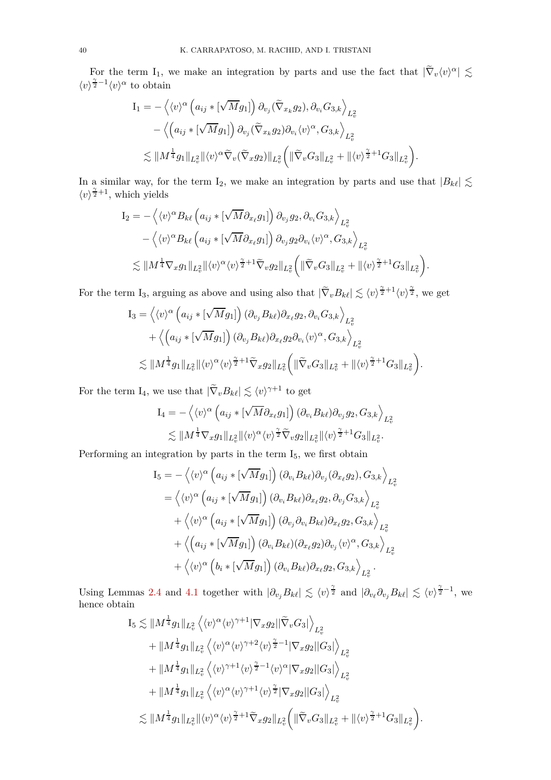For the term I<sub>1</sub>, we make an integration by parts and use the fact that  $|\tilde{\nabla}_v \langle v \rangle^{\alpha}| \lesssim$  $\langle v \rangle^{\frac{\gamma}{2}-1} \langle v \rangle^{\alpha}$  to obtain

$$
I_1 = -\left\langle \langle v \rangle^{\alpha} \left( a_{ij} * [\sqrt{M} g_1] \right) \partial_{v_j} (\widetilde{\nabla}_{x_k} g_2), \partial_{v_i} G_{3,k} \right\rangle_{L^2_v} - \left\langle \left( a_{ij} * [\sqrt{M} g_1] \right) \partial_{v_j} (\widetilde{\nabla}_{x_k} g_2) \partial_{v_i} \langle v \rangle^{\alpha}, G_{3,k} \right\rangle_{L^2_v} \lesssim \| M^{\frac{1}{4}} g_1 \|_{L^2_v} \| \langle v \rangle^{\alpha} \widetilde{\nabla}_v (\widetilde{\nabla}_x g_2) \|_{L^2_v} \left( \| \widetilde{\nabla}_v G_3 \|_{L^2_v} + \| \langle v \rangle^{\frac{\gamma}{2}+1} G_3 \|_{L^2_v} \right).
$$

In a similar way, for the term I<sub>2</sub>, we make an integration by parts and use that  $|B_{k\ell}| \lesssim$  $\langle v \rangle^{\frac{\gamma}{2}+1}$ , which yields

$$
I_2 = -\left\langle \langle v \rangle^{\alpha} B_{k\ell} \left( a_{ij} * [\sqrt{M} \partial_{x_{\ell}} g_1] \right) \partial_{v_j} g_2, \partial_{v_i} G_{3,k} \right\rangle_{L^2_v} - \left\langle \langle v \rangle^{\alpha} B_{k\ell} \left( a_{ij} * [\sqrt{M} \partial_{x_{\ell}} g_1] \right) \partial_{v_j} g_2 \partial_{v_i} \langle v \rangle^{\alpha}, G_{3,k} \right\rangle_{L^2_v} \lesssim \| M^{\frac{1}{4}} \nabla_x g_1 \|_{L^2_v} \| \langle v \rangle^{\alpha} \langle v \rangle^{\frac{\gamma}{2}+1} \tilde{\nabla}_v g_2 \|_{L^2_v} \left( \| \tilde{\nabla}_v G_3 \|_{L^2_v} + \| \langle v \rangle^{\frac{\gamma}{2}+1} G_3 \|_{L^2_v} \right).
$$

For the term I<sub>3</sub>, arguing as above and using also that  $|\tilde{\nabla}_{v}B_{k\ell}| \lesssim \langle v \rangle^{\frac{\gamma}{2}+1} \langle v \rangle^{\frac{\gamma}{2}}$ , we get

$$
I_3 = \left\langle \langle v \rangle^{\alpha} \left( a_{ij} * [\sqrt{M} g_1] \right) (\partial_{v_j} B_{k\ell}) \partial_{x_\ell} g_2, \partial_{v_i} G_{3,k} \right\rangle_{L^2_v} + \left\langle \left( a_{ij} * [\sqrt{M} g_1] \right) (\partial_{v_j} B_{k\ell}) \partial_{x_\ell} g_2 \partial_{v_i} \langle v \rangle^{\alpha}, G_{3,k} \right\rangle_{L^2_v} \lesssim \| M^{\frac{1}{4}} g_1 \|_{L^2_v} \| \langle v \rangle^{\alpha} \langle v \rangle^{\frac{\gamma}{2}+1} \widetilde{\nabla}_x g_2 \|_{L^2_v} \left( \| \widetilde{\nabla}_v G_3 \|_{L^2_v} + \| \langle v \rangle^{\frac{\gamma}{2}+1} G_3 \|_{L^2_v} \right).
$$

For the term  $I_4$ , we use that  $|\tilde{\nabla}_v B_{k\ell}| \lesssim \langle v \rangle^{\gamma+1}$  to get

$$
I_4 = -\left\langle \langle v \rangle^{\alpha} \left( a_{ij} * [\sqrt{M} \partial_{x_\ell} g_1] \right) (\partial_{v_i} B_{k\ell}) \partial_{v_j} g_2, G_{3,k} \right\rangle_{L^2_v} \lesssim \| M^{\frac{1}{4}} \nabla_x g_1 \|_{L^2_v} \| \langle v \rangle^{\alpha} \langle v \rangle^{\frac{\gamma}{2}} \widetilde{\nabla}_v g_2 \|_{L^2_v} \| \langle v \rangle^{\frac{\gamma}{2}+1} G_3 \|_{L^2_v}.
$$

Performing an integration by parts in the term  $\mathrm{I}_5,$  we first obtain

$$
I_5 = -\langle \langle v \rangle^{\alpha} \left( a_{ij} * [\sqrt{M} g_1] \right) (\partial_{v_i} B_{k\ell}) \partial_{v_j} (\partial_{x_\ell} g_2), G_{3,k} \rangle_{L^2_v}
$$
  
\n
$$
= \langle \langle v \rangle^{\alpha} \left( a_{ij} * [\sqrt{M} g_1] \right) (\partial_{v_i} B_{k\ell}) \partial_{x_\ell} g_2, \partial_{v_j} G_{3,k} \rangle_{L^2_v}
$$
  
\n
$$
+ \langle \langle v \rangle^{\alpha} \left( a_{ij} * [\sqrt{M} g_1] \right) (\partial_{v_j} \partial_{v_i} B_{k\ell}) \partial_{x_\ell} g_2, G_{3,k} \rangle_{L^2_v}
$$
  
\n
$$
+ \langle \left( a_{ij} * [\sqrt{M} g_1] \right) (\partial_{v_i} B_{k\ell}) (\partial_{x_\ell} g_2) \partial_{v_j} \langle v \rangle^{\alpha}, G_{3,k} \rangle_{L^2_v}
$$
  
\n
$$
+ \langle \langle v \rangle^{\alpha} \left( b_i * [\sqrt{M} g_1] \right) (\partial_{v_i} B_{k\ell}) \partial_{x_\ell} g_2, G_{3,k} \rangle_{L^2_v}.
$$

Using Lemmas [2.4](#page-17-0) and [4.1](#page-29-0) together with  $|\partial_{v_j} B_{k\ell}| \lesssim \langle v \rangle^{\frac{\gamma}{2}}$  and  $|\partial_{v_\ell} \partial_{v_j} B_{k\ell}| \lesssim \langle v \rangle^{\frac{\gamma}{2}-1}$ , we hence obtain

$$
I_5 \lesssim \|M^{\frac{1}{4}}g_1\|_{L^2_v} \left\langle \langle v \rangle^{\alpha} \langle v \rangle^{\gamma+1} |\nabla_x g_2| |\tilde{\nabla}_v G_3| \right\rangle_{L^2_v} + \|M^{\frac{1}{4}}g_1\|_{L^2_v} \left\langle \langle v \rangle^{\alpha} \langle v \rangle^{\gamma+2} \langle v \rangle^{\frac{\gamma}{2}-1} |\nabla_x g_2||G_3| \right\rangle_{L^2_v} + \|M^{\frac{1}{4}}g_1\|_{L^2_v} \left\langle \langle v \rangle^{\gamma+1} \langle v \rangle^{\frac{\gamma}{2}-1} \langle v \rangle^{\alpha} |\nabla_x g_2||G_3| \right\rangle_{L^2_v} + \|M^{\frac{1}{4}}g_1\|_{L^2_v} \left\langle \langle v \rangle^{\alpha} \langle v \rangle^{\gamma+1} \langle v \rangle^{\frac{\gamma}{2}} |\nabla_x g_2||G_3| \right\rangle_{L^2_v} \lesssim \|M^{\frac{1}{4}}g_1\|_{L^2_v} \|\langle v \rangle^{\alpha} \langle v \rangle^{\frac{\gamma}{2}+1} \widetilde{\nabla}_x g_2\|_{L^2_v} \left( \|\widetilde{\nabla}_v G_3\|_{L^2_v} + \| \langle v \rangle^{\frac{\gamma}{2}+1} G_3\|_{L^2_v} \right).
$$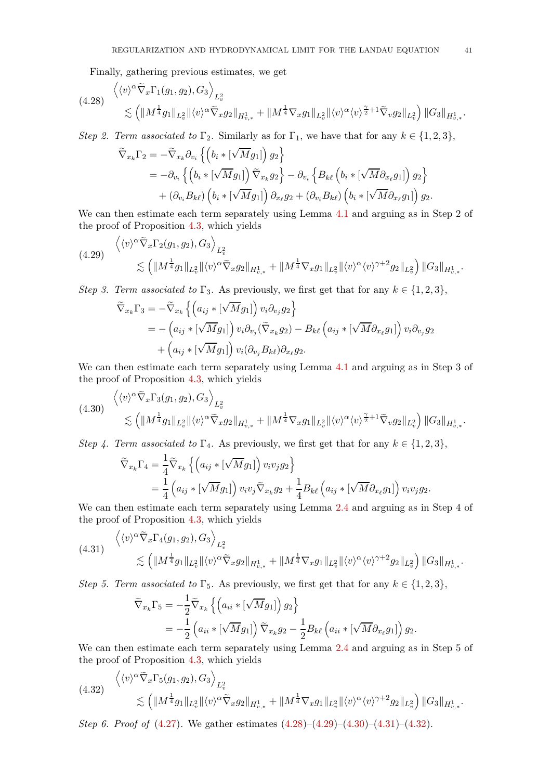<span id="page-40-0"></span>Finally, gathering previous estimates, we get

$$
(4.28) \begin{aligned} \left\langle \langle v \rangle^{\alpha} \tilde{\nabla}_x \Gamma_1(g_1, g_2), G_3 \right\rangle_{L^2_v} \\ \lesssim \left( \|M^{\frac{1}{4}} g_1\|_{L^2_v} \|\langle v \rangle^{\alpha} \tilde{\nabla}_x g_2\|_{H^1_{v,*}} + \|M^{\frac{1}{4}} \nabla_x g_1\|_{L^2_v} \|\langle v \rangle^{\alpha} \langle v \rangle^{\frac{\gamma}{2}+1} \tilde{\nabla}_v g_2\|_{L^2_v} \right) \|G_3\|_{H^1_{v,*}}. \end{aligned}
$$

*Step 2. Term associated to*  $\Gamma_2$ *.* Similarly as for  $\Gamma_1$ *,* we have that for any  $k \in \{1, 2, 3\}$ ,

$$
\tilde{\nabla}_{x_k} \Gamma_2 = -\tilde{\nabla}_{x_k} \partial_{v_i} \left\{ \left( b_i * [\sqrt{M} g_1] \right) g_2 \right\} \n= -\partial_{v_i} \left\{ \left( b_i * [\sqrt{M} g_1] \right) \tilde{\nabla}_{x_k} g_2 \right\} - \partial_{v_i} \left\{ B_{k\ell} \left( b_i * [\sqrt{M} \partial_{x_\ell} g_1] \right) g_2 \right\} \n+ (\partial_{v_i} B_{k\ell}) \left( b_i * [\sqrt{M} g_1] \right) \partial_{x_\ell} g_2 + (\partial_{v_i} B_{k\ell}) \left( b_i * [\sqrt{M} \partial_{x_\ell} g_1] \right) g_2.
$$

We can then estimate each term separately using Lemma [4.1](#page-29-0) and arguing as in Step 2 of the proof of Proposition [4.3,](#page-33-1) which yields

<span id="page-40-1"></span>
$$
(4.29) \quad \begin{aligned} \left\langle \langle v \rangle^{\alpha} \tilde{\nabla}_x \Gamma_2(g_1, g_2), G_3 \right\rangle_{L^2_v} \\ \lesssim \left( \| M^{\frac{1}{4}} g_1 \|_{L^2_v} \| \langle v \rangle^{\alpha} \tilde{\nabla}_x g_2 \|_{H^1_{v,*}} + \| M^{\frac{1}{4}} \nabla_x g_1 \|_{L^2_v} \| \langle v \rangle^{\alpha} \langle v \rangle^{\gamma+2} g_2 \|_{L^2_v} \right) \| G_3 \|_{H^1_{v,*}}. \end{aligned}
$$

*Step 3. Term associated to*  $\Gamma_3$ *.* As previously, we first get that for any  $k \in \{1, 2, 3\}$ ,

$$
\widetilde{\nabla}_{x_k} \Gamma_3 = -\widetilde{\nabla}_{x_k} \left\{ \left( a_{ij} * [\sqrt{M} g_1] \right) v_i \partial_{v_j} g_2 \right\} \n= -\left( a_{ij} * [\sqrt{M} g_1] \right) v_i \partial_{v_j} (\widetilde{\nabla}_{x_k} g_2) - B_{k\ell} \left( a_{ij} * [\sqrt{M} \partial_{x_\ell} g_1] \right) v_i \partial_{v_j} g_2 \n+ \left( a_{ij} * [\sqrt{M} g_1] \right) v_i (\partial_{v_j} B_{k\ell}) \partial_{x_\ell} g_2.
$$

We can then estimate each term separately using Lemma [4.1](#page-29-0) and arguing as in Step 3 of the proof of Proposition [4.3,](#page-33-1) which yields

<span id="page-40-2"></span>
$$
(4.30) \begin{aligned} \left\langle \langle v \rangle^{\alpha} \tilde{\nabla}_x \Gamma_3(g_1, g_2), G_3 \right\rangle_{L^2_v} \\ \lesssim \left( \|M^{\frac{1}{4}} g_1\|_{L^2_v} \|\langle v \rangle^{\alpha} \tilde{\nabla}_x g_2\|_{H^1_{v,*}} + \|M^{\frac{1}{4}} \nabla_x g_1\|_{L^2_v} \|\langle v \rangle^{\alpha} \langle v \rangle^{\frac{\gamma}{2}+1} \tilde{\nabla}_v g_2\|_{L^2_v} \right) \|G_3\|_{H^1_{v,*}}. \end{aligned}
$$

*Step 4. Term associated to*  $\Gamma_4$ *.* As previously, we first get that for any  $k \in \{1, 2, 3\}$ ,

$$
\tilde{\nabla}_{x_k} \Gamma_4 = \frac{1}{4} \tilde{\nabla}_{x_k} \left\{ \left( a_{ij} * [\sqrt{M} g_1] \right) v_i v_j g_2 \right\} \n= \frac{1}{4} \left( a_{ij} * [\sqrt{M} g_1] \right) v_i v_j \tilde{\nabla}_{x_k} g_2 + \frac{1}{4} B_{k\ell} \left( a_{ij} * [\sqrt{M} \partial_{x_\ell} g_1] \right) v_i v_j g_2.
$$

We can then estimate each term separately using Lemma [2.4](#page-17-0) and arguing as in Step 4 of the proof of Proposition [4.3,](#page-33-1) which yields

<span id="page-40-3"></span>
$$
(4.31) \begin{aligned} \left\langle \langle v \rangle^{\alpha} \tilde{\nabla}_x \Gamma_4(g_1, g_2), G_3 \right\rangle_{L^2_v} \\ \lesssim \left( \|M^{\frac{1}{4}} g_1\|_{L^2_v} \|\langle v \rangle^{\alpha} \tilde{\nabla}_x g_2\|_{H^1_{v,*}} + \|M^{\frac{1}{4}} \nabla_x g_1\|_{L^2_v} \|\langle v \rangle^{\alpha} \langle v \rangle^{\gamma+2} g_2\|_{L^2_v} \right) \|G_3\|_{H^1_{v,*}}. \end{aligned}
$$

*Step 5. Term associated to*  $\Gamma_5$ . As previously, we first get that for any  $k \in \{1, 2, 3\}$ ,

$$
\widetilde{\nabla}_{x_k} \Gamma_5 = -\frac{1}{2} \widetilde{\nabla}_{x_k} \left\{ \left( a_{ii} * [\sqrt{M} g_1] \right) g_2 \right\} \n= -\frac{1}{2} \left( a_{ii} * [\sqrt{M} g_1] \right) \widetilde{\nabla}_{x_k} g_2 - \frac{1}{2} B_{k\ell} \left( a_{ii} * [\sqrt{M} \partial_{x_\ell} g_1] \right) g_2.
$$

We can then estimate each term separately using Lemma [2.4](#page-17-0) and arguing as in Step 5 of the proof of Proposition [4.3,](#page-33-1) which yields

<span id="page-40-4"></span>
$$
(4.32) \quad \begin{aligned} \left\langle \langle v \rangle^{\alpha} \tilde{\nabla}_x \Gamma_5(g_1, g_2), G_3 \right\rangle_{L^2_v} \\ \lesssim \left( \|M^{\frac{1}{4}} g_1\|_{L^2_v} \|\langle v \rangle^{\alpha} \tilde{\nabla}_x g_2\|_{H^1_{v,*}} + \|M^{\frac{1}{4}} \nabla_x g_1\|_{L^2_v} \|\langle v \rangle^{\alpha} \langle v \rangle^{\gamma+2} g_2\|_{L^2_v} \right) \|G_3\|_{H^1_{v,*}}. \end{aligned}
$$

*Step 6. Proof of* [\(4.27\)](#page-38-3)*.* We gather estimates [\(4.28\)](#page-40-0)–[\(4.29\)](#page-40-1)–[\(4.30\)](#page-40-2)–[\(4.31\)](#page-40-3)–[\(4.32\)](#page-40-4).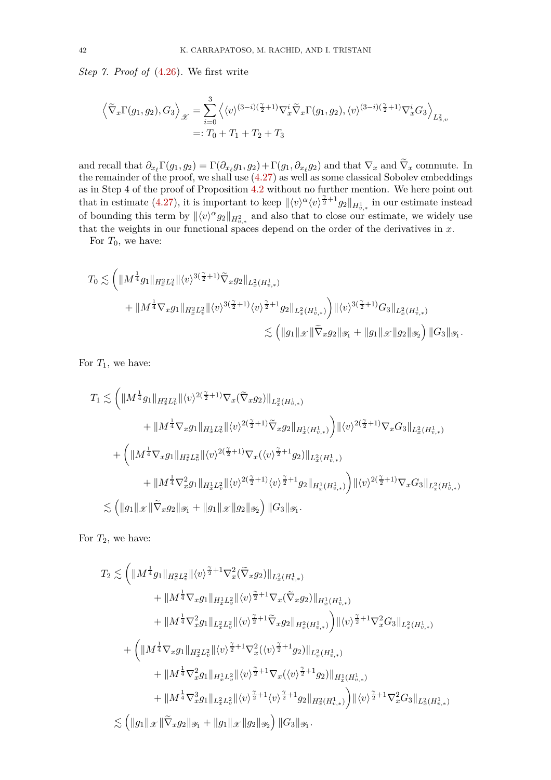*Step 7. Proof of* [\(4.26\)](#page-38-2)*.* We first write

$$
\left\langle \widetilde{\nabla}_x \Gamma(g_1, g_2), G_3 \right\rangle_{\mathcal{X}} = \sum_{i=0}^3 \left\langle \langle v \rangle^{(3-i)(\frac{\gamma}{2}+1)} \nabla_x^i \widetilde{\nabla}_x \Gamma(g_1, g_2), \langle v \rangle^{(3-i)(\frac{\gamma}{2}+1)} \nabla_x^i G_3 \right\rangle_{L^2_{x,v}} =: T_0 + T_1 + T_2 + T_3
$$

and recall that  $\partial_{x_\ell} \Gamma(g_1, g_2) = \Gamma(\partial_{x_\ell} g_1, g_2) + \Gamma(g_1, \partial_{x_\ell} g_2)$  and that  $\nabla_x$  and  $\nabla_x$  commute. In the remainder of the proof, we shall use [\(4.27\)](#page-38-3) as well as some classical Sobolev embeddings as in Step 4 of the proof of Proposition  $4.2$  without no further mention. We here point out that in estimate [\(4.27\)](#page-38-3), it is important to keep  $\langle v \rangle^{\alpha} \langle v \rangle^{\frac{\gamma}{2}+1} g_2 \Vert_{H^1_{v,*}}$  in our estimate instead of bounding this term by  $\|\langle v \rangle^{\alpha} g_2\|_{H^2_{v,*}}$  and also that to close our estimate, we widely use that the weights in our functional spaces depend on the order of the derivatives in *x*.

For  $T_0$ , we have:

$$
T_0 \lesssim \left( \|\mathbf{M}^{\frac{1}{4}} g_1\|_{H^2_x L^2_v} \|\langle v \rangle^{3(\frac{\gamma}{2}+1)} \tilde{\nabla}_x g_2\|_{L^2_x(H^1_{v,*})} \right. \\ \left. + \|\mathbf{M}^{\frac{1}{4}} \nabla_x g_1\|_{H^2_x L^2_v} \|\langle v \rangle^{3(\frac{\gamma}{2}+1)} \langle v \rangle^{\frac{\gamma}{2}+1} g_2\|_{L^2_x(H^1_{v,*})} \right) \|\langle v \rangle^{3(\frac{\gamma}{2}+1)} G_3\|_{L^2_x(H^1_{v,*})} \\ \lesssim \left( \|g_1\|_{\mathcal{X}} \|\tilde{\nabla}_x g_2\|_{\mathcal{Y}_1} + \|g_1\|_{\mathcal{X}} \|g_2\|_{\mathcal{Y}_2} \right) \|G_3\|_{\mathcal{Y}_1}.
$$

For  $T_1$ , we have:

$$
T_1 \lesssim \left( \|M^{\frac{1}{4}} g_1\|_{H^2_x L^2_v} \|\langle v \rangle^{2(\frac{\gamma}{2}+1)} \nabla_x (\tilde{\nabla}_x g_2) \|_{L^2_x(H^1_{v,*})} \right. \\ \left. + \|M^{\frac{1}{4}} \nabla_x g_1\|_{H^1_x L^2_v} \|\langle v \rangle^{2(\frac{\gamma}{2}+1)} \tilde{\nabla}_x g_2\|_{H^1_x(H^1_{v,*})} \right) \|\langle v \rangle^{2(\frac{\gamma}{2}+1)} \nabla_x G_3\|_{L^2_x(H^1_{v,*})} \\ \left. + \left( \|M^{\frac{1}{4}} \nabla_x g_1\|_{H^2_x L^2_v} \|\langle v \rangle^{2(\frac{\gamma}{2}+1)} \nabla_x (\langle v \rangle^{\frac{\gamma}{2}+1} g_2) \right\|_{L^2_x(H^1_{v,*})} \right. \\ \left. + \|M^{\frac{1}{4}} \nabla_x^2 g_1\|_{H^1_x L^2_v} \|\langle v \rangle^{2(\frac{\gamma}{2}+1)} \langle v \rangle^{\frac{\gamma}{2}+1} g_2\|_{H^1_x(H^1_{v,*})} \right) \|\langle v \rangle^{2(\frac{\gamma}{2}+1)} \nabla_x G_3\|_{L^2_x(H^1_{v,*})} \\ \lesssim \left( \|g_1\|_{\mathscr{X}} \|\widetilde{\nabla}_x g_2\|_{\mathscr{Y}_1} + \|g_1\|_{\mathscr{X}} \|g_2\|_{\mathscr{Y}_2} \right) \|G_3\|_{\mathscr{Y}_1}.
$$

For  $T_2$ , we have:

$$
T_2 \lesssim \left( \| M^{\frac{1}{4}} g_1 \|_{H^2_x L^2_v} \| \langle v \rangle^{\frac{\gamma}{2}+1} \nabla_x^2 (\tilde{\nabla}_x g_2) \|_{L^2_x (H^1_{v,*})} \right. \\ \left. + \| M^{\frac{1}{4}} \nabla_x g_1 \|_{H^1_x L^2_v} \| \langle v \rangle^{\frac{\gamma}{2}+1} \nabla_x (\tilde{\nabla}_x g_2) \|_{H^1_x (H^1_{v,*})} \\ \left. + \| M^{\frac{1}{4}} \nabla_x^2 g_1 \|_{L^2_x L^2_v} \| \langle v \rangle^{\frac{\gamma}{2}+1} \tilde{\nabla}_x g_2 \|_{H^2_x (H^1_{v,*})} \right) \| \langle v \rangle^{\frac{\gamma}{2}+1} \nabla_x^2 G_3 \|_{L^2_x (H^1_{v,*})} \\ \left. + \left( \| M^{\frac{1}{4}} \nabla_x g_1 \|_{H^2_x L^2_v} \| \langle v \rangle^{\frac{\gamma}{2}+1} \nabla_x^2 (\langle v \rangle^{\frac{\gamma}{2}+1} g_2) \|_{L^2_x (H^1_{v,*})} \right. \right. \\ \left. + \| M^{\frac{1}{4}} \nabla_x^2 g_1 \|_{H^1_x L^2_v} \| \langle v \rangle^{\frac{\gamma}{2}+1} \nabla_x (\langle v \rangle^{\frac{\gamma}{2}+1} g_2) \|_{H^1_x (H^1_{v,*})} \right. \\ \left. + \| M^{\frac{1}{4}} \nabla_x^3 g_1 \|_{L^2_x L^2_v} \| \langle v \rangle^{\frac{\gamma}{2}+1} \langle v \rangle^{\frac{\gamma}{2}+1} g_2 \|_{H^2_x (H^1_{v,*})} \right) \| \langle v \rangle^{\frac{\gamma}{2}+1} \nabla_x^2 G_3 \|_{L^2_x (H^1_{v,*})} \\ \lesssim \left( \| g_1 \|_{\mathscr X} \| \tilde{\nabla}_x g_2 \|_{\mathscr Y_1} + \| g_1 \|_{\mathscr X} \| g_2 \|_{\mathscr Y_2} \right) \| G_3 \|_{\mathscr Y_1} .
$$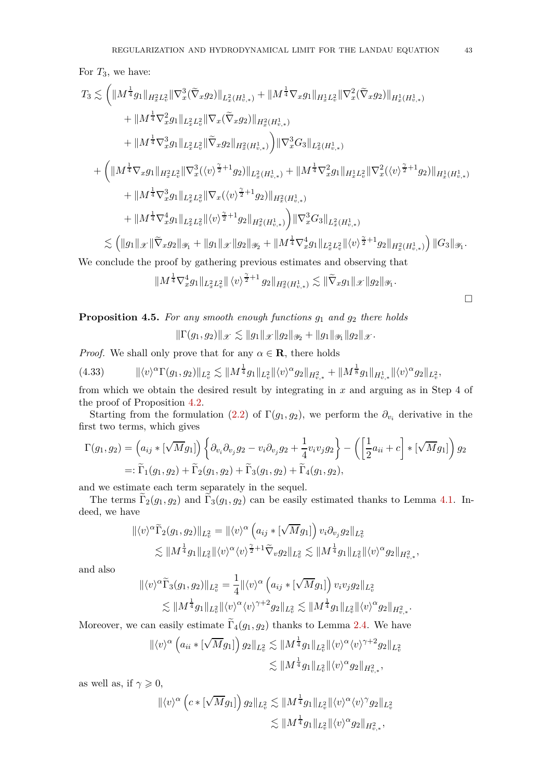For *T*3, we have:

$$
\begin{split} T_3 &\lesssim \bigg( \| M^{\frac{1}{4}} g_1 \|_{H^2_x L^2_v} \| \nabla^3_x (\tilde \nabla_x g_2 ) \|_{L^2_x (H^1_{v,*})} + \| M^{\frac{1}{4}} \nabla_x g_1 \|_{H^1_x L^2_v} \| \nabla^2_x (\tilde \nabla_x g_2 ) \|_{H^1_x (H^1_{v,*})} \\ &\quad + \| M^{\frac{1}{4}} \nabla^2_x g_1 \|_{L^2_x L^2_v} \| \nabla_x (\tilde \nabla_x g_2 ) \|_{H^2_x (H^1_{v,*})} \\ &\quad + \| M^{\frac{1}{4}} \nabla^3_x g_1 \|_{L^2_x L^2_v} \| \tilde \nabla_x g_2 \|_{H^2_x (H^1_{v,*})} \bigg) \| \nabla^3_x G_3 \|_{L^2_x (H^1_{v,*})} \\ &\quad + \bigg( \| M^{\frac{1}{4}} \nabla_x g_1 \|_{H^2_x L^2_v} \| \nabla^3_x (\langle v \rangle^{\frac{\gamma}{2}+1} g_2 ) \|_{L^2_x (H^1_{v,*})} + \| M^{\frac{1}{4}} \nabla^2_x g_1 \|_{H^1_x L^2_v} \| \nabla^2_x (\langle v \rangle^{\frac{\gamma}{2}+1} g_2 ) \|_{H^1_x (H^1_{v,*})} \\ &\quad + \| M^{\frac{1}{4}} \nabla^3_x g_1 \|_{L^2_x L^2_v} \| \nabla_x (\langle v \rangle^{\frac{\gamma}{2}+1} g_2 ) \|_{H^2_x (H^1_{v,*})} \\ &\quad + \| M^{\frac{1}{4}} \nabla^4_x g_1 \|_{L^2_x L^2_v} \| \langle v \rangle^{\frac{\gamma}{2}+1} g_2 \|_{H^2_x (H^1_{v,*})} \bigg) \| \nabla^3_x G_3 \|_{L^2_x (H^1_{v,*})} \\ &\lesssim \bigg( \| g_1 \|_{\mathscr X} \| \tilde \nabla_x g_2 \|_{\mathscr Y_1} + \| g_1 \|_{\mathscr X} \| g_2 \|_{\mathscr Y_2} + \| M^{\frac{1}{4}} \nabla^4_x g_1 \|_{L^2_x L^2_v} \| \langle v \rangle^{\frac{\gamma}{2}+1} g_2 \|_{H^
$$

We conclude the proof by gathering previous estimates and observing that

$$
||M^{\frac{1}{4}}\nabla_x^4 g_1||_{L_x^2L_v^2} ||\langle v \rangle^{\frac{\gamma}{2}+1} g_2||_{H_x^2(H_{v,*}^1)} \lesssim ||\widetilde{\nabla}_x g_1||_{\mathscr{X}} ||g_2||_{\mathscr{Y}_1}.
$$

 $\Box$ 

<span id="page-42-1"></span>**Proposition 4.5.** *For any smooth enough functions g*<sup>1</sup> *and g*<sup>2</sup> *there holds*

<span id="page-42-0"></span>
$$
\|\Gamma(g_1,g_2)\|_{\mathscr{X}} \lesssim \|g_1\|_{\mathscr{X}} \|g_2\|_{\mathscr{Y}_2} + \|g_1\|_{\mathscr{Y}_1} \|g_2\|_{\mathscr{X}}.
$$

*Proof.* We shall only prove that for any  $\alpha \in \mathbf{R}$ , there holds

$$
(4.33) \qquad \|\langle v \rangle^{\alpha} \Gamma(g_1, g_2)\|_{L^2_v} \lesssim \|M^{\frac{1}{4}} g_1\|_{L^2_v} \|\langle v \rangle^{\alpha} g_2\|_{H^2_{v,*}} + \|M^{\frac{1}{8}} g_1\|_{H^1_{v,*}} \|\langle v \rangle^{\alpha} g_2\|_{L^2_v},
$$

from which we obtain the desired result by integrating in *x* and arguing as in Step 4 of the proof of Proposition [4.2.](#page-31-0)

Starting from the formulation [\(2.2\)](#page-10-0) of  $\Gamma(g_1, g_2)$ , we perform the  $\partial_{v_i}$  derivative in the first two terms, which gives

$$
\Gamma(g_1, g_2) = \left(a_{ij} * [\sqrt{M}g_1] \right) \left\{ \partial_{v_i} \partial_{v_j} g_2 - v_i \partial_{v_j} g_2 + \frac{1}{4} v_i v_j g_2 \right\} - \left( \left[\frac{1}{2} a_{ii} + c\right] * [\sqrt{M}g_1] \right) g_2
$$
  
=:  $\tilde{\Gamma}_1(g_1, g_2) + \tilde{\Gamma}_2(g_1, g_2) + \tilde{\Gamma}_3(g_1, g_2) + \tilde{\Gamma}_4(g_1, g_2),$ 

and we estimate each term separately in the sequel.

The terms  $\Gamma_2(g_1, g_2)$  and  $\Gamma_3(g_1, g_2)$  can be easily estimated thanks to Lemma [4.1.](#page-29-0) Indeed, we have

$$
\begin{aligned} \|\langle v \rangle^{\alpha} \widetilde{\Gamma}_2(g_1, g_2) \|_{L^2_v} &= \|\langle v \rangle^{\alpha} \left( a_{ij} * [\sqrt{M} g_1] \right) v_i \partial_{v_j} g_2 \|_{L^2_v} \\ &\lesssim \| M^{\frac{1}{4}} g_1 \|_{L^2_v} \|\langle v \rangle^{\alpha} \langle v \rangle^{\frac{\gamma}{2}+1} \widetilde{\nabla}_v g_2 \|_{L^2_v} \lesssim \| M^{\frac{1}{4}} g_1 \|_{L^2_v} \|\langle v \rangle^{\alpha} g_2 \|_{H^2_{v,*}} \end{aligned}
$$

and also

$$
\begin{aligned} \|\langle v \rangle^{\alpha} \widetilde{\Gamma}_3(g_1, g_2) \|_{L^2_v} &= \frac{1}{4} \|\langle v \rangle^{\alpha} \left( a_{ij} * [\sqrt{M} g_1] \right) v_i v_j g_2 \|_{L^2_v} \\ &\lesssim \|M^{\frac{1}{4}} g_1 \|_{L^2_v} \|\langle v \rangle^{\alpha} \langle v \rangle^{\gamma+2} g_2 \|_{L^2_v} \lesssim \|M^{\frac{1}{4}} g_1 \|_{L^2_v} \|\langle v \rangle^{\alpha} g_2 \|_{H^2_{v,*}}. \end{aligned}
$$

Moreover, we can easily estimate  $\Gamma_4(g_1, g_2)$  thanks to Lemma [2.4.](#page-17-0) We have

$$
\begin{aligned} \|\langle v \rangle^{\alpha} \left( a_{ii} * \left[ \sqrt{M} g_1 \right] \right) g_2 \|_{L^2_v} &\lesssim \| M^{\frac{1}{4}} g_1 \|_{L^2_v} \|\langle v \rangle^{\alpha} \langle v \rangle^{\gamma+2} g_2 \|_{L^2_v} \\ &\lesssim \| M^{\frac{1}{4}} g_1 \|_{L^2_v} \|\langle v \rangle^{\alpha} g_2 \|_{H^2_{v,*}} \end{aligned}
$$

as well as, if  $\gamma \geqslant 0$ ,

$$
\begin{aligned} \|\langle v\rangle^{\alpha}\left(c\ast\left[\sqrt{M}g_1\right]\right)g_2\|_{L^2_v} &\lesssim \|M^{\frac{1}{4}}g_1\|_{L^2_v} \|\langle v\rangle^{\alpha}\langle v\rangle^{\gamma} g_2\|_{L^2_v} \\ &\lesssim \|M^{\frac{1}{4}}g_1\|_{L^2_v} \|\langle v\rangle^{\alpha} g_2\|_{H^2_{v,*}}^2, \end{aligned}
$$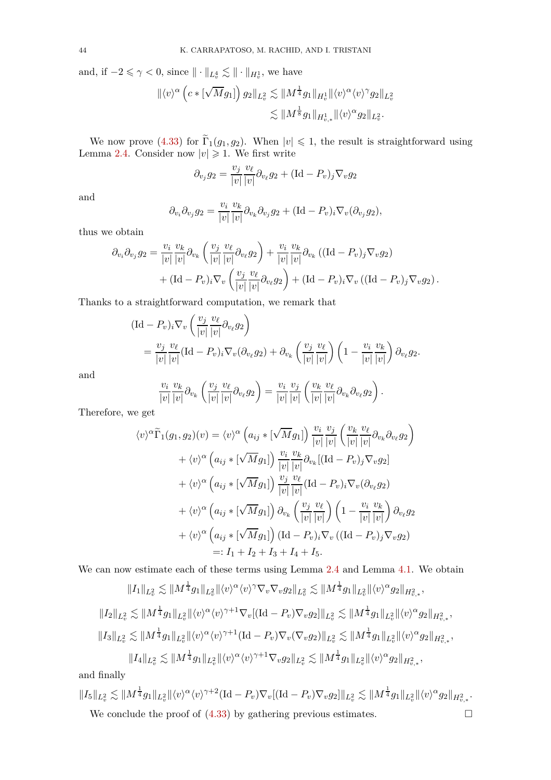and, if  $-2 \le \gamma < 0$ , since  $\|\cdot\|_{L_v^4} \lesssim \|\cdot\|_{H_v^1}$ , we have

$$
\begin{aligned} \|\langle v\rangle^{\alpha}\left(c\ast [\sqrt M g_1]\right)g_2\|_{L^2_v}&\lesssim \|M^{\frac14}g_1\|_{H^1_v}\|\langle v\rangle^{\alpha}\langle v\rangle^{\gamma}g_2\|_{L^2_v}\\ &\lesssim \|M^{\frac18}g_1\|_{H^1_{v,*}}\|\langle v\rangle^{\alpha}g_2\|_{L^2_v}. \end{aligned}
$$

We now prove [\(4.33\)](#page-42-0) for  $\Gamma_1(g_1, g_2)$ . When  $|v| \leq 1$ , the result is straightforward using Lemma [2.4.](#page-17-0) Consider now  $|v| \geq 1$ . We first write

$$
\partial_{v_j} g_2 = \frac{v_j}{|v|} \frac{v_\ell}{|v|} \partial_{v_\ell} g_2 + (\text{Id} - P_v)_j \nabla_v g_2
$$

and

$$
\partial_{v_i}\partial_{v_j}g_2 = \frac{v_i}{|v|}\frac{v_k}{|v|}\partial_{v_k}\partial_{v_j}g_2 + (\text{Id} - P_v)_i\nabla_v(\partial_{v_j}g_2),
$$

thus we obtain

$$
\partial_{v_i} \partial_{v_j} g_2 = \frac{v_i}{|v|} \frac{v_k}{|v|} \partial_{v_k} \left( \frac{v_j}{|v|} \frac{v_\ell}{|v|} \partial_{v_\ell} g_2 \right) + \frac{v_i}{|v|} \frac{v_k}{|v|} \partial_{v_k} \left( (\text{Id} - P_v)_j \nabla_v g_2 \right) + (\text{Id} - P_v)_i \nabla_v \left( \frac{v_j}{|v|} \frac{v_\ell}{|v|} \partial_{v_\ell} g_2 \right) + (\text{Id} - P_v)_i \nabla_v \left( (\text{Id} - P_v)_j \nabla_v g_2 \right).
$$

Thanks to a straightforward computation, we remark that

$$
\begin{split} & (\mathrm{Id} - P_v)_i \nabla_v \left( \frac{v_j}{|v|} \frac{v_\ell}{|v|} \partial_{v_\ell} g_2 \right) \\ & = \frac{v_j}{|v|} \frac{v_\ell}{|v|} (\mathrm{Id} - P_v)_i \nabla_v (\partial_{v_\ell} g_2) + \partial_{v_k} \left( \frac{v_j}{|v|} \frac{v_\ell}{|v|} \right) \left( 1 - \frac{v_i}{|v|} \frac{v_k}{|v|} \right) \partial_{v_\ell} g_2. \end{split}
$$

and

$$
\frac{v_i}{|v|} \frac{v_k}{|v|} \partial_{v_k} \left( \frac{v_j}{|v|} \frac{v_\ell}{|v|} \partial_{v_\ell} g_2 \right) = \frac{v_i}{|v|} \frac{v_j}{|v|} \left( \frac{v_k}{|v|} \frac{v_\ell}{|v|} \partial_{v_k} \partial_{v_\ell} g_2 \right).
$$

Therefore, we get

$$
\langle v \rangle^{\alpha} \widetilde{\Gamma}_{1}(g_{1}, g_{2})(v) = \langle v \rangle^{\alpha} \left( a_{ij} * [\sqrt{M} g_{1}] \right) \frac{v_{i}}{|v|} \frac{v_{j}}{|v|} \left( \frac{v_{k}}{|v|} \frac{v_{\ell}}{|v|} \partial_{v_{k}} \partial_{v_{\ell}} g_{2} \right) + \langle v \rangle^{\alpha} \left( a_{ij} * [\sqrt{M} g_{1}] \right) \frac{v_{i}}{|v|} \frac{v_{k}}{|v|} \partial_{v_{k}} [(\text{Id} - P_{v})_{j} \nabla_{v} g_{2}] + \langle v \rangle^{\alpha} \left( a_{ij} * [\sqrt{M} g_{1}] \right) \frac{v_{j}}{|v|} \frac{v_{\ell}}{|v|} (\text{Id} - P_{v})_{i} \nabla_{v} (\partial_{v_{\ell}} g_{2}) + \langle v \rangle^{\alpha} \left( a_{ij} * [\sqrt{M} g_{1}] \right) \partial_{v_{k}} \left( \frac{v_{j}}{|v|} \frac{v_{\ell}}{|v|} \right) \left( 1 - \frac{v_{i}}{|v|} \frac{v_{k}}{|v|} \right) \partial_{v_{\ell}} g_{2} + \langle v \rangle^{\alpha} \left( a_{ij} * [\sqrt{M} g_{1}] \right) (\text{Id} - P_{v})_{i} \nabla_{v} ((\text{Id} - P_{v})_{j} \nabla_{v} g_{2}) =: I_{1} + I_{2} + I_{3} + I_{4} + I_{5}.
$$

We can now estimate each of these terms using Lemma [2.4](#page-17-0) and Lemma [4.1.](#page-29-0) We obtain

$$
||I_{1}||_{L_{v}^{2}} \lesssim ||M^{\frac{1}{4}}g_{1}||_{L_{v}^{2}}||\langle v\rangle^{\alpha}\langle v\rangle^{\gamma}\nabla_{v}\nabla_{v}g_{2}||_{L_{v}^{2}} \lesssim ||M^{\frac{1}{4}}g_{1}||_{L_{v}^{2}}||\langle v\rangle^{\alpha}g_{2}||_{H_{v,*}^{2}},
$$
  
\n
$$
||I_{2}||_{L_{v}^{2}} \lesssim ||M^{\frac{1}{4}}g_{1}||_{L_{v}^{2}}||\langle v\rangle^{\alpha}\langle v\rangle^{\gamma+1}\nabla_{v}[(\mathrm{Id}-P_{v})\nabla_{v}g_{2}]\|_{L_{v}^{2}} \lesssim ||M^{\frac{1}{4}}g_{1}||_{L_{v}^{2}}||\langle v\rangle^{\alpha}g_{2}||_{H_{v,*}^{2}},
$$
  
\n
$$
||I_{3}||_{L_{v}^{2}} \lesssim ||M^{\frac{1}{4}}g_{1}||_{L_{v}^{2}}||\langle v\rangle^{\alpha}\langle v\rangle^{\gamma+1}(\mathrm{Id}-P_{v})\nabla_{v}(\nabla_{v}g_{2})||_{L_{v}^{2}} \lesssim ||M^{\frac{1}{4}}g_{1}||_{L_{v}^{2}}||\langle v\rangle^{\alpha}g_{2}||_{H_{v,*}^{2}},
$$
  
\n
$$
||I_{4}||_{L_{v}^{2}} \lesssim ||M^{\frac{1}{4}}g_{1}||_{L_{v}^{2}}||\langle v\rangle^{\alpha}\langle v\rangle^{\gamma+1}\nabla_{v}g_{2}||_{L_{v}^{2}} \lesssim ||M^{\frac{1}{4}}g_{1}||_{L_{v}^{2}}||\langle v\rangle^{\alpha}g_{2}||_{H_{v,*}^{2}},
$$

and finally

$$
||I_5||_{L^2_v} \lesssim ||M^{\frac{1}{4}}g_1||_{L^2_v} ||\langle v \rangle^{\alpha} \langle v \rangle^{\gamma+2} (\text{Id}-P_v) \nabla_v [(\text{Id}-P_v) \nabla_v g_2]||_{L^2_v} \lesssim ||M^{\frac{1}{4}}g_1||_{L^2_v} ||\langle v \rangle^{\alpha} g_2||_{H^2_{v,*}}.
$$
  
We conclude the proof of (4.33) by gathering previous estimates.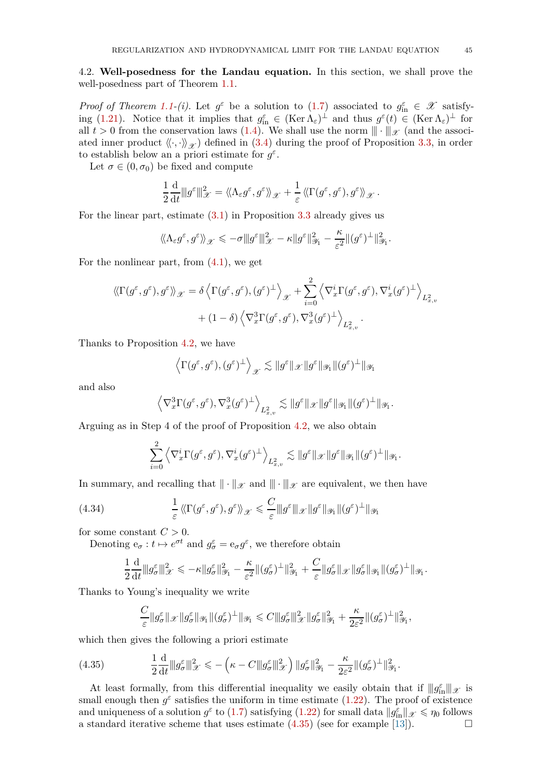4.2. **Well-posedness for the Landau equation.** In this section, we shall prove the well-posedness part of Theorem [1.1.](#page-4-0)

*Proof of Theorem [1.1-](#page-4-0)(i).* Let  $g^{\varepsilon}$  be a solution to [\(1.7\)](#page-2-0) associated to  $g_{\text{in}}^{\varepsilon} \in \mathcal{X}$  satisfy-ing [\(1.21\)](#page-4-1). Notice that it implies that  $g_{\text{in}}^{\varepsilon} \in (\text{Ker }\Lambda_{\varepsilon})^{\perp}$  and thus  $g^{\varepsilon}(t) \in (\text{Ker }\Lambda_{\varepsilon})^{\perp}$  for all  $t > 0$  from the conservation laws [\(1.4\)](#page-2-1). We shall use the norm  $\|\cdot\|_{\mathscr{X}}$  (and the associated inner product  $\langle \langle \cdot, \cdot \rangle \rangle_{\mathscr{X}}$  defined in [\(3.4\)](#page-19-0) during the proof of Proposition [3.3,](#page-19-1) in order to establish below an a priori estimate for  $g^{\varepsilon}$ .

Let  $\sigma \in (0, \sigma_0)$  be fixed and compute

$$
\frac{1}{2}\frac{\mathrm{d}}{\mathrm{d}t} \|g^{\varepsilon}\|_{\mathscr{X}}^2 = \langle \! \langle \Lambda_{\varepsilon} g^{\varepsilon}, g^{\varepsilon} \rangle \! \rangle_{\mathscr{X}} + \frac{1}{\varepsilon} \langle \! \langle \Gamma(g^{\varepsilon}, g^{\varepsilon}), g^{\varepsilon} \rangle \! \rangle_{\mathscr{X}}.
$$

For the linear part, estimate [\(3.1\)](#page-19-2) in Proposition [3.3](#page-19-1) already gives us

$$
\langle \! \langle \Lambda_\varepsilon g^\varepsilon, g^\varepsilon\rangle \! \rangle_{\mathscr{X}} \leqslant - \sigma |\! |\! | g^\varepsilon |\! |\! |^2_{\mathscr{X}} - \kappa |\! | g^\varepsilon |\! |\! |^2_{\mathscr{Y}_1} - \frac{\kappa}{\varepsilon^2} |\! | (g^\varepsilon)^\perp |\! |^2_{\mathscr{Y}_1}.
$$

For the nonlinear part, from  $(4.1)$ , we get

$$
\begin{split} \langle \! \langle \Gamma(g^\varepsilon,g^\varepsilon),g^\varepsilon\rangle \! \rangle_{\mathscr X} = \delta \left\langle \Gamma(g^\varepsilon,g^\varepsilon),(g^\varepsilon)^\perp \right\rangle_{\mathscr X} + \sum_{i=0}^2 \left\langle \nabla_x^i \Gamma(g^\varepsilon,g^\varepsilon),\nabla_x^i(g^\varepsilon)^\perp \right\rangle_{L^2_{x,v}} \\ + (1-\delta) \left\langle \nabla_x^3 \Gamma(g^\varepsilon,g^\varepsilon),\nabla_x^3(g^\varepsilon)^\perp \right\rangle_{L^2_{x,v}}. \end{split}
$$

Thanks to Proposition [4.2,](#page-31-0) we have

$$
\left\langle \Gamma(g^{\varepsilon}, g^{\varepsilon}), (g^{\varepsilon})^{\perp} \right\rangle_{\mathscr{X}} \lesssim \|g^{\varepsilon}\|_{\mathscr{X}} \|g^{\varepsilon}\|_{\mathscr{Y}_1} \|(g^{\varepsilon})^{\perp}\|_{\mathscr{Y}_1}
$$

and also

$$
\left\langle \nabla_x^3 \Gamma(g^\varepsilon, g^\varepsilon), \nabla_x^3(g^\varepsilon)^\perp \right\rangle_{L^2_{x,v}} \lesssim \|g^\varepsilon\|_{\mathscr X} \|g^\varepsilon\|_{\mathscr Y_1} \| (g^\varepsilon)^\perp\|_{\mathscr Y_1}.
$$

Arguing as in Step 4 of the proof of Proposition [4.2,](#page-31-0) we also obtain

$$
\sum_{i=0}^2\left\langle\nabla_x^i\Gamma(g^\varepsilon,g^\varepsilon),\nabla_x^i(g^\varepsilon)^\perp\right\rangle_{L^2_{x,v}}\lesssim\|g^\varepsilon\|_{\mathscr X}\|g^\varepsilon\|_{\mathscr Y_1}\|(g^\varepsilon)^\perp\|_{\mathscr Y_1}.
$$

In summary, and recalling that  $\|\cdot\|_{\mathscr{X}}$  and  $\|\cdot\|_{\mathscr{X}}$  are equivalent, we then have

(4.34) 
$$
\frac{1}{\varepsilon} \langle \langle \Gamma(g^{\varepsilon}, g^{\varepsilon}), g^{\varepsilon} \rangle \rangle_{\mathscr{X}} \leq \frac{C}{\varepsilon} \|g^{\varepsilon}\|_{\mathscr{X}} \|g^{\varepsilon}\|_{\mathscr{Y}_{1}} \| (g^{\varepsilon})^{\perp} \|_{\mathscr{Y}_{1}}
$$

for some constant  $C > 0$ .

Denoting  $e_{\sigma}: t \mapsto e^{\sigma t}$  and  $g_{\sigma}^{\varepsilon} = e_{\sigma} g^{\varepsilon}$ , we therefore obtain

$$
\frac{1}{2}\frac{\mathrm{d}}{\mathrm{d}t}||g_{\sigma}^{\varepsilon}||_{\mathscr{X}}^{2} \leqslant -\kappa||g_{\sigma}^{\varepsilon}||_{\mathscr{Y}_{1}}^{2} - \frac{\kappa}{\varepsilon^{2}}||(g_{\sigma}^{\varepsilon})^{\perp}||_{\mathscr{Y}_{1}}^{2} + \frac{C}{\varepsilon}||g_{\sigma}^{\varepsilon}||_{\mathscr{X}}||g_{\sigma}^{\varepsilon}||_{\mathscr{Y}_{1}}||(g_{\sigma}^{\varepsilon})^{\perp}||_{\mathscr{Y}_{1}}.
$$

Thanks to Young's inequality we write

<span id="page-44-0"></span>
$$
\frac{C}{\varepsilon} \|g_{\sigma}^{\varepsilon}\|_{\mathscr{X}} \|g_{\sigma}^{\varepsilon}\|_{\mathscr{Y}_1} \| (g_{\sigma}^{\varepsilon})^{\perp} \|_{\mathscr{Y}_1} \leqslant C \|g_{\sigma}^{\varepsilon}\|_{\mathscr{X}}^2 \|g_{\sigma}^{\varepsilon}\|_{\mathscr{Y}_1}^2 + \frac{\kappa}{2\varepsilon^2} \| (g_{\sigma}^{\varepsilon})^{\perp} \|_{\mathscr{Y}_1}^2,
$$

which then gives the following a priori estimate

$$
(4.35) \qquad \qquad \frac{1}{2}\frac{\mathrm{d}}{\mathrm{d}t} \|g_{\sigma}^{\varepsilon}\|_{\mathscr{X}}^2 \leqslant -\left(\kappa - C \|g_{\sigma}^{\varepsilon}\|_{\mathscr{X}}^2\right) \|g_{\sigma}^{\varepsilon}\|_{\mathscr{Y}_1}^2 - \frac{\kappa}{2\varepsilon^2} \|g_{\sigma}^{\varepsilon}\|_{\mathscr{Y}_1}^2.
$$

At least formally, from this differential inequality we easily obtain that if  $||g_{in}^{\varepsilon}||_{\mathscr{X}}$  is small enough then  $g^{\varepsilon}$  satisfies the uniform in time estimate [\(1.22\)](#page-4-2). The proof of existence and uniqueness of a solution  $g^{\varepsilon}$  to [\(1.7\)](#page-2-0) satisfying [\(1.22\)](#page-4-2) for small data  $||g_{\text{in}}^{\varepsilon}||_{\mathscr{X}} \le \eta_0$  follows a standard iterative scheme that uses estimate  $(4.35)$  (see for example [\[13\]](#page-78-0)).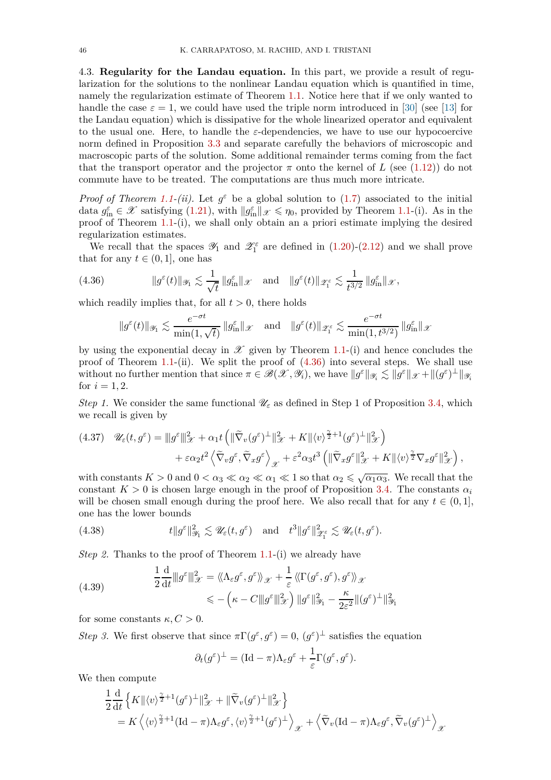4.3. **Regularity for the Landau equation.** In this part, we provide a result of regularization for the solutions to the nonlinear Landau equation which is quantified in time, namely the regularization estimate of Theorem [1.1.](#page-4-0) Notice here that if we only wanted to handle the case  $\varepsilon = 1$ , we could have used the triple norm introduced in [\[30\]](#page-79-0) (see [\[13\]](#page-78-0) for the Landau equation) which is dissipative for the whole linearized operator and equivalent to the usual one. Here, to handle the  $\varepsilon$ -dependencies, we have to use our hypocoercive norm defined in Proposition [3.3](#page-19-1) and separate carefully the behaviors of microscopic and macroscopic parts of the solution. Some additional remainder terms coming from the fact that the transport operator and the projector  $\pi$  onto the kernel of *L* (see [\(1.12\)](#page-3-0)) do not commute have to be treated. The computations are thus much more intricate.

*Proof of Theorem [1.1-](#page-4-0)(ii).* Let  $g^{\varepsilon}$  be a global solution to [\(1.7\)](#page-2-0) associated to the initial data  $g_{\text{in}}^{\varepsilon} \in \mathscr{X}$  satisfying [\(1.21\)](#page-4-1), with  $||g_{\text{in}}^{\varepsilon}||_{\mathscr{X}} \leq \eta_0$ , provided by Theorem [1.1-](#page-4-0)(i). As in the proof of Theorem [1.1-](#page-4-0)(i), we shall only obtain an a priori estimate implying the desired regularization estimates.

We recall that the spaces  $\mathscr{Y}_1$  and  $\mathscr{Z}_1^{\varepsilon}$  are defined in [\(1.20\)](#page-3-1)-[\(2.12\)](#page-13-0) and we shall prove that for any  $t \in (0, 1]$ , one has

(4.36) 
$$
\|g^{\varepsilon}(t)\|_{\mathscr{Y}_{1}} \lesssim \frac{1}{\sqrt{t}}\|g^{\varepsilon}_{\mathrm{in}}\|_{\mathscr{X}} \quad \text{and} \quad \|g^{\varepsilon}(t)\|_{\mathscr{Z}_{1}^{\varepsilon}} \lesssim \frac{1}{t^{3/2}}\|g^{\varepsilon}_{\mathrm{in}}\|_{\mathscr{X}},
$$

which readily implies that, for all  $t > 0$ , there holds

<span id="page-45-0"></span>
$$
\|g^{\varepsilon}(t)\|_{\mathscr{Y}_1} \lesssim \frac{e^{-\sigma t}}{\min(1,\sqrt{t})} \|g_{\text{in}}^{\varepsilon}\|_{\mathscr{X}} \quad \text{and} \quad \|g^{\varepsilon}(t)\|_{\mathscr{Z}_1^{\varepsilon}} \lesssim \frac{e^{-\sigma t}}{\min(1,t^{3/2})} \|g_{\text{in}}^{\varepsilon}\|_{\mathscr{X}}
$$

by using the exponential decay in  $\mathscr X$  given by Theorem [1.1-](#page-4-0)(i) and hence concludes the proof of Theorem [1.1-](#page-4-0)(ii). We split the proof of [\(4.36\)](#page-45-0) into several steps. We shall use without no further mention that since  $\pi \in \mathscr{B}(\mathscr{X}, \mathscr{Y}_i)$ , we have  $||g^{\varepsilon}||_{\mathscr{Y}_i} \lesssim ||g^{\varepsilon}||_{\mathscr{X}} + ||(g^{\varepsilon})^{\perp}||_{\mathscr{Y}_i}$ for  $i = 1, 2$ .

*Step 1.* We consider the same functional  $\mathcal{U}_{\varepsilon}$  as defined in Step 1 of Proposition [3.4,](#page-21-0) which we recall is given by

$$
(4.37) \quad \mathscr{U}_{\varepsilon}(t,g^{\varepsilon}) = \|g^{\varepsilon}\|_{\mathscr{X}}^2 + \alpha_1 t \left( \|\widetilde{\nabla}_v(g^{\varepsilon})^{\perp}\|_{\mathscr{X}}^2 + K \| \langle v \rangle^{\frac{\gamma}{2}+1} (g^{\varepsilon})^{\perp} \|_{\mathscr{X}}^2 \right) + \varepsilon \alpha_2 t^2 \left\langle \widetilde{\nabla}_v g^{\varepsilon}, \widetilde{\nabla}_x g^{\varepsilon} \right\rangle_{\mathscr{X}} + \varepsilon^2 \alpha_3 t^3 \left( \|\widetilde{\nabla}_x g^{\varepsilon}\|_{\mathscr{X}}^2 + K \| \langle v \rangle^{\frac{\gamma}{2}} \nabla_x g^{\varepsilon} \|_{\mathscr{X}}^2 \right),
$$

with constants  $K > 0$  and  $0 < \alpha_3 \ll \alpha_2 \ll \alpha_1 \ll 1$  so that  $\alpha_2 \leq \sqrt{\alpha_1 \alpha_3}$ . We recall that the constant  $K > 0$  is chosen large enough in the proof of Proposition [3.4.](#page-21-0) The constants  $\alpha_i$ will be chosen small enough during the proof here. We also recall that for any  $t \in (0, 1]$ , one has the lower bounds

(4.38) 
$$
t\|g^{\varepsilon}\|_{\mathcal{Y}_1}^2 \lesssim \mathcal{U}_{\varepsilon}(t,g^{\varepsilon}) \quad \text{and} \quad t^3\|g^{\varepsilon}\|_{\mathcal{Z}_1^{\varepsilon}}^2 \lesssim \mathcal{U}_{\varepsilon}(t,g^{\varepsilon}).
$$

*Step 2.* Thanks to the proof of Theorem [1.1-](#page-4-0)(i) we already have

<span id="page-45-1"></span>(4.39) 
$$
\frac{1}{2} \frac{d}{dt} ||g^{\varepsilon}||_{\mathscr{X}}^2 = \langle \langle \Lambda_{\varepsilon} g^{\varepsilon}, g^{\varepsilon} \rangle \rangle_{\mathscr{X}} + \frac{1}{\varepsilon} \langle \langle \Gamma(g^{\varepsilon}, g^{\varepsilon}), g^{\varepsilon} \rangle \rangle_{\mathscr{X}} \leqslant - \left( \kappa - C ||g^{\varepsilon}||_{\mathscr{X}}^2 \right) ||g^{\varepsilon}||_{\mathscr{Y}}^2 - \frac{\kappa}{2\varepsilon^2} ||(g^{\varepsilon})^{\perp}||_{\mathscr{Y}}^2
$$

for some constants  $\kappa, C > 0$ .

*Step 3.* We first observe that since  $\pi \Gamma(g^{\varepsilon}, g^{\varepsilon}) = 0$ ,  $(g^{\varepsilon})^{\perp}$  satisfies the equation

$$
\partial_t (g^{\varepsilon})^{\perp} = (\mathrm{Id} - \pi) \Lambda_{\varepsilon} g^{\varepsilon} + \frac{1}{\varepsilon} \Gamma(g^{\varepsilon}, g^{\varepsilon}).
$$

We then compute

$$
\frac{1}{2} \frac{d}{dt} \left\{ K \| \langle v \rangle^{\frac{\gamma}{2}+1} (g^{\varepsilon})^{\perp} \|_{\mathscr{X}}^2 + \| \widetilde{\nabla}_v (g^{\varepsilon})^{\perp} \|_{\mathscr{X}}^2 \right\} \n= K \left\langle \langle v \rangle^{\frac{\gamma}{2}+1} (\mathrm{Id} - \pi) \Lambda_{\varepsilon} g^{\varepsilon}, \langle v \rangle^{\frac{\gamma}{2}+1} (g^{\varepsilon})^{\perp} \right\rangle_{\mathscr{X}} + \left\langle \widetilde{\nabla}_v (\mathrm{Id} - \pi) \Lambda_{\varepsilon} g^{\varepsilon}, \widetilde{\nabla}_v (g^{\varepsilon})^{\perp} \right\rangle_{\mathscr{X}}
$$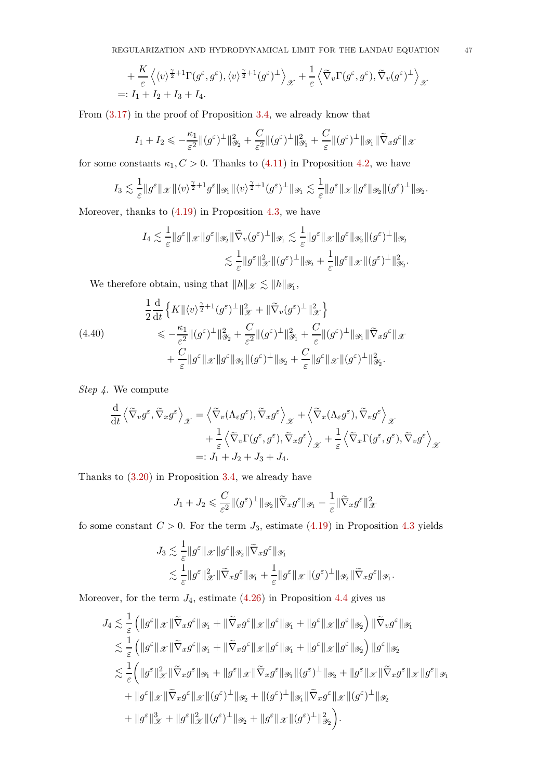$$
+\frac{K}{\varepsilon} \left\langle \langle v \rangle^{\frac{\gamma}{2}+1} \Gamma(g^{\varepsilon}, g^{\varepsilon}), \langle v \rangle^{\frac{\gamma}{2}+1}(g^{\varepsilon})^{\perp} \right\rangle_{\mathscr{X}} + \frac{1}{\varepsilon} \left\langle \widetilde{\nabla}_{v} \Gamma(g^{\varepsilon}, g^{\varepsilon}), \widetilde{\nabla}_{v}(g^{\varepsilon})^{\perp} \right\rangle_{\mathscr{X}}
$$
  
=:  $I_{1} + I_{2} + I_{3} + I_{4}$ .

From [\(3.17\)](#page-25-0) in the proof of Proposition [3.4,](#page-21-0) we already know that

$$
I_1 + I_2 \leqslant -\frac{\kappa_1}{\varepsilon^2} \| (g^{\varepsilon})^\perp \|_{\mathscr{Y}_2}^2 + \frac{C}{\varepsilon^2} \| (g^{\varepsilon})^\perp \|_{\mathscr{Y}_1}^2 + \frac{C}{\varepsilon} \| (g^{\varepsilon})^\perp \|_{\mathscr{Y}_1} \| \widetilde{\nabla}_x g^{\varepsilon} \|_{\mathscr{X}_2}
$$

for some constants  $\kappa_1, C > 0$ . Thanks to [\(4.11\)](#page-31-1) in Proposition [4.2,](#page-31-0) we have

$$
I_3 \lesssim \frac{1}{\varepsilon} \|g^{\varepsilon}\|_{\mathscr X} \| \langle v \rangle^{\frac{\gamma}{2}+1} g^{\varepsilon} \|_{\mathscr Y_1} \| \langle v \rangle^{\frac{\gamma}{2}+1} (g^{\varepsilon})^{\perp} \|_{\mathscr Y_1} \lesssim \frac{1}{\varepsilon} \|g^{\varepsilon}\|_{\mathscr X} \|g^{\varepsilon}\|_{\mathscr Y_2} \| (g^{\varepsilon})^{\perp} \|_{\mathscr Y_2}.
$$

Moreover, thanks to  $(4.19)$  in Proposition [4.3,](#page-33-1) we have

$$
I_4 \lesssim \frac{1}{\varepsilon} \|g^{\varepsilon}\|_{\mathscr X} \|g^{\varepsilon}\|_{\mathscr Y_2} \|\widetilde{\nabla}_v (g^{\varepsilon})^\perp \|_{\mathscr Y_1} \lesssim \frac{1}{\varepsilon} \|g^{\varepsilon}\|_{\mathscr X} \|g^{\varepsilon}\|_{\mathscr Y_2} \| (g^{\varepsilon})^\perp \|_{\mathscr Y_2}
$$

$$
\lesssim \frac{1}{\varepsilon} \|g^{\varepsilon}\|_{\mathscr X}^2 \| (g^{\varepsilon})^\perp \|_{\mathscr Y_2} + \frac{1}{\varepsilon} \|g^{\varepsilon}\|_{\mathscr X} \| (g^{\varepsilon})^\perp \|_{\mathscr Y_2}^2.
$$

<span id="page-46-0"></span>We therefore obtain, using that  $||h||_{\mathscr{X}} \lesssim ||h||_{\mathscr{Y}_1}$ ,

$$
\frac{1}{2}\frac{\mathrm{d}}{\mathrm{d}t}\left\{K\|\langle v\rangle^{\frac{\gamma}{2}+1}(g^{\varepsilon})^{\perp}\|_{\mathscr{X}}^{2}+\|\widetilde{\nabla}_{v}(g^{\varepsilon})^{\perp}\|_{\mathscr{X}}^{2}\right\} \n\leq -\frac{\kappa_{1}}{\varepsilon^{2}}\|(g^{\varepsilon})^{\perp}\|_{\mathscr{Y}_{2}}^{2}+\frac{C}{\varepsilon^{2}}\|(g^{\varepsilon})^{\perp}\|_{\mathscr{Y}_{1}}^{2}+\frac{C}{\varepsilon}\|(g^{\varepsilon})^{\perp}\|_{\mathscr{Y}_{1}}\|\widetilde{\nabla}_{x}g^{\varepsilon}\|_{\mathscr{X}} \n+\frac{C}{\varepsilon}\|g^{\varepsilon}\|_{\mathscr{X}}\|g^{\varepsilon}\|_{\mathscr{Y}_{1}}\|(g^{\varepsilon})^{\perp}\|_{\mathscr{Y}_{2}}+\frac{C}{\varepsilon}\|g^{\varepsilon}\|_{\mathscr{X}}\|(g^{\varepsilon})^{\perp}\|_{\mathscr{Y}_{2}}^{2}.
$$

*Step 4.* We compute

$$
\frac{\mathrm{d}}{\mathrm{d}t}\left\langle \tilde{\nabla}_v g^\varepsilon, \tilde{\nabla}_x g^\varepsilon \right\rangle_{\mathscr{X}} = \left\langle \tilde{\nabla}_v (\Lambda_\varepsilon g^\varepsilon), \tilde{\nabla}_x g^\varepsilon \right\rangle_{\mathscr{X}} + \left\langle \tilde{\nabla}_x (\Lambda_\varepsilon g^\varepsilon), \tilde{\nabla}_v g^\varepsilon \right\rangle_{\mathscr{X}} \n+ \frac{1}{\varepsilon} \left\langle \tilde{\nabla}_v \Gamma(g^\varepsilon, g^\varepsilon), \tilde{\nabla}_x g^\varepsilon \right\rangle_{\mathscr{X}} + \frac{1}{\varepsilon} \left\langle \tilde{\nabla}_x \Gamma(g^\varepsilon, g^\varepsilon), \tilde{\nabla}_v g^\varepsilon \right\rangle_{\mathscr{X}} \n=: J_1 + J_2 + J_3 + J_4.
$$

Thanks to [\(3.20\)](#page-26-0) in Proposition [3.4,](#page-21-0) we already have

$$
J_1 + J_2 \leqslant \frac{C}{\varepsilon^2} \| (g^{\varepsilon})^\perp \|_{\mathscr Y_2} \| \widetilde \nabla_x g^{\varepsilon} \|_{\mathscr Y_1} - \frac{1}{\varepsilon} \| \widetilde \nabla_x g^{\varepsilon} \|_{\mathscr X}^2
$$

fo some constant  $C > 0$ . For the term  $J_3$ , estimate [\(4.19\)](#page-33-2) in Proposition [4.3](#page-33-1) yields

$$
\begin{aligned} J_3 &\lesssim \frac{1}{\varepsilon}\|g^\varepsilon\|_\mathscr X\|g^\varepsilon\|_{\mathscr Y_2}\|\widetilde\nabla_x g^\varepsilon\|_{\mathscr Y_1}\\ &\lesssim \frac{1}{\varepsilon}\|g^\varepsilon\|_\mathscr X^2\|\widetilde\nabla_x g^\varepsilon\|_{\mathscr Y_1}+\frac{1}{\varepsilon}\|g^\varepsilon\|_\mathscr X\|(g^\varepsilon)^\perp\|_{\mathscr Y_2}\|\widetilde\nabla_x g^\varepsilon\|_{\mathscr Y_1}. \end{aligned}
$$

Moreover, for the term  $J_4$ , estimate  $(4.26)$  in Proposition [4.4](#page-38-1) gives us

$$
J_4 \lesssim \frac{1}{\varepsilon} \left( \|g^{\varepsilon}\|_{\mathscr{X}} \|\tilde{\nabla}_x g^{\varepsilon}\|_{\mathscr{Y}_1} + \|\tilde{\nabla}_x g^{\varepsilon}\|_{\mathscr{X}} \|g^{\varepsilon}\|_{\mathscr{Y}_1} + \|g^{\varepsilon}\|_{\mathscr{X}} \|g^{\varepsilon}\|_{\mathscr{Y}_2} \right) \|\tilde{\nabla}_v g^{\varepsilon}\|_{\mathscr{Y}_1}
$$
  

$$
\lesssim \frac{1}{\varepsilon} \left( \|g^{\varepsilon}\|_{\mathscr{X}} \|\tilde{\nabla}_x g^{\varepsilon}\|_{\mathscr{Y}_1} + \|\tilde{\nabla}_x g^{\varepsilon}\|_{\mathscr{X}} \|g^{\varepsilon}\|_{\mathscr{Y}_1} + \|g^{\varepsilon}\|_{\mathscr{X}} \|g^{\varepsilon}\|_{\mathscr{Y}_2} \right) \|g^{\varepsilon}\|_{\mathscr{Y}_2}
$$
  

$$
\lesssim \frac{1}{\varepsilon} \left( \|g^{\varepsilon}\|_{\mathscr{X}}^2 \|\tilde{\nabla}_x g^{\varepsilon}\|_{\mathscr{Y}_1} + \|g^{\varepsilon}\|_{\mathscr{X}} \|\tilde{\nabla}_x g^{\varepsilon}\|_{\mathscr{Y}_1} \| (g^{\varepsilon})^\perp \|_{\mathscr{Y}_2} + \|g^{\varepsilon}\|_{\mathscr{X}} \|\tilde{\nabla}_x g^{\varepsilon}\|_{\mathscr{X}} \|g^{\varepsilon}\|_{\mathscr{Y}_1}
$$
  

$$
+ \|g^{\varepsilon}\|_{\mathscr{X}} \|\tilde{\nabla}_x g^{\varepsilon}\|_{\mathscr{X}} \| (g^{\varepsilon})^\perp \|_{\mathscr{Y}_2} + \| (g^{\varepsilon})^\perp \|_{\mathscr{Y}_1} \|\tilde{\nabla}_x g^{\varepsilon}\|_{\mathscr{X}} \| (g^{\varepsilon})^\perp \|_{\mathscr{Y}_2}
$$
  

$$
+ \|g^{\varepsilon}\|_{\mathscr{X}}^2 + \|g^{\varepsilon}\|_{\mathscr{X}}^2 \| (g^{\varepsilon})^\perp \|_{\mathscr{Y}_2} + \|g^{\varepsilon}\|_{
$$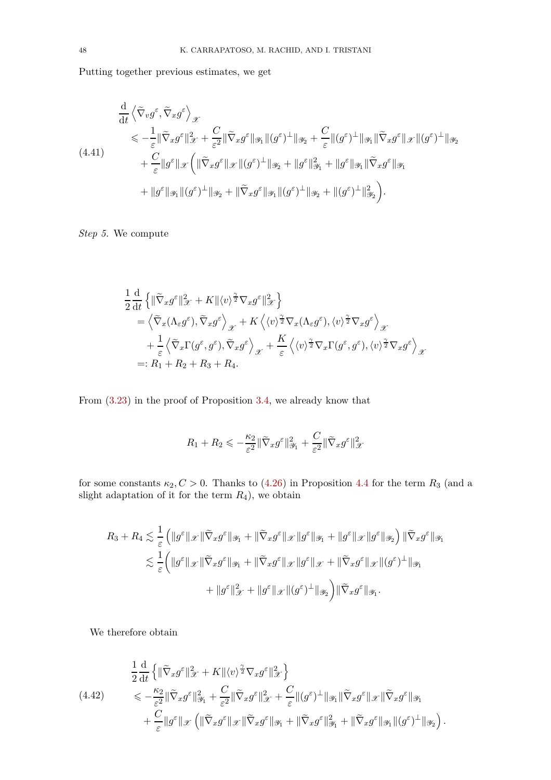Putting together previous estimates, we get

<span id="page-47-0"></span>
$$
\frac{\mathrm{d}}{\mathrm{d}t} \left\langle \tilde{\nabla}_{v} g^{\varepsilon}, \tilde{\nabla}_{x} g^{\varepsilon} \right\rangle_{\mathscr{X}} \n\leq -\frac{1}{\varepsilon} \|\tilde{\nabla}_{x} g^{\varepsilon}\|_{\mathscr{X}}^{2} + \frac{C}{\varepsilon^{2}} \|\tilde{\nabla}_{x} g^{\varepsilon}\|_{\mathscr{Y}_{1}} \| (g^{\varepsilon})^{\perp} \|_{\mathscr{Y}_{2}} + \frac{C}{\varepsilon} \| (g^{\varepsilon})^{\perp} \|_{\mathscr{Y}_{1}} \|\tilde{\nabla}_{x} g^{\varepsilon}\|_{\mathscr{X}} \| (g^{\varepsilon})^{\perp} \|_{\mathscr{Y}_{2}} \n+ \frac{C}{\varepsilon} \| g^{\varepsilon} \|_{\mathscr{X}} \left( \| \tilde{\nabla}_{x} g^{\varepsilon} \|_{\mathscr{X}} \| (g^{\varepsilon})^{\perp} \|_{\mathscr{Y}_{2}} + \| g^{\varepsilon} \|_{\mathscr{Y}_{1}}^{2} + \| g^{\varepsilon} \|_{\mathscr{Y}_{1}} \|\tilde{\nabla}_{x} g^{\varepsilon} \|_{\mathscr{Y}_{1}} \n+ \| g^{\varepsilon} \|_{\mathscr{Y}_{1}} \| (g^{\varepsilon})^{\perp} \|_{\mathscr{Y}_{2}} + \| \tilde{\nabla}_{x} g^{\varepsilon} \|_{\mathscr{Y}_{1}} \| (g^{\varepsilon})^{\perp} \|_{\mathscr{Y}_{2}} + \| (g^{\varepsilon})^{\perp} \|_{\mathscr{Y}_{2}}^{2} \right).
$$

*Step 5.* We compute

$$
\frac{1}{2} \frac{d}{dt} \left\{ \|\widetilde{\nabla}_x g^{\varepsilon}\|_{\mathscr{X}}^2 + K \| \langle v \rangle^{\frac{\gamma}{2}} \nabla_x g^{\varepsilon} \|_{\mathscr{X}}^2 \right\} \n= \left\langle \widetilde{\nabla}_x (\Lambda_{\varepsilon} g^{\varepsilon}), \widetilde{\nabla}_x g^{\varepsilon} \right\rangle_{\mathscr{X}} + K \left\langle \langle v \rangle^{\frac{\gamma}{2}} \nabla_x (\Lambda_{\varepsilon} g^{\varepsilon}), \langle v \rangle^{\frac{\gamma}{2}} \nabla_x g^{\varepsilon} \right\rangle_{\mathscr{X}} \n+ \frac{1}{\varepsilon} \left\langle \widetilde{\nabla}_x \Gamma(g^{\varepsilon}, g^{\varepsilon}), \widetilde{\nabla}_x g^{\varepsilon} \right\rangle_{\mathscr{X}} + \frac{K}{\varepsilon} \left\langle \langle v \rangle^{\frac{\gamma}{2}} \nabla_x \Gamma(g^{\varepsilon}, g^{\varepsilon}), \langle v \rangle^{\frac{\gamma}{2}} \nabla_x g^{\varepsilon} \right\rangle_{\mathscr{X}} \n=: R_1 + R_2 + R_3 + R_4.
$$

From [\(3.23\)](#page-27-0) in the proof of Proposition [3.4,](#page-21-0) we already know that

$$
R_1 + R_2 \leqslant -\frac{\kappa_2}{\varepsilon^2} \|\widetilde{\nabla}_x g^{\varepsilon}\|_{\mathcal{Y}_1}^2 + \frac{C}{\varepsilon^2} \|\widetilde{\nabla}_x g^{\varepsilon}\|_{\mathcal{X}}^2
$$

for some constants  $\kappa_2$ ,  $C > 0$ . Thanks to [\(4.26\)](#page-38-2) in Proposition [4.4](#page-38-1) for the term  $R_3$  (and a slight adaptation of it for the term *R*4), we obtain

$$
R_3 + R_4 \lesssim \frac{1}{\varepsilon} \left( \|g^\varepsilon\|_{\mathscr{X}} \|\widetilde{\nabla}_x g^\varepsilon\|_{\mathscr{Y}_1} + \|\widetilde{\nabla}_x g^\varepsilon\|_{\mathscr{X}} \|g^\varepsilon\|_{\mathscr{Y}_1} + \|g^\varepsilon\|_{\mathscr{X}} \|g^\varepsilon\|_{\mathscr{Y}_2} \right) \|\widetilde{\nabla}_x g^\varepsilon\|_{\mathscr{Y}_1} \lesssim \frac{1}{\varepsilon} \left( \|g^\varepsilon\|_{\mathscr{X}} \|\widetilde{\nabla}_x g^\varepsilon\|_{\mathscr{Y}_1} + \|\widetilde{\nabla}_x g^\varepsilon\|_{\mathscr{X}} \|g^\varepsilon\|_{\mathscr{X}} + \|\widetilde{\nabla}_x g^\varepsilon\|_{\mathscr{X}} \| (g^\varepsilon)^\perp\|_{\mathscr{Y}_1} + \|g^\varepsilon\|_{\mathscr{X}}^2 + \|g^\varepsilon\|_{\mathscr{X}} \| (g^\varepsilon)^\perp\|_{\mathscr{Y}_2} \right) \|\widetilde{\nabla}_x g^\varepsilon\|_{\mathscr{Y}_1}.
$$

We therefore obtain

<span id="page-47-1"></span>
$$
\frac{1}{2} \frac{\mathrm{d}}{\mathrm{d}t} \left\{ \|\widetilde{\nabla}_x g^{\varepsilon}\|_{\mathcal{X}}^2 + K \| \langle v \rangle^{\frac{\gamma}{2}} \nabla_x g^{\varepsilon} \|_{\mathcal{X}}^2 \right\} \n\leq -\frac{\kappa_2}{\varepsilon^2} \|\widetilde{\nabla}_x g^{\varepsilon} \|_{\mathcal{Y}_1}^2 + \frac{C}{\varepsilon^2} \|\widetilde{\nabla}_x g^{\varepsilon} \|_{\mathcal{X}}^2 + \frac{C}{\varepsilon} \| (g^{\varepsilon})^{\perp} \|_{\mathcal{Y}_1} \|\widetilde{\nabla}_x g^{\varepsilon} \|_{\mathcal{X}} \|\widetilde{\nabla}_x g^{\varepsilon} \|_{\mathcal{Y}_1} \n+ \frac{C}{\varepsilon} \| g^{\varepsilon} \|_{\mathcal{X}} \left( \| \widetilde{\nabla}_x g^{\varepsilon} \|_{\mathcal{X}} \| \widetilde{\nabla}_x g^{\varepsilon} \|_{\mathcal{Y}_1} + \| \widetilde{\nabla}_x g^{\varepsilon} \|_{\mathcal{Y}_1}^2 + \| \widetilde{\nabla}_x g^{\varepsilon} \|_{\mathcal{Y}_1} \| (g^{\varepsilon})^{\perp} \|_{\mathcal{Y}_2} \right).
$$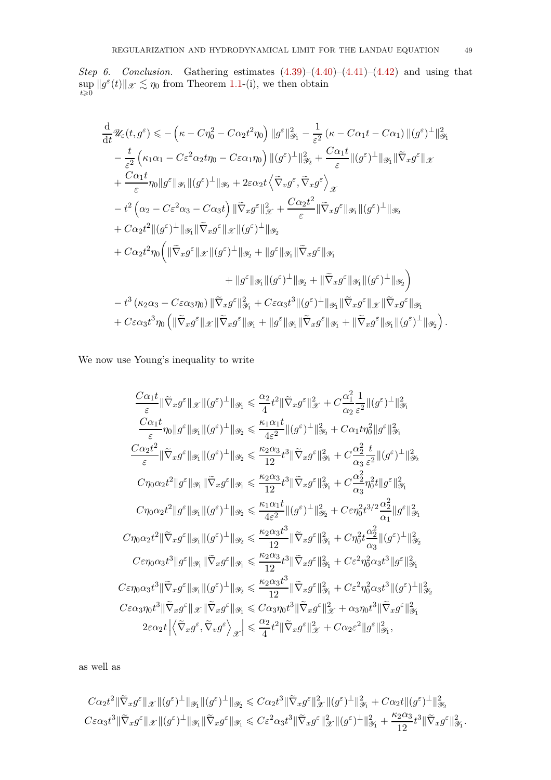*Step 6. Conclusion.* Gathering estimates  $(4.39)$ – $(4.40)$ – $(4.41)$ – $(4.42)$  and using that sup  $\sup_{t\geqslant0}||g^{\varepsilon}(t)||_{\mathscr{X}} \lesssim \eta_0$  from Theorem [1.1-](#page-4-0)(i), we then obtain

$$
\frac{d}{dt} \mathscr{U}_{\varepsilon}(t,g^{\varepsilon}) \leqslant -\left(\kappa - C\eta_{0}^{2} - C\alpha_{2}t^{2}\eta_{0}\right) \|g^{\varepsilon}\|_{\mathscr{Y}_{1}}^{2} - \frac{1}{\varepsilon^{2}}\left(\kappa - C\alpha_{1}t - C\alpha_{1}\right) \| (g^{\varepsilon})^{\perp} \|_{\mathscr{Y}_{1}}^{2}
$$
\n
$$
- \frac{t}{\varepsilon^{2}}\left(\kappa_{1}\alpha_{1} - C\varepsilon^{2}\alpha_{2}t\eta_{0} - C\varepsilon\alpha_{1}\eta_{0}\right) \| (g^{\varepsilon})^{\perp} \|_{\mathscr{Y}_{2}}^{2} + \frac{C\alpha_{1}t}{\varepsilon} \| (g^{\varepsilon})^{\perp} \|_{\mathscr{Y}_{1}} \| \widetilde{\nabla}_{x}g^{\varepsilon} \|_{\mathscr{X}}
$$
\n
$$
+ \frac{C\alpha_{1}t}{\varepsilon} \eta_{0} \|g^{\varepsilon}\|_{\mathscr{Y}_{1}} \| (g^{\varepsilon})^{\perp} \|_{\mathscr{Y}_{2}} + 2\varepsilon\alpha_{2}t \left\langle \widetilde{\nabla}_{v}g^{\varepsilon}, \widetilde{\nabla}_{x}g^{\varepsilon} \right\rangle_{\mathscr{X}}
$$
\n
$$
- t^{2}\left(\alpha_{2} - C\varepsilon^{2}\alpha_{3} - C\alpha_{3}t\right) \| \widetilde{\nabla}_{x}g^{\varepsilon} \|_{\mathscr{X}}^{2} + \frac{C\alpha_{2}t^{2}}{\varepsilon} \| \widetilde{\nabla}_{x}g^{\varepsilon} \|_{\mathscr{Y}_{1}} \| (g^{\varepsilon})^{\perp} \|_{\mathscr{Y}_{2}}
$$
\n
$$
+ C\alpha_{2}t^{2} \| (g^{\varepsilon})^{\perp} \|_{\mathscr{Y}_{1}} \| \widetilde{\nabla}_{x}g^{\varepsilon} \|_{\mathscr{X}} \| (g^{\varepsilon})^{\perp} \|_{\mathscr{Y}_{2}}
$$
\n
$$
+ |g^{\varepsilon} \|_{\mathscr{Y}_{1}} \| (g^{\varepsilon})^{\perp} \|_{\mathscr{Y}_{2}} + \| \widetilde{\nabla}_{x}g^{\varepsilon
$$

We now use Young's inequality to write

$$
\frac{C\alpha_1 t}{\varepsilon} \|\tilde{\nabla}_x g^\varepsilon\|_{\mathscr{X}} \| (g^\varepsilon)^\perp \|_{\mathscr{Y}_1} \leqslant \frac{\alpha_2}{4} t^2 \|\tilde{\nabla}_x g^\varepsilon\|_{\mathscr{X}}^2 + C \frac{\alpha_1^2}{\alpha_2} \frac{1}{\varepsilon^2} \| (g^\varepsilon)^\perp \|_{\mathscr{Y}_1}^2
$$
\n
$$
\frac{C\alpha_1 t}{\varepsilon} \eta_0 \|g^\varepsilon\|_{\mathscr{Y}_1} \| (g^\varepsilon)^\perp \|_{\mathscr{Y}_2} \leqslant \frac{\kappa_1 \alpha_1 t}{12} \| (g^\varepsilon)^\perp \|_{\mathscr{Y}_2}^2 + C\alpha_1 t \eta_0^2 \| g^\varepsilon \|_{\mathscr{Y}_1}^2
$$
\n
$$
\frac{C\alpha_2 t^2}{\varepsilon} \|\tilde{\nabla}_x g^\varepsilon\|_{\mathscr{Y}_1} \| (g^\varepsilon)^\perp \|_{\mathscr{Y}_2} \leqslant \frac{\kappa_2 \alpha_3}{12} t^3 \|\tilde{\nabla}_x g^\varepsilon\|_{\mathscr{Y}_1}^2 + C \frac{\alpha_2^2}{\alpha_3} \frac{t}{\varepsilon^2} \| (g^\varepsilon)^\perp \|_{\mathscr{Y}_2}^2
$$
\n
$$
C\eta_0 \alpha_2 t^2 \| g^\varepsilon \|_{\mathscr{Y}_1} \|\tilde{\nabla}_x g^\varepsilon\|_{\mathscr{Y}_1} \leqslant \frac{\kappa_2 \alpha_3}{12} t^3 \|\tilde{\nabla}_x g^\varepsilon\|_{\mathscr{Y}_1}^2 + C \frac{\alpha_2^2}{\alpha_3} \eta_0^2 t \| g^\varepsilon \|_{\mathscr{Y}_1}^2
$$
\n
$$
C\eta_0 \alpha_2 t^2 \| g^\varepsilon \|_{\mathscr{Y}_1} \| (g^\varepsilon)^\perp \|_{\mathscr{Y}_2} \leqslant \frac{\kappa_1 \alpha_1 t}{12} \| (g^\varepsilon)^\perp \|_{\mathscr{Y}_2}^2 + C\varepsilon \eta_0^2 t^{3/2} \frac{\alpha_2^2}{\alpha_1}
$$

as well as

$$
C\alpha_2 t^2 \|\widetilde{\nabla}_x g^{\varepsilon}\|_{\mathscr{X}} \|(g^{\varepsilon})^{\perp}\|_{\mathscr{Y}_1} \|(g^{\varepsilon})^{\perp}\|_{\mathscr{Y}_2} \leqslant C\alpha_2 t^3 \|\widetilde{\nabla}_x g^{\varepsilon}\|_{\mathscr{X}}^2 \|(g^{\varepsilon})^{\perp}\|_{\mathscr{Y}_1}^2 + C\alpha_2 t \|(g^{\varepsilon})^{\perp}\|_{\mathscr{Y}_2}^2
$$
  

$$
C\varepsilon \alpha_3 t^3 \|\widetilde{\nabla}_x g^{\varepsilon}\|_{\mathscr{X}} \|(g^{\varepsilon})^{\perp}\|_{\mathscr{Y}_1} \|\widetilde{\nabla}_x g^{\varepsilon}\|_{\mathscr{Y}_1} \leqslant C\varepsilon^2 \alpha_3 t^3 \|\widetilde{\nabla}_x g^{\varepsilon}\|_{\mathscr{X}}^2 \|(g^{\varepsilon})^{\perp}\|_{\mathscr{Y}_1}^2 + \frac{\kappa_2 \alpha_3}{12} t^3 \|\widetilde{\nabla}_x g^{\varepsilon}\|_{\mathscr{Y}_1}^2.
$$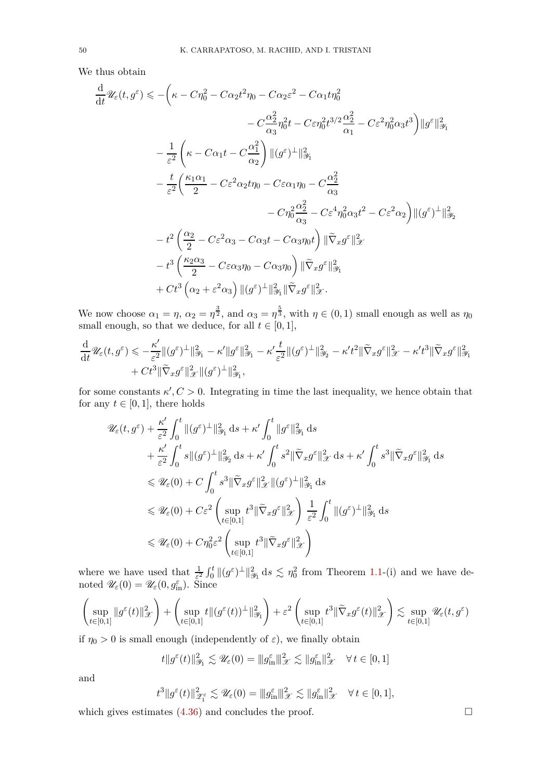We thus obtain

$$
\frac{d}{dt} \mathscr{U}_{\varepsilon}(t, g^{\varepsilon}) \leqslant -\left(\kappa - C\eta_{0}^{2} - C\alpha_{2}t^{2}\eta_{0} - C\alpha_{2}\varepsilon^{2} - C\alpha_{1}t\eta_{0}^{2}\right) \n- C\frac{\alpha_{2}^{2}}{\alpha_{3}}\eta_{0}^{2}t - C\varepsilon\eta_{0}^{2}t^{3/2}\frac{\alpha_{2}^{2}}{\alpha_{1}} - C\varepsilon^{2}\eta_{0}^{2}\alpha_{3}t^{3}\right)\|\boldsymbol{g}^{\varepsilon}\|_{\mathscr{Y}_{1}}^{2} \n- \frac{1}{\varepsilon^{2}}\left(\kappa - C\alpha_{1}t - C\frac{\alpha_{1}^{2}}{\alpha_{2}}\right)\|(\boldsymbol{g}^{\varepsilon})^{\perp}\|_{\mathscr{Y}_{1}}^{2} \n- \frac{t}{\varepsilon^{2}}\left(\frac{\kappa_{1}\alpha_{1}}{2} - C\varepsilon^{2}\alpha_{2}t\eta_{0} - C\varepsilon\alpha_{1}\eta_{0} - C\frac{\alpha_{2}^{2}}{\alpha_{3}}\right. \n- C\eta_{0}^{2}\frac{\alpha_{2}^{2}}{\alpha_{3}} - C\varepsilon^{4}\eta_{0}^{2}\alpha_{3}t^{2} - C\varepsilon^{2}\alpha_{2}\right)\|(\boldsymbol{g}^{\varepsilon})^{\perp}\|_{\mathscr{Y}_{2}}^{2} \n- t^{2}\left(\frac{\alpha_{2}}{2} - C\varepsilon^{2}\alpha_{3} - C\alpha_{3}t - C\alpha_{3}\eta_{0}t\right)\|\widetilde{\nabla}_{x}g^{\varepsilon}\|_{\mathscr{X}}^{2} \n- t^{3}\left(\frac{\kappa_{2}\alpha_{3}}{2} - C\varepsilon\alpha_{3}\eta_{0} - C\alpha_{3}\eta_{0}\right)\|\widetilde{\nabla}_{x}g^{\varepsilon}\|_{\mathscr{Y}_{1}}^{2} \n+ Ct^{3}\left(\alpha_{2} + \varepsilon^{2}\alpha_{3}\right)\|(\boldsymbol{g}^{\varepsilon})^{\perp}\|_{\mathscr{Y}_{1}}^{2}\|\widetilde{\nabla}_{x}g^{\varepsilon}\|_{\mathscr{X}}^{2}.
$$

We now choose  $\alpha_1 = \eta$ ,  $\alpha_2 = \eta^{\frac{3}{2}}$ , and  $\alpha_3 = \eta^{\frac{5}{3}}$ , with  $\eta \in (0,1)$  small enough as well as  $\eta_0$ small enough, so that we deduce, for all  $t \in [0,1]$ ,

$$
\frac{\mathrm{d}}{\mathrm{d}t} \mathscr{U}_{\varepsilon}(t, g^{\varepsilon}) \leqslant -\frac{\kappa'}{\varepsilon^2} \| (g^{\varepsilon})^{\perp} \|_{\mathscr{Y}_1}^2 - \kappa' \| g^{\varepsilon} \|_{\mathscr{Y}_1}^2 - \kappa' \frac{t}{\varepsilon^2} \| (g^{\varepsilon})^{\perp} \|_{\mathscr{Y}_2}^2 - \kappa' t^2 \| \widetilde{\nabla}_x g^{\varepsilon} \|_{\mathscr{X}}^2 - \kappa' t^3 \| \widetilde{\nabla}_x g^{\varepsilon} \|_{\mathscr{Y}_1}^2
$$
  
+ 
$$
C t^3 \| \widetilde{\nabla}_x g^{\varepsilon} \|_{\mathscr{X}}^2 \| (g^{\varepsilon})^{\perp} \|_{\mathscr{Y}_1}^2,
$$

for some constants  $\kappa'$ ,  $C > 0$ . Integrating in time the last inequality, we hence obtain that for any  $t \in [0, 1]$ , there holds

$$
\mathscr{U}_{\varepsilon}(t,g^{\varepsilon}) + \frac{\kappa'}{\varepsilon^{2}} \int_{0}^{t} \|(g^{\varepsilon})^{\perp}\|_{\mathscr{Y}_{1}}^{2} ds + \kappa' \int_{0}^{t} \|g^{\varepsilon}\|_{\mathscr{Y}_{1}}^{2} ds \n+ \frac{\kappa'}{\varepsilon^{2}} \int_{0}^{t} s \|(g^{\varepsilon})^{\perp}\|_{\mathscr{Y}_{2}}^{2} ds + \kappa' \int_{0}^{t} s^{2} \|\widetilde{\nabla}_{x} g^{\varepsilon}\|_{\mathscr{X}}^{2} ds + \kappa' \int_{0}^{t} s^{3} \|\widetilde{\nabla}_{x} g^{\varepsilon}\|_{\mathscr{Y}_{1}}^{2} ds \n\leq \mathscr{U}_{\varepsilon}(0) + C \int_{0}^{t} s^{3} \|\widetilde{\nabla}_{x} g^{\varepsilon}\|_{\mathscr{X}}^{2} \|(g^{\varepsilon})^{\perp}\|_{\mathscr{Y}_{1}}^{2} ds \n\leq \mathscr{U}_{\varepsilon}(0) + C \varepsilon^{2} \left( \sup_{t \in [0,1]} t^{3} \|\widetilde{\nabla}_{x} g^{\varepsilon}\|_{\mathscr{X}}^{2} \right) \frac{1}{\varepsilon^{2}} \int_{0}^{t} \|(g^{\varepsilon})^{\perp}\|_{\mathscr{Y}_{1}}^{2} ds \n\leq \mathscr{U}_{\varepsilon}(0) + C \eta_{0}^{2} \varepsilon^{2} \left( \sup_{t \in [0,1]} t^{3} \|\widetilde{\nabla}_{x} g^{\varepsilon}\|_{\mathscr{X}}^{2} \right)
$$

where we have used that  $\frac{1}{\varepsilon^2} \int_0^t ||(g^{\varepsilon})^{\perp}||_{\mathscr{Y}_1}^2 ds \lesssim \eta_0^2$  from Theorem [1.1-](#page-4-0)(i) and we have denoted  $\mathscr{U}_{\varepsilon}(0) = \mathscr{U}_{\varepsilon}(0, g_{\text{in}}^{\varepsilon}).$  Since

$$
\left(\sup_{t\in[0,1]}\|g^\varepsilon(t)\|_{\mathscr X}^2\right)+\left(\sup_{t\in[0,1]}t\|(g^\varepsilon(t))^{\bot}\|_{\mathscr Y_1}^2\right)+\varepsilon^2\left(\sup_{t\in[0,1]}t^3\|\tilde\nabla_xg^\varepsilon(t)\|_{\mathscr X}^2\right)\lesssim \sup_{t\in[0,1]}\mathscr U_\varepsilon(t,g^\varepsilon)
$$

if  $\eta_0 > 0$  is small enough (independently of  $\varepsilon$ ), we finally obtain

$$
t||g^{\varepsilon}(t)||_{\mathscr{Y}_1}^2 \lesssim \mathscr{U}_{\varepsilon}(0) = ||g^{\varepsilon}_{\text{in}}||_{\mathscr{X}}^2 \lesssim ||g^{\varepsilon}_{\text{in}}||_{\mathscr{X}}^2 \quad \forall t \in [0,1]
$$

and

$$
t^3\|g^\varepsilon(t)\|_{\mathscr{Z}_1^\varepsilon}^2 \lesssim \mathscr{U}_\varepsilon(0) = \|g_{\rm in}^\varepsilon\|_{\mathscr{X}}^2 \lesssim \|g_{\rm in}^\varepsilon\|_{\mathscr{X}}^2 \quad \forall \, t \in [0,1],
$$

which gives estimates  $(4.36)$  and concludes the proof.  $\Box$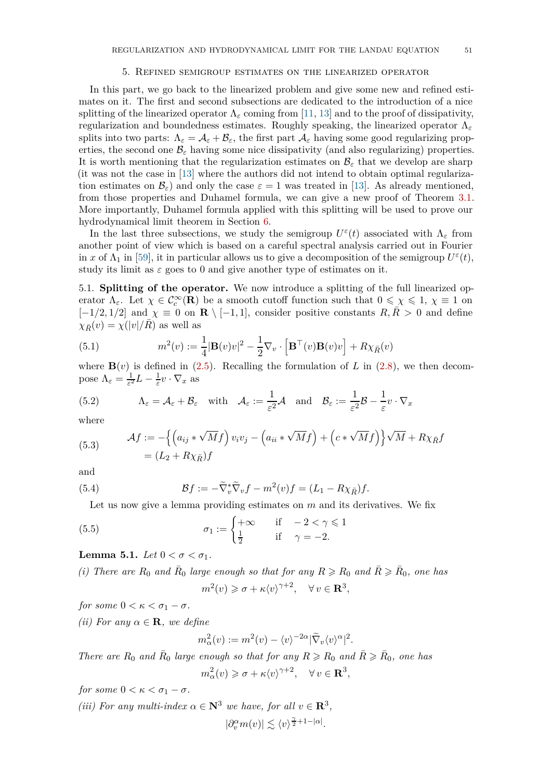#### 5. Refined semigroup estimates on the linearized operator

<span id="page-50-2"></span>In this part, we go back to the linearized problem and give some new and refined estimates on it. The first and second subsections are dedicated to the introduction of a nice splitting of the linearized operator  $\Lambda_{\varepsilon}$  coming from [\[11,](#page-78-1) [13\]](#page-78-0) and to the proof of dissipativity, regularization and boundedness estimates. Roughly speaking, the linearized operator Λ*<sup>ε</sup>* splits into two parts:  $\Lambda_{\varepsilon} = \mathcal{A}_{\varepsilon} + \mathcal{B}_{\varepsilon}$ , the first part  $\mathcal{A}_{\varepsilon}$  having some good regularizing properties, the second one  $\mathcal{B}_{\varepsilon}$  having some nice dissipativity (and also regularizing) properties. It is worth mentioning that the regularization estimates on  $\mathcal{B}_{\varepsilon}$  that we develop are sharp (it was not the case in [\[13\]](#page-78-0) where the authors did not intend to obtain optimal regularization estimates on  $\mathcal{B}_{\varepsilon}$  and only the case  $\varepsilon = 1$  was treated in [\[13\]](#page-78-0). As already mentioned, from those properties and Duhamel formula, we can give a new proof of Theorem [3.1.](#page-18-0) More importantly, Duhamel formula applied with this splitting will be used to prove our hydrodynamical limit theorem in Section [6.](#page-58-0)

In the last three subsections, we study the semigroup  $U^{\varepsilon}(t)$  associated with  $\Lambda_{\varepsilon}$  from another point of view which is based on a careful spectral analysis carried out in Fourier in *x* of  $\Lambda_1$  in [\[59\]](#page-80-0), it in particular allows us to give a decomposition of the semigroup  $U^{\varepsilon}(t)$ , study its limit as  $\varepsilon$  goes to 0 and give another type of estimates on it.

5.1. **Splitting of the operator.** We now introduce a splitting of the full linearized operator  $\Lambda_{\varepsilon}$ . Let  $\chi \in C_c^{\infty}(\mathbf{R})$  be a smooth cutoff function such that  $0 \leq \chi \leq 1$ ,  $\chi \equiv 1$  on  $[-1/2, 1/2]$  and  $\chi \equiv 0$  on **R** \  $[-1, 1]$ , consider positive constants  $R, R > 0$  and define  $\chi_{\bar{R}}(v) = \chi(|v|/R)$  as well as

(5.1) 
$$
m^{2}(v) := \frac{1}{4}|\mathbf{B}(v)v|^{2} - \frac{1}{2}\nabla_{v} \cdot \left[\mathbf{B}^{\top}(v)\mathbf{B}(v)v\right] + R\chi_{\bar{R}}(v)
$$

where  $\mathbf{B}(v)$  is defined in [\(2.5\)](#page-12-0). Recalling the formulation of *L* in [\(2.8\)](#page-12-1), we then decompose  $Λ_ε = \frac{1}{ε^2}$  $\frac{1}{\varepsilon^2}L-\frac{1}{\varepsilon}$  $\frac{1}{\varepsilon}v\cdot\nabla_x$  as

(5.2) 
$$
\Lambda_{\varepsilon} = \mathcal{A}_{\varepsilon} + \mathcal{B}_{\varepsilon} \quad \text{with} \quad \mathcal{A}_{\varepsilon} := \frac{1}{\varepsilon^2} \mathcal{A} \quad \text{and} \quad \mathcal{B}_{\varepsilon} := \frac{1}{\varepsilon^2} \mathcal{B} - \frac{1}{\varepsilon} v \cdot \nabla_x
$$

where

(5.3) 
$$
\mathcal{A}f := -\left\{ \left( a_{ij} * \sqrt{M}f \right) v_i v_j - \left( a_{ii} * \sqrt{M}f \right) + \left( c * \sqrt{M}f \right) \right\} \sqrt{M} + R\chi_{\bar{R}}f
$$

$$
= (L_2 + R\chi_{\bar{R}})f
$$

and

(5.4) 
$$
\mathcal{B}f := -\widetilde{\nabla}_v^*\widetilde{\nabla}_v f - m^2(v)f = (L_1 - R\chi_{\bar{R}})f.
$$

Let us now give a lemma providing estimates on *m* and its derivatives. We fix

(5.5) 
$$
\sigma_1 := \begin{cases} +\infty & \text{if } -2 < \gamma \leq 1 \\ \frac{1}{2} & \text{if } \gamma = -2. \end{cases}
$$

<span id="page-50-0"></span>**Lemma 5.1.** *Let*  $0 < \sigma < \sigma_1$ *.* 

*(i)* There are  $R_0$  and  $\bar{R}_0$  large enough so that for any  $R \ge R_0$  and  $\bar{R} \ge \bar{R}_0$ , one has  $m^2(v) \geq \sigma + \kappa \langle v \rangle^{\gamma+2}, \quad \forall v \in \mathbf{R}^3,$ 

*for some*  $0 < \kappa < \sigma_1 - \sigma$ *.* 

*(ii)* For any  $\alpha \in \mathbf{R}$ *, we define* 

<span id="page-50-1"></span>
$$
m_{\alpha}^{2}(v) := m^{2}(v) - \langle v \rangle^{-2\alpha} |\tilde{\nabla}_{v} \langle v \rangle^{\alpha}|^{2}.
$$

*There are*  $R_0$  *and*  $\bar{R}_0$  *large enough so that for any*  $R \ge R_0$  *and*  $\bar{R} \ge \bar{R}_0$ *, one has*  $m_{\alpha}^{2}(v) \geq \sigma + \kappa \langle v \rangle^{\gamma+2}, \quad \forall v \in \mathbf{R}^{3},$ 

*for some*  $0 < \kappa < \sigma_1 - \sigma$ *.* 

*(iii)* For any multi-index  $\alpha \in \mathbb{N}^3$  *we have, for all*  $v \in \mathbb{R}^3$ ,  $|\partial_v^{\alpha} m(v)| \lesssim \langle v \rangle^{\frac{\gamma}{2} + 1 - |\alpha|}.$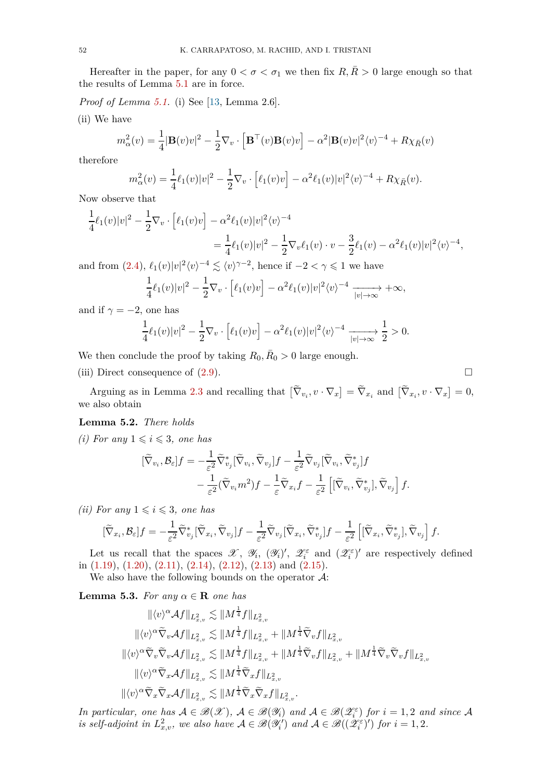Hereafter in the paper, for any  $0 < \sigma < \sigma_1$  we then fix  $R, \overline{R} > 0$  large enough so that the results of Lemma [5.1](#page-50-0) are in force.

*Proof of Lemma [5.1.](#page-50-0)* (i) See [\[13,](#page-78-0) Lemma 2.6].

(ii) We have

$$
m_{\alpha}^{2}(v) = \frac{1}{4}|\mathbf{B}(v)v|^{2} - \frac{1}{2}\nabla_{v} \cdot \left[\mathbf{B}^{\top}(v)\mathbf{B}(v)v\right] - \alpha^{2}|\mathbf{B}(v)v|^{2}\langle v \rangle^{-4} + R\chi_{\bar{R}}(v)
$$

therefore

$$
m_{\alpha}^{2}(v) = \frac{1}{4}\ell_{1}(v)|v|^{2} - \frac{1}{2}\nabla_{v} \cdot [\ell_{1}(v)v] - \alpha^{2}\ell_{1}(v)|v|^{2}\langle v \rangle^{-4} + R\chi_{\bar{R}}(v).
$$

Now observe that

$$
\frac{1}{4}\ell_1(v)|v|^2 - \frac{1}{2}\nabla_v \cdot \left[\ell_1(v)v\right] - \alpha^2 \ell_1(v)|v|^2 \langle v \rangle^{-4}
$$
\n
$$
= \frac{1}{4}\ell_1(v)|v|^2 - \frac{1}{2}\nabla_v \ell_1(v) \cdot v - \frac{3}{2}\ell_1(v) - \alpha^2 \ell_1(v)|v|^2 \langle v \rangle^{-4},
$$

and from [\(2.4\)](#page-12-2),  $\ell_1(v)|v|^2 \langle v \rangle^{-4} \lesssim \langle v \rangle^{\gamma-2}$ , hence if  $-2 < \gamma \leq 1$  we have

$$
\frac{1}{4}\ell_1(v)|v|^2 - \frac{1}{2}\nabla_v \cdot \left[\ell_1(v)v\right] - \alpha^2\ell_1(v)|v|^2 \langle v \rangle^{-4} \xrightarrow[|v| \to \infty]{} + \infty,
$$

and if  $\gamma = -2$ , one has

$$
\frac{1}{4}\ell_1(v)|v|^2 - \frac{1}{2}\nabla_v \cdot \left[\ell_1(v)v\right] - \alpha^2\ell_1(v)|v|^2\langle v\rangle^{-4} \xrightarrow[|v| \to \infty]{} \frac{1}{2} > 0.
$$

We then conclude the proof by taking  $R_0, \bar{R}_0 > 0$  large enough.

(iii) Direct consequence of  $(2.9)$ .

Arguing as in Lemma [2.3](#page-16-0) and recalling that  $[\tilde{\nabla}_{v_i}, v \cdot \nabla_x] = \tilde{\nabla}_{x_i}$  and  $[\tilde{\nabla}_{x_i}, v \cdot \nabla_x] = 0$ , we also obtain

# <span id="page-51-1"></span>**Lemma 5.2.** *There holds*

*(i)* For any  $1 \leq i \leq 3$ , one has

$$
\begin{split} [\widetilde \nabla_{v_i}, \mathcal B_\varepsilon] f &= -\frac{1}{\varepsilon^2} \widetilde \nabla_{v_j}^* [\widetilde \nabla_{v_i}, \widetilde \nabla_{v_j}] f - \frac{1}{\varepsilon^2} \widetilde \nabla_{v_j} [\widetilde \nabla_{v_i}, \widetilde \nabla_{v_j}^*] f \\ &- \frac{1}{\varepsilon^2} (\widetilde \nabla_{v_i} m^2) f - \frac{1}{\varepsilon} \widetilde \nabla_{x_i} f - \frac{1}{\varepsilon^2} \left[ [\widetilde \nabla_{v_i}, \widetilde \nabla_{v_j}^*], \widetilde \nabla_{v_j} \right] f. \end{split}
$$

*(ii)* For any  $1 \leq i \leq 3$ , one has

$$
[\widetilde{\nabla}_{x_i}, \mathcal{B}_{\varepsilon}]f = -\frac{1}{\varepsilon^2} \widetilde{\nabla}_{v_j}^* [\widetilde{\nabla}_{x_i}, \widetilde{\nabla}_{v_j}]f - \frac{1}{\varepsilon^2} \widetilde{\nabla}_{v_j} [\widetilde{\nabla}_{x_i}, \widetilde{\nabla}_{v_j}^*]f - \frac{1}{\varepsilon^2} \left[ [\widetilde{\nabla}_{x_i}, \widetilde{\nabla}_{v_j}^*], \widetilde{\nabla}_{v_j} \right] f.
$$

Let us recall that the spaces  $\mathscr{X}, \mathscr{Y}_i, (\mathscr{Y}_i)'$ ,  $\mathscr{Z}_i^{\varepsilon}$  and  $(\mathscr{Z}_i^{\varepsilon})'$  are respectively defined in  $(1.19)$ ,  $(1.20)$ ,  $(2.11)$ ,  $(2.14)$ ,  $(2.12)$ ,  $(2.13)$  and  $(2.15)$ .

We also have the following bounds on the operator  $\mathcal{A}$ :

<span id="page-51-0"></span>**Lemma 5.3.** *For any*  $\alpha \in \mathbf{R}$  *one* has

$$
\begin{aligned}\n\|\langle v\rangle^{\alpha}\mathcal{A}f\|_{L_{x,v}^{2}} &\lesssim \|M^{\frac{1}{4}}f\|_{L_{x,v}^{2}} \\
\|\langle v\rangle^{\alpha}\tilde{\nabla}_{v}\mathcal{A}f\|_{L_{x,v}^{2}} &\lesssim \|M^{\frac{1}{4}}f\|_{L_{x,v}^{2}} + \|M^{\frac{1}{4}}\tilde{\nabla}_{v}f\|_{L_{x,v}^{2}} \\
\|\langle v\rangle^{\alpha}\tilde{\nabla}_{v}\tilde{\nabla}_{v}\mathcal{A}f\|_{L_{x,v}^{2}} &\lesssim \|M^{\frac{1}{4}}f\|_{L_{x,v}^{2}} + \|M^{\frac{1}{4}}\tilde{\nabla}_{v}f\|_{L_{x,v}^{2}} + \|M^{\frac{1}{4}}\tilde{\nabla}_{v}\tilde{\nabla}_{v}f\|_{L_{x,v}^{2}} \\
\|\langle v\rangle^{\alpha}\tilde{\nabla}_{x}\mathcal{A}f\|_{L_{x,v}^{2}} &\lesssim \|M^{\frac{1}{4}}\tilde{\nabla}_{x}f\|_{L_{x,v}^{2}} \\
\|\langle v\rangle^{\alpha}\tilde{\nabla}_{x}\tilde{\nabla}_{x}\mathcal{A}f\|_{L_{x,v}^{2}} &\lesssim \|M^{\frac{1}{4}}\tilde{\nabla}_{x}\tilde{\nabla}_{x}f\|_{L_{x,v}^{2}}.\n\end{aligned}
$$

*In particular, one has*  $A \in \mathcal{B}(\mathcal{X})$ ,  $A \in \mathcal{B}(\mathcal{Y}_i)$  and  $A \in \mathcal{B}(\mathcal{Z}_i^{\varepsilon})$  for  $i = 1, 2$  and since A *is self-adjoint in*  $L^2_{x,v}$ *, we also have*  $A \in \mathscr{B}(\mathscr{Y}_i)$  *and*  $A \in \mathscr{B}((\mathscr{Z}_i^{\varepsilon})')$  *for*  $i = 1, 2$ *.*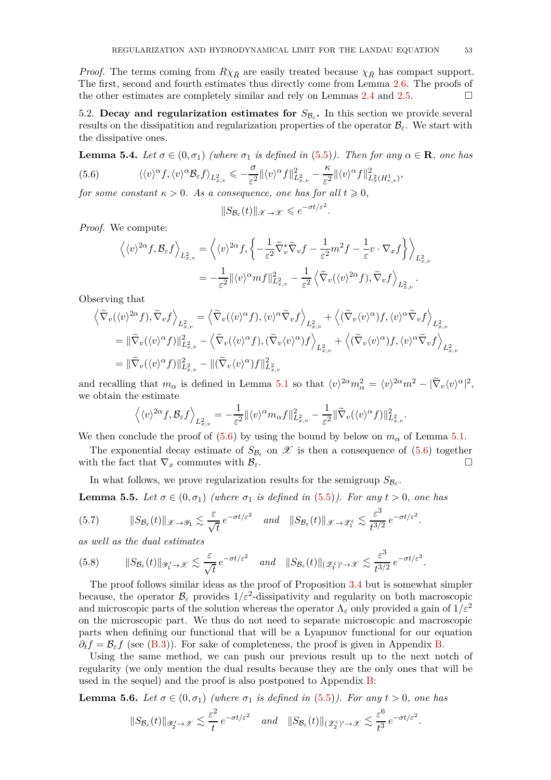*Proof.* The terms coming from  $R\chi_{\bar{R}}$  are easily treated because  $\chi_{\bar{R}}$  has compact support. The first, second and fourth estimates thus directly come from Lemma [2.6.](#page-17-1) The proofs of the other estimates are completely similar and rely on Lemmas [2.4](#page-17-0) and [2.5.](#page-17-2)  $\Box$ 

5.2. **Decay and regularization estimates for**  $S_{\mathcal{B}_{\varepsilon}}$ . In this section we provide several results on the dissipatition and regularization properties of the operator  $\mathcal{B}_{\varepsilon}$ . We start with the dissipative ones.

<span id="page-52-1"></span>**Lemma 5.4.** *Let*  $\sigma \in (0, \sigma_1)$  *(where*  $\sigma_1$  *is defined in* [\(5.5\)](#page-50-1)*). Then for any*  $\alpha \in \mathbf{R}$ *, one has*  $(5.6)$  $\int_{0}^{\alpha} f(x) \int_{0}^{\alpha} \mathcal{B}_{\varepsilon} f(x) dx \leqslant -\frac{\sigma}{\varepsilon^{2}} ||\langle v \rangle^{\alpha} f||^{2}_{L^{2}_{x,v}} - \frac{\kappa}{\varepsilon^{2}} ||\langle v \rangle^{\alpha} f||^{2}_{L^{2}_{x,v}}$ 

<span id="page-52-0"></span>5.6) 
$$
\langle \langle v \rangle^{\alpha} f, \langle v \rangle^{\alpha} \mathcal{B}_{\varepsilon} f \rangle_{L^2_{x,v}} \leqslant -\frac{1}{\varepsilon^2} \| \langle v \rangle^{\alpha} f \|_{L^2_{x,v}}^2 - \frac{1}{\varepsilon^2} \| \langle v \rangle^{\alpha} f \|_{L^2_x(H^1_{v,*})}^2,
$$

*for some constant*  $\kappa > 0$ *. As a consequence, one has for all*  $t \ge 0$ *,* 

$$
||S_{\mathcal{B}_{\varepsilon}}(t)||_{\mathscr{X}\to\mathscr{X}}\leqslant e^{-\sigma t/\varepsilon^2}
$$

*.*

*.*

*.*

*Proof.* We compute:

$$
\left\langle \langle v \rangle^{2\alpha} f, \mathcal{B}_{\varepsilon} f \right\rangle_{L^2_{x,v}} = \left\langle \langle v \rangle^{2\alpha} f, \left\{ -\frac{1}{\varepsilon^2} \widetilde{\nabla}_v^* \widetilde{\nabla}_v f - \frac{1}{\varepsilon^2} m^2 f - \frac{1}{\varepsilon} v \cdot \nabla_x f \right\} \right\rangle_{L^2_{x,v}}
$$
  
= 
$$
-\frac{1}{\varepsilon^2} ||\langle v \rangle^{\alpha} m f||^2_{L^2_{x,v}} - \frac{1}{\varepsilon^2} \left\langle \widetilde{\nabla}_v (\langle v \rangle^{2\alpha} f), \widetilde{\nabla}_v f \right\rangle_{L^2_{x,v}}.
$$

Observing that

$$
\begin{split}\n\left\langle \widetilde{\nabla}_{v}(\langle v \rangle^{2\alpha} f), \widetilde{\nabla}_{v} f \right\rangle_{L_{x,v}^{2}} &= \left\langle \widetilde{\nabla}_{v}(\langle v \rangle^{\alpha} f), \langle v \rangle^{\alpha} \widetilde{\nabla}_{v} f \right\rangle_{L_{x,v}^{2}} + \left\langle (\widetilde{\nabla}_{v} \langle v \rangle^{\alpha}) f, \langle v \rangle^{\alpha} \widetilde{\nabla}_{v} f \right\rangle_{L_{x,v}^{2}} \\
&= \|\widetilde{\nabla}_{v}(\langle v \rangle^{\alpha} f)\|_{L_{x,v}^{2}}^{2} - \left\langle \widetilde{\nabla}_{v}(\langle v \rangle^{\alpha} f), (\widetilde{\nabla}_{v} \langle v \rangle^{\alpha}) f \right\rangle_{L_{x,v}^{2}} + \left\langle (\widetilde{\nabla}_{v} \langle v \rangle^{\alpha}) f, \langle v \rangle^{\alpha} \widetilde{\nabla}_{v} f \right\rangle_{L_{x,v}^{2}} \\
&= \|\widetilde{\nabla}_{v}(\langle v \rangle^{\alpha} f)\|_{L_{x,v}^{2}}^{2} - \|(\widetilde{\nabla}_{v} \langle v \rangle^{\alpha}) f\|_{L_{x,v}^{2}}^{2}\n\end{split}
$$

and recalling that  $m_{\alpha}$  is defined in Lemma [5.1](#page-50-0) so that  $\langle v \rangle^{2\alpha} m_{\alpha}^2 = \langle v \rangle^{2\alpha} m^2 - |\tilde{\nabla}_v \langle v \rangle^{\alpha}|^2$ , we obtain the estimate

$$
\left\langle \langle v \rangle^{2\alpha} f, \mathcal{B}_{\varepsilon} f \right\rangle_{L^2_{x,v}} = -\frac{1}{\varepsilon^2} \| \langle v \rangle^{\alpha} m_{\alpha} f \|_{L^2_{x,v}}^2 - \frac{1}{\varepsilon^2} \| \widetilde{\nabla}_v (\langle v \rangle^{\alpha} f) \|_{L^2_{x,v}}^2
$$

We then conclude the proof of  $(5.6)$  by using the bound by below on  $m_{\alpha}$  of Lemma [5.1.](#page-50-0)

The exponential decay estimate of  $S_{\mathcal{B}_e}$  on  $\mathcal X$  is then a consequence of [\(5.6\)](#page-52-0) together with the fact that  $\nabla_x$  commutes with  $\mathcal{B}_{\varepsilon}$ .

In what follows, we prove regularization results for the semigroup  $S_{\mathcal{B}_{\varepsilon}}$ .

<span id="page-52-2"></span>**Lemma 5.5.** Let  $\sigma \in (0, \sigma_1)$  (where  $\sigma_1$  is defined in [\(5.5\)](#page-50-1)). For any  $t > 0$ , one has

<span id="page-52-4"></span>
$$
(5.7) \t||S_{\mathcal{B}_{\varepsilon}}(t)||_{\mathscr{X}\to\mathscr{Y}_1} \lesssim \frac{\varepsilon}{\sqrt{t}} e^{-\sigma t/\varepsilon^2} \quad \text{and} \quad ||S_{\mathcal{B}_{\varepsilon}}(t)||_{\mathscr{X}\to\mathscr{Z}_1^{\varepsilon}} \lesssim \frac{\varepsilon^3}{t^{3/2}} e^{-\sigma t/\varepsilon^2}
$$

*as well as the dual estimates*

<span id="page-52-5"></span>
$$
(5.8) \t||S_{\mathcal{B}_{\varepsilon}}(t)||_{\mathscr{Y}'_1\to\mathscr{X}} \lesssim \frac{\varepsilon}{\sqrt{t}} e^{-\sigma t/\varepsilon^2} \quad \text{and} \quad ||S_{\mathcal{B}_{\varepsilon}}(t)||_{(\mathscr{Z}_1^{\varepsilon})'\to\mathscr{X}} \lesssim \frac{\varepsilon^3}{t^{3/2}} e^{-\sigma t/\varepsilon^2}.
$$

The proof follows similar ideas as the proof of Proposition [3.4](#page-21-0) but is somewhat simpler because, the operator  $\mathcal{B}_{\varepsilon}$  provides  $1/\varepsilon^2$ -dissipativity and regularity on both macroscopic and microscopic parts of the solution whereas the operator  $\Lambda_{\varepsilon}$  only provided a gain of  $1/\varepsilon^2$ on the microscopic part. We thus do not need to separate microscopic and macroscopic parts when defining our functional that will be a Lyapunov functional for our equation  $\partial_t f = \mathcal{B}_\varepsilon f$  (see [\(B.3\)](#page-70-0)). For sake of completeness, the proof is given in Appendix [B.](#page-69-0)

Using the same method, we can push our previous result up to the next notch of regularity (we only mention the dual results because they are the only ones that will be used in the sequel) and the proof is also postponed to Appendix [B:](#page-69-0)

<span id="page-52-3"></span>**Lemma 5.6.** Let 
$$
\sigma \in (0, \sigma_1)
$$
 (where  $\sigma_1$  is defined in (5.5)). For any  $t > 0$ , one has  
 $||S_{\mathcal{B}_{\varepsilon}}(t)||_{\mathscr{Y}'_{2} \to \mathscr{X}} \lesssim \frac{\varepsilon^{2}}{t} e^{-\sigma t/\varepsilon^{2}}$  and  $||S_{\mathcal{B}_{\varepsilon}}(t)||_{(\mathscr{Z}^{\varepsilon}_{2})' \to \mathscr{X}} \lesssim \frac{\varepsilon^{6}}{t^{3}} e^{-\sigma t/\varepsilon^{2}}$ .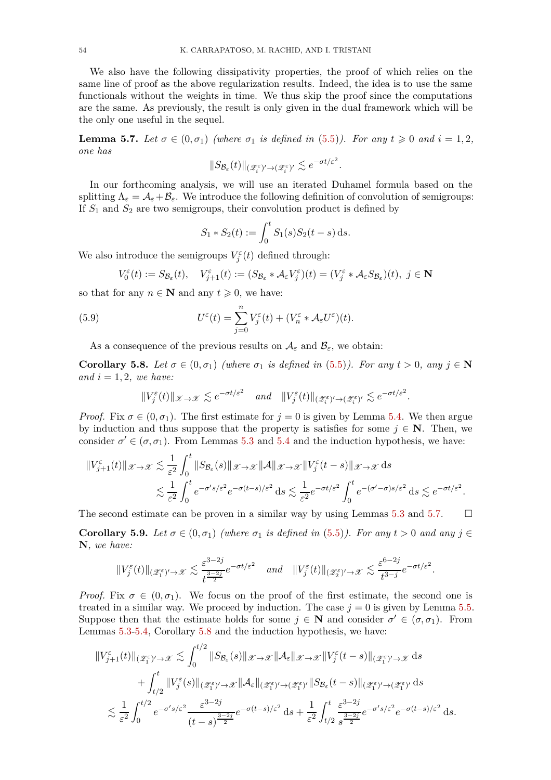We also have the following dissipativity properties, the proof of which relies on the same line of proof as the above regularization results. Indeed, the idea is to use the same functionals without the weights in time. We thus skip the proof since the computations are the same. As previously, the result is only given in the dual framework which will be the only one useful in the sequel.

<span id="page-53-0"></span>**Lemma 5.7.** Let  $\sigma \in (0, \sigma_1)$  (where  $\sigma_1$  is defined in [\(5.5\)](#page-50-1)). For any  $t \geq 0$  and  $i = 1, 2$ , *one has*

$$
\|S_{\mathcal{B}_{\varepsilon}}(t)\|_{(\mathscr{Z}_{i}^{\varepsilon})' \to (\mathscr{Z}_{i}^{\varepsilon})'} \lesssim e^{-\sigma t/\varepsilon^{2}}.
$$

In our forthcoming analysis, we will use an iterated Duhamel formula based on the splitting  $\Lambda_{\varepsilon} = \mathcal{A}_{\varepsilon} + \mathcal{B}_{\varepsilon}$ . We introduce the following definition of convolution of semigroups: If *S*<sup>1</sup> and *S*<sup>2</sup> are two semigroups, their convolution product is defined by

<span id="page-53-3"></span>
$$
S_1 * S_2(t) := \int_0^t S_1(s) S_2(t - s) \, \mathrm{d} s.
$$

We also introduce the semigroups  $V_j^{\varepsilon}(t)$  defined through:

$$
V_0^{\varepsilon}(t) := S_{\mathcal{B}_{\varepsilon}}(t), \quad V_{j+1}^{\varepsilon}(t) := (S_{\mathcal{B}_{\varepsilon}} * \mathcal{A}_{\varepsilon} V_j^{\varepsilon})(t) = (V_j^{\varepsilon} * \mathcal{A}_{\varepsilon} S_{\mathcal{B}_{\varepsilon}})(t), \ j \in \mathbb{N}
$$

so that for any  $n \in \mathbb{N}$  and any  $t \geq 0$ , we have:

(5.9) 
$$
U^{\varepsilon}(t) = \sum_{j=0}^{n} V_j^{\varepsilon}(t) + (V_n^{\varepsilon} * \mathcal{A}_{\varepsilon} U^{\varepsilon})(t).
$$

As a consequence of the previous results on  $A_{\varepsilon}$  and  $B_{\varepsilon}$ , we obtain:

<span id="page-53-1"></span>**Corollary 5.8.** *Let*  $\sigma \in (0, \sigma_1)$  *(where*  $\sigma_1$  *is defined in* [\(5.5\)](#page-50-1)*). For any*  $t > 0$ *, any*  $j \in \mathbb{N}$ and  $i = 1, 2$ , we have:

$$
||V_j^{\varepsilon}(t)||_{\mathscr{X}\to\mathscr{X}} \lesssim e^{-\sigma t/\varepsilon^2} \quad \text{and} \quad ||V_j^{\varepsilon}(t)||_{(\mathscr{Z}_i^{\varepsilon})' \to (\mathscr{Z}_i^{\varepsilon})'} \lesssim e^{-\sigma t/\varepsilon^2}.
$$

*Proof.* Fix  $\sigma \in (0, \sigma_1)$ . The first estimate for  $j = 0$  is given by Lemma [5.4.](#page-52-1) We then argue by induction and thus suppose that the property is satisfies for some  $j \in \mathbb{N}$ . Then, we consider  $\sigma' \in (\sigma, \sigma_1)$ . From Lemmas [5.3](#page-51-0) and [5.4](#page-52-1) and the induction hypothesis, we have:

$$
||V_{j+1}^{\varepsilon}(t)||_{\mathscr{X}\to\mathscr{X}} \lesssim \frac{1}{\varepsilon^2} \int_0^t ||S_{\mathcal{B}_{\varepsilon}}(s)||_{\mathscr{X}\to\mathscr{X}} ||\mathcal{A}||_{\mathscr{X}\to\mathscr{X}} ||V_j^{\varepsilon}(t-s)||_{\mathscr{X}\to\mathscr{X}} ds
$$
  

$$
\lesssim \frac{1}{\varepsilon^2} \int_0^t e^{-\sigma' s/\varepsilon^2} e^{-\sigma(t-s)/\varepsilon^2} ds \lesssim \frac{1}{\varepsilon^2} e^{-\sigma t/\varepsilon^2} \int_0^t e^{-(\sigma'-\sigma)s/\varepsilon^2} ds \lesssim e^{-\sigma t/\varepsilon^2}.
$$

The second estimate can be proven in a similar way by using Lemmas [5.3](#page-51-0) and [5.7.](#page-53-0)  $\Box$ 

<span id="page-53-2"></span>**Corollary 5.9.** *Let*  $\sigma \in (0, \sigma_1)$  *(where*  $\sigma_1$  *is defined in* [\(5.5\)](#page-50-1)*). For any*  $t > 0$  *and any*  $j \in$ **N***, we have:*

$$
||V_j^\varepsilon(t)||_{(\mathscr Z_1^\varepsilon)'\to \mathscr X}\lesssim \frac{\varepsilon^{3-2j}}{t^{\frac{3-2j}{2}}}e^{-\sigma t/\varepsilon^2}\quad \text{and}\quad ||V_j^\varepsilon(t)||_{(\mathscr Z_2^\varepsilon)'\to \mathscr X}\lesssim \frac{\varepsilon^{6-2j}}{t^{3-j}}e^{-\sigma t/\varepsilon^2}.
$$

*Proof.* Fix  $\sigma \in (0, \sigma_1)$ . We focus on the proof of the first estimate, the second one is treated in a similar way. We proceed by induction. The case  $j = 0$  is given by Lemma [5.5.](#page-52-2) Suppose then that the estimate holds for some  $j \in \mathbb{N}$  and consider  $\sigma' \in (\sigma, \sigma_1)$ . From Lemmas [5.3](#page-51-0)[-5.4,](#page-52-1) Corollary [5.8](#page-53-1) and the induction hypothesis, we have:

$$
\|V_{j+1}^{\varepsilon}(t)\|_{(\mathscr{Z}_{1}^{\varepsilon})'\to\mathscr{X}} \lesssim \int_{0}^{t/2} \|S_{\mathcal{B}_{\varepsilon}}(s)\|_{\mathscr{X}\to\mathscr{X}} \|\mathcal{A}_{\varepsilon}\|_{\mathscr{X}\to\mathscr{X}} \|V_{j}^{\varepsilon}(t-s)\|_{(\mathscr{Z}_{1}^{\varepsilon})'\to\mathscr{X}} ds + \int_{t/2}^{t} \|V_{j}^{\varepsilon}(s)\|_{(\mathscr{Z}_{1}^{\varepsilon})'\to\mathscr{X}} \|\mathcal{A}_{\varepsilon}\|_{(\mathscr{Z}_{1}^{\varepsilon})'\to(\mathscr{Z}_{1}^{\varepsilon})'} \|S_{\mathcal{B}_{\varepsilon}}(t-s)\|_{(\mathscr{Z}_{1}^{\varepsilon})'\to(\mathscr{Z}_{1}^{\varepsilon})'} ds \leq \frac{1}{\varepsilon^{2}} \int_{0}^{t/2} e^{-\sigma' s/\varepsilon^{2}} \frac{\varepsilon^{3-2j}}{(t-s)^{\frac{3-2j}{2}}} e^{-\sigma(t-s)/\varepsilon^{2}} ds + \frac{1}{\varepsilon^{2}} \int_{t/2}^{t} \frac{\varepsilon^{3-2j}}{s^{\frac{3-2j}{2}}} e^{-\sigma' s/\varepsilon^{2}} e^{-\sigma(t-s)/\varepsilon^{2}} ds.
$$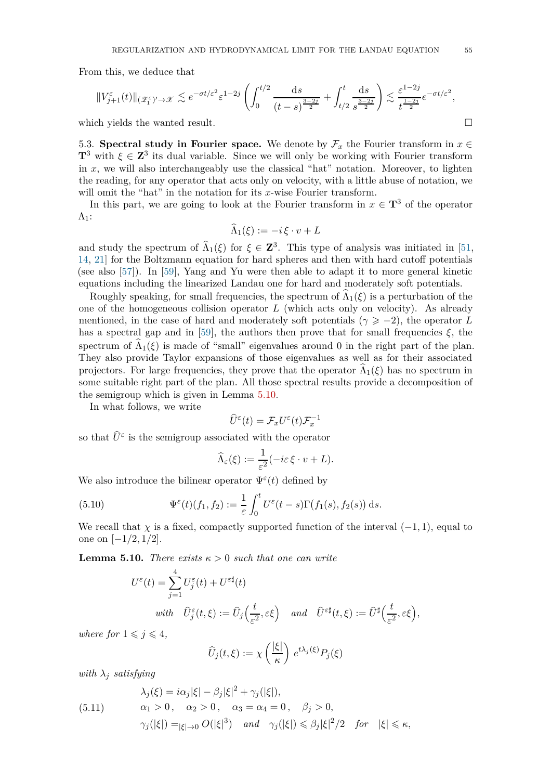From this, we deduce that

$$
||V_{j+1}^{\varepsilon}(t)||_{(\mathscr{Z}_{1}^{\varepsilon})'\to\mathscr{X}} \lesssim e^{-\sigma t/\varepsilon^{2}} \varepsilon^{1-2j} \left( \int_{0}^{t/2} \frac{ds}{(t-s)^{\frac{3-2j}{2}}} + \int_{t/2}^{t} \frac{ds}{s^{\frac{3-2j}{2}}} \right) \lesssim \frac{\varepsilon^{1-2j}}{t^{\frac{1-2j}{2}}} e^{-\sigma t/\varepsilon^{2}},
$$

which yields the wanted result.

5.3. **Spectral study in Fourier space.** We denote by  $\mathcal{F}_x$  the Fourier transform in  $x \in$  $\mathbf{T}^3$  with  $\xi \in \mathbf{Z}^3$  its dual variable. Since we will only be working with Fourier transform in  $x$ , we will also interchangeably use the classical "hat" notation. Moreover, to lighten the reading, for any operator that acts only on velocity, with a little abuse of notation, we will omit the "hat" in the notation for its *x*-wise Fourier transform.

In this part, we are going to look at the Fourier transform in  $x \in \mathbf{T}^3$  of the operator  $\Lambda_1$ :

$$
\widehat{\Lambda}_1(\xi) := -i\,\xi\cdot v + L
$$

and study the spectrum of  $\hat{\Lambda}_1(\xi)$  for  $\xi \in \mathbb{Z}^3$ . This type of analysis was initiated in [\[51,](#page-79-1) [14,](#page-78-2) [21\]](#page-78-3) for the Boltzmann equation for hard spheres and then with hard cutoff potentials (see also [\[57\]](#page-80-1)). In [\[59\]](#page-80-0), Yang and Yu were then able to adapt it to more general kinetic equations including the linearized Landau one for hard and moderately soft potentials.

Roughly speaking, for small frequencies, the spectrum of  $\Lambda_1(\xi)$  is a perturbation of the one of the homogeneous collision operator *L* (which acts only on velocity). As already mentioned, in the case of hard and moderately soft potentials ( $\gamma \geq -2$ ), the operator *L* has a spectral gap and in [\[59\]](#page-80-0), the authors then prove that for small frequencies  $\xi$ , the spectrum of  $\Lambda_1(\xi)$  is made of "small" eigenvalues around 0 in the right part of the plan. They also provide Taylor expansions of those eigenvalues as well as for their associated projectors. For large frequencies, they prove that the operator  $\Lambda_1(\xi)$  has no spectrum in some suitable right part of the plan. All those spectral results provide a decomposition of the semigroup which is given in Lemma [5.10.](#page-54-0)

In what follows, we write

$$
\widehat{U}^{\varepsilon}(t) = \mathcal{F}_x U^{\varepsilon}(t) \mathcal{F}_x^{-1}
$$

so that  $\hat{U}^{\varepsilon}$  is the semigroup associated with the operator

<span id="page-54-1"></span>
$$
\widehat{\Lambda}_{\varepsilon}(\xi) := \frac{1}{\varepsilon^2}(-i\varepsilon \xi \cdot v + L).
$$

We also introduce the bilinear operator  $\Psi^{\varepsilon}(t)$  defined by

(5.10) 
$$
\Psi^{\varepsilon}(t)(f_1, f_2) := \frac{1}{\varepsilon} \int_0^t U^{\varepsilon}(t-s) \Gamma(f_1(s), f_2(s)) ds.
$$

We recall that *χ* is a fixed, compactly supported function of the interval  $(-1, 1)$ , equal to one on [−1*/*2*,* 1*/*2].

<span id="page-54-0"></span>**Lemma 5.10.** *There exists*  $\kappa > 0$  *such that one can write* 

$$
U^{\varepsilon}(t) = \sum_{j=1}^{4} U^{\varepsilon}_{j}(t) + U^{\varepsilon \sharp}(t)
$$
  
\nwith  $\widehat{U}^{\varepsilon}_{j}(t,\xi) := \widehat{U}_{j}\Big(\frac{t}{\varepsilon^{2}}, \varepsilon \xi\Big)$  and  $\widehat{U}^{\varepsilon \sharp}(t,\xi) := \widehat{U}^{\sharp}\Big(\frac{t}{\varepsilon^{2}}, \varepsilon \xi\Big),$ 

*where for*  $1 \leq i \leq 4$ *,* 

$$
\widehat{U}_j(t,\xi) := \chi\left(\frac{|\xi|}{\kappa}\right) e^{t\lambda_j(\xi)} P_j(\xi)
$$

*with*  $\lambda_i$  *satisfying* 

(5.11) 
$$
\lambda_j(\xi) = i\alpha_j |\xi| - \beta_j |\xi|^2 + \gamma_j(|\xi|),
$$

$$
\alpha_1 > 0, \quad \alpha_2 > 0, \quad \alpha_3 = \alpha_4 = 0, \quad \beta_j > 0,
$$

$$
\gamma_j(|\xi|) = |\xi| \to 0 \text{ } O(|\xi|^3) \quad \text{and} \quad \gamma_j(|\xi|) \leq \beta_j |\xi|^2 / 2 \quad \text{for} \quad |\xi| \leq \kappa,
$$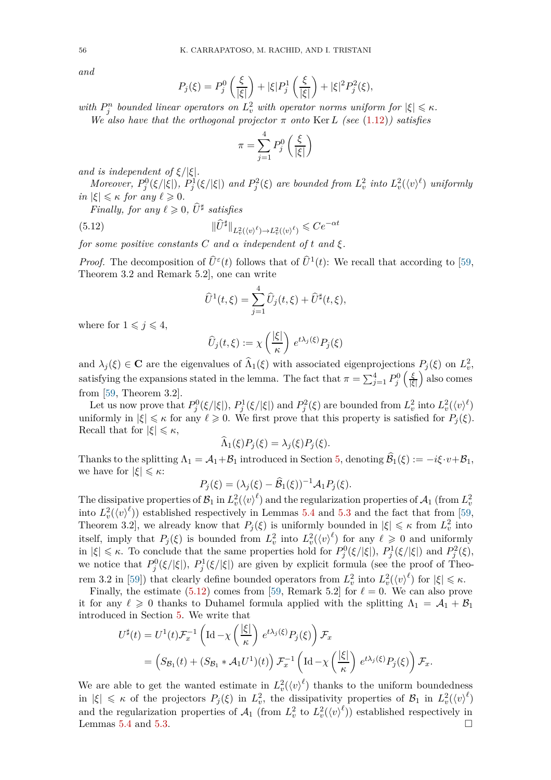*and*

$$
P_j(\xi) = P_j^0\left(\frac{\xi}{|\xi|}\right) + |\xi| P_j^1\left(\frac{\xi}{|\xi|}\right) + |\xi|^2 P_j^2(\xi),
$$

 $w$ *ith*  $P_j^n$  bounded linear operators on  $L_v^2$  with operator norms uniform for  $|\xi| \leq \kappa$ .

*We also have that the orthogonal projector*  $\pi$  *onto* Ker *L* (see [\(1.12\)](#page-3-0)) satisfies

$$
\pi = \sum_{j=1}^{4} P_j^0 \left( \frac{\xi}{|\xi|} \right)
$$

*and is independent of*  $\xi/|\xi|$ *.* 

Moreover,  $P_j^0(\xi/|\xi|)$ ,  $P_j^1(\xi/|\xi|)$  and  $P_j^2(\xi)$  are bounded from  $L_v^2$  into  $L_v^2(\langle v\rangle^{\ell})$  uniformly  $in$   $|\xi| \leq \kappa$  *for any*  $\ell \geq 0$ *.* 

*Finally, for any*  $\ell \geqslant 0$ ,  $\hat{U}^{\sharp}$  *satisfies* 

(5.12) 
$$
\|\widehat{U}^{\sharp}\|_{L^2_v(\langle v \rangle^{\ell}) \to L^2_v(\langle v \rangle^{\ell})} \leq C e^{-\alpha t}
$$

*for some positive constants*  $C$  *and*  $\alpha$  *independent* of  $t$  *and*  $\xi$ *.* 

*Proof.* The decomposition of  $\hat{U}^{\varepsilon}(t)$  follows that of  $\hat{U}^1(t)$ : We recall that according to [\[59,](#page-80-0) Theorem 3.2 and Remark 5.2], one can write

<span id="page-55-0"></span>
$$
\widehat{U}^{1}(t,\xi) = \sum_{j=1}^{4} \widehat{U}_{j}(t,\xi) + \widehat{U}^{\sharp}(t,\xi),
$$

where for  $1 \leq j \leq 4$ ,

$$
\widehat{U}_j(t,\xi) := \chi\left(\frac{|\xi|}{\kappa}\right) e^{t\lambda_j(\xi)} P_j(\xi)
$$

and  $\lambda_j(\xi) \in \mathbf{C}$  are the eigenvalues of  $\widehat{\Lambda}_1(\xi)$  with associated eigenprojections  $P_j(\xi)$  on  $L^2_v$ , satisfying the expansions stated in the lemma. The fact that  $\pi = \sum_{j=1}^{4} P_j^0$  *ξ* |*ξ*| also comes from [\[59,](#page-80-0) Theorem 3.2].

Let us now prove that  $P_j^0(\xi/|\xi|), P_j^1(\xi/|\xi|)$  and  $P_j^2(\xi)$  are bounded from  $L^2_v$  into  $L^2_v(\langle v \rangle^{\ell})$ uniformly in  $|\xi| \leq \kappa$  for any  $\ell \geq 0$ . We first prove that this property is satisfied for  $P_j(\xi)$ . Recall that for  $|\xi| \leq \kappa$ ,

$$
\widehat{\Lambda}_1(\xi)P_j(\xi) = \lambda_j(\xi)P_j(\xi).
$$

Thanks to the splitting  $\Lambda_1 = \mathcal{A}_1 + \mathcal{B}_1$  introduced in Section [5,](#page-50-2) denoting  $\mathcal{B}_1(\xi) := -i\xi \cdot v + \mathcal{B}_1$ , we have for  $|\xi| \leq \kappa$ :

$$
P_j(\xi) = (\lambda_j(\xi) - \widehat{\mathcal{B}}_1(\xi))^{-1} \mathcal{A}_1 P_j(\xi).
$$

The dissipative properties of  $\mathcal{B}_1$  in  $L^2_v(\langle v \rangle^{\ell})$  and the regularization properties of  $\mathcal{A}_1$  (from  $L^2_v$ into  $L_v^2(\langle v \rangle^{\ell})$  established respectively in Lemmas [5.4](#page-52-1) and [5.3](#page-51-0) and the fact that from [\[59,](#page-80-0) Theorem 3.2, we already know that  $P_j(\xi)$  is uniformly bounded in  $|\xi| \leq \kappa$  from  $L^2_v$  into itself, imply that  $P_j(\xi)$  is bounded from  $L^2_v$  into  $L^2_v(\langle v \rangle^{\ell})$  for any  $\ell \geq 0$  and uniformly in  $|\xi| \leq \kappa$ . To conclude that the same properties hold for  $P_j^0(\xi/|\xi|)$ ,  $P_j^1(\xi/|\xi|)$  and  $P_j^2(\xi)$ , we notice that  $P_j^0(\xi/|\xi|)$ ,  $P_j^1(\xi/|\xi|)$  are given by explicit formula (see the proof of Theo-rem 3.2 in [\[59\]](#page-80-0)) that clearly define bounded operators from  $L_v^2$  into  $L_v^2({\langle v \rangle}^{\ell})$  for  $|\xi| \leq \kappa$ .

Finally, the estimate  $(5.12)$  comes from [\[59,](#page-80-0) Remark 5.2] for  $\ell = 0$ . We can also prove it for any  $\ell \geq 0$  thanks to Duhamel formula applied with the splitting  $\Lambda_1 = A_1 + B_1$ introduced in Section [5.](#page-50-2) We write that

$$
U^{\sharp}(t) = U^{1}(t)\mathcal{F}_{x}^{-1} \left( \mathrm{Id} - \chi \left( \frac{|\xi|}{\kappa} \right) e^{t\lambda_{j}(\xi)} P_{j}(\xi) \right) \mathcal{F}_{x}
$$
  
= 
$$
\left( S_{\mathcal{B}_{1}}(t) + (S_{\mathcal{B}_{1}} * \mathcal{A}_{1} U^{1})(t) \right) \mathcal{F}_{x}^{-1} \left( \mathrm{Id} - \chi \left( \frac{|\xi|}{\kappa} \right) e^{t\lambda_{j}(\xi)} P_{j}(\xi) \right) \mathcal{F}_{x}.
$$

We are able to get the wanted estimate in  $L_v^2(\langle v \rangle^{\ell})$  thanks to the uniform boundedness  $|f(x)| \leq \kappa$  of the projectors  $P_j(\xi)$  in  $L^2_v$ , the dissipativity properties of  $\mathcal{B}_1$  in  $L^2_v(\langle v \rangle^{\ell})$ and the regularization properties of  $\mathcal{A}_1$  (from  $L^2_v$  to  $L^2_v(\langle v \rangle^{\ell})$ ) established respectively in Lemmas [5.4](#page-52-1) and [5.3.](#page-51-0)  $\Box$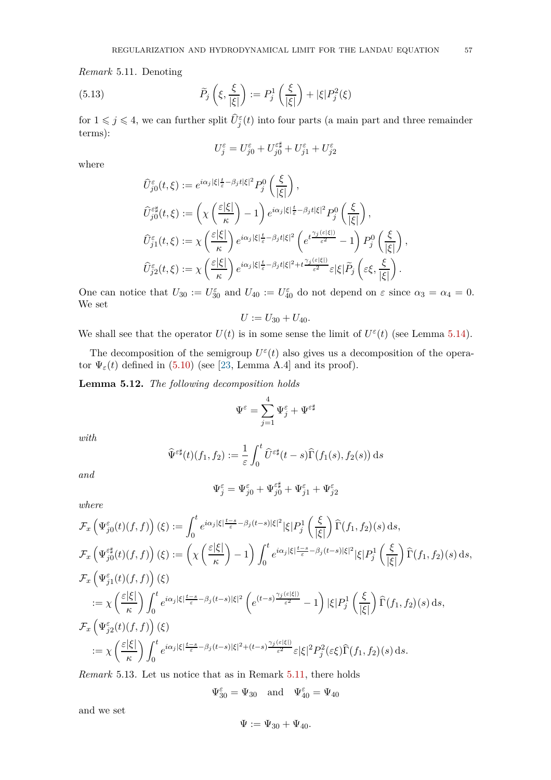<span id="page-56-0"></span>*Remark* 5.11*.* Denoting

(5.13) 
$$
\widetilde{P}_j\left(\xi,\frac{\xi}{|\xi|}\right) := P_j^1\left(\frac{\xi}{|\xi|}\right) + |\xi|P_j^2(\xi)
$$

for  $1 \leqslant j \leqslant 4$ , we can further split  $\hat{U}^{\varepsilon}_{j}(t)$  into four parts (a main part and three remainder terms):

$$
U_j^{\varepsilon} = U_{j0}^{\varepsilon} + U_{j0}^{\varepsilon \sharp} + U_{j1}^{\varepsilon} + U_{j2}^{\varepsilon}
$$

where

$$
\begin{split} &\widehat{U}_{j0}^{\varepsilon}(t,\xi):=e^{i\alpha_j|\xi|\frac{t}{\varepsilon}-\beta_j t|\xi|^2}P_j^0\left(\frac{\xi}{|\xi|}\right),\\ &\widehat{U}_{j0}^{\varepsilon\sharp}(t,\xi):=\left(\chi\left(\frac{\varepsilon|\xi|}{\kappa}\right)-1\right)e^{i\alpha_j|\xi|\frac{t}{\varepsilon}-\beta_j t|\xi|^2}P_j^0\left(\frac{\xi}{|\xi|}\right),\\ &\widehat{U}_{j1}^{\varepsilon}(t,\xi):=\chi\left(\frac{\varepsilon|\xi|}{\kappa}\right)e^{i\alpha_j|\xi|\frac{t}{\varepsilon}-\beta_j t|\xi|^2}\left(e^{t\frac{\gamma_j(\varepsilon|\xi|)}{\varepsilon^2}}-1\right)P_j^0\left(\frac{\xi}{|\xi|}\right),\\ &\widehat{U}_{j2}^{\varepsilon}(t,\xi):=\chi\left(\frac{\varepsilon|\xi|}{\kappa}\right)e^{i\alpha_j|\xi|\frac{t}{\varepsilon}-\beta_j t|\xi|^2+t\frac{\gamma_j(\varepsilon|\xi|)}{\varepsilon^2}}\varepsilon|\xi|\widetilde{P}_j\left(\varepsilon\xi,\frac{\xi}{|\xi|}\right). \end{split}
$$

One can notice that  $U_{30} := U_{30}^{\varepsilon}$  and  $U_{40} := U_{40}^{\varepsilon}$  do not depend on  $\varepsilon$  since  $\alpha_3 = \alpha_4 = 0$ . We set

$$
U := U_{30} + U_{40}.
$$

We shall see that the operator  $U(t)$  is in some sense the limit of  $U^{\varepsilon}(t)$  (see Lemma [5.14\)](#page-57-0).

The decomposition of the semigroup  $U^{\varepsilon}(t)$  also gives us a decomposition of the operator  $\Psi_{\varepsilon}(t)$  defined in [\(5.10\)](#page-54-1) (see [\[23,](#page-78-4) Lemma A.4] and its proof).

**Lemma 5.12.** *The following decomposition holds*

$$
\Psi^\varepsilon = \sum_{j=1}^4 \Psi_j^\varepsilon + \Psi^{\varepsilon \sharp}
$$

*with*

$$
\widehat{\Psi}^{\varepsilon\sharp}(t)(f_1,f_2) := \frac{1}{\varepsilon} \int_0^t \widehat{U}^{\varepsilon\sharp}(t-s) \widehat{\Gamma}(f_1(s),f_2(s)) \,ds
$$

*and*

$$
\Psi_j^\varepsilon = \Psi_{j0}^\varepsilon + \Psi_{j0}^{\varepsilon\sharp} + \Psi_{j1}^\varepsilon + \Psi_{j2}^\varepsilon
$$

*where*

$$
\mathcal{F}_{x}\left(\Psi_{j0}^{\varepsilon}(t)(f,f)\right)(\xi) := \int_{0}^{t} e^{i\alpha_{j}|\xi|^{\frac{t-s}{\varepsilon}-\beta_{j}(t-s)|\xi|^{2}}|\xi|P_{j}^{1}\left(\frac{\xi}{|\xi|}\right)\widehat{\Gamma}(f_{1},f_{2})(s)ds,
$$
\n
$$
\mathcal{F}_{x}\left(\Psi_{j0}^{\varepsilon\sharp}(t)(f,f)\right)(\xi) := \left(\chi\left(\frac{\varepsilon|\xi|}{\kappa}\right)-1\right)\int_{0}^{t} e^{i\alpha_{j}|\xi|^{\frac{t-s}{\varepsilon}-\beta_{j}(t-s)|\xi|^{2}}|\xi|P_{j}^{1}\left(\frac{\xi}{|\xi|}\right)\widehat{\Gamma}(f_{1},f_{2})(s)ds,
$$
\n
$$
\mathcal{F}_{x}\left(\Psi_{j1}^{\varepsilon}(t)(f,f)\right)(\xi)
$$
\n
$$
:= \chi\left(\frac{\varepsilon|\xi|}{\kappa}\right)\int_{0}^{t} e^{i\alpha_{j}|\xi|^{\frac{t-s}{\varepsilon}-\beta_{j}(t-s)|\xi|^{2}}\left(e^{(t-s)\frac{\gamma_{j}(\varepsilon|\xi|)}{\varepsilon^{2}}}-1\right)|\xi|P_{j}^{1}\left(\frac{\xi}{|\xi|}\right)\widehat{\Gamma}(f_{1},f_{2})(s)ds,
$$
\n
$$
\mathcal{F}_{x}\left(\Psi_{j2}^{\varepsilon}(t)(f,f)\right)(\xi)
$$
\n
$$
:= \chi\left(\frac{\varepsilon|\xi|}{\kappa}\right)\int_{0}^{t} e^{i\alpha_{j}|\xi|^{\frac{t-s}{\varepsilon}-\beta_{j}(t-s)|\xi|^{2}+(t-s)\frac{\gamma_{j}(\varepsilon|\xi|)}{\varepsilon^{2}}}\varepsilon|\xi|^{2}P_{j}^{2}(\varepsilon\xi)\widehat{\Gamma}(f_{1},f_{2})(s)ds.
$$

<span id="page-56-1"></span>*Remark* 5.13*.* Let us notice that as in Remark [5.11,](#page-56-0) there holds

 $\Psi_{30}^{\varepsilon} = \Psi_{30}$  and  $\Psi_{40}^{\varepsilon} = \Psi_{40}$ 

and we set

$$
\Psi:=\Psi_{30}+\Psi_{40}.
$$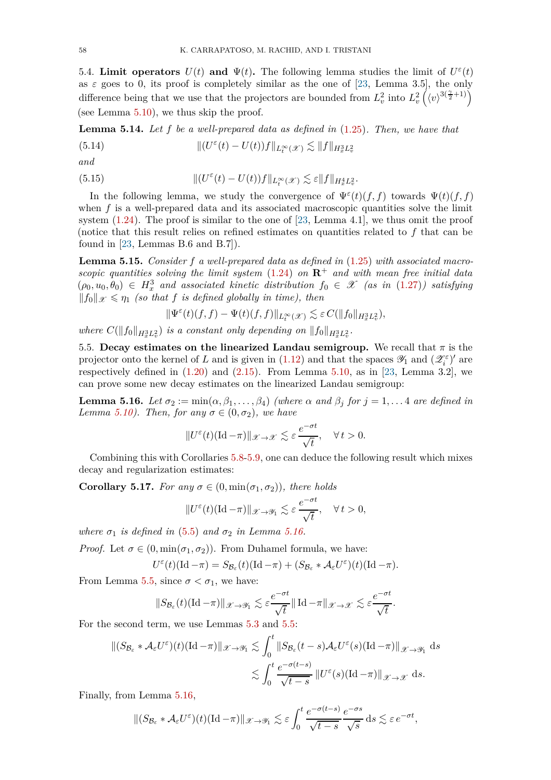<span id="page-57-2"></span>5.4. **Limit operators**  $U(t)$  and  $\Psi(t)$ . The following lemma studies the limit of  $U^{\varepsilon}(t)$ as  $\varepsilon$  goes to 0, its proof is completely similar as the one of [\[23,](#page-78-4) Lemma 3.5], the only difference being that we use that the projectors are bounded from  $L_v^2$  into  $L_v^2(\langle v \rangle^{3(\frac{\gamma}{2}+1)})$ (see Lemma [5.10\)](#page-54-0), we thus skip the proof.

<span id="page-57-0"></span>**Lemma 5.14.** *Let f be a well-prepared data as defined in* [\(1.25\)](#page-6-0)*. Then, we have that*  $(5.14)$  $\int_{0}^{\varepsilon} (t) - U(t) f \Vert_{L_{t}^{\infty}(\mathscr{X})} \lesssim \Vert f \Vert_{H_{x}^{3} L_{v}^{2}}$ 

*and*

(5.15) 
$$
\| (U^{\varepsilon}(t) - U(t)) f \|_{L_t^{\infty}(\mathcal{X})} \lesssim \varepsilon \| f \|_{H_x^4 L_v^2}.
$$

In the following lemma, we study the convergence of  $\Psi^{\varepsilon}(t)(f, f)$  towards  $\Psi(t)(f, f)$ when  $f$  is a well-prepared data and its associated macroscopic quantities solve the limit system  $(1.24)$ . The proof is similar to the one of [\[23,](#page-78-4) Lemma 4.1], we thus omit the proof (notice that this result relies on refined estimates on quantities related to *f* that can be found in  $[23,$  Lemmas B.6 and B.7]).

<span id="page-57-3"></span>**Lemma 5.15.** *Consider f a well-prepared data as defined in* [\(1.25\)](#page-6-0) *with associated macroscopic quantities solving the limit system* [\(1.24\)](#page-6-1) *on* **R**<sup>+</sup> *and with mean free initial data*  $(\rho_0, u_0, \theta_0) \in H_x^3$  and associated kinetic distribution  $f_0 \in \mathcal{X}$  (as in [\(1.27\)](#page-7-0)) satisfying  $||f_0||_{\mathscr{X}} \leq \eta_1$  *(so that f is defined globally in time), then* 

$$
\|\Psi^\varepsilon(t)(f,f)-\Psi(t)(f,f)\|_{L^\infty_t(\mathscr X)}\lesssim \varepsilon\, C(\|f_0\|_{H^3_xL^2_v}),
$$

*where*  $C(\|f_0\|_{H^3_x L^2_v})$  *is a constant only depending on*  $\|f_0\|_{H^3_x L^2_v}$ .

5.5. **Decay estimates on the linearized Landau semigroup.** We recall that  $\pi$  is the projector onto the kernel of *L* and is given in [\(1.12\)](#page-3-0) and that the spaces  $\mathscr{Y}_1$  and  $(\mathscr{Z}_i^{\varepsilon})'$  are respectively defined in  $(1.20)$  and  $(2.15)$ . From Lemma [5.10,](#page-54-0) as in [\[23,](#page-78-4) Lemma 3.2], we can prove some new decay estimates on the linearized Landau semigroup:

<span id="page-57-1"></span>**Lemma 5.16.** *Let*  $\sigma_2 := \min(\alpha, \beta_1, \ldots, \beta_4)$  *(where*  $\alpha$  *and*  $\beta_j$  *for*  $j = 1, \ldots, 4$  *are defined in Lemma* [5.10\)](#page-54-0)*.* Then, for any  $\sigma \in (0, \sigma_2)$ , we have

$$
||U^{\varepsilon}(t)(\mathrm{Id}-\pi)||_{\mathscr{X}\to\mathscr{X}}\lesssim \varepsilon \,\frac{e^{-\sigma t}}{\sqrt{t}},\quad \forall\, t>0.
$$

Combining this with Corollaries [5.8](#page-53-1)[-5.9,](#page-53-2) one can deduce the following result which mixes decay and regularization estimates:

<span id="page-57-4"></span>**Corollary 5.17.** *For any*  $\sigma \in (0, \min(\sigma_1, \sigma_2))$ *, there holds* 

$$
||U^{\varepsilon}(t)(\mathrm{Id}-\pi)||_{\mathscr X\to\mathscr Y_1}\lesssim \varepsilon\,\frac{e^{-\sigma t}}{\sqrt t},\quad\forall\,t>0,
$$

*where*  $\sigma_1$  *is defined in* [\(5.5\)](#page-50-1) *and*  $\sigma_2$  *in Lemma [5.16.](#page-57-1)* 

*Proof.* Let  $\sigma \in (0, \min(\sigma_1, \sigma_2))$ . From Duhamel formula, we have:

$$
U^{\varepsilon}(t)(\mathrm{Id} - \pi) = S_{\mathcal{B}_{\varepsilon}}(t)(\mathrm{Id} - \pi) + (S_{\mathcal{B}_{\varepsilon}} * \mathcal{A}_{\varepsilon}U^{\varepsilon})(t)(\mathrm{Id} - \pi).
$$

From Lemma [5.5,](#page-52-2) since  $\sigma < \sigma_1$ , we have:

$$
||S_{\mathcal{B}_{\varepsilon}}(t)(\mathrm{Id}-\pi)||_{\mathscr{X}\to\mathscr{Y}_1}\lesssim \varepsilon\frac{e^{-\sigma t}}{\sqrt{t}}||\mathrm{Id}-\pi||_{\mathscr{X}\to\mathscr{X}}\lesssim \varepsilon\frac{e^{-\sigma t}}{\sqrt{t}}.
$$

For the second term, we use Lemmas [5.3](#page-51-0) and [5.5:](#page-52-2)

$$
\begin{aligned} \|(S_{\mathcal{B}_{\varepsilon}} * \mathcal{A}_{\varepsilon} U^{\varepsilon})(t)(\mathrm{Id} - \pi) \|_{\mathscr{X} \to \mathscr{Y}_{1}} &\lesssim \int_{0}^{t} \|S_{\mathcal{B}_{\varepsilon}}(t-s) \mathcal{A}_{\varepsilon} U^{\varepsilon}(s)(\mathrm{Id} - \pi) \|_{\mathscr{X} \to \mathscr{Y}_{1}} \, \mathrm{d} s \\ &\lesssim \int_{0}^{t} \frac{e^{-\sigma(t-s)}}{\sqrt{t-s}} \|U^{\varepsilon}(s)(\mathrm{Id} - \pi) \|_{\mathscr{X} \to \mathscr{X}} \, \mathrm{d} s. \end{aligned}
$$

Finally, from Lemma [5.16,](#page-57-1)

$$
\|(S_{\mathcal{B}_{\varepsilon}} * \mathcal{A}_{\varepsilon} U^{\varepsilon})(t)(\mathrm{Id} - \pi)\|_{\mathscr{X} \to \mathscr{Y}_1} \lesssim \varepsilon \int_0^t \frac{e^{-\sigma(t-s)}}{\sqrt{t-s}} \frac{e^{-\sigma s}}{\sqrt{s}} \,ds \lesssim \varepsilon \,e^{-\sigma t},
$$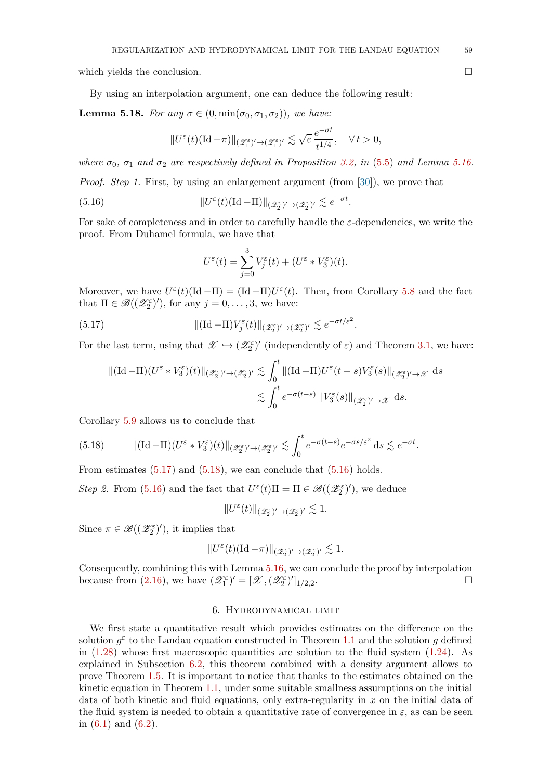which yields the conclusion.

By using an interpolation argument, one can deduce the following result:

<span id="page-58-4"></span>**Lemma 5.18.** *For any*  $\sigma \in (0, \min(\sigma_0, \sigma_1, \sigma_2))$ *, we have:* 

$$
\|U^\varepsilon(t)(\mathrm{Id}-\pi)\|_{(\mathscr Z_1^\varepsilon)'\to (\mathscr Z_1^\varepsilon)'}\lesssim \sqrt{\varepsilon}\,\frac{e^{-\sigma t}}{t^{1/4}},\quad\forall\, t>0,
$$

*where*  $\sigma_0$ ,  $\sigma_1$  *and*  $\sigma_2$  *are respectively defined in Proposition [3.2,](#page-19-3) in* [\(5.5\)](#page-50-1) *and Lemma [5.16.](#page-57-1) Proof. Step 1.* First, by using an enlargement argument (from [\[30\]](#page-79-0)), we prove that

 $(5.16)$  $\mathcal{E}(t)(\text{Id}-\Pi) \|_{(\mathscr{Z}_2^{\varepsilon})' \to (\mathscr{Z}_2^{\varepsilon})'} \lesssim e^{-\sigma t}.$ 

For sake of completeness and in order to carefully handle the *ε*-dependencies, we write the proof. From Duhamel formula, we have that

<span id="page-58-3"></span><span id="page-58-1"></span>
$$
U^{\varepsilon}(t) = \sum_{j=0}^{3} V_j^{\varepsilon}(t) + (U^{\varepsilon} * V_3^{\varepsilon})(t).
$$

Moreover, we have  $U^{\varepsilon}(t)(\text{Id} - \Pi) = (\text{Id} - \Pi)U^{\varepsilon}(t)$ . Then, from Corollary [5.8](#page-53-1) and the fact that  $\Pi \in \mathscr{B}((\mathscr{Z}_2^{\varepsilon})')$ , for any  $j = 0, \ldots, 3$ , we have:

(5.17) 
$$
\|(\mathrm{Id}-\Pi)V_j^{\varepsilon}(t)\|_{(\mathscr{Z}_2^{\varepsilon})' \to (\mathscr{Z}_2^{\varepsilon})'} \lesssim e^{-\sigma t/\varepsilon^2}.
$$

For the last term, using that  $\mathscr{X} \hookrightarrow (\mathscr{Z}_2^{\varepsilon})'$  (independently of  $\varepsilon$ ) and Theorem [3.1,](#page-18-0) we have:

$$
\begin{aligned} \|( \mathrm{Id} - \Pi)(U^{\varepsilon} * V_3^{\varepsilon})(t) \|_{(\mathscr{Z}_2^{\varepsilon})' \to (\mathscr{Z}_2^{\varepsilon})'} &\lesssim \int_0^t \|( \mathrm{Id} - \Pi) U^{\varepsilon}(t - s) V_3^{\varepsilon}(s) \|_{(\mathscr{Z}_2^{\varepsilon})' \to \mathscr{X}} \, ds \\ &\lesssim \int_0^t e^{-\sigma(t - s)} \, \| V_3^{\varepsilon}(s) \|_{(\mathscr{Z}_2^{\varepsilon})' \to \mathscr{X}} \, ds. \end{aligned}
$$

Corollary [5.9](#page-53-2) allows us to conclude that

<span id="page-58-2"></span>(5.18) 
$$
\|(\mathrm{Id}-\Pi)(U^{\varepsilon} * V_3^{\varepsilon})(t)\|_{(\mathscr{Z}_2^{\varepsilon})' \to (\mathscr{Z}_2^{\varepsilon})'} \lesssim \int_0^t e^{-\sigma(t-s)} e^{-\sigma s/\varepsilon^2} \mathrm{d}s \lesssim e^{-\sigma t}.
$$

From estimates  $(5.17)$  and  $(5.18)$ , we can conclude that  $(5.16)$  holds.

*Step 2.* From [\(5.16\)](#page-58-3) and the fact that  $U^{\varepsilon}(t)\Pi = \Pi \in \mathscr{B}((\mathscr{Z}_2^{\varepsilon})')$ , we deduce

 $\|U^\varepsilon(t)\|_{(\mathscr{Z}_2^\varepsilon)'\to (\mathscr{Z}_2^\varepsilon)'}\lesssim 1.$ 

Since  $\pi \in \mathscr{B}((\mathscr{Z}_2^{\varepsilon})')$ , it implies that

$$
\|U^\varepsilon(t)(\mathrm{Id}-\pi)\|_{(\mathscr{Z}_2^\varepsilon)' \to (\mathscr{Z}_2^\varepsilon)'} \lesssim 1.
$$

Consequently, combining this with Lemma [5.16,](#page-57-1) we can conclude the proof by interpolation because from [\(2.16\)](#page-13-5), we have  $(\mathscr{Z}_1^{\varepsilon})' = [\mathscr{X}, (\mathscr{Z}_2^{\varepsilon})']_{1/2,2}$ . <u>Дани</u> и производство на производство на применение и производство на применение и производство на применение и<br>В 1990 году в 1990 году в 1990 году в 1990 году в 1990 году в 1990 году в 1990 году в 1990 году в 1990 году

## 6. Hydrodynamical limit

<span id="page-58-0"></span>We first state a quantitative result which provides estimates on the difference on the solution  $g^{\varepsilon}$  to the Landau equation constructed in Theorem [1.1](#page-4-0) and the solution *g* defined in  $(1.28)$  whose first macroscopic quantities are solution to the fluid system  $(1.24)$ . As explained in Subsection [6.2,](#page-60-0) this theorem combined with a density argument allows to prove Theorem [1.5.](#page-7-2) It is important to notice that thanks to the estimates obtained on the kinetic equation in Theorem [1.1,](#page-4-0) under some suitable smallness assumptions on the initial data of both kinetic and fluid equations, only extra-regularity in *x* on the initial data of the fluid system is needed to obtain a quantitative rate of convergence in  $\varepsilon$ , as can be seen in [\(6.1\)](#page-59-0) and [\(6.2\)](#page-59-1).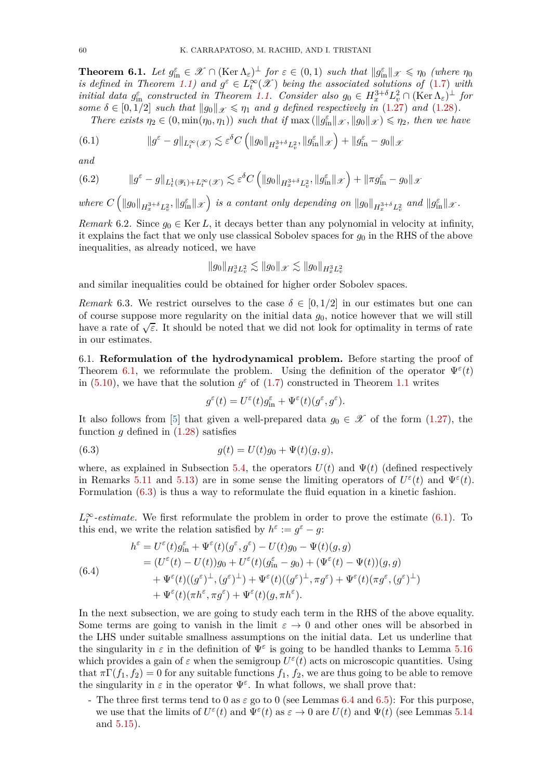<span id="page-59-2"></span>**Theorem 6.1.** Let  $g_{\text{in}}^{\varepsilon} \in \mathcal{X} \cap (\text{Ker }\Lambda_{\varepsilon})^{\perp}$  for  $\varepsilon \in (0,1)$  such that  $||g_{\text{in}}^{\varepsilon}||_{\mathcal{X}} \leq \eta_0$  (where  $\eta_0$ *is defined in Theorem* [1.1\)](#page-4-0) and  $g^{\varepsilon} \in L_t^{\infty}(\mathcal{X})$  being the associated solutions of [\(1.7\)](#page-2-0) with *initial data*  $g_{\text{in}}^{\varepsilon}$  *constructed in Theorem [1.1.](#page-4-0) Consider also*  $g_0 \in H^{3+\delta}_x L^2_v \cap (\text{Ker }\Lambda_{\varepsilon})^{\perp}$  *for some*  $\delta \in [0, 1/2]$  *such that*  $\|g_0\|_{\mathscr{X}} \leq \eta_1$  *and g defined respectively in* [\(1.27\)](#page-7-0) *and* [\(1.28\)](#page-7-1)*.* 

<span id="page-59-0"></span>*There exists*  $\eta_2 \in (0, \min(\eta_0, \eta_1))$  *such that if*  $\max(||g_{\text{in}}^{\varepsilon}||_{\mathcal{X}}, ||g_0||_{\mathcal{X}}) \leq \eta_2$ , then we have

(6.1) 
$$
\|g^{\varepsilon} - g\|_{L_t^{\infty}(\mathscr{X})} \lesssim \varepsilon^{\delta} C \left( \|g_0\|_{H_x^{3+\delta} L_v^2}, \|g_{\text{in}}^{\varepsilon}\|_{\mathscr{X}} \right) + \|g_{\text{in}}^{\varepsilon} - g_0\|_{\mathscr{X}}
$$

*and*

<span id="page-59-1"></span>(6.2) 
$$
\|g^{\varepsilon}-g\|_{L_t^1(\mathscr{Y}_1)+L_t^{\infty}(\mathscr{X})}\lesssim \varepsilon^{\delta}C\left(\|g_0\|_{H_x^{3+\delta}L_v^2},\|g_{\text{in}}^{\varepsilon}\|_{\mathscr{X}}\right)+\|\pi g_{\text{in}}^{\varepsilon}-g_0\|_{\mathscr{X}}
$$

where  $C\left(\|g_0\|_{H_x^{3+\delta}L_v^2},\|g_{\text{in}}^{\varepsilon}\|_{\mathscr{X}}\right)$  is a contant only depending on  $\|g_0\|_{H_x^{3+\delta}L_v^2}$  and  $\|g_{\text{in}}^{\varepsilon}\|_{\mathscr{X}}$ .

*Remark* 6.2. Since  $g_0 \in \text{Ker } L$ , it decays better than any polynomial in velocity at infinity, it explains the fact that we only use classical Sobolev spaces for  $g_0$  in the RHS of the above inequalities, as already noticed, we have

$$
\|g_0\|_{H^3_xL^2_v} \lesssim \|g_0\|_{\mathscr{X}} \lesssim \|g_0\|_{H^3_xL^2_v}
$$

and similar inequalities could be obtained for higher order Sobolev spaces.

*Remark* 6.3. We restrict ourselves to the case  $\delta \in [0, 1/2]$  in our estimates but one can of course suppose more regularity on the initial data *g*0, notice however that we will still have a rate of  $\sqrt{\varepsilon}$ . It should be noted that we did not look for optimality in terms of rate in our estimates.

6.1. **Reformulation of the hydrodynamical problem.** Before starting the proof of Theorem [6.1,](#page-59-2) we reformulate the problem. Using the definition of the operator  $\Psi^{\varepsilon}(t)$ in [\(5.10\)](#page-54-1), we have that the solution  $g^{\varepsilon}$  of [\(1.7\)](#page-2-0) constructed in Theorem [1.1](#page-4-0) writes

<span id="page-59-3"></span>
$$
g^\varepsilon(t)=U^\varepsilon(t)g^\varepsilon_{\rm in}+\Psi^\varepsilon(t)(g^\varepsilon,g^\varepsilon).
$$

It also follows from [\[5\]](#page-78-5) that given a well-prepared data  $g_0 \in \mathcal{X}$  of the form [\(1.27\)](#page-7-0), the function *g* defined in [\(1.28\)](#page-7-1) satisfies

(6.3) 
$$
g(t) = U(t)g_0 + \Psi(t)(g, g),
$$

where, as explained in Subsection [5.4,](#page-57-2) the operators  $U(t)$  and  $\Psi(t)$  (defined respectively in Remarks [5.11](#page-56-0) and [5.13\)](#page-56-1) are in some sense the limiting operators of  $U^{\varepsilon}(t)$  and  $\Psi^{\varepsilon}(t)$ . Formulation [\(6.3\)](#page-59-3) is thus a way to reformulate the fluid equation in a kinetic fashion.

 $L_t^{\infty}$ -estimate. We first reformulate the problem in order to prove the estimate [\(6.1\)](#page-59-0). To this end, we write the relation satisfied by  $h^{\varepsilon} := g^{\varepsilon} - g$ :

<span id="page-59-4"></span>(6.4)  
\n
$$
h^{\varepsilon} = U^{\varepsilon}(t)g_{\text{in}}^{\varepsilon} + \Psi^{\varepsilon}(t)(g^{\varepsilon}, g^{\varepsilon}) - U(t)g_0 - \Psi(t)(g, g)
$$
\n
$$
= (U^{\varepsilon}(t) - U(t))g_0 + U^{\varepsilon}(t)(g_{\text{in}}^{\varepsilon} - g_0) + (\Psi^{\varepsilon}(t) - \Psi(t))(g, g)
$$
\n
$$
+ \Psi^{\varepsilon}(t)((g^{\varepsilon})^{\perp}, (g^{\varepsilon})^{\perp}) + \Psi^{\varepsilon}(t)((g^{\varepsilon})^{\perp}, \pi g^{\varepsilon}) + \Psi^{\varepsilon}(t)(\pi g^{\varepsilon}, (g^{\varepsilon})^{\perp})
$$
\n
$$
+ \Psi^{\varepsilon}(t)(\pi h^{\varepsilon}, \pi g^{\varepsilon}) + \Psi^{\varepsilon}(t)(g, \pi h^{\varepsilon}).
$$

In the next subsection, we are going to study each term in the RHS of the above equality. Some terms are going to vanish in the limit  $\varepsilon \to 0$  and other ones will be absorbed in the LHS under suitable smallness assumptions on the initial data. Let us underline that the singularity in  $\varepsilon$  in the definition of  $\Psi^{\varepsilon}$  is going to be handled thanks to Lemma [5.16](#page-57-1) which provides a gain of  $\varepsilon$  when the semigroup  $U^{\varepsilon}(t)$  acts on microscopic quantities. Using that  $\pi\Gamma(f_1, f_2) = 0$  for any suitable functions  $f_1, f_2$ , we are thus going to be able to remove the singularity in  $\varepsilon$  in the operator  $\Psi^{\varepsilon}$ . In what follows, we shall prove that:

- The three first terms tend to 0 as  $\varepsilon$  go to 0 (see Lemmas [6.4](#page-60-1) and [6.5\)](#page-60-2): For this purpose, we use that the limits of  $U^{\varepsilon}(t)$  and  $\Psi^{\varepsilon}(t)$  as  $\varepsilon \to 0$  are  $U(t)$  and  $\Psi(t)$  (see Lemmas [5.14](#page-57-0)) and [5.15\)](#page-57-3).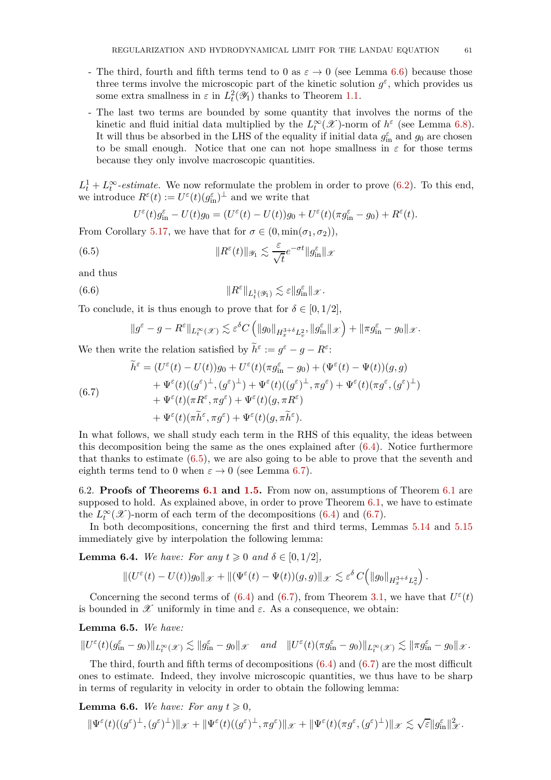- The third, fourth and fifth terms tend to 0 as  $\varepsilon \to 0$  (see Lemma [6.6\)](#page-60-3) because those three terms involve the microscopic part of the kinetic solution  $g^{\varepsilon}$ , which provides us some extra smallness in  $\varepsilon$  in  $L_t^2(\mathscr{Y}_1)$  thanks to Theorem [1.1.](#page-4-0)
- The last two terms are bounded by some quantity that involves the norms of the kinetic and fluid initial data multiplied by the  $L_t^{\infty}(\mathscr{X})$ -norm of  $h^{\varepsilon}$  (see Lemma [6.8\)](#page-62-0). It will thus be absorbed in the LHS of the equality if initial data  $g_{\text{in}}^{\varepsilon}$  and  $g_0$  are chosen to be small enough. Notice that one can not hope smallness in  $\varepsilon$  for those terms because they only involve macroscopic quantities.

 $L_t^1 + L_t^{\infty}$ -estimate. We now reformulate the problem in order to prove [\(6.2\)](#page-59-1). To this end, we introduce  $R^{\varepsilon}(t) := U^{\varepsilon}(t)(g_{\text{in}}^{\varepsilon})^{\perp}$  and we write that

<span id="page-60-4"></span>
$$
U^{\varepsilon}(t)g_{\text{in}}^{\varepsilon}-U(t)g_0=(U^{\varepsilon}(t)-U(t))g_0+U^{\varepsilon}(t)(\pi g_{\text{in}}^{\varepsilon}-g_0)+R^{\varepsilon}(t).
$$

From Corollary [5.17,](#page-57-4) we have that for  $\sigma \in (0, \min(\sigma_1, \sigma_2)),$ 

(6.5) 
$$
||R^{\varepsilon}(t)||_{\mathscr{Y}_1} \lesssim \frac{\varepsilon}{\sqrt{t}} e^{-\sigma t} ||g_{\text{in}}^{\varepsilon}||_{\mathscr{X}}
$$

and thus

(6.6) 
$$
||R^{\varepsilon}||_{L_t^1(\mathscr{Y}_1)} \lesssim \varepsilon ||g_{\text{in}}^{\varepsilon}||_{\mathscr{X}}.
$$

To conclude, it is thus enough to prove that for  $\delta \in [0, 1/2]$ ,

<span id="page-60-6"></span>
$$
\|g^\varepsilon-g-R^\varepsilon\|_{L^\infty_t(\mathscr{X})}\lesssim \varepsilon^\delta C\left(\|g_0\|_{H^{3+\delta}_xL^2_v},\|g_{\rm in}^\varepsilon\|_{\mathscr{X}}\right)+\|\pi g_{\rm in}^\varepsilon-g_0\|_{\mathscr{X}}.
$$

We then write the relation satisfied by  $\tilde{h}^{\varepsilon} := g^{\varepsilon} - g - R^{\varepsilon}$ :

<span id="page-60-5"></span>(6.7)  
\n
$$
\widetilde{h}^{\varepsilon} = (U^{\varepsilon}(t) - U(t))g_0 + U^{\varepsilon}(t)(\pi g_{\text{in}}^{\varepsilon} - g_0) + (\Psi^{\varepsilon}(t) - \Psi(t))(g, g) \n+ \Psi^{\varepsilon}(t)((g^{\varepsilon})^{\perp}, (g^{\varepsilon})^{\perp}) + \Psi^{\varepsilon}(t)((g^{\varepsilon})^{\perp}, \pi g^{\varepsilon}) + \Psi^{\varepsilon}(t)(\pi g^{\varepsilon}, (g^{\varepsilon})^{\perp}) \n+ \Psi^{\varepsilon}(t)(\pi R^{\varepsilon}, \pi g^{\varepsilon}) + \Psi^{\varepsilon}(t)(g, \pi R^{\varepsilon}). \n+ \Psi^{\varepsilon}(t)(\pi \widetilde{h}^{\varepsilon}, \pi g^{\varepsilon}) + \Psi^{\varepsilon}(t)(g, \pi \widetilde{h}^{\varepsilon}).
$$

In what follows, we shall study each term in the RHS of this equality, the ideas between this decomposition being the same as the ones explained after [\(6.4\)](#page-59-4). Notice furthermore that thanks to estimate  $(6.5)$ , we are also going to be able to prove that the seventh and eighth terms tend to 0 when  $\varepsilon \to 0$  (see Lemma [6.7\)](#page-62-1).

<span id="page-60-0"></span>6.2. **Proofs of Theorems [6.1](#page-59-2) and [1.5.](#page-7-2)** From now on, assumptions of Theorem [6.1](#page-59-2) are supposed to hold. As explained above, in order to prove Theorem [6.1,](#page-59-2) we have to estimate the  $L_t^{\infty}(\mathscr{X})$ -norm of each term of the decompositions [\(6.4\)](#page-59-4) and [\(6.7\)](#page-60-5).

In both decompositions, concerning the first and third terms, Lemmas [5.14](#page-57-0) and [5.15](#page-57-3) immediately give by interpolation the following lemma:

<span id="page-60-1"></span>**Lemma 6.4.** *We have: For any*  $t \geq 0$  *and*  $\delta \in [0, 1/2]$ *,* 

$$
\|(U^{\varepsilon}(t)-U(t))g_0\|_{\mathscr X}+\|(\Psi^{\varepsilon}(t)-\Psi(t))(g,g)\|_{\mathscr X}\lesssim \varepsilon^{\delta}\,C\Big(\|g_0\|_{H^{3+\delta}_xL^2_v}\Big)\,.
$$

Concerning the second terms of [\(6.4\)](#page-59-4) and [\(6.7\)](#page-60-5), from Theorem [3.1,](#page-18-0) we have that  $U^{\varepsilon}(t)$ is bounded in  $\mathscr X$  uniformly in time and  $\varepsilon$ . As a consequence, we obtain:

<span id="page-60-2"></span>**Lemma 6.5.** *We have:*

$$
||U^{\varepsilon}(t)(g_{\rm in}^{\varepsilon}-g_0)||_{L^{\infty}_{t}(\mathscr{X})}\lesssim ||g_{\rm in}^{\varepsilon}-g_0||_{\mathscr{X}}\quad and\quad ||U^{\varepsilon}(t)(\pi g_{\rm in}^{\varepsilon}-g_0)||_{L^{\infty}_{t}(\mathscr{X})}\lesssim ||\pi g_{\rm in}^{\varepsilon}-g_0||_{\mathscr{X}}.
$$

The third, fourth and fifth terms of decompositions  $(6.4)$  and  $(6.7)$  are the most difficult ones to estimate. Indeed, they involve microscopic quantities, we thus have to be sharp in terms of regularity in velocity in order to obtain the following lemma:

<span id="page-60-3"></span>**Lemma 6.6.** We have: For any  $t \geq 0$ ,

$$
\|\Psi^\varepsilon(t)((g^\varepsilon)^\perp,(g^\varepsilon)^\perp)\|_\mathscr X + \|\Psi^\varepsilon(t)((g^\varepsilon)^\perp,\pi g^\varepsilon)\|_\mathscr X + \|\Psi^\varepsilon(t)(\pi g^\varepsilon,(g^\varepsilon)^\perp)\|_\mathscr X \lesssim \sqrt{\varepsilon}\|g_{\rm in}^\varepsilon\|_\mathscr X^2.
$$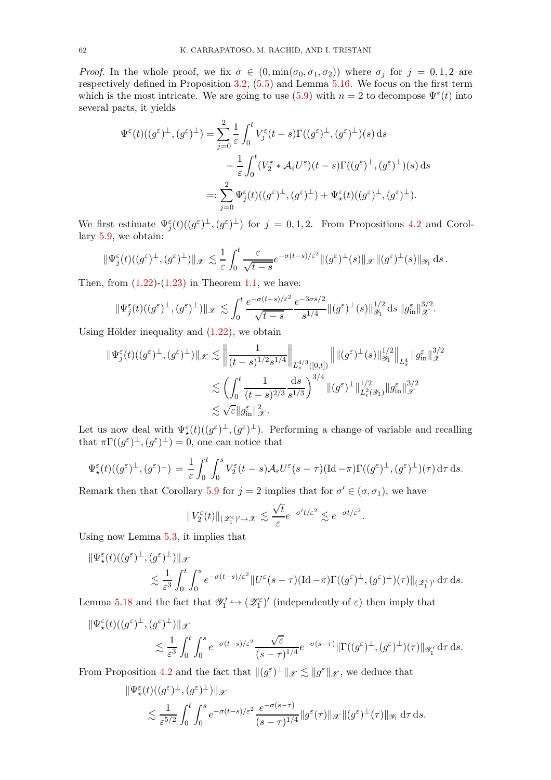*Proof.* In the whole proof, we fix  $\sigma \in (0, \min(\sigma_0, \sigma_1, \sigma_2))$  where  $\sigma_j$  for  $j = 0, 1, 2$  are respectively defined in Proposition [3.2,](#page-19-3) [\(5.5\)](#page-50-1) and Lemma [5.16.](#page-57-1) We focus on the first term which is the most intricate. We are going to use  $(5.9)$  with  $n = 2$  to decompose  $\Psi^{\varepsilon}(t)$  into several parts, it yields

$$
\Psi^{\varepsilon}(t)((g^{\varepsilon})^{\perp}, (g^{\varepsilon})^{\perp}) = \sum_{j=0}^{2} \frac{1}{\varepsilon} \int_{0}^{t} V_{j}^{\varepsilon}(t-s) \Gamma((g^{\varepsilon})^{\perp}, (g^{\varepsilon})^{\perp})(s) ds \n+ \frac{1}{\varepsilon} \int_{0}^{t} (V_{2}^{\varepsilon} * \mathcal{A}_{\varepsilon} U^{\varepsilon})(t-s) \Gamma((g^{\varepsilon})^{\perp}, (g^{\varepsilon})^{\perp})(s) ds \n=:\sum_{j=0}^{2} \Psi_{j}^{\varepsilon}(t)((g^{\varepsilon})^{\perp}, (g^{\varepsilon})^{\perp}) + \Psi_{\star}^{\varepsilon}(t)((g^{\varepsilon})^{\perp}, (g^{\varepsilon})^{\perp}).
$$

We first estimate  $\Psi_j^{\varepsilon}(t)((g^{\varepsilon})^{\perp}, (g^{\varepsilon})^{\perp})$  for  $j = 0, 1, 2$ . From Propositions [4.2](#page-31-0) and Corollary [5.9,](#page-53-2) we obtain:

$$
\|\Psi_j^{\varepsilon}(t)((g^{\varepsilon})^{\perp},(g^{\varepsilon})^{\perp})\|_{\mathscr{X}} \lesssim \frac{1}{\varepsilon} \int_0^t \frac{\varepsilon}{\sqrt{t-s}} e^{-\sigma(t-s)/\varepsilon^2} \|(g^{\varepsilon})^{\perp}(s)\|_{\mathscr{X}} \|(g^{\varepsilon})^{\perp}(s)\|_{\mathscr{Y}_1} \,ds.
$$

Then, from  $(1.22)-(1.23)$  $(1.22)-(1.23)$  in Theorem [1.1,](#page-4-0) we have:

$$
\|\Psi_j^{\varepsilon}(t)((g^{\varepsilon})^{\perp}, (g^{\varepsilon})^{\perp})\|_{\mathscr X}\lesssim \int_0^t \frac{e^{-\sigma(t-s)/\varepsilon^2}}{\sqrt{t-s}}\frac{e^{-3\sigma s/2}}{s^{1/4}}\|(g^{\varepsilon})^{\perp}(s)\|_{\mathscr Y_1}^{1/2}\,\mathrm{d} s\,\|g_{\mathrm{in}}^{\varepsilon}\|_{\mathscr X}^{3/2}.
$$

Using Hölder inequality and [\(1.22\)](#page-4-2), we obtain

$$
\begin{aligned} \|\Psi_j^\varepsilon(t) ((g^\varepsilon)^\perp,(g^\varepsilon)^\perp)\|_{\mathscr X} &\lesssim \left\|\frac{1}{(t-s)^{1/2}s^{1/4}}\right\|_{L^{4/3}_s([0,t])}\left\|\|(g^\varepsilon)^\perp(s)\|^{1/2}_{\mathscr Y_1}\right\|_{L^4_s}\|g_{\mathrm{in}}^\varepsilon\|^{3/2}_{\mathscr X}\\ &\lesssim \left(\int_0^t \frac{1}{(t-s)^{2/3}}\frac{\mathrm{d}s}{s^{1/3}}\right)^{3/4}\|(g^\varepsilon)^\perp\|^{1/2}_{L^2_t(\mathscr Y_1)}\|g_{\mathrm{in}}^\varepsilon\|^{3/2}_{\mathscr X}\\ &\lesssim \sqrt{\varepsilon}\|g_{\mathrm{in}}^\varepsilon\|^{2}_{\mathscr X}. \end{aligned}
$$

Let us now deal with  $\Psi^{\varepsilon}_*(t)$  $((g^{\varepsilon})^{\perp}, (g^{\varepsilon})^{\perp})$ . Performing a change of variable and recalling that  $\pi\Gamma((g^{\varepsilon})^{\perp}, (g^{\varepsilon})^{\perp}) = 0$ , one can notice that

$$
\Psi_{\star}^{\varepsilon}(t)((g^{\varepsilon})^{\perp}, (g^{\varepsilon})^{\perp}) = \frac{1}{\varepsilon} \int_0^t \int_0^s V_2^{\varepsilon}(t-s) \mathcal{A}_{\varepsilon} U^{\varepsilon}(s-\tau) (\mathrm{Id}-\pi) \Gamma((g^{\varepsilon})^{\perp}, (g^{\varepsilon})^{\perp})(\tau) d\tau ds.
$$

Remark then that Corollary [5.9](#page-53-2) for  $j = 2$  implies that for  $\sigma' \in (\sigma, \sigma_1)$ , we have

$$
\|V^\varepsilon_2(t)\|_{(\mathscr Z_1^\varepsilon)'\to\mathscr X}\lesssim \frac{\sqrt{t}}{\varepsilon}e^{-\sigma't/\varepsilon^2}\lesssim e^{-\sigma t/\varepsilon^2}.
$$

Using now Lemma [5.3,](#page-51-0) it implies that

$$
\begin{split} \|\Psi_\star^\varepsilon(t) ((g^\varepsilon)^\perp,(g^\varepsilon)^\perp)\|_{\mathscr X}\\ &\lesssim \frac{1}{\varepsilon^3}\int_0^t\int_0^s e^{-\sigma(t-s)/\varepsilon^2}\|U^\varepsilon(s-\tau)(\mathrm{Id}-\pi)\Gamma((g^\varepsilon)^\perp,(g^\varepsilon)^\perp)(\tau)\|_{(\mathscr Z_1^\varepsilon)'}\,\mathrm{d}\tau\,\mathrm{d}s. \end{split}
$$

Lemma [5.18](#page-58-4) and the fact that  $\mathscr{Y}'_1 \hookrightarrow (\mathscr{Z}_1^{\varepsilon})'$  (independently of  $\varepsilon$ ) then imply that

$$
\begin{split} \|\Psi^{\varepsilon}_{\star}(t)((g^{\varepsilon})^{\perp},(g^{\varepsilon})^{\perp})\|_{\mathscr X}\\ &\lesssim \frac{1}{\varepsilon^3}\int_0^t\int_0^s e^{-\sigma(t-s)/\varepsilon^2}\frac{\sqrt{\varepsilon}}{(s-\tau)^{1/4}}e^{-\sigma(s-\tau)}\|\Gamma((g^{\varepsilon})^{\perp},(g^{\varepsilon})^{\perp})(\tau)\|_{\mathscr Y_1'}\,\mathrm{d}\tau\,\mathrm{d}s. \end{split}
$$

From Proposition [4.2](#page-31-0) and the fact that  $||(g^{\varepsilon})^{\perp}||_{\mathscr{X}} \lesssim ||g^{\varepsilon}||_{\mathscr{X}}$ , we deduce that

$$
\begin{split} \|\Psi^{\varepsilon}_{\star}(t)((g^{\varepsilon})^{\perp},(g^{\varepsilon})^{\perp})\|_{\mathscr{X}}\\ \lesssim&\frac{1}{\varepsilon^{5/2}}\int_{0}^{t}\int_{0}^{s}e^{-\sigma(t-s)/\varepsilon^{2}}\frac{e^{-\sigma(s-\tau)}}{(s-\tau)^{1/4}}\|g^{\varepsilon}(\tau)\|_{\mathscr{X}}\|(g^{\varepsilon})^{\perp}(\tau)\|_{\mathscr{Y}_{1}}\,\mathrm{d}\tau\,\mathrm{d}s. \end{split}
$$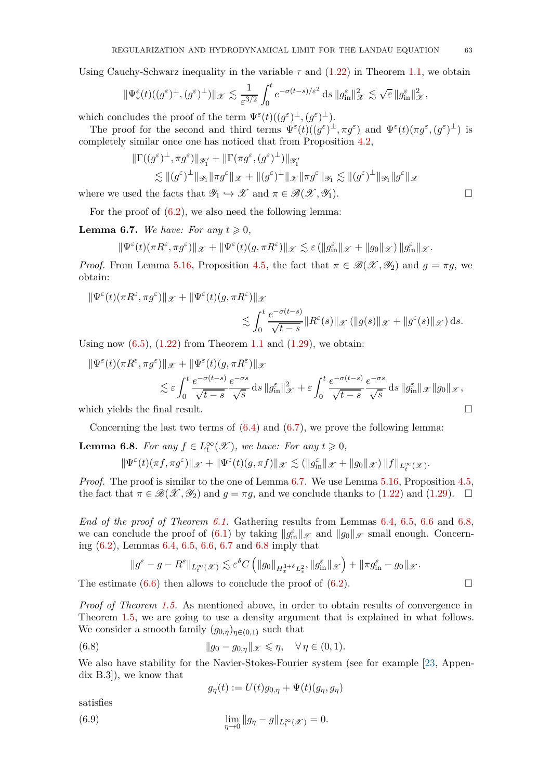Using Cauchy-Schwarz inequality in the variable  $\tau$  and  $(1.22)$  in Theorem [1.1,](#page-4-0) we obtain

$$
\|\Psi_{\star}^{\varepsilon}(t)((g^{\varepsilon})^{\perp}, (g^{\varepsilon})^{\perp})\|_{\mathscr{X}} \lesssim \frac{1}{\varepsilon^{3/2}} \int_0^t e^{-\sigma(t-s)/\varepsilon^2} \, \mathrm{d} s \, \|g_{\mathrm{in}}^{\varepsilon}\|_{\mathscr{X}}^2 \lesssim \sqrt{\varepsilon} \, \|g_{\mathrm{in}}^{\varepsilon}\|_{\mathscr{X}}^2,
$$

which concludes the proof of the term  $\Psi^{\varepsilon}(t)((g^{\varepsilon})^{\perp}, (g^{\varepsilon})^{\perp}).$ 

The proof for the second and third terms  $\Psi^{\varepsilon}(t)((g^{\varepsilon})^{\perp}, \pi g^{\varepsilon})$  and  $\Psi^{\varepsilon}(t)(\pi g^{\varepsilon}, (g^{\varepsilon})^{\perp})$  is completely similar once one has noticed that from Proposition [4.2,](#page-31-0)

$$
\|\Gamma((g^{\varepsilon})^{\perp}, \pi g^{\varepsilon})\|_{\mathscr{Y}'_1} + \|\Gamma(\pi g^{\varepsilon}, (g^{\varepsilon})^{\perp})\|_{\mathscr{Y}'_1}
$$
  

$$
\lesssim \| (g^{\varepsilon})^{\perp} \|_{\mathscr{Y}_1} \| \pi g^{\varepsilon} \|_{\mathscr{X}} + \| (g^{\varepsilon})^{\perp} \|_{\mathscr{X}} \| \pi g^{\varepsilon} \|_{\mathscr{Y}_1} \lesssim \| (g^{\varepsilon})^{\perp} \|_{\mathscr{Y}_1} \| g^{\varepsilon} \|_{\mathscr{X}}
$$

where we used the facts that  $\mathscr{Y}_1 \hookrightarrow \mathscr{X}$  and  $\pi \in \mathscr{B}(\mathscr{X}, \mathscr{Y}_1)$ .

For the proof of  $(6.2)$ , we also need the following lemma:

<span id="page-62-1"></span>**Lemma 6.7.** *We have: For any*  $t \geq 0$ ,

$$
\|\Psi^{\varepsilon}(t)(\pi R^{\varepsilon}, \pi g^{\varepsilon})\|_{\mathscr X}+\|\Psi^{\varepsilon}(t)(g, \pi R^{\varepsilon})\|_{\mathscr X}\lesssim {\varepsilon}\left(\|g_{\rm in}^{\varepsilon}\|_{\mathscr X}+\|g_0\|_{\mathscr X}\right)\|g_{\rm in}^{\varepsilon}\|_{\mathscr X}.
$$

*Proof.* From Lemma [5.16,](#page-57-1) Proposition [4.5,](#page-42-1) the fact that  $\pi \in \mathcal{B}(\mathcal{X}, \mathcal{Y}_2)$  and  $g = \pi g$ , we obtain:

$$
\begin{aligned} \|\Psi^{\varepsilon}(t)(\pi R^{\varepsilon}, \pi g^{\varepsilon})\|_{\mathscr X}+ \|\Psi^{\varepsilon}(t)(g, \pi R^{\varepsilon})\|_{\mathscr X} \\ &\lesssim \int_0^t \frac{e^{-\sigma(t-s)}}{\sqrt{t-s}} \|R^{\varepsilon}(s)\|_{\mathscr X}\left(\|g(s)\|_{\mathscr X}+\|g^{\varepsilon}(s)\|_{\mathscr X}\right) \mathrm{d} s. \end{aligned}
$$

Using now  $(6.5)$ ,  $(1.22)$  from Theorem [1.1](#page-4-0) and  $(1.29)$ , we obtain:

$$
\begin{split} \|\Psi^{\varepsilon}(t)(\pi R^{\varepsilon}, \pi g^{\varepsilon})\|_{\mathscr{X}} &+ \|\Psi^{\varepsilon}(t)(g, \pi R^{\varepsilon})\|_{\mathscr{X}} \\ &\lesssim \varepsilon \int_{0}^{t} \frac{e^{-\sigma(t-s)}}{\sqrt{t-s}} \frac{e^{-\sigma s}}{\sqrt{s}} \,\mathrm{d}s \,\|g^{\varepsilon}_{\mathrm{in}}\|^{2}_{\mathscr{X}} + \varepsilon \int_{0}^{t} \frac{e^{-\sigma(t-s)}}{\sqrt{t-s}} \frac{e^{-\sigma s}}{\sqrt{s}} \,\mathrm{d}s \,\|g^{\varepsilon}_{\mathrm{in}}\|_{\mathscr{X}} \|g_{0}\|_{\mathscr{X}}, \end{split}
$$

which yields the final result.

Concerning the last two terms of  $(6.4)$  and  $(6.7)$ , we prove the following lemma:

<span id="page-62-0"></span>**Lemma 6.8.** *For any*  $f \in L_t^{\infty}(\mathcal{X})$ *, we have: For any*  $t \ge 0$ *,* 

$$
\|\Psi^{\varepsilon}(t)(\pi f, \pi g^{\varepsilon})\|_{\mathscr X}+\|\Psi^{\varepsilon}(t)(g, \pi f)\|_{\mathscr X}\lesssim (\|g^{\varepsilon}_{\rm in}\|_{\mathscr X}+\|g_0\|_{\mathscr X})\,\|f\|_{L^{\infty}_t({\mathscr X})}.
$$

*Proof.* The proof is similar to the one of Lemma [6.7.](#page-62-1) We use Lemma [5.16,](#page-57-1) Proposition [4.5,](#page-42-1) the fact that  $\pi \in \mathcal{B}(\mathcal{X}, \mathcal{Y}_2)$  and  $q = \pi q$ , and we conclude thanks to [\(1.22\)](#page-4-2) and [\(1.29\)](#page-7-3).  $\square$ 

*End of the proof of Theorem [6.1.](#page-59-2)* Gathering results from Lemmas [6.4,](#page-60-1) [6.5,](#page-60-2) [6.6](#page-60-3) and [6.8,](#page-62-0) we can conclude the proof of [\(6.1\)](#page-59-0) by taking  $||g_{\text{in}}^{\varepsilon}||_{\mathscr{X}}$  and  $||g_0||_{\mathscr{X}}$  small enough. Concerning [\(6.2\)](#page-59-1), Lemmas [6.4,](#page-60-1) [6.5,](#page-60-2) [6.6,](#page-60-3) [6.7](#page-62-1) and [6.8](#page-62-0) imply that

$$
\| g^\varepsilon - g - R^\varepsilon \|_{L^\infty_t(\mathscr X)} \lesssim \varepsilon^\delta C \left( \| g_0 \|_{H^{3+\delta}_x L^2_v} , \| g_{\textup{in}}^\varepsilon \|_\mathscr X \right) + \| \pi g_{\textup{in}}^\varepsilon - g_0 \|_\mathscr X.
$$

The estimate  $(6.6)$  then allows to conclude the proof of  $(6.2)$ .

*Proof of Theorem [1.5.](#page-7-2)* As mentioned above, in order to obtain results of convergence in Theorem [1.5,](#page-7-2) we are going to use a density argument that is explained in what follows. We consider a smooth family  $(g_{0,\eta})_{\eta \in (0,1)}$  such that

(6.8) 
$$
\|g_0 - g_{0,\eta}\|_{\mathscr{X}} \leq \eta, \quad \forall \eta \in (0,1).
$$

We also have stability for the Navier-Stokes-Fourier system (see for example [\[23,](#page-78-4) Appendix B.3]), we know that

<span id="page-62-2"></span>
$$
g_{\eta}(t) := U(t)g_{0,\eta} + \Psi(t)(g_{\eta}, g_{\eta})
$$

satisfies

(6.9) 
$$
\lim_{\eta \to 0} \|g_{\eta} - g\|_{L_t^{\infty}(\mathcal{X})} = 0.
$$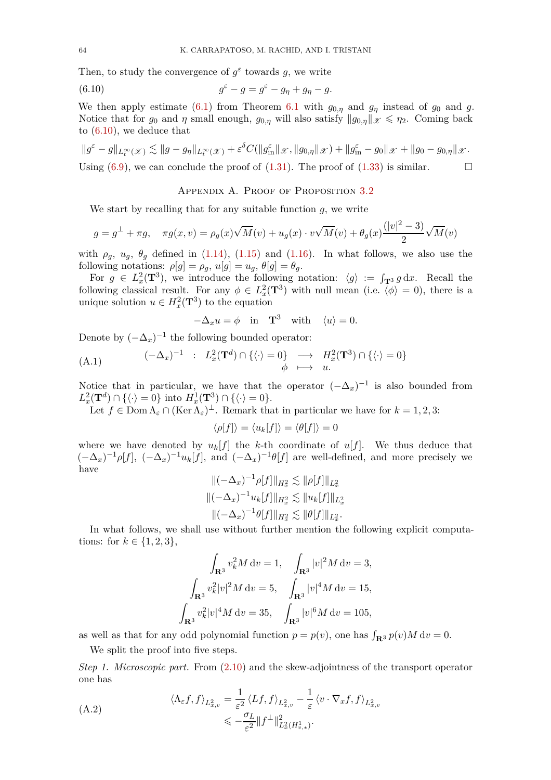Then, to study the convergence of  $g^{\varepsilon}$  towards g, we write

(6.10) 
$$
g^{\varepsilon} - g = g^{\varepsilon} - g_{\eta} + g_{\eta} - g.
$$

We then apply estimate [\(6.1\)](#page-59-0) from Theorem [6.1](#page-59-2) with  $g_{0,\eta}$  and  $g_{\eta}$  instead of  $g_0$  and  $g$ . Notice that for  $g_0$  and  $\eta$  small enough,  $g_{0,\eta}$  will also satisfy  $||g_{0,\eta}||_{\mathcal{X}} \leq \eta_2$ . Coming back to [\(6.10\)](#page-63-0), we deduce that

$$
\|g^{\varepsilon} - g\|_{L^{\infty}_{t}(\mathscr{X})} \lesssim \|g - g_{\eta}\|_{L^{\infty}_{t}(\mathscr{X})} + \varepsilon^{\delta} C(\|g^{\varepsilon}_{\text{in}}\|_{\mathscr{X}}, \|g_{0,\eta}\|_{\mathscr{X}}) + \|g^{\varepsilon}_{\text{in}} - g_{0}\|_{\mathscr{X}} + \|g_{0} - g_{0,\eta}\|_{\mathscr{X}}.
$$
  
Using (6.9), we can conclude the proof of (1.31). The proof of (1.33) is similar.

### <span id="page-63-0"></span>APPENDIX A. PROOF OF PROPOSITION [3.2](#page-19-3)

We start by recalling that for any suitable function *g*, we write

$$
g = g^{\perp} + \pi g, \quad \pi g(x, v) = \rho_g(x)\sqrt{M}(v) + u_g(x) \cdot v\sqrt{M}(v) + \theta_g(x)\frac{(|v|^2 - 3)}{2}\sqrt{M}(v)
$$

with  $\rho_g$ ,  $u_g$ ,  $\theta_g$  defined in [\(1.14\)](#page-3-3), [\(1.15\)](#page-3-4) and [\(1.16\)](#page-3-5). In what follows, we also use the following notations:  $\rho[g] = \rho_g$ ,  $u[g] = u_g$ ,  $\theta[g] = \theta_g$ .

For  $g \in L_x^2(\mathbf{T}^3)$ , we introduce the following notation:  $\langle g \rangle := \int_{\mathbf{T}^3} g \, dx$ . Recall the following classical result. For any  $\phi \in L_x^2(\mathbf{T}^3)$  with null mean (i.e.  $\langle \phi \rangle = 0$ ), there is a unique solution  $u \in H_x^2(\mathbf{T}^3)$  to the equation

$$
-\Delta_x u = \phi \quad \text{in} \quad \mathbf{T}^3 \quad \text{with} \quad \langle u \rangle = 0.
$$

Denote by  $(-\Delta_x)^{-1}$  the following bounded operator:

<span id="page-63-1"></span>(A.1) 
$$
(-\Delta_x)^{-1} : L_x^2(\mathbf{T}^d) \cap \{\langle \cdot \rangle = 0\} \longrightarrow H_x^2(\mathbf{T}^3) \cap \{\langle \cdot \rangle = 0\}
$$

$$
\phi \longmapsto u.
$$

Notice that in particular, we have that the operator  $(-\Delta_x)^{-1}$  is also bounded from  $L_x^2(\mathbf{T}^d) \cap \{\langle \cdot \rangle = 0\}$  into  $H_x^1(\mathbf{T}^3) \cap \{\langle \cdot \rangle = 0\}.$ 

Let  $f \in \text{Dom } \Lambda_{\varepsilon} \cap (\text{Ker } \Lambda_{\varepsilon})^{\perp}$ . Remark that in particular we have for  $k = 1, 2, 3$ :

$$
\langle \rho[f] \rangle = \langle u_k[f] \rangle = \langle \theta[f] \rangle = 0
$$

where we have denoted by  $u_k[f]$  the *k*-th coordinate of  $u[f]$ . We thus deduce that  $(-\Delta_x)^{-1} \rho[f], \; (-\Delta_x)^{-1} u_k[f], \; \text{and} \; (-\Delta_x)^{-1} \theta[f] \; \text{are well-defined, and more precisely we}$ have

$$
\begin{aligned}\n\|(-\Delta_x)^{-1}\rho[f]\|_{H_x^2} &\lesssim \|\rho[f]\|_{L_x^2} \\
\|(-\Delta_x)^{-1}u_k[f]\|_{H_x^2} &\lesssim \|u_k[f]\|_{L_x^2} \\
\|(-\Delta_x)^{-1}\theta[f]\|_{H_x^2} &\lesssim \|\theta[f]\|_{L_x^2}.\n\end{aligned}
$$

In what follows, we shall use without further mention the following explicit computations: for  $k \in \{1, 2, 3\}$ ,

$$
\int_{\mathbf{R}^3} v_k^2 M \, dv = 1, \quad \int_{\mathbf{R}^3} |v|^2 M \, dv = 3,
$$

$$
\int_{\mathbf{R}^3} v_k^2 |v|^2 M \, dv = 5, \quad \int_{\mathbf{R}^3} |v|^4 M \, dv = 15,
$$

$$
\int_{\mathbf{R}^3} v_k^2 |v|^4 M \, dv = 35, \quad \int_{\mathbf{R}^3} |v|^6 M \, dv = 105,
$$

as well as that for any odd polynomial function  $p = p(v)$ , one has  $\int_{\mathbf{R}^3} p(v) M dv = 0$ .

We split the proof into five steps.

*Step 1. Microscopic part.* From [\(2.10\)](#page-12-4) and the skew-adjointness of the transport operator one has

<span id="page-63-2"></span>(A.2)  
\n
$$
\langle \Lambda_{\varepsilon} f, f \rangle_{L_{x,v}^2} = \frac{1}{\varepsilon^2} \langle Lf, f \rangle_{L_{x,v}^2} - \frac{1}{\varepsilon} \langle v \cdot \nabla_x f, f \rangle_{L_{x,v}^2}
$$
\n
$$
\leqslant -\frac{\sigma_L}{\varepsilon^2} \|f^{\perp}\|_{L_x^2(H_{v,*}^1)}^2.
$$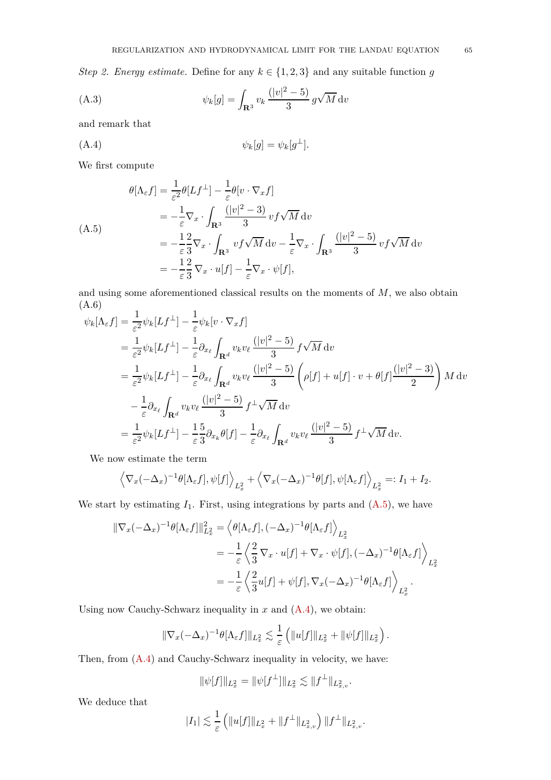*Step 2. Energy estimate.* Define for any  $k \in \{1, 2, 3\}$  and any suitable function *g* 

(A.3) 
$$
\psi_k[g] = \int_{\mathbf{R}^3} v_k \frac{(|v|^2 - 5)}{3} g \sqrt{M} dv
$$

and remark that

<span id="page-64-1"></span>
$$
\psi_k[g] = \psi_k[g^\perp].
$$

We first compute

<span id="page-64-0"></span>
$$
\theta[\Lambda_{\varepsilon}f] = \frac{1}{\varepsilon^{2}}\theta[Lf^{\perp}] - \frac{1}{\varepsilon}\theta[v \cdot \nabla_{x}f]
$$
  
\n
$$
= -\frac{1}{\varepsilon}\nabla_{x} \cdot \int_{\mathbf{R}^{3}} \frac{(|v|^{2} - 3)}{3} vf \sqrt{M} dv
$$
  
\n
$$
= -\frac{1}{\varepsilon} \frac{2}{3} \nabla_{x} \cdot \int_{\mathbf{R}^{3}} vf \sqrt{M} dv - \frac{1}{\varepsilon} \nabla_{x} \cdot \int_{\mathbf{R}^{3}} \frac{(|v|^{2} - 5)}{3} vf \sqrt{M} dv
$$
  
\n
$$
= -\frac{1}{\varepsilon} \frac{2}{3} \nabla_{x} \cdot u[f] - \frac{1}{\varepsilon} \nabla_{x} \cdot \psi[f],
$$

and using some aforementioned classical results on the moments of *M*, we also obtain (A.6) 1

<span id="page-64-2"></span>
$$
\psi_k[\Lambda_{\varepsilon} f] = \frac{1}{\varepsilon^2} \psi_k[Lf^{\perp}] - \frac{1}{\varepsilon} \psi_k[v \cdot \nabla_x f]
$$
  
\n
$$
= \frac{1}{\varepsilon^2} \psi_k[Lf^{\perp}] - \frac{1}{\varepsilon} \partial_{x_\ell} \int_{\mathbf{R}^d} v_k v_\ell \frac{(|v|^2 - 5)}{3} f \sqrt{M} dv
$$
  
\n
$$
= \frac{1}{\varepsilon^2} \psi_k[Lf^{\perp}] - \frac{1}{\varepsilon} \partial_{x_\ell} \int_{\mathbf{R}^d} v_k v_\ell \frac{(|v|^2 - 5)}{3} \left( \rho[f] + u[f] \cdot v + \theta[f] \frac{(|v|^2 - 3)}{2} \right) M dv
$$
  
\n
$$
- \frac{1}{\varepsilon} \partial_{x_\ell} \int_{\mathbf{R}^d} v_k v_\ell \frac{(|v|^2 - 5)}{3} f^{\perp} \sqrt{M} dv
$$
  
\n
$$
= \frac{1}{\varepsilon^2} \psi_k[Lf^{\perp}] - \frac{1}{\varepsilon} \frac{5}{3} \partial_{x_k} \theta[f] - \frac{1}{\varepsilon} \partial_{x_\ell} \int_{\mathbf{R}^d} v_k v_\ell \frac{(|v|^2 - 5)}{3} f^{\perp} \sqrt{M} dv.
$$

We now estimate the term

$$
\left\langle \nabla_x (-\Delta_x)^{-1} \theta [\Lambda_{\varepsilon} f], \psi[f] \right\rangle_{L^2_x} + \left\langle \nabla_x (-\Delta_x)^{-1} \theta[f], \psi[\Lambda_{\varepsilon} f] \right\rangle_{L^2_x} =: I_1 + I_2.
$$

We start by estimating  $I_1$ . First, using integrations by parts and  $(A.5)$ , we have

$$
\begin{split} \|\nabla_x(-\Delta_x)^{-1}\theta[\Lambda_{\varepsilon}f]\|^2_{L_x^2} &= \left\langle \theta[\Lambda_{\varepsilon}f], (-\Delta_x)^{-1}\theta[\Lambda_{\varepsilon}f] \right\rangle_{L_x^2} \\ &= -\frac{1}{\varepsilon} \left\langle \frac{2}{3} \nabla_x \cdot u[f] + \nabla_x \cdot \psi[f], (-\Delta_x)^{-1}\theta[\Lambda_{\varepsilon}f] \right\rangle_{L_x^2} \\ &= -\frac{1}{\varepsilon} \left\langle \frac{2}{3} u[f] + \psi[f], \nabla_x(-\Delta_x)^{-1}\theta[\Lambda_{\varepsilon}f] \right\rangle_{L_x^2} . \end{split}
$$

Using now Cauchy-Schwarz inequality in *x* and [\(A.4\)](#page-64-1), we obtain:

$$
\|\nabla_x(-\Delta_x)^{-1}\theta[\Lambda_{\varepsilon}f]\|_{L_x^2}\lesssim \frac{1}{\varepsilon}\left(\|u[f]\|_{L_x^2}+\|\psi[f]\|_{L_x^2}\right).
$$

Then, from [\(A.4\)](#page-64-1) and Cauchy-Schwarz inequality in velocity, we have:

$$
\|\psi[f]\|_{L^2_x} = \|\psi[f^\perp]\|_{L^2_x} \lesssim \|f^\perp\|_{L^2_{x,v}}.
$$

We deduce that

$$
|I_1| \lesssim \frac{1}{\varepsilon} \left( \|u[f]\|_{L_x^2} + \|f^\perp\|_{L_{x,v}^2} \right) \|f^\perp\|_{L_{x,v}^2}.
$$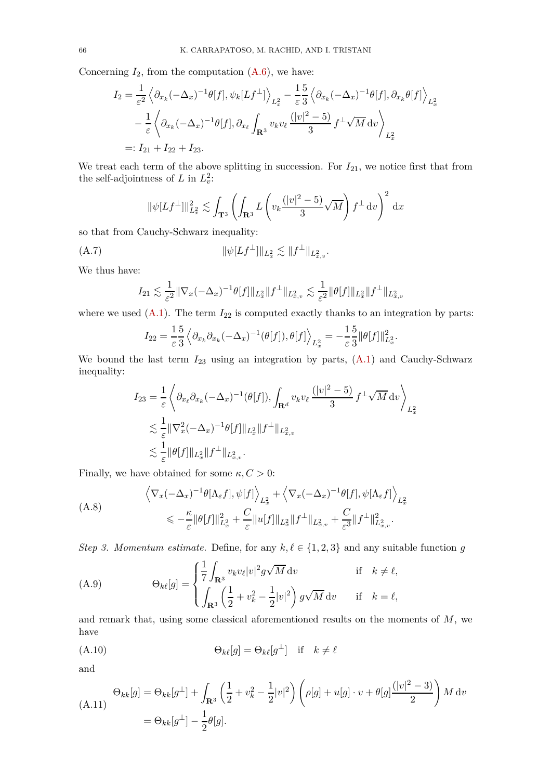Concerning  $I_2$ , from the computation  $(A.6)$ , we have:

$$
I_2 = \frac{1}{\varepsilon^2} \left\langle \partial_{x_k} (-\Delta_x)^{-1} \theta[f], \psi_k[Lf^\perp] \right\rangle_{L_x^2} - \frac{1}{\varepsilon} \frac{5}{3} \left\langle \partial_{x_k} (-\Delta_x)^{-1} \theta[f], \partial_{x_k} \theta[f] \right\rangle_{L_x^2}
$$

$$
- \frac{1}{\varepsilon} \left\langle \partial_{x_k} (-\Delta_x)^{-1} \theta[f], \partial_{x_\ell} \int_{\mathbf{R}^3} v_k v_\ell \frac{(|v|^2 - 5)}{3} f^\perp \sqrt{M} \, dv \right\rangle_{L_x^2}
$$

$$
=: I_{21} + I_{22} + I_{23}.
$$

We treat each term of the above splitting in succession. For  $I_{21}$ , we notice first that from the self-adjointness of *L* in  $L_v^2$ :

$$
\|\psi[Lf^{\perp}]\|_{L_x^2}^2 \lesssim \int_{\mathbf{T}^3} \left( \int_{\mathbf{R}^3} L\left(v_k \frac{(|v|^2 - 5)}{3} \sqrt{M}\right) f^{\perp} dv \right)^2 dx
$$

so that from Cauchy-Schwarz inequality:

(A.7) 
$$
\|\psi[Lf^{\perp}]\|_{L_x^2} \lesssim \|f^{\perp}\|_{L_{x,v}^2}.
$$

We thus have:

<span id="page-65-2"></span>
$$
I_{21} \lesssim \frac{1}{\varepsilon^2} \|\nabla_x(-\Delta_x)^{-1}\theta[f]\|_{L_x^2} \|f^\perp\|_{L_{x,v}^2} \lesssim \frac{1}{\varepsilon^2} \|\theta[f]\|_{L_x^2} \|f^\perp\|_{L_{x,v}^2}
$$

where we used  $(A.1)$ . The term  $I_{22}$  is computed exactly thanks to an integration by parts:

$$
I_{22} = \frac{1}{\varepsilon} \frac{5}{3} \left\langle \partial_{x_k} \partial_{x_k} (-\Delta_x)^{-1} (\theta[f]), \theta[f] \right\rangle_{L_x^2} = -\frac{1}{\varepsilon} \frac{5}{3} ||\theta[f]||_{L_x^2}^2.
$$

We bound the last term  $I_{23}$  using an integration by parts,  $(A.1)$  and Cauchy-Schwarz inequality:

$$
I_{23} = \frac{1}{\varepsilon} \left\langle \partial_{x_{\ell}} \partial_{x_{k}} (-\Delta_{x})^{-1} (\theta[f]), \int_{\mathbf{R}^{d}} v_{k} v_{\ell} \frac{(|v|^{2} - 5)}{3} f^{\perp} \sqrt{M} \, \mathrm{d}v \right\rangle_{L_{x}^{2}}
$$
  

$$
\lesssim \frac{1}{\varepsilon} ||\nabla_{x}^{2} (-\Delta_{x})^{-1} \theta[f] ||_{L_{x}^{2}} ||f^{\perp}||_{L_{x,v}^{2}}
$$
  

$$
\lesssim \frac{1}{\varepsilon} ||\theta[f] ||_{L_{x}^{2}} ||f^{\perp}||_{L_{x,v}^{2}}.
$$

Finally, we have obtained for some  $\kappa, C > 0$ :

<span id="page-65-3"></span>
$$
\left\langle \nabla_x (-\Delta_x)^{-1} \theta [\Lambda_{\varepsilon} f], \psi[f] \right\rangle_{L_x^2} + \left\langle \nabla_x (-\Delta_x)^{-1} \theta [f], \psi [\Lambda_{\varepsilon} f] \right\rangle_{L_x^2}
$$
\n
$$
\leq -\frac{\kappa}{\varepsilon} \|\theta[f]\|_{L_x^2}^2 + \frac{C}{\varepsilon} \|u[f]\|_{L_x^2} \|f^\perp\|_{L_{x,v}^2} + \frac{C}{\varepsilon^3} \|f^\perp\|_{L_{x,v}^2}^2.
$$

*Step 3. Momentum estimate.* Define, for any  $k, \ell \in \{1, 2, 3\}$  and any suitable function *g* 

(A.9) 
$$
\Theta_{k\ell}[g] = \begin{cases} \frac{1}{7} \int_{\mathbf{R}^3} v_k v_\ell |v|^2 g \sqrt{M} dv & \text{if } k \neq \ell, \\ \int_{\mathbf{R}^3} \left( \frac{1}{2} + v_k^2 - \frac{1}{2} |v|^2 \right) g \sqrt{M} dv & \text{if } k = \ell, \end{cases}
$$

and remark that, using some classical aforementioned results on the moments of *M*, we have

<span id="page-65-0"></span>
$$
(\text{A.10}) \qquad \qquad \Theta_{k\ell}[g] = \Theta_{k\ell}[g^{\perp}] \quad \text{if} \quad k \neq \ell
$$

and

<span id="page-65-1"></span>
$$
\Theta_{kk}[g] = \Theta_{kk}[g^{\perp}] + \int_{\mathbf{R}^3} \left(\frac{1}{2} + v_k^2 - \frac{1}{2}|v|^2\right) \left(\rho[g] + u[g] \cdot v + \theta[g]\frac{(|v|^2 - 3)}{2}\right) M \, dv
$$
  
=  $\Theta_{kk}[g^{\perp}] - \frac{1}{2}\theta[g].$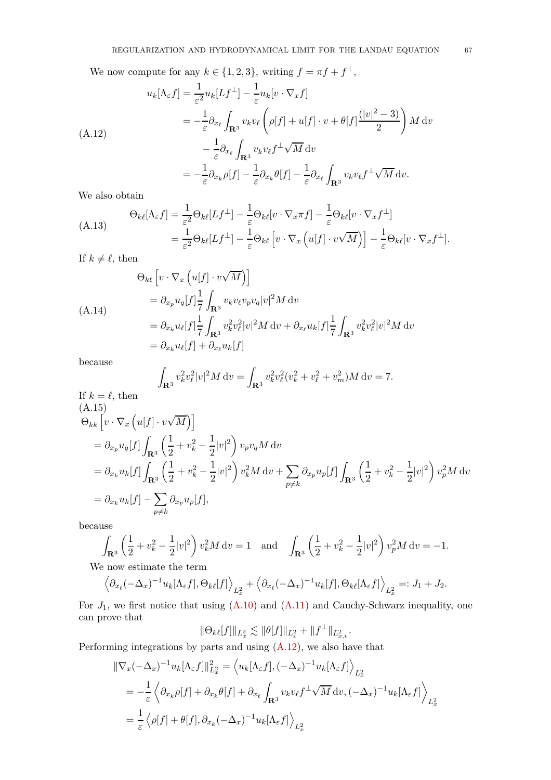We now compute for any  $k \in \{1, 2, 3\}$ , writing  $f = \pi f + f^{\perp}$ ,

<span id="page-66-0"></span>
$$
u_k[\Lambda_{\varepsilon} f] = \frac{1}{\varepsilon^2} u_k[Lf^{\perp}] - \frac{1}{\varepsilon} u_k[v \cdot \nabla_x f]
$$
  
\n
$$
= -\frac{1}{\varepsilon} \partial_{x_\ell} \int_{\mathbf{R}^3} v_k v_\ell \left( \rho[f] + u[f] \cdot v + \theta[f] \frac{(|v|^2 - 3)}{2} \right) M dv
$$
  
\n
$$
- \frac{1}{\varepsilon} \partial_{x_\ell} \int_{\mathbf{R}^3} v_k v_\ell f^{\perp} \sqrt{M} dv
$$
  
\n
$$
= -\frac{1}{\varepsilon} \partial_{x_k} \rho[f] - \frac{1}{\varepsilon} \partial_{x_k} \theta[f] - \frac{1}{\varepsilon} \partial_{x_\ell} \int_{\mathbf{R}^3} v_k v_\ell f^{\perp} \sqrt{M} dv.
$$

We also obtain

<span id="page-66-1"></span>
$$
\Theta_{k\ell}[\Lambda_{\varepsilon}f] = \frac{1}{\varepsilon^{2}}\Theta_{k\ell}[Lf^{\perp}] - \frac{1}{\varepsilon}\Theta_{k\ell}[v\cdot\nabla_{x}\pi f] - \frac{1}{\varepsilon}\Theta_{k\ell}[v\cdot\nabla_{x}f^{\perp}]
$$
\n
$$
= \frac{1}{\varepsilon^{2}}\Theta_{k\ell}[Lf^{\perp}] - \frac{1}{\varepsilon}\Theta_{k\ell}[v\cdot\nabla_{x}\left(u[f]\cdot v\sqrt{M}\right)] - \frac{1}{\varepsilon}\Theta_{k\ell}[v\cdot\nabla_{x}f^{\perp}].
$$

If  $k \neq \ell$ , then

$$
\Theta_{k\ell} \left[ v \cdot \nabla_x \left( u[f] \cdot v \sqrt{M} \right) \right]
$$
\n
$$
= \partial_{x_p} u_q[f] \frac{1}{7} \int_{\mathbf{R}^3} v_k v_\ell v_p v_q |v|^2 M \, dv
$$
\n
$$
= \partial_{x_k} u_\ell[f] \frac{1}{7} \int_{\mathbf{R}^3} v_k^2 v_\ell^2 |v|^2 M \, dv + \partial_{x_\ell} u_k[f] \frac{1}{7} \int_{\mathbf{R}^3} v_k^2 v_\ell^2 |v|^2 M \, dv
$$
\n
$$
= \partial_{x_k} u_\ell[f] + \partial_{x_\ell} u_k[f]
$$

because

<span id="page-66-2"></span>
$$
\int_{\mathbf{R}^3} v_k^2 v_\ell^2 |v|^2 M \, \mathrm{d}v = \int_{\mathbf{R}^3} v_k^2 v_\ell^2 (v_k^2 + v_\ell^2 + v_m^2) M \, \mathrm{d}v = 7.
$$

If 
$$
k = \ell
$$
, then  
\n(A.15)  
\n
$$
\Theta_{kk} \left[ v \cdot \nabla_x \left( u[f] \cdot v \sqrt{M} \right) \right]
$$
\n
$$
= \partial_{x_p} u_q[f] \int_{\mathbf{R}^3} \left( \frac{1}{2} + v_k^2 - \frac{1}{2} |v|^2 \right) v_p v_q M \, dv
$$
\n
$$
= \partial_{x_k} u_k[f] \int_{\mathbf{R}^3} \left( \frac{1}{2} + v_k^2 - \frac{1}{2} |v|^2 \right) v_k^2 M \, dv + \sum_{p \neq k} \partial_{x_p} u_p[f] \int_{\mathbf{R}^3} \left( \frac{1}{2} + v_k^2 - \frac{1}{2} |v|^2 \right) v_p^2 M \, dv
$$
\n
$$
= \partial_{x_k} u_k[f] - \sum_{p \neq k} \partial_{x_p} u_p[f],
$$

<span id="page-66-3"></span>because

$$
\int_{\mathbf{R}^3} \left(\frac{1}{2} + v_k^2 - \frac{1}{2}|v|^2\right) v_k^2 M \, dv = 1 \quad \text{and} \quad \int_{\mathbf{R}^3} \left(\frac{1}{2} + v_k^2 - \frac{1}{2}|v|^2\right) v_p^2 M \, dv = -1.
$$

We now estimate the term

$$
\left\langle \partial_{x_\ell} (-\Delta_x)^{-1} u_k[\Lambda_\varepsilon f], \Theta_{k\ell}[f] \right\rangle_{L^2_x} + \left\langle \partial_{x_\ell} (-\Delta_x)^{-1} u_k[f], \Theta_{k\ell}[\Lambda_\varepsilon f] \right\rangle_{L^2_x} =: J_1 + J_2.
$$

For  $J_1$ , we first notice that using  $(A.10)$  and  $(A.11)$  and Cauchy-Schwarz inequality, one can prove that

$$
\|\Theta_{k\ell}[f]\|_{L^2_x} \lesssim \|\theta[f]\|_{L^2_x} + \|f^{\perp}\|_{L^2_{x,v}}.
$$

Performing integrations by parts and using [\(A.12\)](#page-66-0), we also have that D

$$
\begin{split} \|\nabla_x(-\Delta_x)^{-1}u_k[\Lambda_{\varepsilon}f]\|^2_{L_x^2} &= \left\langle u_k[\Lambda_{\varepsilon}f], (-\Delta_x)^{-1}u_k[\Lambda_{\varepsilon}f] \right\rangle_{L_x^2} \\ &= -\frac{1}{\varepsilon} \left\langle \partial_{x_k}\rho[f] + \partial_{x_k}\theta[f] + \partial_{x_\ell} \int_{\mathbf{R}^3} v_k v_\ell f^\perp \sqrt{M} \, \mathrm{d}v, (-\Delta_x)^{-1} u_k[\Lambda_{\varepsilon}f] \right\rangle_{L_x^2} \\ &= \frac{1}{\varepsilon} \left\langle \rho[f] + \theta[f], \partial_{x_k}(-\Delta_x)^{-1} u_k[\Lambda_{\varepsilon}f] \right\rangle_{L_x^2} \end{split}
$$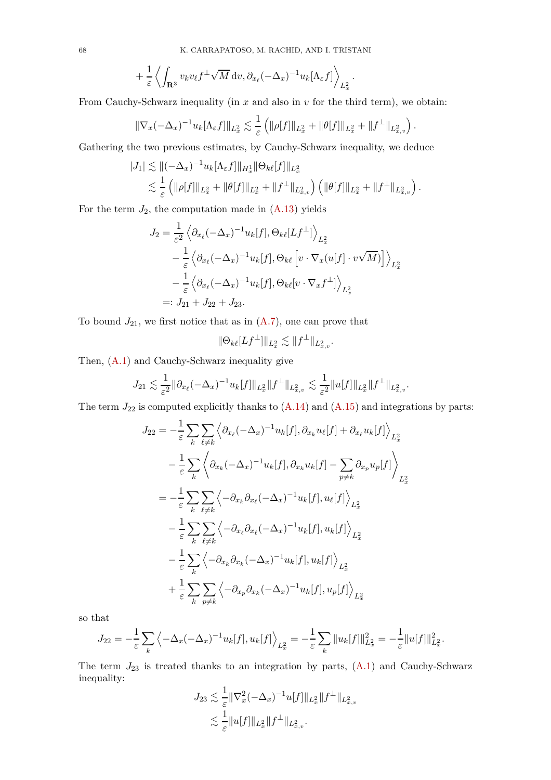$$
+\frac{1}{\varepsilon}\left\langle \int_{\mathbf{R}^3} v_k v_\ell f^\perp \sqrt{M} \, \mathrm{d}v \, \partial_{x_\ell} (-\Delta_x)^{-1} u_k [\Lambda_\varepsilon f] \right\rangle_{L^2_x}.
$$

From Cauchy-Schwarz inequality (in *x* and also in *v* for the third term), we obtain:

$$
\|\nabla_x(-\Delta_x)^{-1}u_k[\Lambda_{\varepsilon} f]\|_{L^2_x} \lesssim \frac{1}{\varepsilon} \left( \|\rho[f]\|_{L^2_x} + \|\theta[f]\|_{L^2_x} + \|f^\perp\|_{L^2_{x,v}} \right).
$$

Gathering the two previous estimates, by Cauchy-Schwarz inequality, we deduce

$$
|J_1| \lesssim \|(-\Delta_x)^{-1} u_k[\Lambda_{\varepsilon} f] \|_{H_x^1} \|\Theta_{k\ell}[f] \|_{L_x^2}
$$
  

$$
\lesssim \frac{1}{\varepsilon} \left( \|\rho[f] \|_{L_x^2} + \|\theta[f] \|_{L_x^2} + \|f^\perp\|_{L_{x,v}^2} \right) \left( \|\theta[f] \|_{L_x^2} + \|f^\perp\|_{L_{x,v}^2} \right).
$$

For the term  $J_2$ , the computation made in  $(A.13)$  yields

$$
J_2 = \frac{1}{\varepsilon^2} \left\langle \partial_{x_\ell} (-\Delta_x)^{-1} u_k[f], \Theta_{k\ell} [Lf^\perp] \right\rangle_{L_x^2}
$$
  
 
$$
- \frac{1}{\varepsilon} \left\langle \partial_{x_\ell} (-\Delta_x)^{-1} u_k[f], \Theta_{k\ell} \left[ v \cdot \nabla_x (u[f] \cdot v \sqrt{M}) \right] \right\rangle_{L_x^2}
$$
  
 
$$
- \frac{1}{\varepsilon} \left\langle \partial_{x_\ell} (-\Delta_x)^{-1} u_k[f], \Theta_{k\ell} [v \cdot \nabla_x f^\perp] \right\rangle_{L_x^2}
$$
  
 
$$
=: J_{21} + J_{22} + J_{23}.
$$

To bound  $J_{21}$ , we first notice that as in  $(A.7)$ , one can prove that

$$
\|\Theta_{k\ell}[Lf^\perp]\|_{L^2_x} \lesssim \|f^\perp\|_{L^2_{x,v}}.
$$

Then, [\(A.1\)](#page-63-1) and Cauchy-Schwarz inequality give

$$
J_{21} \lesssim \frac{1}{\varepsilon^2} \|\partial_{x_\ell} (-\Delta_x)^{-1} u_k[f] \|_{L^2_x} \|f^\perp\|_{L^2_{x,v}} \lesssim \frac{1}{\varepsilon^2} \|u[f]\|_{L^2_x} \|f^\perp\|_{L^2_{x,v}}.
$$

The term  $J_{22}$  is computed explicitly thanks to  $(A.14)$  and  $(A.15)$  and integrations by parts:

$$
J_{22} = -\frac{1}{\varepsilon} \sum_{k} \sum_{\ell \neq k} \left\langle \partial_{x_{\ell}} (-\Delta_x)^{-1} u_k[f], \partial_{x_k} u_{\ell}[f] + \partial_{x_{\ell}} u_k[f] \right\rangle_{L_x^2}
$$
  

$$
- \frac{1}{\varepsilon} \sum_{k} \left\langle \partial_{x_k} (-\Delta_x)^{-1} u_k[f], \partial_{x_k} u_k[f] - \sum_{p \neq k} \partial_{x_p} u_p[f] \right\rangle_{L_x^2}
$$
  

$$
= -\frac{1}{\varepsilon} \sum_{k} \sum_{\ell \neq k} \left\langle -\partial_{x_k} \partial_{x_{\ell}} (-\Delta_x)^{-1} u_k[f], u_{\ell}[f] \right\rangle_{L_x^2}
$$
  

$$
- \frac{1}{\varepsilon} \sum_{k} \sum_{\ell \neq k} \left\langle -\partial_{x_k} \partial_{x_{\ell}} (-\Delta_x)^{-1} u_k[f], u_k[f] \right\rangle_{L_x^2}
$$
  

$$
- \frac{1}{\varepsilon} \sum_{k} \left\langle -\partial_{x_k} \partial_{x_k} (-\Delta_x)^{-1} u_k[f], u_k[f] \right\rangle_{L_x^2}
$$
  

$$
+ \frac{1}{\varepsilon} \sum_{k} \sum_{p \neq k} \left\langle -\partial_{x_p} \partial_{x_k} (-\Delta_x)^{-1} u_k[f], u_p[f] \right\rangle_{L_x^2}
$$

so that

$$
J_{22} = -\frac{1}{\varepsilon} \sum_{k} \left\langle -\Delta_x (-\Delta_x)^{-1} u_k[f], u_k[f] \right\rangle_{L_x^2} = -\frac{1}{\varepsilon} \sum_{k} ||u_k[f]||_{L_x^2}^2 = -\frac{1}{\varepsilon} ||u[f]||_{L_x^2}^2.
$$

The term  $J_{23}$  is treated thanks to an integration by parts,  $(A.1)$  and Cauchy-Schwarz inequality:

$$
J_{23} \lesssim \frac{1}{\varepsilon} \|\nabla_x^2 (-\Delta_x)^{-1} u[f] \|_{L^2_x} \|f^\perp\|_{L^2_{x,v}} \lesssim \frac{1}{\varepsilon} \|u[f] \|_{L^2_x} \|f^\perp\|_{L^2_{x,v}}.
$$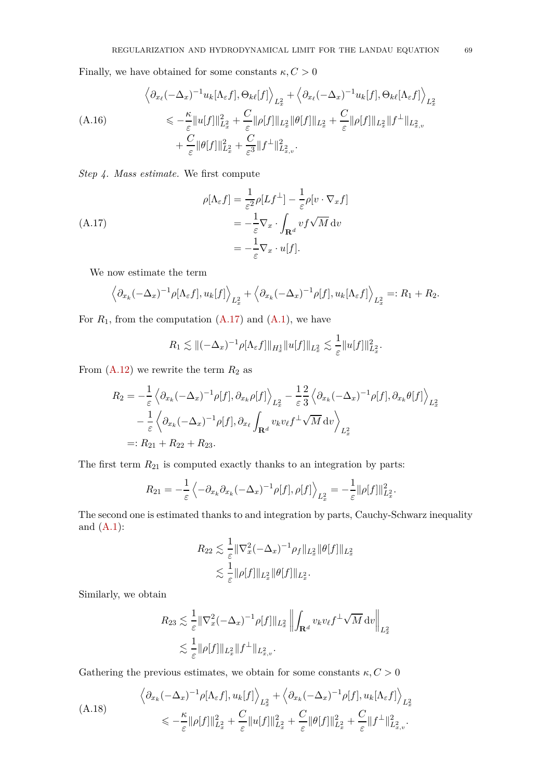Finally, we have obtained for some constants  $\kappa, C>0$ 

<span id="page-68-1"></span>
$$
\left\langle \partial_{x_{\ell}}(-\Delta_x)^{-1} u_k[\Lambda_{\varepsilon} f], \Theta_{k\ell}[f] \right\rangle_{L_x^2} + \left\langle \partial_{x_{\ell}}(-\Delta_x)^{-1} u_k[f], \Theta_{k\ell}[\Lambda_{\varepsilon} f] \right\rangle_{L_x^2}
$$
\n(A.16)\n
$$
\leq \frac{\kappa}{\varepsilon} \|u[f]\|_{L_x^2}^2 + \frac{C}{\varepsilon} \|\rho[f]\|_{L_x^2} \|\theta[f]\|_{L_x^2} + \frac{C}{\varepsilon} \|\rho[f]\|_{L_x^2} \|f^\perp\|_{L_{x,v}^2}
$$
\n
$$
+ \frac{C}{\varepsilon} \|\theta[f]\|_{L_x^2}^2 + \frac{C}{\varepsilon^3} \|f^\perp\|_{L_{x,v}^2}^2.
$$

*Step 4. Mass estimate.* We first compute

(A.17)  
\n
$$
\rho[\Lambda_{\varepsilon} f] = \frac{1}{\varepsilon^{2}} \rho[Lf^{\perp}] - \frac{1}{\varepsilon} \rho[v \cdot \nabla_{x} f]
$$
\n
$$
= -\frac{1}{\varepsilon} \nabla_{x} \cdot \int_{\mathbf{R}^{d}} v f \sqrt{M} dv
$$
\n
$$
= -\frac{1}{\varepsilon} \nabla_{x} \cdot u[f].
$$

We now estimate the term

<span id="page-68-0"></span>
$$
\left\langle \partial_{x_k} (-\Delta_x)^{-1} \rho [\Lambda_{\varepsilon} f], u_k[f] \right\rangle_{L_x^2} + \left\langle \partial_{x_k} (-\Delta_x)^{-1} \rho[f], u_k[\Lambda_{\varepsilon} f] \right\rangle_{L_x^2} =: R_1 + R_2.
$$

For  $R_1$ , from the computation  $(A.17)$  and  $(A.1)$ , we have

$$
R_1 \lesssim ||(-\Delta_x)^{-1} \rho[\Lambda_{\varepsilon} f]||_{H_x^1} ||u[f]||_{L_x^2} \lesssim \frac{1}{\varepsilon} ||u[f]||_{L_x^2}^2.
$$

From  $(A.12)$  we rewrite the term  $R_2$  as

$$
R_2 = -\frac{1}{\varepsilon} \left\langle \partial_{x_k} (-\Delta_x)^{-1} \rho[f], \partial_{x_k} \rho[f] \right\rangle_{L_x^2} - \frac{1}{\varepsilon} \frac{2}{3} \left\langle \partial_{x_k} (-\Delta_x)^{-1} \rho[f], \partial_{x_k} \theta[f] \right\rangle_{L_x^2}
$$

$$
- \frac{1}{\varepsilon} \left\langle \partial_{x_k} (-\Delta_x)^{-1} \rho[f], \partial_{x_\ell} \int_{\mathbf{R}^d} v_k v_\ell f^\perp \sqrt{M} \, \mathrm{d}v \right\rangle_{L_x^2}
$$

$$
=: R_{21} + R_{22} + R_{23}.
$$

The first term  $R_{21}$  is computed exactly thanks to an integration by parts:

$$
R_{21} = -\frac{1}{\varepsilon} \left\langle -\partial_{x_k} \partial_{x_k} (-\Delta_x)^{-1} \rho[f], \rho[f] \right\rangle_{L_x^2} = -\frac{1}{\varepsilon} ||\rho[f]||_{L_x^2}^2.
$$

The second one is estimated thanks to and integration by parts, Cauchy-Schwarz inequality and  $(A.1)$ :

$$
R_{22} \lesssim \frac{1}{\varepsilon} \|\nabla_x^2 (-\Delta_x)^{-1} \rho_f \|_{L^2_x} \|\theta[f]\|_{L^2_x}
$$
  

$$
\lesssim \frac{1}{\varepsilon} \|\rho[f] \|_{L^2_x} \|\theta[f] \|_{L^2_x}.
$$

Similarly, we obtain

$$
R_{23} \lesssim \frac{1}{\varepsilon} \|\nabla_x^2 (-\Delta_x)^{-1} \rho[f] \|_{L_x^2} \left\| \int_{\mathbf{R}^d} v_k v_\ell f^\perp \sqrt{M} \, \mathrm{d}v \right\|_{L_x^2}
$$
  

$$
\lesssim \frac{1}{\varepsilon} \|\rho[f] \|_{L_x^2} \|f^\perp\|_{L_{x,v}^2}.
$$

Gathering the previous estimates, we obtain for some constants  $\kappa, C>0$ 

<span id="page-68-2"></span>
$$
\left\langle \partial_{x_k} (-\Delta_x)^{-1} \rho [\Lambda_\varepsilon f], u_k[f] \right\rangle_{L_x^2} + \left\langle \partial_{x_k} (-\Delta_x)^{-1} \rho [f], u_k[\Lambda_\varepsilon f] \right\rangle_{L_x^2}
$$
\n
$$
\leq -\frac{\kappa}{\varepsilon} \|\rho[f]\|_{L_x^2}^2 + \frac{C}{\varepsilon} \|u[f]\|_{L_x^2}^2 + \frac{C}{\varepsilon} \|\theta[f]\|_{L_x^2}^2 + \frac{C}{\varepsilon} \|f^\perp\|_{L_{x,v}^2}^2.
$$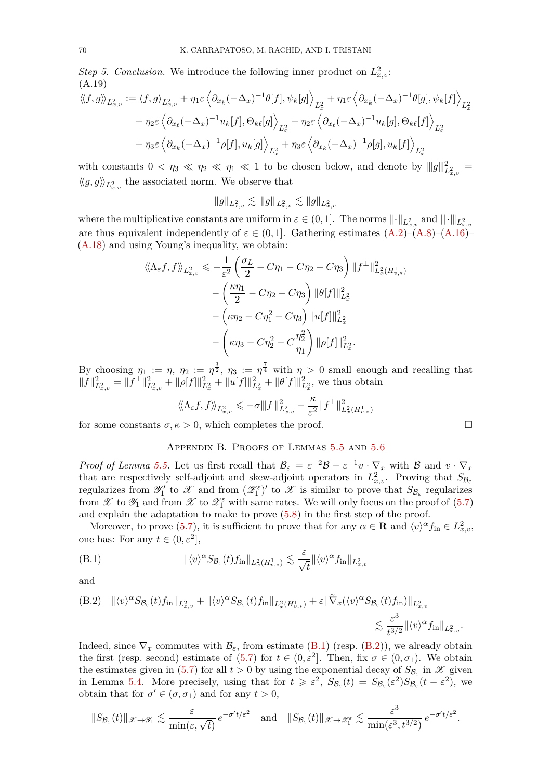*Step 5. Conclusion.* We introduce the following inner product on  $L^2_{x,v}$ : (A.19)

$$
\langle\langle f, g \rangle\rangle_{L_{x,v}^2} := \langle f, g \rangle_{L_{x,v}^2} + \eta_1 \varepsilon \left\langle \partial_{x_k} (-\Delta_x)^{-1} \theta[f], \psi_k[g] \right\rangle_{L_x^2} + \eta_1 \varepsilon \left\langle \partial_{x_k} (-\Delta_x)^{-1} \theta[g], \psi_k[f] \right\rangle_{L_x^2}
$$
  
+ 
$$
\eta_2 \varepsilon \left\langle \partial_{x_\ell} (-\Delta_x)^{-1} u_k[f], \Theta_{k\ell}[g] \right\rangle_{L_x^2} + \eta_2 \varepsilon \left\langle \partial_{x_\ell} (-\Delta_x)^{-1} u_k[g], \Theta_{k\ell}[f] \right\rangle_{L_x^2}
$$
  
+ 
$$
\eta_3 \varepsilon \left\langle \partial_{x_k} (-\Delta_x)^{-1} \rho[f], u_k[g] \right\rangle_{L_x^2} + \eta_3 \varepsilon \left\langle \partial_{x_k} (-\Delta_x)^{-1} \rho[g], u_k[f] \right\rangle_{L_x^2}
$$

with constants  $0 < \eta_3 \ll \eta_2 \ll \eta_1 \ll 1$  to be chosen below, and denote by  $||g||_{L^2_{x,v}}^2 =$  $\langle \langle g, g \rangle \rangle_{L^2_{x,v}}$  the associated norm. We observe that

 $||g||_{L^2_{x,v}} \lesssim ||g||_{L^2_{x,v}} \lesssim ||g||_{L^2_{x,v}}$ 

where the multiplicative constants are uniform in  $\varepsilon \in (0,1]$ . The norms  $\|\cdot\|_{L^2_{x,v}}$  and  $\|\cdot\|_{L^2_{x,v}}$ are thus equivalent independently of  $\varepsilon \in (0,1]$ . Gathering estimates  $(A.2)$ – $(A.8)$ – $(A.16)$ – [\(A.18\)](#page-68-2) and using Young's inequality, we obtain:

$$
\langle \langle \Lambda_{\varepsilon} f, f \rangle \rangle_{L_{x,v}^{2}} \leqslant -\frac{1}{\varepsilon^{2}} \left( \frac{\sigma_{L}}{2} - C \eta_{1} - C \eta_{2} - C \eta_{3} \right) ||f^{\perp}||_{L_{x}^{2}(H_{v,*}^{1})}^{2}
$$

$$
- \left( \frac{\kappa \eta_{1}}{2} - C \eta_{2} - C \eta_{3} \right) ||\theta[f]||_{L_{x}^{2}}^{2}
$$

$$
- \left( \kappa \eta_{2} - C \eta_{1}^{2} - C \eta_{3} \right) ||u[f]||_{L_{x}^{2}}^{2}
$$

$$
- \left( \kappa \eta_{3} - C \eta_{2}^{2} - C \frac{\eta_{2}^{2}}{\eta_{1}} \right) ||\rho[f]||_{L_{x}^{2}}^{2}.
$$

By choosing  $\eta_1 := \eta$ ,  $\eta_2 := \eta^{\frac{3}{2}}$ ,  $\eta_3 := \eta^{\frac{7}{4}}$  with  $\eta > 0$  small enough and recalling that  $||f||_{L^2_{x,v}}^2 = ||f^{\perp}||_{L^2_{x,v}}^2 + ||\rho[f]||_{L^2_x}^2 + ||u[f]||_{L^2_x}^2 + ||\theta[f]||_{L^2_x}^2$ , we thus obtain

$$
\langle\!\langle \Lambda_\varepsilon f,f \rangle\!\rangle_{L^2_{x,v}} \leqslant - \sigma \| \Vert f \Vert^2_{L^2_{x,v}} - \frac{\kappa}{\varepsilon^2} \Vert f^\perp \Vert^2_{L^2_x(H^1_{v,*})}
$$

<span id="page-69-0"></span>for some constants  $\sigma, \kappa > 0$ , which completes the proof.

### Appendix B. Proofs of Lemmas [5.5](#page-52-2) and [5.6](#page-52-3)

*Proof of Lemma [5.5.](#page-52-2)* Let us first recall that  $B_{\varepsilon} = \varepsilon^{-2}B - \varepsilon^{-1}v \cdot \nabla_x$  with B and  $v \cdot \nabla_x$ that are respectively self-adjoint and skew-adjoint operators in  $L^2_{x,v}$ . Proving that  $S_{\mathcal{B}_{\varepsilon}}$ regularizes from  $\mathscr{Y}'_1$  to  $\mathscr{X}$  and from  $(\mathscr{Z}_1^{\varepsilon})'$  to  $\mathscr{X}$  is similar to prove that  $S_{\mathcal{B}_{\varepsilon}}$  regularizes from  $\mathscr X$  to  $\mathscr Y_1$  and from  $\mathscr X$  to  $\mathscr Z_1^\varepsilon$  with same rates. We will only focus on the proof of [\(5.7\)](#page-52-4) and explain the adaptation to make to prove [\(5.8\)](#page-52-5) in the first step of the proof.

Moreover, to prove [\(5.7\)](#page-52-4), it is sufficient to prove that for any  $\alpha \in \mathbf{R}$  and  $\langle v \rangle^{\alpha} f_{\text{in}} \in L^2_{x,v}$ , one has: For any  $t \in (0, \varepsilon^2]$ ,

<span id="page-69-1"></span>(B.1) 
$$
\|\langle v \rangle^{\alpha} S_{\mathcal{B}_{\varepsilon}}(t) f_{\text{in}}\|_{L_{x}^{2}(H_{v,*}^{1})} \lesssim \frac{\varepsilon}{\sqrt{t}} \|\langle v \rangle^{\alpha} f_{\text{in}}\|_{L_{x,v}^{2}}
$$

and

<span id="page-69-2"></span>(B.2) 
$$
\|\langle v \rangle^{\alpha} S_{\mathcal{B}_{\varepsilon}}(t) f_{\text{in}} \|_{L_{x,v}^2} + \|\langle v \rangle^{\alpha} S_{\mathcal{B}_{\varepsilon}}(t) f_{\text{in}} \|_{L_x^2(H_{v,*}^1)} + \varepsilon \|\widetilde{\nabla}_x (\langle v \rangle^{\alpha} S_{\mathcal{B}_{\varepsilon}}(t) f_{\text{in}}) \|_{L_{x,v}^2} \leq \frac{\varepsilon^3}{t^{3/2}} \|\langle v \rangle^{\alpha} f_{\text{in}} \|_{L_{x,v}^2}
$$

Indeed, since  $\nabla_x$  commutes with  $\mathcal{B}_{\varepsilon}$ , from estimate [\(B.1\)](#page-69-1) (resp. [\(B.2\)](#page-69-2)), we already obtain the first (resp. second) estimate of [\(5.7\)](#page-52-4) for  $t \in (0, \varepsilon^2]$ . Then, fix  $\sigma \in (0, \sigma_1)$ . We obtain the estimates given in [\(5.7\)](#page-52-4) for all  $t > 0$  by using the exponential decay of  $S_{\mathcal{B}_{\varepsilon}}$  in  $\mathcal{X}$  given in Lemma [5.4.](#page-52-1) More precisely, using that for  $t \geq \varepsilon^2$ ,  $S_{\mathcal{B}_{\varepsilon}}(t) = S_{\mathcal{B}_{\varepsilon}}(\varepsilon^2)S_{\mathcal{B}_{\varepsilon}}(t-\varepsilon^2)$ , we obtain that for  $\sigma' \in (\sigma, \sigma_1)$  and for any  $t > 0$ ,

$$
||S_{\mathcal{B}_{\varepsilon}}(t)||_{\mathscr{X}\to\mathscr{Y}_1}\lesssim \frac{\varepsilon}{\min(\varepsilon,\sqrt{t})}e^{-\sigma' t/\varepsilon^2}
$$
 and  $||S_{\mathcal{B}_{\varepsilon}}(t)||_{\mathscr{X}\to\mathscr{Z}_1^{\varepsilon}}\lesssim \frac{\varepsilon^3}{\min(\varepsilon^3,t^{3/2})}e^{-\sigma' t/\varepsilon^2}$ .

*.*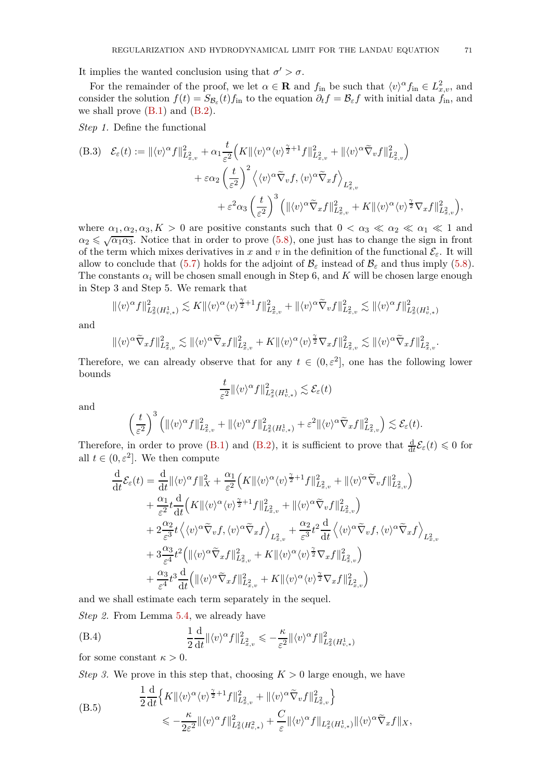It implies the wanted conclusion using that  $\sigma' > \sigma$ .

For the remainder of the proof, we let  $\alpha \in \mathbf{R}$  and  $f_{\text{in}}$  be such that  $\langle v \rangle^{\alpha} f_{\text{in}} \in L^2_{x,v}$ , and consider the solution  $f(t) = S_{\mathcal{B}_{\varepsilon}}(t) f_{\text{in}}$  to the equation  $\partial_t f = \mathcal{B}_{\varepsilon} f$  with initial data  $f_{\text{in}}$ , and we shall prove  $(B.1)$  and  $(B.2)$ .

*Step 1.* Define the functional

<span id="page-70-0"></span>(B.3) 
$$
\mathcal{E}_{\varepsilon}(t) := \| \langle v \rangle^{\alpha} f \|_{L_{x,v}^{2}}^{2} + \alpha_{1} \frac{t}{\varepsilon^{2}} \Big( K \| \langle v \rangle^{\alpha} \langle v \rangle^{\frac{\gamma}{2}+1} f \|_{L_{x,v}^{2}}^{2} + \| \langle v \rangle^{\alpha} \widetilde{\nabla}_{v} f \|_{L_{x,v}^{2}}^{2} \Big) + \varepsilon \alpha_{2} \left( \frac{t}{\varepsilon^{2}} \right)^{2} \Big\langle \langle v \rangle^{\alpha} \widetilde{\nabla}_{v} f, \langle v \rangle^{\alpha} \widetilde{\nabla}_{x} f \Big\rangle_{L_{x,v}^{2}} + \varepsilon^{2} \alpha_{3} \left( \frac{t}{\varepsilon^{2}} \right)^{3} \Big( \| \langle v \rangle^{\alpha} \widetilde{\nabla}_{x} f \|_{L_{x,v}^{2}}^{2} + K \| \langle v \rangle^{\alpha} \langle v \rangle^{\frac{\gamma}{2}} \nabla_{x} f \|_{L_{x,v}^{2}}^{2} \Big),
$$

where  $\alpha_1, \alpha_2, \alpha_3, K > 0$  are positive constants such that  $0 < \alpha_3 \ll \alpha_2 \ll \alpha_1 \ll 1$  and  $\alpha_2 \leqslant \sqrt{\alpha_1 \alpha_3}$ . Notice that in order to prove [\(5.8\)](#page-52-5), one just has to change the sign in front of the term which mixes derivatives in *x* and *v* in the definition of the functional  $\mathcal{E}_{\varepsilon}$ . It will allow to conclude that [\(5.7\)](#page-52-4) holds for the adjoint of  $\mathcal{B}_{\varepsilon}$  instead of  $\mathcal{B}_{\varepsilon}$  and thus imply [\(5.8\)](#page-52-5). The constants  $\alpha_i$  will be chosen small enough in Step 6, and *K* will be chosen large enough in Step 3 and Step 5. We remark that

$$
\|\langle v\rangle^{\alpha}f\|_{L^2_x(H^1_{v,*})}^2\lesssim K\|\langle v\rangle^{\alpha}\langle v\rangle^{\frac{\gamma}{2}+1}f\|_{L^2_{x,v}}^2+\|\langle v\rangle^{\alpha}\tilde{\nabla}_vf\|_{L^2_{x,v}}^2\lesssim \|\langle v\rangle^{\alpha}f\|_{L^2_x(H^1_{v,*})}^2
$$

and

$$
\|\langle v\rangle^{\alpha}\tilde{\nabla}_xf\|_{L^2_{x,v}}^2 \lesssim \|\langle v\rangle^{\alpha}\tilde{\nabla}_xf\|_{L^2_{x,v}}^2 + K\|\langle v\rangle^{\alpha}\langle v\rangle^{\frac{\gamma}{2}}\nabla_xf\|_{L^2_{x,v}}^2 \lesssim \|\langle v\rangle^{\alpha}\tilde{\nabla}_xf\|_{L^2_{x,v}}^2.
$$

Therefore, we can already observe that for any  $t \in (0, \varepsilon^2]$ , one has the following lower bounds

$$
\frac{t}{\varepsilon^2} \| \langle v \rangle^{\alpha} f \|_{L^2_x(H^1_{v,*})}^2 \lesssim \mathcal{E}_{\varepsilon}(t)
$$

and

$$
\left(\frac{t}{\varepsilon^2}\right)^3 \left(\|\langle v \rangle^{\alpha} f\|_{L^2_{x,v}}^2 + \|\langle v \rangle^{\alpha} f\|_{L^2_x(H^1_{v,*})}^2 + \varepsilon^2 \|\langle v \rangle^{\alpha} \widetilde{\nabla}_x f\|_{L^2_{x,v}}^2\right) \lesssim \mathcal{E}_{\varepsilon}(t).
$$

Therefore, in order to prove [\(B.1\)](#page-69-1) and [\(B.2\)](#page-69-2), it is sufficient to prove that  $\frac{d}{dt} \mathcal{E}_{\varepsilon}(t) \leq 0$  for all  $t \in (0, \varepsilon^2]$ . We then compute

$$
\frac{\mathrm{d}}{\mathrm{d}t}\mathcal{E}_{\varepsilon}(t) = \frac{\mathrm{d}}{\mathrm{d}t} ||\langle v \rangle^{\alpha} f||_{X}^{2} + \frac{\alpha_{1}}{\varepsilon^{2}} \Big(K ||\langle v \rangle^{\alpha} \langle v \rangle^{\frac{\gamma}{2}+1} f||_{L_{x,v}^{2}}^{2} + ||\langle v \rangle^{\alpha} \tilde{\nabla}_{v} f||_{L_{x,v}^{2}}^{2} \Big) \n+ \frac{\alpha_{1}}{\varepsilon^{2}} t \frac{\mathrm{d}}{\mathrm{d}t} \Big(K ||\langle v \rangle^{\alpha} \langle v \rangle^{\frac{\gamma}{2}+1} f||_{L_{x,v}^{2}}^{2} + ||\langle v \rangle^{\alpha} \tilde{\nabla}_{v} f||_{L_{x,v}^{2}}^{2} \Big) \n+ 2 \frac{\alpha_{2}}{\varepsilon^{3}} t \Big\langle \langle v \rangle^{\alpha} \tilde{\nabla}_{v} f, \langle v \rangle^{\alpha} \tilde{\nabla}_{x} f \Big\rangle_{L_{x,v}^{2}} + \frac{\alpha_{2}}{\varepsilon^{3}} t^{2} \frac{\mathrm{d}}{\mathrm{d}t} \Big\langle \langle v \rangle^{\alpha} \tilde{\nabla}_{v} f, \langle v \rangle^{\alpha} \tilde{\nabla}_{x} f \Big\rangle_{L_{x,v}^{2}} \n+ 3 \frac{\alpha_{3}}{\varepsilon^{4}} t^{2} \Big( ||\langle v \rangle^{\alpha} \tilde{\nabla}_{x} f||_{L_{x,v}^{2}}^{2} + K ||\langle v \rangle^{\alpha} \langle v \rangle^{\frac{\gamma}{2}} \nabla_{x} f||_{L_{x,v}^{2}}^{2} \Big) \n+ \frac{\alpha_{3}}{\varepsilon^{4}} t^{3} \frac{\mathrm{d}}{\mathrm{d}t} \Big( ||\langle v \rangle^{\alpha} \tilde{\nabla}_{x} f||_{L_{x,v}^{2}}^{2} + K ||\langle v \rangle^{\alpha} \langle v \rangle^{\frac{\gamma}{2}} \nabla_{x} f||_{L_{x,v}^{2}}^{2} \Big)
$$

and we shall estimate each term separately in the sequel.

*Step 2.* From Lemma [5.4,](#page-52-1) we already have

(B.4) 
$$
\frac{1}{2} \frac{d}{dt} ||\langle v \rangle^{\alpha} f||_{L_{x,v}^2}^2 \leqslant -\frac{\kappa}{\varepsilon^2} ||\langle v \rangle^{\alpha} f||_{L_x^2(H_{v,*}^1)}^2
$$

for some constant  $\kappa > 0$ .

*Step 3.* We prove in this step that, choosing  $K > 0$  large enough, we have

<span id="page-70-1"></span>(B.5)  
\n
$$
\frac{1}{2} \frac{d}{dt} \Big\{ K \| \langle v \rangle^{\alpha} \langle v \rangle^{\frac{\gamma}{2}+1} f \|_{L_{x,v}^2}^2 + \| \langle v \rangle^{\alpha} \widetilde{\nabla}_v f \|_{L_{x,v}^2}^2 \Big\}
$$
\n
$$
\leqslant -\frac{\kappa}{2\varepsilon^2} \| \langle v \rangle^{\alpha} f \|_{L_x^2(H_{v,*}^2)}^2 + \frac{C}{\varepsilon} \| \langle v \rangle^{\alpha} f \|_{L_x^2(H_{v,*}^1)} \| \langle v \rangle^{\alpha} \widetilde{\nabla}_x f \|_X,
$$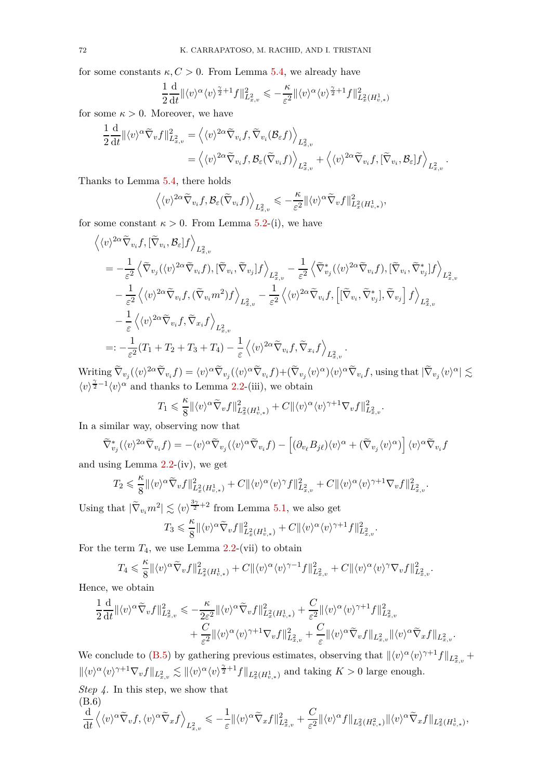for some constants  $\kappa, C > 0$ . From Lemma [5.4,](#page-52-1) we already have

$$
\frac{1}{2}\frac{\mathrm{d}}{\mathrm{d}t} \| \langle v \rangle^{\alpha} \langle v \rangle^{\frac{\gamma}{2}+1} f \|_{L_{x,v}^2}^2 \leqslant -\frac{\kappa}{\varepsilon^2} \| \langle v \rangle^{\alpha} \langle v \rangle^{\frac{\gamma}{2}+1} f \|_{L_x^2(H_{v,*}^1)}^2
$$

for some  $\kappa > 0$ . Moreover, we have

$$
\begin{split} &\frac{1}{2}\frac{\mathrm{d}}{\mathrm{d}t}\Vert \langle v\rangle^{\alpha}\tilde{\nabla}_{v}f\Vert^{2}_{L^{2}_{x,v}}=\left\langle \langle v\rangle^{2\alpha}\tilde{\nabla}_{v_{i}}f,\tilde{\nabla}_{v_{i}}(\mathcal{B}_{\varepsilon}f)\right\rangle_{L^{2}_{x,v}}\\ &=\left\langle \langle v\rangle^{2\alpha}\tilde{\nabla}_{v_{i}}f,\mathcal{B}_{\varepsilon}(\tilde{\nabla}_{v_{i}}f)\right\rangle_{L^{2}_{x,v}}+\left\langle \langle v\rangle^{2\alpha}\tilde{\nabla}_{v_{i}}f,[\tilde{\nabla}_{v_{i}},\mathcal{B}_{\varepsilon}]f\right\rangle_{L^{2}_{x,v}}.\end{split}
$$

Thanks to Lemma [5.4,](#page-52-1) there holds

$$
\left\langle \langle v \rangle^{2\alpha} \widetilde \nabla_{v_i} f, \mathcal B_{\varepsilon} (\widetilde \nabla_{v_i} f) \right\rangle_{L^2_{x,v}} \leqslant - \frac{\kappa}{\varepsilon^2} \| \langle v \rangle^{\alpha} \widetilde \nabla_v f \|_{L^2_x(H^1_{v,*})}^2,
$$

for some constant  $\kappa > 0$ . From Lemma [5.2-](#page-51-1)(i), we have

$$
\langle v \rangle^{2\alpha} \widetilde{\nabla}_{v_i} f, [\widetilde{\nabla}_{v_i}, \mathcal{B}_{\varepsilon}] f \rangle_{L^2_{x,v}} \n= -\frac{1}{\varepsilon^2} \left\langle \widetilde{\nabla}_{v_j} (\langle v \rangle^{2\alpha} \widetilde{\nabla}_{v_i} f), [\widetilde{\nabla}_{v_i}, \widetilde{\nabla}_{v_j}] f \right\rangle_{L^2_{x,v}} - \frac{1}{\varepsilon^2} \left\langle \widetilde{\nabla}_{v_j}^* (\langle v \rangle^{2\alpha} \widetilde{\nabla}_{v_i} f), [\widetilde{\nabla}_{v_i}, \widetilde{\nabla}_{v_j}^*] f \right\rangle_{L^2_{x,v}} \n- \frac{1}{\varepsilon^2} \left\langle \langle v \rangle^{2\alpha} \widetilde{\nabla}_{v_i} f, (\widetilde{\nabla}_{v_i} m^2) f \right\rangle_{L^2_{x,v}} - \frac{1}{\varepsilon^2} \left\langle \langle v \rangle^{2\alpha} \widetilde{\nabla}_{v_i} f, [\widetilde{\nabla}_{v_i}, \widetilde{\nabla}_{v_j}^*], \widetilde{\nabla}_{v_j}] f \right\rangle_{L^2_{x,v}} \n- \frac{1}{\varepsilon} \left\langle \langle v \rangle^{2\alpha} \widetilde{\nabla}_{v_i} f, \widetilde{\nabla}_{x_i} f \right\rangle_{L^2_{x,v}} \n=: -\frac{1}{\varepsilon^2} (T_1 + T_2 + T_3 + T_4) - \frac{1}{\varepsilon} \left\langle \langle v \rangle^{2\alpha} \widetilde{\nabla}_{v_i} f, \widetilde{\nabla}_{x_i} f \right\rangle_{L^2_{x,v}}.
$$

 $\text{Writing } \widetilde{\nabla}_{v_j} (\langle v \rangle^{2\alpha} \widetilde{\nabla}_{v_i} f) = \langle v \rangle^{\alpha} \widetilde{\nabla}_{v_j} (\langle v \rangle^{\alpha} \widetilde{\nabla}_{v_i} f) + ( \widetilde{\nabla}_{v_j} \langle v \rangle^{\alpha}) \langle v \rangle^{\alpha} \widetilde{\nabla}_{v_i} f \text{, using that } |\widetilde{\nabla}_{v_j} \langle v \rangle^{\alpha}| \lesssim \delta.$  $\langle v \rangle^{\frac{\gamma}{2}-1} \langle v \rangle^{\alpha}$  and thanks to Lemma [2.2-](#page-14-0)(iii), we obtain

$$
T_1 \leqslant \frac{\kappa}{8} \|\langle v \rangle^{\alpha} \widetilde{\nabla}_v f\|_{L_x^2(H_{v,*}^1)}^2 + C \|\langle v \rangle^{\alpha} \langle v \rangle^{\gamma+1} \nabla_v f\|_{L_{x,v}^2}^2.
$$

In a similar way, observing now that

$$
\widetilde{\nabla}^*_{v_j}(\langle v \rangle^{2\alpha} \widetilde{\nabla}_{v_i} f) = -\langle v \rangle^{\alpha} \widetilde{\nabla}_{v_j}(\langle v \rangle^{\alpha} \widetilde{\nabla}_{v_i} f) - \left[ (\partial_{v_\ell} B_{j\ell}) \langle v \rangle^{\alpha} + (\widetilde{\nabla}_{v_j} \langle v \rangle^{\alpha}) \right] \langle v \rangle^{\alpha} \widetilde{\nabla}_{v_i} f
$$

and using Lemma [2.2-](#page-14-0)(iv), we get

$$
T_2\leqslant \frac{\kappa}{8}\|\langle v\rangle^{\alpha}\tilde{\nabla}_v f\|^2_{L^2_x(H^1_{v,*})}+C\|\langle v\rangle^{\alpha}\langle v\rangle^{\gamma}f\|^2_{L^2_{x,v}}+C\|\langle v\rangle^{\alpha}\langle v\rangle^{\gamma+1}\nabla_v f\|^2_{L^2_{x,v}}.
$$

Using that  $|\tilde{\nabla}_{v_i} m^2| \lesssim \langle v \rangle^{\frac{3\gamma}{2}+2}$  from Lemma [5.1,](#page-50-0) we also get

$$
T_3 \leqslant \frac{\kappa}{8} \|\langle v \rangle^{\alpha} \widetilde{\nabla}_v f\|_{L^2_x(H^1_{v,*})}^2 + C \|\langle v \rangle^{\alpha} \langle v \rangle^{\gamma+1} f\|_{L^2_{x,v}}^2.
$$

For the term  $T_4$ , we use Lemma [2.2-](#page-14-0)(vii) to obtain

$$
T_4 \leq \frac{\kappa}{8} \|\langle v \rangle^{\alpha} \widetilde{\nabla}_v f\|_{L^2_x(H^1_{v,*})}^2 + C \|\langle v \rangle^{\alpha} \langle v \rangle^{\gamma-1} f\|_{L^2_{x,v}}^2 + C \|\langle v \rangle^{\alpha} \langle v \rangle^{\gamma} \nabla_v f\|_{L^2_{x,v}}^2.
$$

Hence, we obtain

$$
\begin{split} \frac{1}{2}\frac{\mathrm{d}}{\mathrm{d}t}\Vert \langle v\rangle^{\alpha}\tilde{\nabla}_{v}f\Vert^{2}_{L^{2}_{x,v}}&\leqslant-\frac{\kappa}{2\varepsilon^{2}}\Vert \langle v\rangle^{\alpha}\tilde{\nabla}_{v}f\Vert^{2}_{L^{2}_{x}(H^{1}_{v,*})}+\frac{C}{\varepsilon^{2}}\Vert \langle v\rangle^{\alpha}\langle v\rangle^{\gamma+1}f\Vert^{2}_{L^{2}_{x,v}}\\ &+\frac{C}{\varepsilon^{2}}\Vert \langle v\rangle^{\alpha}\langle v\rangle^{\gamma+1}\nabla_{v}f\Vert^{2}_{L^{2}_{x,v}}+\frac{C}{\varepsilon}\Vert \langle v\rangle^{\alpha}\tilde{\nabla}_{v}f\Vert_{L^{2}_{x,v}}\Vert \langle v\rangle^{\alpha}\tilde{\nabla}_{x}f\Vert_{L^{2}_{x,v}}. \end{split}
$$

We conclude to [\(B.5\)](#page-70-1) by gathering previous estimates, observing that  $\| \langle v \rangle^{\alpha} \langle v \rangle^{\gamma+1} f \|_{L^2_{x,v}} +$  $\| \langle v \rangle^{\alpha} \langle v \rangle^{\gamma+1} \nabla_v f \|_{L^2_{x,v}} \lesssim \| \langle v \rangle^{\alpha} \langle v \rangle^{\frac{\gamma}{2}+1} f \|_{L^2_x(H^1_{v,*})}$  and taking  $K > 0$  large enough.

*Step 4.* In this step, we show that (B.6)

$$
\frac{\mathrm{d}}{\mathrm{d}t}\left\langle \langle v \rangle^{\alpha} \widetilde{\nabla}_v f, \langle v \rangle^{\alpha} \widetilde{\nabla}_x f \right\rangle_{L^2_{x,v}} \leqslant -\frac{1}{\varepsilon} \| \langle v \rangle^{\alpha} \widetilde{\nabla}_x f \|_{L^2_{x,v}}^2 + \frac{C}{\varepsilon^2} \| \langle v \rangle^{\alpha} f \|_{L^2_x(H^2_{v,*})} \| \langle v \rangle^{\alpha} \widetilde{\nabla}_x f \|_{L^2_x(H^1_{v,*})},
$$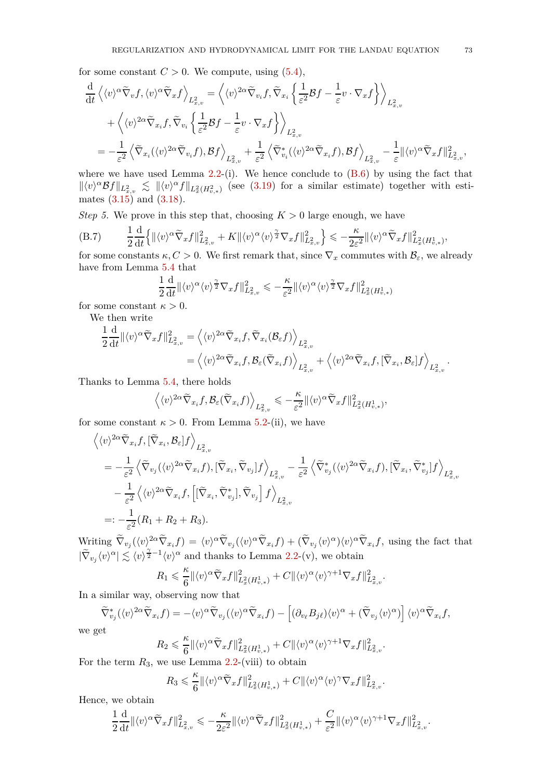for some constant  $C > 0$ . We compute, using  $(5.4)$ ,

$$
\frac{d}{dt}\left\langle \langle v \rangle^{\alpha} \tilde{\nabla}_{v} f, \langle v \rangle^{\alpha} \tilde{\nabla}_{x} f \right\rangle_{L_{x,v}^{2}} = \left\langle \langle v \rangle^{2\alpha} \tilde{\nabla}_{v_{i}} f, \tilde{\nabla}_{x_{i}} \left\{ \frac{1}{\varepsilon^{2}} \mathcal{B} f - \frac{1}{\varepsilon} v \cdot \nabla_{x} f \right\} \right\rangle_{L_{x,v}^{2}}
$$
\n
$$
+ \left\langle \langle v \rangle^{2\alpha} \tilde{\nabla}_{x_{i}} f, \tilde{\nabla}_{v_{i}} \left\{ \frac{1}{\varepsilon^{2}} \mathcal{B} f - \frac{1}{\varepsilon} v \cdot \nabla_{x} f \right\} \right\rangle_{L_{x,v}^{2}}
$$
\n
$$
= -\frac{1}{\varepsilon^{2}} \left\langle \tilde{\nabla}_{x_{i}} (\langle v \rangle^{2\alpha} \tilde{\nabla}_{v_{i}} f), \mathcal{B} f \right\rangle_{L_{x,v}^{2}} + \frac{1}{\varepsilon^{2}} \left\langle \tilde{\nabla}_{v_{i}}^{*} (\langle v \rangle^{2\alpha} \tilde{\nabla}_{x_{i}} f), \mathcal{B} f \right\rangle_{L_{x,v}^{2}} - \frac{1}{\varepsilon} ||\langle v \rangle^{\alpha} \tilde{\nabla}_{x} f||_{L_{x,v}^{2}}^{2},
$$

where we have used Lemma [2.2-](#page-14-0)(i). We hence conclude to  $(B.6)$  by using the fact that  $\| \langle v \rangle^{\alpha} \mathcal{B} f \|_{L^2_{x,v}} \lesssim \| \langle v \rangle^{\alpha} f \|_{L^2_x(H^2_{v,*})}$  (see [\(3.19\)](#page-26-0) for a similar estimate) together with estimates  $(3.15)$  and  $(3.18)$ .

*Step 5.* We prove in this step that, choosing  $K > 0$  large enough, we have

<span id="page-72-0"></span>
$$
(B.7) \qquad \frac{1}{2}\frac{d}{dt}\Big\{\|\langle v\rangle^{\alpha}\widetilde{\nabla}_xf\|_{L^2_{x,v}}^2 + K\|\langle v\rangle^{\alpha}\langle v\rangle^{\frac{\gamma}{2}}\nabla_xf\|_{L^2_{x,v}}^2\Big\} \leqslant -\frac{\kappa}{2\varepsilon^2}\|\langle v\rangle^{\alpha}\widetilde{\nabla}_xf\|_{L^2_{x}(H^1_{v,*})}^2,
$$

for some constants  $\kappa, C > 0$ . We first remark that, since  $\nabla_x$  commutes with  $\mathcal{B}_{\varepsilon}$ , we already have from Lemma [5.4](#page-52-0) that

$$
\frac{1}{2}\frac{\mathrm{d}}{\mathrm{d}t} \| \langle v \rangle^{\alpha} \langle v \rangle^{\frac{\gamma}{2}} \nabla_x f \|_{L^2_{x,v}}^2 \leqslant -\frac{\kappa}{\varepsilon^2} \| \langle v \rangle^{\alpha} \langle v \rangle^{\frac{\gamma}{2}} \nabla_x f \|_{L^2_{x}(H^1_{v,*})}^2
$$

for some constant  $\kappa > 0$ .

We then write

$$
\frac{1}{2} \frac{d}{dt} ||\langle v \rangle^{\alpha} \widetilde{\nabla}_x f ||_{L^2_{x,v}}^2 = \langle \langle v \rangle^{2\alpha} \widetilde{\nabla}_{x_i} f, \widetilde{\nabla}_{x_i} (\mathcal{B}_{\varepsilon} f) \rangle_{L^2_{x,v}} \n= \langle \langle v \rangle^{2\alpha} \widetilde{\nabla}_{x_i} f, \mathcal{B}_{\varepsilon} (\widetilde{\nabla}_{x_i} f) \rangle_{L^2_{x,v}} + \langle \langle v \rangle^{2\alpha} \widetilde{\nabla}_{x_i} f, [\widetilde{\nabla}_{x_i}, \mathcal{B}_{\varepsilon}] f \rangle_{L^2_{x,v}}.
$$

Thanks to Lemma [5.4,](#page-52-0) there holds

$$
\left\langle \langle v \rangle^{2\alpha} \widetilde \nabla_{x_i} f, \mathcal B_{\varepsilon} (\widetilde \nabla_{x_i} f) \right\rangle_{L^2_{x,v}} \leqslant - \frac{\kappa}{\varepsilon^2} \| \langle v \rangle^{\alpha} \widetilde \nabla_x f \|_{L^2_x(H^1_{v,*})}^2,
$$

for some constant  $\kappa > 0$ . From Lemma [5.2-](#page-51-0)(ii), we have

$$
\langle v \rangle^{2\alpha} \widetilde{\nabla}_{x_i} f, [\widetilde{\nabla}_{x_i}, \mathcal{B}_{\varepsilon}] f \rangle_{L^2_{x,v}} \n= -\frac{1}{\varepsilon^2} \langle \widetilde{\nabla}_{v_j} (\langle v \rangle^{2\alpha} \widetilde{\nabla}_{x_i} f), [\widetilde{\nabla}_{x_i}, \widetilde{\nabla}_{v_j}] f \rangle_{L^2_{x,v}} - \frac{1}{\varepsilon^2} \langle \widetilde{\nabla}_{v_j}^* (\langle v \rangle^{2\alpha} \widetilde{\nabla}_{x_i} f), [\widetilde{\nabla}_{x_i}, \widetilde{\nabla}_{v_j}^*] f \rangle_{L^2_{x,v}} \n- \frac{1}{\varepsilon^2} \langle \langle v \rangle^{2\alpha} \widetilde{\nabla}_{x_i} f, [[\widetilde{\nabla}_{x_i}, \widetilde{\nabla}_{v_j}^*], \widetilde{\nabla}_{v_j}] f \rangle_{L^2_{x,v}} \n=: -\frac{1}{\varepsilon^2} (R_1 + R_2 + R_3).
$$

Writing  $\widetilde{\nabla}_{v_j}(\langle v \rangle^2 \alpha \widetilde{\nabla}_{x_i} f) = \langle v \rangle^{\alpha} \widetilde{\nabla}_{v_j}(\langle v \rangle^{\alpha} \widetilde{\nabla}_{x_i} f) + (\widetilde{\nabla}_{v_j} \langle v \rangle^{\alpha}) \langle v \rangle^{\alpha} \widetilde{\nabla}_{x_i} f$ , using the fact that  $|\tilde{\nabla}_{v_j} \langle v \rangle^{\alpha}| \lesssim \langle v \rangle^{\frac{\gamma}{2}-1} \langle v \rangle^{\alpha}$  and thanks to Lemma [2.2-](#page-14-0)(v), we obtain

$$
R_1\leqslant \frac{\kappa}{6}\|\langle v\rangle^{\alpha}\tilde{\nabla}_xf\|^2_{L^2_x(H^1_{v,*})}+C\|\langle v\rangle^{\alpha}\langle v\rangle^{\gamma+1}\nabla_xf\|^2_{L^2_{x,v}}.
$$

In a similar way, observing now that

$$
\widetilde{\nabla}^*_{v_j} (\langle v \rangle^{2\alpha} \widetilde{\nabla}_{x_i} f) = -\langle v \rangle^{\alpha} \widetilde{\nabla}_{v_j} (\langle v \rangle^{\alpha} \widetilde{\nabla}_{x_i} f) - \left[ (\partial_{v_\ell} B_{j\ell}) \langle v \rangle^{\alpha} + (\widetilde{\nabla}_{v_j} \langle v \rangle^{\alpha}) \right] \langle v \rangle^{\alpha} \widetilde{\nabla}_{x_i} f,
$$

we get

$$
R_2 \leqslant \frac{\kappa}{6} \|\langle v \rangle^{\alpha} \widetilde{\nabla}_x f\|_{L^2_x(H^1_{v,*})}^2 + C \|\langle v \rangle^{\alpha} \langle v \rangle^{\gamma+1} \nabla_x f\|_{L^2_{x,v}}^2.
$$

For the term  $R_3$ , we use Lemma  $2.2$ -(viii) to obtain

$$
R_3 \leqslant \frac{\kappa}{6} \|\langle v \rangle^{\alpha} \widetilde{\nabla}_x f\|_{L^2_x(H^1_{v,*})}^2 + C \|\langle v \rangle^{\alpha} \langle v \rangle^{\gamma} \nabla_x f\|_{L^2_{x,v}}^2
$$

*.*

Hence, we obtain

$$
\frac{1}{2}\frac{\mathrm{d}}{\mathrm{d}t}\|\langle v\rangle^{\alpha}\tilde{\nabla}_xf\|_{L^2_{x,v}}^2\leqslant-\frac{\kappa}{2\varepsilon^2}\|\langle v\rangle^{\alpha}\tilde{\nabla}_xf\|_{L^2_x(H^1_{v,*})}^2+\frac{C}{\varepsilon^2}\|\langle v\rangle^{\alpha}\langle v\rangle^{\gamma+1}\nabla_xf\|_{L^2_{x,v}}^2.
$$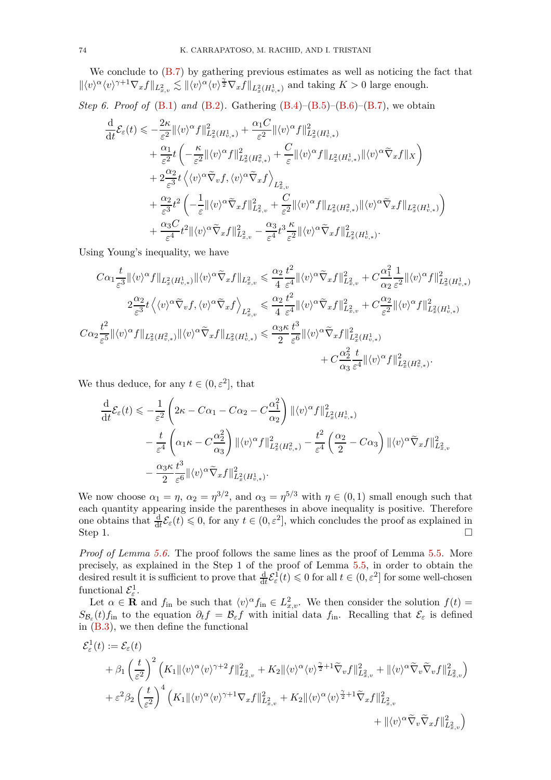We conclude to [\(B.7\)](#page-72-0) by gathering previous estimates as well as noticing the fact that  $\| \langle v \rangle^{\alpha} \langle v \rangle^{\gamma+1} \nabla_x f \|_{L^2_{x,v}} \lesssim \| \langle v \rangle^{\alpha} \langle v \rangle^{\frac{\gamma}{2}} \nabla_x f \|_{L^2_x(H^1_{v,*})}$  and taking  $K > 0$  large enough.

*Step 6. Proof of* [\(B.1\)](#page-69-0) *and* [\(B.2\)](#page-69-1)*.* Gathering [\(B.4\)](#page-70-0)–[\(B.5\)](#page-70-1)–[\(B.6\)](#page-71-0)–[\(B.7\)](#page-72-0), we obtain

$$
\begin{split} \frac{\mathrm{d}}{\mathrm{d}t}\mathcal{E}_{\varepsilon}(t)&\leqslant-\frac{2\kappa}{\varepsilon^{2}}\Vert\langle v\rangle^{\alpha}f\Vert_{L_{x}^{2}(H_{v,\ast}^{1})}^{2}+\frac{\alpha_{1}C}{\varepsilon^{2}}\Vert\langle v\rangle^{\alpha}f\Vert_{L_{x}^{2}(H_{v,\ast}^{1})}^{2}\\ &+\frac{\alpha_{1}}{\varepsilon^{2}}t\left(-\frac{\kappa}{\varepsilon^{2}}\Vert\langle v\rangle^{\alpha}f\Vert_{L_{x}^{2}(H_{v,\ast}^{2})}^{2}+\frac{C}{\varepsilon}\Vert\langle v\rangle^{\alpha}f\Vert_{L_{x}^{2}(H_{v,\ast}^{1})}\Vert\langle v\rangle^{\alpha}\tilde{\nabla}_{x}f\Vert_{X}\right)\\ &+2\frac{\alpha_{2}}{\varepsilon^{3}}t\left\langle\langle v\rangle^{\alpha}\tilde{\nabla}_{v}f,\langle v\rangle^{\alpha}\tilde{\nabla}_{x}f\right\rangle_{L_{x,v}^{2}}\\ &+\frac{\alpha_{2}}{\varepsilon^{3}}t^{2}\left(-\frac{1}{\varepsilon}\Vert\langle v\rangle^{\alpha}\tilde{\nabla}_{x}f\Vert_{L_{x,v}^{2}}^{2}+\frac{C}{\varepsilon^{2}}\Vert\langle v\rangle^{\alpha}f\Vert_{L_{x}^{2}(H_{v,\ast}^{2})}\Vert\langle v\rangle^{\alpha}\tilde{\nabla}_{x}f\Vert_{L_{x}^{2}(H_{v,\ast}^{1})}\right)\\ &+\frac{\alpha_{3}C}{\varepsilon^{4}}t^{2}\Vert\langle v\rangle^{\alpha}\tilde{\nabla}_{x}f\Vert_{L_{x,v}^{2}}^{2}-\frac{\alpha_{3}}{\varepsilon^{4}}t^{3}\frac{\kappa}{\varepsilon^{2}}\Vert\langle v\rangle^{\alpha}\tilde{\nabla}_{x}f\Vert_{L_{x}^{2}(H_{v,\ast}^{1})}^{2}.\end{split}
$$

Using Young's inequality, we have

$$
C\alpha_{1}\frac{t}{\varepsilon^{3}}\|\langle v\rangle^{\alpha}f\|_{L_{x}^{2}(H_{v,*}^{1})}\|\langle v\rangle^{\alpha}\tilde{\nabla}_{x}f\|_{L_{x,v}^{2}} \leq \frac{\alpha_{2}}{4}\frac{t^{2}}{\varepsilon^{4}}\|\langle v\rangle^{\alpha}\tilde{\nabla}_{x}f\|_{L_{x,v}^{2}}^{2} + C\frac{\alpha_{1}^{2}}{\alpha_{2}}\frac{1}{\varepsilon^{2}}\|\langle v\rangle^{\alpha}f\|_{L_{x}^{2}(H_{v,*}^{1})}^{2}
$$
  

$$
2\frac{\alpha_{2}}{\varepsilon^{3}}t\left\langle\langle v\rangle^{\alpha}\tilde{\nabla}_{v}f,\langle v\rangle^{\alpha}\tilde{\nabla}_{x}f\right\rangle_{L_{x,v}^{2}} \leq \frac{\alpha_{2}}{4}\frac{t^{2}}{\varepsilon^{4}}\|\langle v\rangle^{\alpha}\tilde{\nabla}_{x}f\|_{L_{x,v}^{2}}^{2} + C\frac{\alpha_{2}}{\varepsilon^{2}}\|\langle v\rangle^{\alpha}f\|_{L_{x}^{2}(H_{v,*}^{1})}^{2}
$$
  

$$
C\alpha_{2}\frac{t^{2}}{\varepsilon^{5}}\|\langle v\rangle^{\alpha}f\|_{L_{x}^{2}(H_{v,*}^{2})}\|\langle v\rangle^{\alpha}\tilde{\nabla}_{x}f\|_{L_{x}^{2}(H_{v,*}^{1})} \leq \frac{\alpha_{3}\kappa}{2}\frac{t^{3}}{\varepsilon^{6}}\|\langle v\rangle^{\alpha}\tilde{\nabla}_{x}f\|_{L_{x}^{2}(H_{v,*}^{1})}^{2}
$$
  

$$
+ C\frac{\alpha_{2}^{2}}{\alpha_{3}}\frac{t}{\varepsilon^{4}}\|\langle v\rangle^{\alpha}f\|_{L_{x}^{2}(H_{v,*}^{2})}^{2}.
$$

We thus deduce, for any  $t \in (0, \varepsilon^2]$ , that

$$
\frac{\mathrm{d}}{\mathrm{d}t} \mathcal{E}_{\varepsilon}(t) \leqslant -\frac{1}{\varepsilon^{2}} \left( 2\kappa - C\alpha_{1} - C\alpha_{2} - C\frac{\alpha_{1}^{2}}{\alpha_{2}} \right) \|\langle v \rangle^{\alpha} f\|_{L_{x}^{2}(H_{v,*}^{1})}^{2} \n- \frac{t}{\varepsilon^{4}} \left( \alpha_{1} \kappa - C\frac{\alpha_{2}^{2}}{\alpha_{3}} \right) \|\langle v \rangle^{\alpha} f\|_{L_{x}^{2}(H_{v,*}^{2})}^{2} - \frac{t^{2}}{\varepsilon^{4}} \left( \frac{\alpha_{2}}{2} - C\alpha_{3} \right) \|\langle v \rangle^{\alpha} \widetilde{\nabla}_{x} f\|_{L_{x,v}^{2}}^{2} \n- \frac{\alpha_{3} \kappa}{2} \frac{t^{3}}{\varepsilon^{6}} \|\langle v \rangle^{\alpha} \widetilde{\nabla}_{x} f\|_{L_{x}^{2}(H_{v,*}^{1})}^{2}.
$$

We now choose  $\alpha_1 = \eta$ ,  $\alpha_2 = \eta^{3/2}$ , and  $\alpha_3 = \eta^{5/3}$  with  $\eta \in (0,1)$  small enough such that each quantity appearing inside the parentheses in above inequality is positive. Therefore one obtains that  $\frac{d}{dt} \mathcal{E}_{\varepsilon}(t) \leq 0$ , for any  $t \in (0, \varepsilon^2]$ , which concludes the proof as explained in Step 1.  $\Box$ 

*Proof of Lemma [5.6.](#page-52-1)* The proof follows the same lines as the proof of Lemma [5.5.](#page-52-2) More precisely, as explained in the Step 1 of the proof of Lemma [5.5,](#page-52-2) in order to obtain the desired result it is sufficient to prove that  $\frac{d}{dt} \mathcal{E}_{\varepsilon}^1(t) \leq 0$  for all  $t \in (0, \varepsilon^2]$  for some well-chosen functional  $\mathcal{E}^1_{\varepsilon}$ .

Let  $\alpha \in \mathbf{R}$  and  $f_{\text{in}}$  be such that  $\langle v \rangle^{\alpha} f_{\text{in}} \in L^2_{x,v}$ . We then consider the solution  $f(t) =$  $S_{\mathcal{B}_{\varepsilon}}(t) f_{\text{in}}$  to the equation  $\partial_t f = \mathcal{B}_{\varepsilon} f$  with initial data  $f_{\text{in}}$ . Recalling that  $\mathcal{E}_{\varepsilon}$  is defined in [\(B.3\)](#page-70-2), we then define the functional

$$
\mathcal{E}_{\varepsilon}^{1}(t) := \mathcal{E}_{\varepsilon}(t)
$$
\n
$$
+ \beta_{1} \left(\frac{t}{\varepsilon^{2}}\right)^{2} \left(K_{1} \|\langle v \rangle^{\alpha} \langle v \rangle^{\gamma+2} f\|_{L_{x,v}}^{2} + K_{2} \|\langle v \rangle^{\alpha} \langle v \rangle^{\frac{\gamma}{2}+1} \widetilde{\nabla}_{v} f\|_{L_{x,v}}^{2} + \|\langle v \rangle^{\alpha} \widetilde{\nabla}_{v} \widetilde{\nabla}_{v} f\|_{L_{x,v}}^{2} \right)
$$
\n
$$
+ \varepsilon^{2} \beta_{2} \left(\frac{t}{\varepsilon^{2}}\right)^{4} \left(K_{1} \|\langle v \rangle^{\alpha} \langle v \rangle^{\gamma+1} \nabla_{x} f\|_{L_{x,v}}^{2} + K_{2} \|\langle v \rangle^{\alpha} \langle v \rangle^{\frac{\gamma}{2}+1} \widetilde{\nabla}_{x} f\|_{L_{x,v}}^{2} + \|\langle v \rangle^{\alpha} \widetilde{\nabla}_{v} \widetilde{\nabla}_{x} f\|_{L_{x,v}}^{2} \right)
$$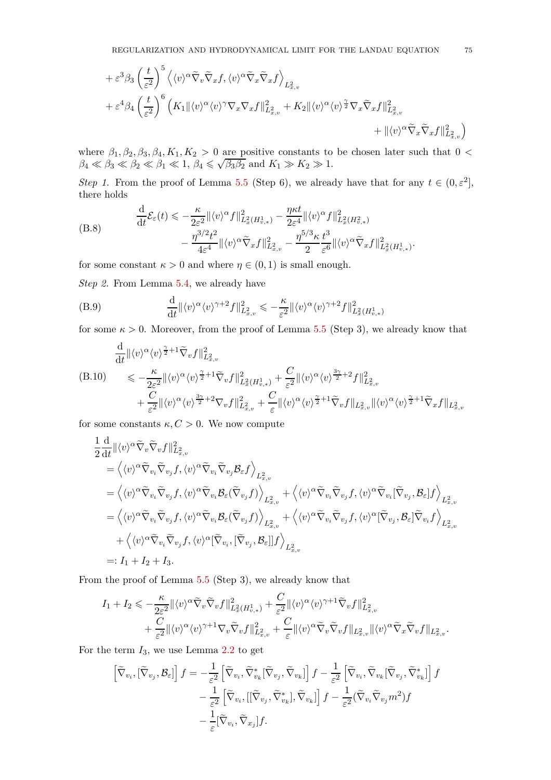$$
+ \varepsilon^3 \beta_3 \left(\frac{t}{\varepsilon^2}\right)^5 \left\langle \langle v \rangle^\alpha \widetilde{\nabla}_v \widetilde{\nabla}_x f, \langle v \rangle^\alpha \widetilde{\nabla}_x \widetilde{\nabla}_x f \right\rangle_{L^2_{x,v}} + \varepsilon^4 \beta_4 \left(\frac{t}{\varepsilon^2}\right)^6 \left( K_1 \| \langle v \rangle^\alpha \langle v \rangle^\gamma \nabla_x \nabla_x f \|_{L^2_{x,v}}^2 + K_2 \| \langle v \rangle^\alpha \langle v \rangle^{\frac{\gamma}{2}} \nabla_x \widetilde{\nabla}_x f \|_{L^2_{x,v}}^2 + \| \langle v \rangle^\alpha \widetilde{\nabla}_x \widetilde{\nabla}_x f \|_{L^2_{x,v}}^2 \right)
$$

where  $\beta_1, \beta_2, \beta_3, \beta_4, K_1, K_2 > 0$  are positive constants to be chosen later such that 0 <  $\beta_4 \ll \beta_3 \ll \beta_2 \ll \beta_1 \ll 1, \ \beta_4 \leq \sqrt{\beta_3 \beta_2}$  and  $K_1 \gg K_2 \gg 1.$ 

*Step 1.* From the proof of Lemma [5.5](#page-52-2) (Step 6), we already have that for any  $t \in (0, \varepsilon^2]$ , there holds

(B.8) 
$$
\frac{\mathrm{d}}{\mathrm{d}t} \mathcal{E}_{\varepsilon}(t) \leqslant -\frac{\kappa}{2\varepsilon^{2}} \| \langle v \rangle^{\alpha} f \|_{L_{x}^{2}(H_{v,*}^{1})}^{2} - \frac{\eta \kappa t}{2\varepsilon^{4}} \| \langle v \rangle^{\alpha} f \|_{L_{x}^{2}(H_{v,*}^{2})}^{2} \n- \frac{\eta^{3/2} t^{2}}{4\varepsilon^{4}} \| \langle v \rangle^{\alpha} \widetilde{\nabla}_{x} f \|_{L_{x,v}^{2}}^{2} - \frac{\eta^{5/3} \kappa}{2} \frac{t^{3}}{\varepsilon^{6}} \| \langle v \rangle^{\alpha} \widetilde{\nabla}_{x} f \|_{L_{x}^{2}(H_{v,*}^{1})}^{2}.
$$

for some constant  $\kappa > 0$  and where  $\eta \in (0, 1)$  is small enough.

*Step 2.* From Lemma [5.4,](#page-52-0) we already have

<span id="page-74-0"></span>
$$
(B.9) \qquad \frac{\mathrm{d}}{\mathrm{d}t} \| \langle v \rangle^{\alpha} \langle v \rangle^{\gamma+2} f \|_{L_{x,v}^2}^2 \leqslant -\frac{\kappa}{\varepsilon^2} \| \langle v \rangle^{\alpha} \langle v \rangle^{\gamma+2} f \|_{L_x^2(H_{v,*}^1)}^2
$$

for some  $\kappa > 0$ . Moreover, from the proof of Lemma [5.5](#page-52-2) (Step 3), we already know that

<span id="page-74-1"></span>
$$
\frac{\mathrm{d}}{\mathrm{d}t} ||\langle v \rangle^{\alpha} \langle v \rangle^{\frac{\gamma}{2}+1} \widetilde{\nabla}_v f ||_{L^2_{x,v}}^2
$$
\n
$$
\leq -\frac{\kappa}{2\varepsilon^2} ||\langle v \rangle^{\alpha} \langle v \rangle^{\frac{\gamma}{2}+1} \widetilde{\nabla}_v f ||_{L^2_x(H^1_{v,*})}^2 + \frac{C}{\varepsilon^2} ||\langle v \rangle^{\alpha} \langle v \rangle^{\frac{3\gamma}{2}+2} f ||_{L^2_{x,v}}^2
$$
\n
$$
+ \frac{C}{\varepsilon^2} ||\langle v \rangle^{\alpha} \langle v \rangle^{\frac{3\gamma}{2}+2} \nabla_v f ||_{L^2_{x,v}}^2 + \frac{C}{\varepsilon} ||\langle v \rangle^{\alpha} \langle v \rangle^{\frac{\gamma}{2}+1} \widetilde{\nabla}_v f ||_{L^2_{x,v}} ||\langle v \rangle^{\alpha} \langle v \rangle^{\frac{\gamma}{2}+1} \widetilde{\nabla}_x f ||_{L^2_{x,v}}
$$

for some constants  $\kappa, C > 0$ . We now compute

$$
\begin{split}\n&\frac{1}{2}\frac{\mathrm{d}}{\mathrm{d}t}\|\langle v\rangle^{\alpha}\tilde{\nabla}_{v}\tilde{\nabla}_{v}f\|^{2}_{L^{2}_{x,v}} \\
&=\left\langle\langle v\rangle^{\alpha}\tilde{\nabla}_{v_{i}}\tilde{\nabla}_{v_{j}}f,\langle v\rangle^{\alpha}\tilde{\nabla}_{v_{i}}\tilde{\nabla}_{v_{j}}\mathcal{B}_{\varepsilon}f\right\rangle_{L^{2}_{x,v}} \\
&=\left\langle\langle v\rangle^{\alpha}\tilde{\nabla}_{v_{i}}\tilde{\nabla}_{v_{j}}f,\langle v\rangle^{\alpha}\tilde{\nabla}_{v_{i}}\mathcal{B}_{\varepsilon}(\tilde{\nabla}_{v_{j}}f)\right\rangle_{L^{2}_{x,v}} + \left\langle\langle v\rangle^{\alpha}\tilde{\nabla}_{v_{i}}\tilde{\nabla}_{v_{j}}f,\langle v\rangle^{\alpha}\tilde{\nabla}_{v_{i}}[\tilde{\nabla}_{v_{j}},\mathcal{B}_{\varepsilon}]f\right\rangle_{L^{2}_{x,v}} \\
&=\left\langle\langle v\rangle^{\alpha}\tilde{\nabla}_{v_{i}}\tilde{\nabla}_{v_{j}}f,\langle v\rangle^{\alpha}\tilde{\nabla}_{v_{i}}\mathcal{B}_{\varepsilon}(\tilde{\nabla}_{v_{j}}f)\right\rangle_{L^{2}_{x,v}} + \left\langle\langle v\rangle^{\alpha}\tilde{\nabla}_{v_{i}}\tilde{\nabla}_{v_{j}}f,\langle v\rangle^{\alpha}[\tilde{\nabla}_{v_{j}},\mathcal{B}_{\varepsilon}]\tilde{\nabla}_{v_{i}}f\right\rangle_{L^{2}_{x,v}} \\
&\quad + \left\langle\langle v\rangle^{\alpha}\tilde{\nabla}_{v_{i}}\tilde{\nabla}_{v_{j}}f,\langle v\rangle^{\alpha}[\tilde{\nabla}_{v_{i}},[\tilde{\nabla}_{v_{j}},\mathcal{B}_{\varepsilon}]]f\right\rangle_{L^{2}_{x,v}} \\
&=: I_{1} + I_{2} + I_{3}.\n\end{split}
$$

From the proof of Lemma [5.5](#page-52-2) (Step 3), we already know that

$$
I_1 + I_2 \leqslant -\frac{\kappa}{2\varepsilon^2} \|\langle v \rangle^{\alpha} \widetilde{\nabla}_v \widetilde{\nabla}_v f \|^2_{L^2_x(H^1_{v,*})} + \frac{C}{\varepsilon^2} \|\langle v \rangle^{\alpha} \langle v \rangle^{\gamma+1} \widetilde{\nabla}_v f \|^2_{L^2_{x,v}} + \frac{C}{\varepsilon^2} \|\langle v \rangle^{\alpha} \langle v \rangle^{\gamma+1} \nabla_v \widetilde{\nabla}_v f \|^2_{L^2_{x,v}} + \frac{C}{\varepsilon} \|\langle v \rangle^{\alpha} \widetilde{\nabla}_v \widetilde{\nabla}_v f \|^2_{L^2_{x,v}} \|\langle v \rangle^{\alpha} \widetilde{\nabla}_x \widetilde{\nabla}_v f \|^2_{L^2_{x,v}}.
$$

For the term *I*3, we use Lemma [2.2](#page-14-0) to get

$$
\begin{aligned}\n\left[\widetilde{\nabla}_{v_i}, \left[\widetilde{\nabla}_{v_j}, \mathcal{B}_{\varepsilon}\right]\right] f &= -\frac{1}{\varepsilon^2} \left[\widetilde{\nabla}_{v_i}, \widetilde{\nabla}_{v_k}^* \left[\widetilde{\nabla}_{v_j}, \widetilde{\nabla}_{v_k}\right]\right] f - \frac{1}{\varepsilon^2} \left[\widetilde{\nabla}_{v_i}, \widetilde{\nabla}_{v_k} \left[\widetilde{\nabla}_{v_j}, \widetilde{\nabla}_{v_k}^*\right]\right] f \\
&- \frac{1}{\varepsilon^2} \left[\widetilde{\nabla}_{v_i}, \left[\left[\widetilde{\nabla}_{v_j}, \widetilde{\nabla}_{v_k}\right], \widetilde{\nabla}_{v_k}\right]\right] f - \frac{1}{\varepsilon^2} (\widetilde{\nabla}_{v_i} \widetilde{\nabla}_{v_j} m^2) f \\
&- \frac{1}{\varepsilon} \left[\widetilde{\nabla}_{v_i}, \widetilde{\nabla}_{x_j}\right] f.\n\end{aligned}
$$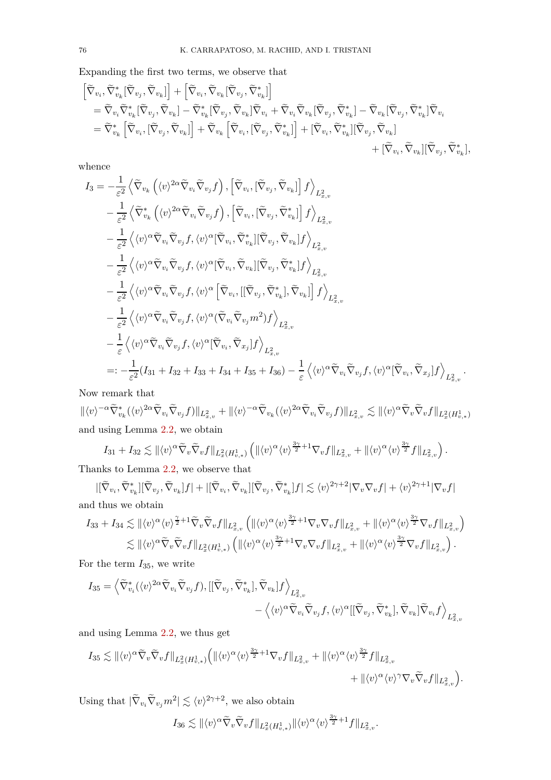Expanding the first two terms, we observe that

$$
\begin{aligned} &\left[\widetilde{\nabla}_{v_i}, \widetilde{\nabla}_{v_k}^* [\widetilde{\nabla}_{v_j}, \widetilde{\nabla}_{v_k}] \right] + \left[\widetilde{\nabla}_{v_i}, \widetilde{\nabla}_{v_k} [\widetilde{\nabla}_{v_j}, \widetilde{\nabla}_{v_k}] \right] \\ &= \widetilde{\nabla}_{v_i} \widetilde{\nabla}_{v_k}^* [\widetilde{\nabla}_{v_j}, \widetilde{\nabla}_{v_k}] - \widetilde{\nabla}_{v_k}^* [\widetilde{\nabla}_{v_j}, \widetilde{\nabla}_{v_k}] \widetilde{\nabla}_{v_i} + \widetilde{\nabla}_{v_i} \widetilde{\nabla}_{v_k} [\widetilde{\nabla}_{v_j}, \widetilde{\nabla}_{v_k}] - \widetilde{\nabla}_{v_k} [\widetilde{\nabla}_{v_j}, \widetilde{\nabla}_{v_k}] \widetilde{\nabla}_{v_i} \\ &= \widetilde{\nabla}_{v_k}^* \left[ \widetilde{\nabla}_{v_i}, [\widetilde{\nabla}_{v_j}, \widetilde{\nabla}_{v_k}] \right] + \widetilde{\nabla}_{v_k} \left[ \widetilde{\nabla}_{v_i}, [\widetilde{\nabla}_{v_j}, \widetilde{\nabla}_{v_k}^*] \right] + [\widetilde{\nabla}_{v_i}, \widetilde{\nabla}_{v_k}] [\widetilde{\nabla}_{v_j}, \widetilde{\nabla}_{v_k}] \\ &\quad + [\widetilde{\nabla}_{v_i}, \widetilde{\nabla}_{v_k}] [\widetilde{\nabla}_{v_j}, \widetilde{\nabla}_{v_k}], \end{aligned}
$$

whence

$$
I_{3} = -\frac{1}{\varepsilon^{2}} \left\langle \tilde{\nabla}_{v_{k}} \left( \langle v \rangle^{2\alpha} \tilde{\nabla}_{v_{i}} \tilde{\nabla}_{v_{j}} f \right) , \left[ \tilde{\nabla}_{v_{i}} , \left[ \tilde{\nabla}_{v_{j}} , \tilde{\nabla}_{v_{k}} \right] f \right\rangle_{L_{x,v}^{2}} -\frac{1}{\varepsilon^{2}} \left\langle \tilde{\nabla}_{v_{k}}^{*} \left( \langle v \rangle^{2\alpha} \tilde{\nabla}_{v_{i}} \tilde{\nabla}_{v_{j}} f \right) , \left[ \tilde{\nabla}_{v_{i}} , \left[ \tilde{\nabla}_{v_{j}} , \tilde{\nabla}_{v_{k}} \right] \right] f \right\rangle_{L_{x,v}^{2}} -\frac{1}{\varepsilon^{2}} \left\langle \langle v \rangle^{\alpha} \tilde{\nabla}_{v_{i}} \tilde{\nabla}_{v_{j}} f , \langle v \rangle^{\alpha} [\tilde{\nabla}_{v_{i}} , \tilde{\nabla}_{v_{k}}^{*}][\tilde{\nabla}_{v_{j}} , \tilde{\nabla}_{v_{k}}] f \right\rangle_{L_{x,v}^{2}} -\frac{1}{\varepsilon^{2}} \left\langle \langle v \rangle^{\alpha} \tilde{\nabla}_{v_{i}} \tilde{\nabla}_{v_{j}} f , \langle v \rangle^{\alpha} [\tilde{\nabla}_{v_{i}} , \tilde{\nabla}_{v_{k}}] [\tilde{\nabla}_{v_{j}} , \tilde{\nabla}_{v_{k}}^{*}] f \right\rangle_{L_{x,v}^{2}} -\frac{1}{\varepsilon^{2}} \left\langle \langle v \rangle^{\alpha} \tilde{\nabla}_{v_{i}} \tilde{\nabla}_{v_{j}} f , \langle v \rangle^{\alpha} [\tilde{\nabla}_{v_{i}} , [\tilde{\nabla}_{v_{j}} , \tilde{\nabla}_{v_{k}}], \tilde{\nabla}_{v_{k}}] \right] f \right\rangle_{L_{x,v}^{2}} -\frac{1}{\varepsilon^{2}} \left\langle \langle v \rangle^{\alpha} \tilde{\nabla}_{v_{i}} \tilde{\nabla}_{v_{j}} f , \langle v \rangle^{\alpha} (\tilde{\nabla}_{v_{i}} \tilde{\nabla
$$

Now remark that

 $\begin{aligned} & \| \langle v \rangle^{-\alpha} \widetilde{\nabla}^*_{v_k} (\langle v \rangle^{2\alpha} \widetilde{\nabla}_{v_i} \widetilde{\nabla}_{v_j} f) \|_{L^2_{x,v}} + \| \langle v \rangle^{-\alpha} \widetilde{\nabla}_{v_k} (\langle v \rangle^{2\alpha} \widetilde{\nabla}_{v_i} \widetilde{\nabla}_{v_j} f) \|_{L^2_{x,v}} \lesssim \| \langle v \rangle^{\alpha} \widetilde{\nabla}_v \widetilde{\nabla}_v f \|_{L^2_x(H^1_{v,*})} \end{aligned}$ and using Lemma [2.2,](#page-14-0) we obtain

$$
I_{31} + I_{32} \lesssim \|\langle v \rangle^{\alpha} \widetilde{\nabla}_v \widetilde{\nabla}_v f\|_{L_x^2(H_{v,*}^1)} \left( \|\langle v \rangle^{\alpha} \langle v \rangle^{\frac{3\gamma}{2}+1} \nabla_v f\|_{L_{x,v}^2} + \|\langle v \rangle^{\alpha} \langle v \rangle^{\frac{3\gamma}{2}} f\|_{L_{x,v}^2} \right).
$$

Thanks to Lemma [2.2,](#page-14-0) we observe that

 $\begin{aligned} & |[\widetilde \nabla_{v_i}, \widetilde \nabla_{v_k}^*] [\widetilde \nabla_{v_j}, \widetilde \nabla_{v_k}] f | + |[\widetilde \nabla_{v_i}, \widetilde \nabla_{v_k}] [\widetilde \nabla_{v_j}, \widetilde \nabla_{v_k}^*] f | \lesssim \langle v \rangle^{2\gamma+2} |\nabla_v \nabla_v f | + \langle v \rangle^{2\gamma+1} |\nabla_v f | \end{aligned}$ and thus we obtain

$$
I_{33} + I_{34} \lesssim \|\langle v \rangle^{\alpha} \langle v \rangle^{\frac{\gamma}{2}+1} \widetilde{\nabla}_v \widetilde{\nabla}_v f \|_{L^2_{x,v}} \left( \|\langle v \rangle^{\alpha} \langle v \rangle^{\frac{3\gamma}{2}+1} \nabla_v \nabla_v f \|_{L^2_{x,v}} + \|\langle v \rangle^{\alpha} \langle v \rangle^{\frac{3\gamma}{2}} \nabla_v f \|_{L^2_{x,v}} \right) \leq \|\langle v \rangle^{\alpha} \widetilde{\nabla}_v \widetilde{\nabla}_v f \|_{L^2_x(H^1_{v,*})} \left( \|\langle v \rangle^{\alpha} \langle v \rangle^{\frac{3\gamma}{2}+1} \nabla_v \nabla_v f \|_{L^2_{x,v}} + \|\langle v \rangle^{\alpha} \langle v \rangle^{\frac{3\gamma}{2}} \nabla_v f \|_{L^2_{x,v}} \right).
$$

For the term *I*35, we write

$$
I_{35} = \left\langle \tilde{\nabla}^*_{v_i} (\langle v \rangle^{2\alpha} \tilde{\nabla}_{v_i} \tilde{\nabla}_{v_j} f), \left[ [\tilde{\nabla}_{v_j}, \tilde{\nabla}^*_{v_k}], \tilde{\nabla}_{v_k} \right] f \right\rangle_{L^2_{x,v}} \\ - \left\langle \langle v \rangle^{\alpha} \tilde{\nabla}_{v_i} \tilde{\nabla}_{v_j} f, \langle v \rangle^{\alpha} \left[ [\tilde{\nabla}_{v_j}, \tilde{\nabla}^*_{v_k}], \tilde{\nabla}_{v_k} \right] \tilde{\nabla}_{v_i} f \right\rangle_{L^2_{x,v}}
$$

and using Lemma [2.2,](#page-14-0) we thus get

$$
I_{35} \lesssim \| \langle v \rangle^{\alpha} \widetilde{\nabla}_v \widetilde{\nabla}_v f \|_{L^2_x(H^1_{v,*})} \Big( \| \langle v \rangle^{\alpha} \langle v \rangle^{\frac{3\gamma}{2}+1} \nabla_v f \|_{L^2_{x,v}} + \| \langle v \rangle^{\alpha} \langle v \rangle^{\frac{3\gamma}{2}} f \|_{L^2_{x,v}} + \| \langle v \rangle^{\alpha} \langle v \rangle^{\gamma} \nabla_v \widetilde{\nabla}_v f \|_{L^2_{x,v}} \Big).
$$

Using that  $|\nabla_{v_i}\nabla_{v_j}m^2| \lesssim \langle v \rangle^{2\gamma+2}$ , we also obtain

$$
I_{36} \lesssim \|\langle v \rangle^{\alpha} \widetilde{\nabla}_v \widetilde{\nabla}_v f\|_{L^2_x(H^1_{v,*})} \|\langle v \rangle^{\alpha} \langle v \rangle^{\frac{3\gamma}{2}+1} f\|_{L^2_{x,v}}.
$$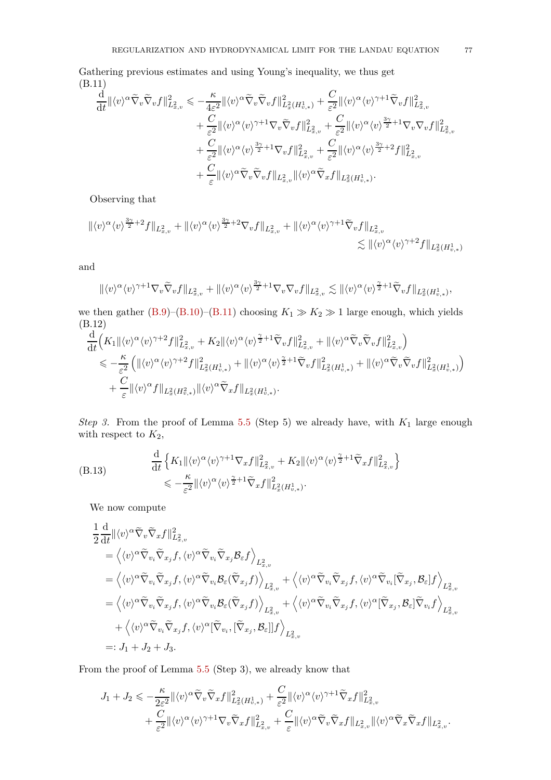Gathering previous estimates and using Young's inequality, we thus get (B.11)

<span id="page-76-0"></span>
$$
\frac{\mathrm{d}}{\mathrm{d}t} ||\langle v \rangle^{\alpha} \tilde{\nabla}_{v} \tilde{\nabla}_{v} f ||_{L_{x,v}^{2}}^{2} \leqslant -\frac{\kappa}{4\varepsilon^{2}} ||\langle v \rangle^{\alpha} \tilde{\nabla}_{v} \tilde{\nabla}_{v} f ||_{L_{x,v}^{2}}^{2} + \frac{C}{\varepsilon^{2}} ||\langle v \rangle^{\alpha} \langle v \rangle^{\gamma+1} \tilde{\nabla}_{v} f ||_{L_{x,v}^{2}}^{2} + \frac{C}{\varepsilon^{2}} ||\langle v \rangle^{\alpha} \langle v \rangle^{\gamma+1} \nabla_{v} \tilde{\nabla}_{v} f ||_{L_{x,v}^{2}}^{2} + \frac{C}{\varepsilon^{2}} ||\langle v \rangle^{\alpha} \langle v \rangle^{\frac{3\gamma}{2}+1} \nabla_{v} \nabla_{v} f ||_{L_{x,v}^{2}}^{2} + \frac{C}{\varepsilon^{2}} ||\langle v \rangle^{\alpha} \langle v \rangle^{\frac{3\gamma}{2}+2} f ||_{L_{x,v}^{2}}^{2} + \frac{C}{\varepsilon^{2}} ||\langle v \rangle^{\alpha} \langle v \rangle^{\frac{3\gamma}{2}+2} f ||_{L_{x,v}^{2}}^{2} + \frac{C}{\varepsilon} ||\langle v \rangle^{\alpha} \tilde{\nabla}_{v} \tilde{\nabla}_{v} f ||_{L_{x,v}^{2}} ||\langle v \rangle^{\alpha} \tilde{\nabla}_{x} f ||_{L_{x}^{2}(H_{v,*}^{1})}.
$$

Observing that

$$
\begin{aligned} \|\langle v\rangle^{\alpha}\langle v\rangle^{\frac{3\gamma}{2}+2}f\|_{L_{x,v}^2}+\|\langle v\rangle^{\alpha}\langle v\rangle^{\frac{3\gamma}{2}+2}\nabla_v f\|_{L_{x,v}^2}+\|\langle v\rangle^{\alpha}\langle v\rangle^{\gamma+1}\tilde{\nabla}_v f\|_{L_{x,v}^2}\\ &\lesssim \|\langle v\rangle^{\alpha}\langle v\rangle^{\gamma+2}f\|_{L_x^2(H_{v,*}^1)} \end{aligned}
$$

and

$$
\| \langle v \rangle^{\alpha} \langle v \rangle^{\gamma+1} \nabla_v \widetilde{\nabla}_v f \|_{L^2_{x,v}} + \| \langle v \rangle^{\alpha} \langle v \rangle^{\frac{3\gamma}{2}+1} \nabla_v \nabla_v f \|_{L^2_{x,v}} \lesssim \| \langle v \rangle^{\alpha} \langle v \rangle^{\frac{\gamma}{2}+1} \widetilde{\nabla}_v f \|_{L^2_x(H^1_{v,*})},
$$

we then gather [\(B.9\)](#page-74-0)–[\(B.10\)](#page-74-1)–[\(B.11\)](#page-76-0) choosing  $K_1 \gg K_2 \gg 1$  large enough, which yields (B.12)

$$
\frac{\mathrm{d}}{\mathrm{d}t}\Big(K_1\|\langle v\rangle^{\alpha}\langle v\rangle^{\gamma+2}f\|_{L^2_{x,v}}^2+K_2\|\langle v\rangle^{\alpha}\langle v\rangle^{\frac{\gamma}{2}+1}\widetilde{\nabla}_vf\|_{L^2_{x,v}}^2+\|\langle v\rangle^{\alpha}\widetilde{\nabla}_v\widetilde{\nabla}_vf\|_{L^2_{x,v}}^2\Big) \leq -\frac{\kappa}{\varepsilon^2}\left(\|\langle v\rangle^{\alpha}\langle v\rangle^{\gamma+2}f\|_{L^2_{x}(H^1_{v,*})}^2+\|\langle v\rangle^{\alpha}\langle v\rangle^{\frac{\gamma}{2}+1}\widetilde{\nabla}_vf\|_{L^2_{x}(H^1_{v,*})}^2+\|\langle v\rangle^{\alpha}\widetilde{\nabla}_v\widetilde{\nabla}_vf\|_{L^2_{x}(H^1_{v,*})}^2\right) \quad+\frac{C}{\varepsilon}\|\langle v\rangle^{\alpha}f\|_{L^2_{x}(H^2_{v,*})}\|\langle v\rangle^{\alpha}\widetilde{\nabla}_xf\|_{L^2_{x}(H^1_{v,*})}.
$$

*Step 3.* From the proof of Lemma [5.5](#page-52-2) (Step 5) we already have, with *K*<sup>1</sup> large enough with respect to  $K_2$ ,

(B.13) 
$$
\frac{\mathrm{d}}{\mathrm{d}t} \left\{ K_1 ||\langle v \rangle^{\alpha} \langle v \rangle^{\gamma+1} \nabla_x f ||_{L^2_{x,v}}^2 + K_2 ||\langle v \rangle^{\alpha} \langle v \rangle^{\frac{\gamma}{2}+1} \tilde{\nabla}_x f ||_{L^2_{x,v}}^2 \right\} \leq -\frac{\kappa}{\varepsilon^2} ||\langle v \rangle^{\alpha} \langle v \rangle^{\frac{\gamma}{2}+1} \tilde{\nabla}_x f ||_{L^2_{x}(H^1_{v,*})}^2.
$$

<span id="page-76-1"></span>We now compute

$$
\begin{split}\n&\frac{1}{2}\frac{\mathrm{d}}{\mathrm{d}t}\|\langle v\rangle^{\alpha}\tilde{\nabla}_{v}\tilde{\nabla}_{x}f\|^{2}_{L^{2}_{x,v}} \\
&=\left\langle\langle v\rangle^{\alpha}\tilde{\nabla}_{v_{i}}\tilde{\nabla}_{x_{j}}f,\langle v\rangle^{\alpha}\tilde{\nabla}_{v_{i}}\tilde{\nabla}_{x_{j}}\mathcal{B}_{\varepsilon}f\right\rangle_{L^{2}_{x,v}} \\
&=\left\langle\langle v\rangle^{\alpha}\tilde{\nabla}_{v_{i}}\tilde{\nabla}_{x_{j}}f,\langle v\rangle^{\alpha}\tilde{\nabla}_{v_{i}}\mathcal{B}_{\varepsilon}(\tilde{\nabla}_{x_{j}}f)\right\rangle_{L^{2}_{x,v}} + \left\langle\langle v\rangle^{\alpha}\tilde{\nabla}_{v_{i}}\tilde{\nabla}_{x_{j}}f,\langle v\rangle^{\alpha}\tilde{\nabla}_{v_{i}}[\tilde{\nabla}_{x_{j}},\mathcal{B}_{\varepsilon}]f\right\rangle_{L^{2}_{x,v}} \\
&=\left\langle\langle v\rangle^{\alpha}\tilde{\nabla}_{v_{i}}\tilde{\nabla}_{x_{j}}f,\langle v\rangle^{\alpha}\tilde{\nabla}_{v_{i}}\mathcal{B}_{\varepsilon}(\tilde{\nabla}_{x_{j}}f)\right\rangle_{L^{2}_{x,v}} + \left\langle\langle v\rangle^{\alpha}\tilde{\nabla}_{v_{i}}\tilde{\nabla}_{x_{j}}f,\langle v\rangle^{\alpha}[\tilde{\nabla}_{x_{j}},\mathcal{B}_{\varepsilon}]\tilde{\nabla}_{v_{i}}f\right\rangle_{L^{2}_{x,v}} \\
&\quad + \left\langle\langle v\rangle^{\alpha}\tilde{\nabla}_{v_{i}}\tilde{\nabla}_{x_{j}}f,\langle v\rangle^{\alpha}[\tilde{\nabla}_{v_{i}},[\tilde{\nabla}_{x_{j}},\mathcal{B}_{\varepsilon}]]f\right\rangle_{L^{2}_{x,v}} \\
&=:J_{1}+J_{2}+J_{3}.\n\end{split}
$$

From the proof of Lemma [5.5](#page-52-2) (Step 3), we already know that

$$
\begin{split} J_1+J_2&\leqslant -\frac{\kappa}{2\varepsilon^2}\|\langle v\rangle^{\alpha}\tilde{\nabla}_v\tilde{\nabla}_xf\|_{L_x^2(H_{v,*}^1)}^2+\frac{C}{\varepsilon^2}\|\langle v\rangle^{\alpha}\langle v\rangle^{\gamma+1}\tilde{\nabla}_xf\|_{L_{x,v}^2}^2\\ &+\frac{C}{\varepsilon^2}\|\langle v\rangle^{\alpha}\langle v\rangle^{\gamma+1}\nabla_v\tilde{\nabla}_xf\|_{L_{x,v}^2}^2+\frac{C}{\varepsilon}\|\langle v\rangle^{\alpha}\tilde{\nabla}_v\tilde{\nabla}_xf\|_{L_{x,v}^2}\|\langle v\rangle^{\alpha}\tilde{\nabla}_x\tilde{\nabla}_xf\|_{L_{x,v}^2}. \end{split}
$$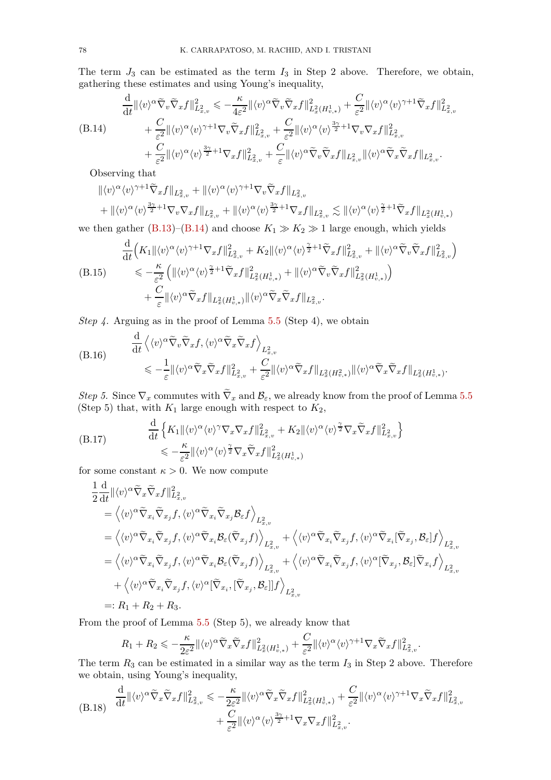The term  $J_3$  can be estimated as the term  $I_3$  in Step 2 above. Therefore, we obtain, gathering these estimates and using Young's inequality,

<span id="page-77-0"></span>
$$
\frac{\mathrm{d}}{\mathrm{d}t} \| \langle v \rangle^{\alpha} \widetilde{\nabla}_v \widetilde{\nabla}_x f \|_{L^2_{x,v}}^2 \leq -\frac{\kappa}{4\varepsilon^2} \| \langle v \rangle^{\alpha} \widetilde{\nabla}_v \widetilde{\nabla}_x f \|_{L^2_{x}(H^1_{v,*})}^2 + \frac{C}{\varepsilon^2} \| \langle v \rangle^{\alpha} \langle v \rangle^{\gamma+1} \widetilde{\nabla}_x f \|_{L^2_{x,v}}^2
$$
\n
$$
(B.14) \qquad + \frac{C}{\varepsilon^2} \| \langle v \rangle^{\alpha} \langle v \rangle^{\gamma+1} \nabla_v \widetilde{\nabla}_x f \|_{L^2_{x,v}}^2 + \frac{C}{\varepsilon^2} \| \langle v \rangle^{\alpha} \langle v \rangle^{\frac{3\gamma}{2}+1} \nabla_v \nabla_x f \|_{L^2_{x,v}}^2
$$
\n
$$
+ \frac{C}{\varepsilon^2} \| \langle v \rangle^{\alpha} \langle v \rangle^{\frac{3\gamma}{2}+1} \nabla_x f \|_{L^2_{x,v}}^2 + \frac{C}{\varepsilon} \| \langle v \rangle^{\alpha} \widetilde{\nabla}_v \widetilde{\nabla}_x f \|_{L^2_{x,v}} \| \langle v \rangle^{\alpha} \widetilde{\nabla}_x \widetilde{\nabla}_x f \|_{L^2_{x,v}}.
$$

Observing that

$$
\begin{split} &\|\langle v\rangle^{\alpha}\langle v\rangle^{\gamma+1}\tilde{\nabla}_xf\|_{L^2_{x,v}}+\|\langle v\rangle^{\alpha}\langle v\rangle^{\gamma+1}\nabla_v\tilde{\nabla}_xf\|_{L^2_{x,v}}\\ &+\|\langle v\rangle^{\alpha}\langle v\rangle^{\frac{3\gamma}{2}+1}\nabla_v\nabla_xf\|_{L^2_{x,v}}+\|\langle v\rangle^{\alpha}\langle v\rangle^{\frac{3\gamma}{2}+1}\nabla_xf\|_{L^2_{x,v}} \lesssim \|\langle v\rangle^{\alpha}\langle v\rangle^{\frac{\gamma}{2}+1}\tilde{\nabla}_xf\|_{L^2_x(H^1_{v,*})} \end{split}
$$

we then gather [\(B.13\)](#page-76-1)–[\(B.14\)](#page-77-0) and choose  $K_1 \gg K_2 \gg 1$  large enough, which yields

$$
\frac{\mathrm{d}}{\mathrm{d}t}\Big(K_{1}\|\langle v\rangle^{\alpha}\langle v\rangle^{\gamma+1}\nabla_{x}f\|_{L_{x,v}^{2}}^{2}+K_{2}\|\langle v\rangle^{\alpha}\langle v\rangle^{\frac{\gamma}{2}+1}\widetilde{\nabla}_{x}f\|_{L_{x,v}^{2}}^{2}+\|\langle v\rangle^{\alpha}\widetilde{\nabla}_{v}\widetilde{\nabla}_{x}f\|_{L_{x,v}^{2}}^{2}\Big)
$$
\n
$$
\leq -\frac{\kappa}{\varepsilon^{2}}\left(\|\langle v\rangle^{\alpha}\langle v\rangle^{\frac{\gamma}{2}+1}\widetilde{\nabla}_{x}f\|_{L_{x}^{2}(H_{v,*}^{1})}^{2}+\|\langle v\rangle^{\alpha}\widetilde{\nabla}_{v}\widetilde{\nabla}_{x}f\|_{L_{x}^{2}(H_{v,*}^{1})}^{2}\right)
$$
\n
$$
+\frac{C}{\varepsilon}\|\langle v\rangle^{\alpha}\widetilde{\nabla}_{x}f\|_{L_{x}^{2}(H_{v,*}^{1})}\|\langle v\rangle^{\alpha}\widetilde{\nabla}_{x}\widetilde{\nabla}_{x}f\|_{L_{x,v}^{2}}.
$$

*Step 4.* Arguing as in the proof of Lemma [5.5](#page-52-2) (Step 4), we obtain

(B.16) 
$$
\frac{d}{dt} \left\langle \langle v \rangle^{\alpha} \tilde{\nabla}_v \tilde{\nabla}_x f, \langle v \rangle^{\alpha} \tilde{\nabla}_x \tilde{\nabla}_x f \right\rangle_{L^2_{x,v}} \leq -\frac{1}{\varepsilon} \| \langle v \rangle^{\alpha} \tilde{\nabla}_x \tilde{\nabla}_x f \|_{L^2_{x,v}}^2 + \frac{C}{\varepsilon^2} \| \langle v \rangle^{\alpha} \tilde{\nabla}_x f \|_{L^2_x(H^2_{v,*})} \| \langle v \rangle^{\alpha} \tilde{\nabla}_x \tilde{\nabla}_x f \|_{L^2_x(H^1_{v,*})}.
$$

*Step 5.* Since  $\nabla_x$  commutes with  $\nabla_x$  and  $\mathcal{B}_{\varepsilon}$ , we already know from the proof of Lemma [5.5](#page-52-2) (Step 5) that, with  $K_1$  large enough with respect to  $K_2$ ,

<span id="page-77-1"></span>(B.17) 
$$
\frac{\mathrm{d}}{\mathrm{d}t} \left\{ K_1 \| \langle v \rangle^{\alpha} \langle v \rangle^{\gamma} \nabla_x \nabla_x f \|_{L^2_{x,v}}^2 + K_2 \| \langle v \rangle^{\alpha} \langle v \rangle^{\frac{\gamma}{2}} \nabla_x \widetilde{\nabla}_x f \|_{L^2_{x,v}}^2 \right\} \leq -\frac{\kappa}{\varepsilon^2} \| \langle v \rangle^{\alpha} \langle v \rangle^{\frac{\gamma}{2}} \nabla_x \widetilde{\nabla}_x f \|_{L^2_{x}(H^1_{v,*})}^2
$$

for some constant  $\kappa > 0$ . We now compute

$$
\begin{split}\n&\frac{1}{2}\frac{\mathrm{d}}{\mathrm{d}t}\|\langle v\rangle^{\alpha}\tilde{\nabla}_{x}\tilde{\nabla}_{x}f\|^{2}_{L^{2}_{x,v}} \\
&=\left\langle\langle v\rangle^{\alpha}\tilde{\nabla}_{x_{i}}\tilde{\nabla}_{x_{j}}f,\langle v\rangle^{\alpha}\tilde{\nabla}_{x_{i}}\tilde{\nabla}_{x_{j}}\mathcal{B}_{\varepsilon}f\right\rangle_{L^{2}_{x,v}} \\
&=\left\langle\langle v\rangle^{\alpha}\tilde{\nabla}_{x_{i}}\tilde{\nabla}_{x_{j}}f,\langle v\rangle^{\alpha}\tilde{\nabla}_{x_{i}}\mathcal{B}_{\varepsilon}(\tilde{\nabla}_{x_{j}}f)\right\rangle_{L^{2}_{x,v}} + \left\langle\langle v\rangle^{\alpha}\tilde{\nabla}_{x_{i}}\tilde{\nabla}_{x_{j}}f,\langle v\rangle^{\alpha}\tilde{\nabla}_{x_{i}}[\tilde{\nabla}_{x_{j}},\mathcal{B}_{\varepsilon}]f\right\rangle_{L^{2}_{x,v}} \\
&=\left\langle\langle v\rangle^{\alpha}\tilde{\nabla}_{x_{i}}\tilde{\nabla}_{x_{j}}f,\langle v\rangle^{\alpha}\tilde{\nabla}_{x_{i}}\mathcal{B}_{\varepsilon}(\tilde{\nabla}_{x_{j}}f)\right\rangle_{L^{2}_{x,v}} + \left\langle\langle v\rangle^{\alpha}\tilde{\nabla}_{x_{i}}\tilde{\nabla}_{x_{j}}f,\langle v\rangle^{\alpha}[\tilde{\nabla}_{x_{j}},\mathcal{B}_{\varepsilon}]\tilde{\nabla}_{x_{i}}f\right\rangle_{L^{2}_{x,v}} \\
&+\left\langle\langle v\rangle^{\alpha}\tilde{\nabla}_{x_{i}}\tilde{\nabla}_{x_{j}}f,\langle v\rangle^{\alpha}[\tilde{\nabla}_{x_{i}},[\tilde{\nabla}_{x_{j}},\mathcal{B}_{\varepsilon}]]f\right\rangle_{L^{2}_{x,v}} \\
&=:R_{1}+R_{2}+R_{3}.\n\end{split}
$$

From the proof of Lemma [5.5](#page-52-2) (Step 5), we already know that

$$
R_1 + R_2 \leqslant -\frac{\kappa}{2\varepsilon^2} \|\langle v \rangle^{\alpha} \widetilde{\nabla}_x \widetilde{\nabla}_x f\|_{L_x^2(H_{v,*}^1)}^2 + \frac{C}{\varepsilon^2} \|\langle v \rangle^{\alpha} \langle v \rangle^{\gamma+1} \nabla_x \widetilde{\nabla}_x f\|_{L_{x,v}}^2.
$$

The term  $R_3$  can be estimated in a similar way as the term  $I_3$  in Step 2 above. Therefore we obtain, using Young's inequality,

<span id="page-77-2"></span>
$$
(B.18) \quad \frac{\mathrm{d}}{\mathrm{d}t} \| \langle v \rangle^{\alpha} \widetilde{\nabla}_x \widetilde{\nabla}_x f \|_{L^2_{x,v}}^2 \leqslant -\frac{\kappa}{2\varepsilon^2} \| \langle v \rangle^{\alpha} \widetilde{\nabla}_x \widetilde{\nabla}_x f \|_{L^2_{x}(H^1_{v,*})}^2 + \frac{C}{\varepsilon^2} \| \langle v \rangle^{\alpha} \langle v \rangle^{\gamma+1} \nabla_x \widetilde{\nabla}_x f \|_{L^2_{x,v}}^2 + \frac{C}{\varepsilon^2} \| \langle v \rangle^{\alpha} \langle v \rangle^{\frac{3\gamma}{2}+1} \nabla_x \nabla_x f \|_{L^2_{x,v}}^2.
$$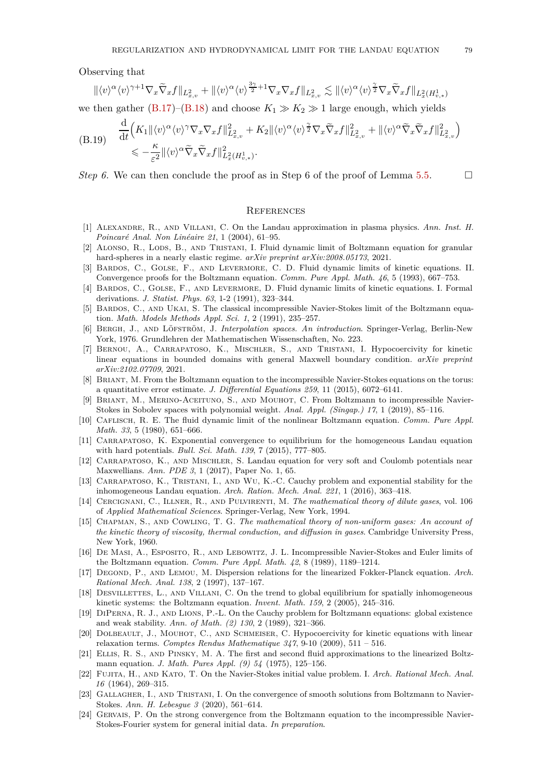Observing that

$$
\| \langle v \rangle^{\alpha} \langle v \rangle^{\gamma+1} \nabla_x \widetilde{\nabla}_x f \|_{L^2_{x,v}} + \| \langle v \rangle^{\alpha} \langle v \rangle^{\frac{3\gamma}{2}+1} \nabla_x \nabla_x f \|_{L^2_{x,v}} \lesssim \| \langle v \rangle^{\alpha} \langle v \rangle^{\frac{\gamma}{2}} \nabla_x \widetilde{\nabla}_x f \|_{L^2_x(H^1_{v,*})}
$$

we then gather  $(B.17)$ – $(B.18)$  and choose  $K_1 \gg K_2 \gg 1$  large enough, which yields

(B.19) 
$$
\frac{\mathrm{d}}{\mathrm{d}t} \Big( K_1 \| \langle v \rangle^{\alpha} \langle v \rangle^{\gamma} \nabla_x \nabla_x f \|_{L^2_{x,v}}^2 + K_2 \| \langle v \rangle^{\alpha} \langle v \rangle^{\frac{\gamma}{2}} \nabla_x \widetilde{\nabla}_x f \|_{L^2_{x,v}}^2 + \| \langle v \rangle^{\alpha} \widetilde{\nabla}_x \widetilde{\nabla}_x f \|_{L^2_{x,v}}^2 \Big) \leq -\frac{\kappa}{\varepsilon^2} \| \langle v \rangle^{\alpha} \widetilde{\nabla}_x \widetilde{\nabla}_x f \|_{L^2_{x}(H^1_{v,*})}^2.
$$

*Step 6.* We can then conclude the proof as in Step 6 of the proof of Lemma [5.5.](#page-52-2)  $\Box$ 

## **REFERENCES**

- [1] Alexandre, R., and Villani, C. On the Landau approximation in plasma physics. *Ann. Inst. H. Poincaré Anal. Non Linéaire 21*, 1 (2004), 61–95.
- [2] ALONSO, R., LODS, B., AND TRISTANI, I. Fluid dynamic limit of Boltzmann equation for granular hard-spheres in a nearly elastic regime. *arXiv preprint arXiv:2008.05173*, 2021.
- [3] Bardos, C., Golse, F., and Levermore, C. D. Fluid dynamic limits of kinetic equations. II. Convergence proofs for the Boltzmann equation. *Comm. Pure Appl. Math. 46*, 5 (1993), 667–753.
- [4] Bardos, C., Golse, F., and Levermore, D. Fluid dynamic limits of kinetic equations. I. Formal derivations. *J. Statist. Phys. 63*, 1-2 (1991), 323–344.
- [5] Bardos, C., and Ukai, S. The classical incompressible Navier-Stokes limit of the Boltzmann equation. *Math. Models Methods Appl. Sci. 1*, 2 (1991), 235–257.
- [6] Bergh, J., and Löfström, J. *Interpolation spaces. An introduction*. Springer-Verlag, Berlin-New York, 1976. Grundlehren der Mathematischen Wissenschaften, No. 223.
- [7] Bernou, A., Carrapatoso, K., Mischler, S., and Tristani, I. Hypocoercivity for kinetic linear equations in bounded domains with general Maxwell boundary condition. *arXiv preprint arXiv:2102.07709*, 2021.
- [8] Briant, M. From the Boltzmann equation to the incompressible Navier-Stokes equations on the torus: a quantitative error estimate. *J. Differential Equations 259*, 11 (2015), 6072–6141.
- [9] Briant, M., Merino-Aceituno, S., and Mouhot, C. From Boltzmann to incompressible Navier-Stokes in Sobolev spaces with polynomial weight. *Anal. Appl. (Singap.) 17*, 1 (2019), 85–116.
- [10] Caflisch, R. E. The fluid dynamic limit of the nonlinear Boltzmann equation. *Comm. Pure Appl. Math. 33*, 5 (1980), 651–666.
- [11] CARRAPATOSO, K. Exponential convergence to equilibrium for the homogeneous Landau equation with hard potentials. *Bull. Sci. Math. 139*, 7 (2015), 777–805.
- [12] CARRAPATOSO, K., AND MISCHLER, S. Landau equation for very soft and Coulomb potentials near Maxwellians. *Ann. PDE 3*, 1 (2017), Paper No. 1, 65.
- [13] CARRAPATOSO, K., TRISTANI, I., AND WU, K.-C. Cauchy problem and exponential stability for the inhomogeneous Landau equation. *Arch. Ration. Mech. Anal. 221*, 1 (2016), 363–418.
- [14] Cercignani, C., Illner, R., and Pulvirenti, M. *The mathematical theory of dilute gases*, vol. 106 of *Applied Mathematical Sciences*. Springer-Verlag, New York, 1994.
- [15] Chapman, S., and Cowling, T. G. *The mathematical theory of non-uniform gases: An account of the kinetic theory of viscosity, thermal conduction, and diffusion in gases*. Cambridge University Press, New York, 1960.
- [16] De Masi, A., Esposito, R., and Lebowitz, J. L. Incompressible Navier-Stokes and Euler limits of the Boltzmann equation. *Comm. Pure Appl. Math. 42*, 8 (1989), 1189–1214.
- [17] Degond, P., and Lemou, M. Dispersion relations for the linearized Fokker-Planck equation. *Arch. Rational Mech. Anal. 138*, 2 (1997), 137–167.
- [18] DESVILLETTES, L., AND VILLANI, C. On the trend to global equilibrium for spatially inhomogeneous kinetic systems: the Boltzmann equation. *Invent. Math. 159*, 2 (2005), 245–316.
- [19] DiPerna, R. J., and Lions, P.-L. On the Cauchy problem for Boltzmann equations: global existence and weak stability. *Ann. of Math. (2) 130*, 2 (1989), 321–366.
- [20] DOLBEAULT, J., MOUHOT, C., AND SCHMEISER, C. Hypocoercivity for kinetic equations with linear relaxation terms. *Comptes Rendus Mathematique 347*, 9-10 (2009), 511 – 516.
- [21] Ellis, R. S., and Pinsky, M. A. The first and second fluid approximations to the linearized Boltzmann equation. *J. Math. Pures Appl. (9) 54* (1975), 125–156.
- [22] Fujita, H., and Kato, T. On the Navier-Stokes initial value problem. I. *Arch. Rational Mech. Anal. 16* (1964), 269–315.
- [23] GALLAGHER, I., AND TRISTANI, I. On the convergence of smooth solutions from Boltzmann to Navier-Stokes. *Ann. H. Lebesgue 3* (2020), 561–614.
- [24] Gervais, P. On the strong convergence from the Boltzmann equation to the incompressible Navier-Stokes-Fourier system for general initial data. *In preparation*.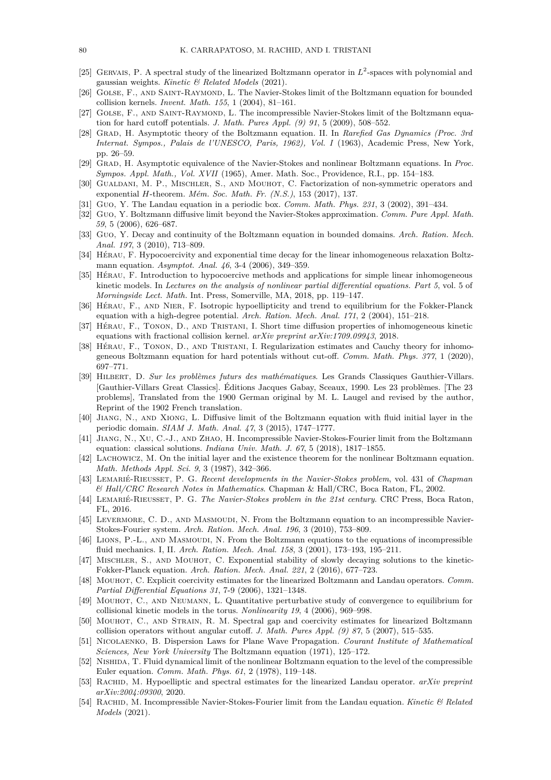- [25] GERVAIS, P. A spectral study of the linearized Boltzmann operator in  $L^2$ -spaces with polynomial and gaussian weights. *Kinetic & Related Models* (2021).
- [26] GOLSE, F., AND SAINT-RAYMOND, L. The Navier-Stokes limit of the Boltzmann equation for bounded collision kernels. *Invent. Math. 155*, 1 (2004), 81–161.
- [27] GOLSE, F., AND SAINT-RAYMOND, L. The incompressible Navier-Stokes limit of the Boltzmann equation for hard cutoff potentials. *J. Math. Pures Appl. (9) 91*, 5 (2009), 508–552.
- [28] Grad, H. Asymptotic theory of the Boltzmann equation. II. In *Rarefied Gas Dynamics (Proc. 3rd Internat. Sympos., Palais de l'UNESCO, Paris, 1962), Vol. I* (1963), Academic Press, New York, pp. 26–59.
- [29] Grad, H. Asymptotic equivalence of the Navier-Stokes and nonlinear Boltzmann equations. In *Proc. Sympos. Appl. Math., Vol. XVII* (1965), Amer. Math. Soc., Providence, R.I., pp. 154–183.
- [30] Gualdani, M. P., Mischler, S., and Mouhot, C. Factorization of non-symmetric operators and exponential *H*-theorem. *Mém. Soc. Math. Fr. (N.S.)*, 153 (2017), 137.
- [31] Guo, Y. The Landau equation in a periodic box. *Comm. Math. Phys. 231*, 3 (2002), 391–434.
- [32] Guo, Y. Boltzmann diffusive limit beyond the Navier-Stokes approximation. *Comm. Pure Appl. Math. 59*, 5 (2006), 626–687.
- [33] Guo, Y. Decay and continuity of the Boltzmann equation in bounded domains. *Arch. Ration. Mech. Anal. 197*, 3 (2010), 713–809.
- [34] Hérau, F. Hypocoercivity and exponential time decay for the linear inhomogeneous relaxation Boltzmann equation. *Asymptot. Anal. 46*, 3-4 (2006), 349–359.
- [35] Hérau, F. Introduction to hypocoercive methods and applications for simple linear inhomogeneous kinetic models. In *Lectures on the analysis of nonlinear partial differential equations. Part 5*, vol. 5 of *Morningside Lect. Math.* Int. Press, Somerville, MA, 2018, pp. 119–147.
- [36] Hérau, F., and Nier, F. Isotropic hypoellipticity and trend to equilibrium for the Fokker-Planck equation with a high-degree potential. *Arch. Ration. Mech. Anal. 171*, 2 (2004), 151–218.
- [37] Hérau, F., Tonon, D., and Tristani, I. Short time diffusion properties of inhomogeneous kinetic equations with fractional collision kernel. *arXiv preprint arXiv:1709.09943*, 2018.
- [38] HÉRAU, F., TONON, D., AND TRISTANI, I. Regularization estimates and Cauchy theory for inhomogeneous Boltzmann equation for hard potentials without cut-off. *Comm. Math. Phys. 377*, 1 (2020), 697–771.
- [39] Hilbert, D. *Sur les problèmes futurs des mathématiques*. Les Grands Classiques Gauthier-Villars. [Gauthier-Villars Great Classics]. Éditions Jacques Gabay, Sceaux, 1990. Les 23 problèmes. [The 23 problems], Translated from the 1900 German original by M. L. Laugel and revised by the author, Reprint of the 1902 French translation.
- [40] Jiang, N., and Xiong, L. Diffusive limit of the Boltzmann equation with fluid initial layer in the periodic domain. *SIAM J. Math. Anal. 47*, 3 (2015), 1747–1777.
- [41] Jiang, N., Xu, C.-J., and Zhao, H. Incompressible Navier-Stokes-Fourier limit from the Boltzmann equation: classical solutions. *Indiana Univ. Math. J. 67*, 5 (2018), 1817–1855.
- [42] Lachowicz, M. On the initial layer and the existence theorem for the nonlinear Boltzmann equation. *Math. Methods Appl. Sci. 9*, 3 (1987), 342–366.
- [43] Lemarié-Rieusset, P. G. *Recent developments in the Navier-Stokes problem*, vol. 431 of *Chapman & Hall/CRC Research Notes in Mathematics*. Chapman & Hall/CRC, Boca Raton, FL, 2002.
- [44] Lemarié-Rieusset, P. G. *The Navier-Stokes problem in the 21st century*. CRC Press, Boca Raton, FL, 2016.
- [45] LEVERMORE, C. D., AND MASMOUDI, N. From the Boltzmann equation to an incompressible Navier-Stokes-Fourier system. *Arch. Ration. Mech. Anal. 196*, 3 (2010), 753–809.
- [46] LIONS, P.-L., AND MASMOUDI, N. From the Boltzmann equations to the equations of incompressible fluid mechanics. I, II. *Arch. Ration. Mech. Anal. 158*, 3 (2001), 173–193, 195–211.
- [47] Mischler, S., and Mouhot, C. Exponential stability of slowly decaying solutions to the kinetic-Fokker-Planck equation. *Arch. Ration. Mech. Anal. 221*, 2 (2016), 677–723.
- [48] Mouhot, C. Explicit coercivity estimates for the linearized Boltzmann and Landau operators. *Comm. Partial Differential Equations 31*, 7-9 (2006), 1321–1348.
- [49] Mouhot, C., and Neumann, L. Quantitative perturbative study of convergence to equilibrium for collisional kinetic models in the torus. *Nonlinearity 19*, 4 (2006), 969–998.
- [50] MOUHOT, C., AND STRAIN, R. M. Spectral gap and coercivity estimates for linearized Boltzmann collision operators without angular cutoff. *J. Math. Pures Appl. (9) 87*, 5 (2007), 515–535.
- [51] Nicolaenko, B. Dispersion Laws for Plane Wave Propagation. *Courant Institute of Mathematical Sciences, New York University* The Boltzmann equation (1971), 125–172.
- [52] Nishida, T. Fluid dynamical limit of the nonlinear Boltzmann equation to the level of the compressible Euler equation. *Comm. Math. Phys. 61*, 2 (1978), 119–148.
- [53] Rachid, M. Hypoelliptic and spectral estimates for the linearized Landau operator. *arXiv preprint arXiv:2004:09300*, 2020.
- [54] Rachid, M. Incompressible Navier-Stokes-Fourier limit from the Landau equation. *Kinetic & Related Models* (2021).